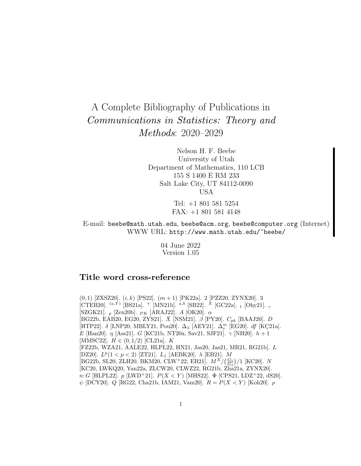# A Complete Bibliography of Publications in Communications in Statistics: Theory and Methods: 2020–2029

Nelson H. F. Beebe University of Utah Department of Mathematics, 110 LCB 155 S 1400 E RM 233 Salt Lake City, UT 84112-0090 USA

> Tel: +1 801 581 5254 FAX: +1 801 581 4148

E-mail: beebe@math.utah.edu, beebe@acm.org, beebe@computer.org (Internet) WWW URL: http://www.math.utah.edu/~beebe/

> 04 June 2022 Version 1.05

## **Title word cross-reference**

(0, 1) [ZXSZ20].  $(i, k)$  [PS22].  $(m + 1)$  [PK22a]. 2 [PZZ20, ZYNX20]. 3 [CTEB20].  $(a,\tilde{Y})$  [BS21a]. + [MN21b].  $a,b$  [SB22].  $\tilde{X}$  [GC22a]. 1 [Ohy21]. c [SZGK21].  $_p$  [Zen20b].  $_{PK}$  [ARAJ22]. A [OK20].  $\alpha$ [BG22b, EAB20, EG20, ZYS21].  $\bar{X}$  [NSM21].  $\beta$  [PY20].  $C_{pk}$  [BAAJ20]. D [HTP22].  $\delta$  [LNP20, MBLY21, Pou20].  $\Delta_{\lambda}$  [AEY21].  $\Delta_v^m$  [EG20].  $df$  [KÇ21a]. E [Han20]. η [Ass21]. G [KC21b, NT20a, Sav21, SJF21].  $\gamma$  [NH20].  $h+1$ [MMSC22].  $H \in (0, 1/2)$  [CL21a]. K [FZ22b, WZA21, AALE22, HLPL22, HN21, Jas20, Jas21, MR21, RG21b]. L [DZ20].  $L^p(1 < p < 2)$  [ZT21].  $L_1$  [AEBK20].  $\lambda$  [EB21]. M [BG22b, SL20, ZLH20, BKM20, CLW<sup>+</sup>22, EB21].  $M^X/(\frac{G_1}{G_2})/1$  [KC20]. N [KC20, LWKQ20, Yan22a, ZLCW20, CLWZ22, RG21b, Zha21a, ZYNX20]. n: G [HLPL22]. p [LWD<sup>+</sup>21].  $P(X < Y)$  [MHS22].  $\Phi$  [CPS21, LDZ<sup>+</sup>22, dS20].  $ψ$  [DCY20]. *Q* [RG22, Cha21b, IAM21, Vam20].  $R = P(X < Y)$  [Koh20]. *ρ*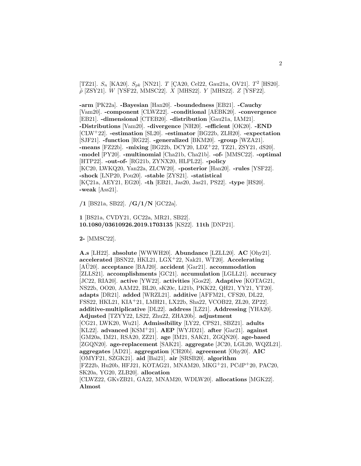[TZ21].  $S_n$  [KA20].  $S_{pk}$  [NN21]. T [ÇA20, Cel22, Gau21a, OV21]. T<sup>2</sup> [HS20].  $\tilde{\rho}$  [ZSY21]. W [YSF22, MMSC22]. X [MHS22]. Y [MHS22]. Z [YSF22].

**-arm** [PK22a]. **-Bayesian** [Han20]. **-boundedness** [EB21]. **-Cauchy** [Vam20]. **-component** [CLWZ22]. **-conditional** [AEBK20]. **-convergence** [EB21]. **-dimensional** [CTEB20]. **-distribution** [Gau21a, IAM21]. **-Distributions** [Vam20]. **-divergence** [NH20]. **-efficient** [OK20]. **-END** [CLW<sup>+</sup>22]. **-estimation** [SL20]. **-estimator** [BG22b, ZLH20]. **-expectation** [SJF21]. **-function** [RG22]. **-generalized** [BKM20]. **-group** [WZA21]. **-means** [FZ22b]. **-mixing** [BG22b, DCY20, LDZ<sup>+</sup>22, TZ21, ZSY21, dS20]. **-model** [PY20]. **-multinomial** [Cha21b, Cha21b]. **-of-** [MMSC22]. **-optimal** [HTP22]. **-out-of-** [RG21b, ZYNX20, HLPL22]. **-policy** [KC20, LWKQ20, Yan22a, ZLCW20]. **-posterior** [Han20]. **-rules** [YSF22]. **-shock** [LNP20, Pou20]. **-stable** [ZYS21]. **-statistical** [KC21a, AEY21, EG20]. **-th** [EB21, Jas20, Jas21, PS22]. **-type** [HS20]. **-weak** [Ass21].

**/1** [BS21a, SB22]. **/G/1/N** [GC22a].

**1** [BS21a, CVDY21, GC22a, MR21, SB22]. **10.1080/03610926.2019.1703135** [KS22]. **11th** [DNP21].

**2-** [MMSC22].

**A.s** [LH22]. **absolute** [WWWH20]. **Abundance** [LZLL20]. **AC** [Ohy21]. **accelerated** [BSN22, HKL21, LGX<sup>+</sup>22, Nak21, WT20]. **Accelerating** [AU<sub>20</sub>]. acceptance [BAJ<sub>20</sub>]. accident [Gar<sub>21</sub>]. accommodation [ZLLS21]. **accomplishments** [GC21]. **accumulation** [LGLL21]. **accuracy** [JC22, RIA20]. **active** [YW22]. **activities** [Gos22]. **Adaptive** [KOTAG21, NS22b, OO20, AAM22, BL20, sK20c, Li21b, PKK22, QH21, YY21, YT20]. **adapts** [DR21]. **added** [WRZL21]. **additive** [AFFM21, CFS20, DL22, FSS22, HKL21, KIA<sup>+</sup>21, LMH21, LX22b, Sha22, VCOB22, ZL20, ZP22]. **additive-multiplicative** [DL22]. **address** [LZ21]. **Addressing** [YHA20]. **Adjusted** [TZYY22, LS22, Zhu22, ZHA20b]. **adjustment** [CG21, LWK20, Wu21]. **Admissibility** [LY22, CPS21, SBZ21]. **adults** [KL22]. **advanced** [KSM<sup>+</sup>21]. **AEP** [WYJD21]. **after** [Gar21]. **against** [GM20a, IM21, RSA20, ZZ21]. **age** [IM21, SAK21, ZGQN20]. **age-based** [ZGQN20]. **age-replacement** [SAK21]. **aggregate** [JC20, LGL20, WQZL21]. **aggregates** [AD21]. **aggregation** [CH20b]. **agreement** [Ohy20]. **AIC** [OMYF21, SZGK21]. **aid** [Bai21]. **air** [SRSB20]. **algorithm** [FZ22b, Hu20b, HFJ21, KOTAG21, MNAM20, MKG<sup>+</sup>21, PCdP<sup>+</sup>20, PAC20, SK20a, YG20, ZLB20]. **allocation** [CLWZ22, GKvZB21, GA22, MNAM20, WDLW20]. **allocations** [MGK22]. **Almost**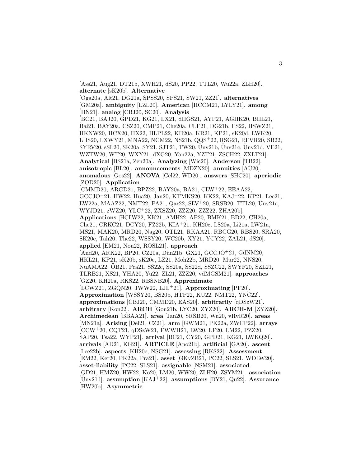[Ass21, Aug21, DT21b, XWH21, dS20, PP22, TTL20, Wu22a, ZLH20]. **alternate** [sK20b]. **Alternative** [Oga20a, Alt21, DG21a, SPSS20, SPS21, SW21, ZZ21]. **alternatives** [GM20a]. **ambiguity** [LZL20]. **American** [HCCM21, LYLY21]. **among** [HN21]. **analog** [CBJ20, SC20]. **Analysis** [BC21, BAJ20, GPD21, KG21, LX21, dHGS21, AYP21, AGHK20, BHL21, Bai21, BAY20a, CSZ20, CMP21, Che20a, CLF21, DG21b, FS22, HSWZ21, HKNW20, HCX20, HX22, HLPL22, KH20a, KR21, KP21, sK20d, LWK20, LHS20, LXWY21, MNA22, NCM22, NS21b, QQS<sup>+</sup>22, RSG21, RFVR20, SB22,  $SYRV20$ ,  $SL20$ ,  $SK20a$ ,  $SY21$ ,  $SJT21$ ,  $TW20$ ,  $\text{Unv21b}$ ,  $\text{Unv21c}$ ,  $\text{Unv21d}$ ,  $VE21$ , WZTW20, WT20, WXY21, dXG20, Yan22a, YZT21, ZSCH22, ZXLT21]. **Analytical** [BS21a, Zen20a]. **Analyzing** [Wic20]. **Anderson** [TB22]. **anisotropic** [BL20]. **announcements** [MDZN20]. **annuities** [AU20]. **anomalous** [Gos22]. **ANOVA** [Cel22, WD20]. **answers** [SHC20]. **aperiodic** [ZOD20]. **Application** [CMMD20, ARGD21, BPZ22, BAY20a, BA21, CLW<sup>+</sup>22, EEAA22, GCCJO<sup>+</sup>21, HW22, Hua20, Jan20, KTMKS20, KK22, KAJ<sup>+</sup>22, KP21, Lee21, LW22a, MAAZ22, NMT22, PA21, Qar22, SLV+20, SRSB20, TTL20, Unv21a, WYJD21, zWZ20, YLC<sup>+</sup>22, ZXSZ20, ZZZ20, ZZZ22, ZHA20b]. **Applications** [HCLW22, KK21, AMH22, AP20, BMK21, BD22, CH20a, Che21, CRKC21, DCY20, FZ22b, KIA<sup>+</sup>21, KH20c, LS20a, Li21a, LW21a, MS21, MAK20, MRD20, Nag20, OTL21, RKAA21, RBCG20, RBS20, SRA20, SK20e, Tah20, The22, WSSY20, WC20b, XY21, YCY22, ZAL21, dS20]. **applied** [EM21, Nou22, ROSL21]. **approach** [And20, ARK22, BP20, CZ20a, Dün21b, GX21, GCCJO+21, GdNM20, HKL21, KP21, sK20b, sK20c, LZ21, Moh22b, MRD20, Mur22, NNS20, NuAMA22, OB21, Pra21, SS22c, SS20a, SS22d, SSZC22, SWYF20, SZL21, ¨ TLRB21, XS21, YHA20, Yu22, ZL21, ZZZ20, vdMGSM21]. **approaches** [GZ20, KH20a, RKS22, RBSNB20]. **Approximate** [LCWZ21, ZGQN20, JWW22, LJL<sup>+</sup>21]. **Approximating** [PF20]. **Approximation** [WSSY20, BS20b, HTP22, KU22, NMT22, YNC22]. **approximations** [CBJ20, CMMD20, EAS20]. **arbitrarily** [qDSzW21]. **arbitrary** [Kon22]. **ARCH** [Gon21b, LYC20, ZYZ20]. **ARCH-M** [ZYZ20]. **Archimedean** [BBAA21]. **area** [Jan20, SRSB20, Wu20, vRvR20]. **areas** [MN21a]. **Arising** [Del21, CZ21]. **arm** [GWM21, PK22a, ZWCP22]. **arrays** [CCW<sup>+</sup>20, CQT21, qDSzW21, FWWH21, LW20, LF20, LM22, PZZ20, SAP20, Tsa22, WYP21]. **arrival** [BC21, CY20, GPD21, KG21, LWKQ20]. **arrivals** [AD21, KG21]. **ARTICLE** [Ano21b]. **artificial** [GA20]. **ascent** [Lee22b]. **aspects** [KH20c, NSG21]. **assessing** [RKS22]. **Assessment** [EM22, Ker20, PK22a, Pra21]. **asset** [GKvZB21, PC22, SLS21, WDLW20]. **asset-liability** [PC22, SLS21]. **assignable** [NSM21]. **associated** [GD21, HMZ20, HW22, Ko20, LM20, WW20, ZLH20, ZSYM21]. **association** [Unv21d]. ¨ **assumption** [KAJ<sup>+</sup>22]. **assumptions** [DY21, Qu22]. **Assurance** [HW20b]. **Asymmetric**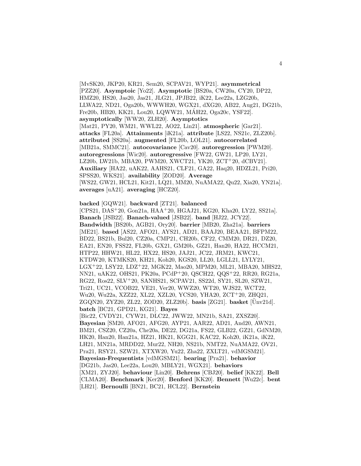[MvSK20, JKP20, KR21, Sem20, SCPAV21, WYP21]. **asymmetrical** [PZZ20]. **Asymptoic** [Yo22]. **Asymptotic** [BS20a, CW20a, CY20, DP22, HMZ20, HS20, Jas20, Jas21, JLG21, JPJB22, iK22, Lee22a, LZG20b, LLWA22, ND21, Oga20b, WWWH20, WGX21, dXG20, AB22, Aug21, DG21b, Fre20b, HB20, KK21, Lou20, LQWW21, MAH22, Oga20c, YSF22]. ´ **asymptotically** [WW20, ZLH20]. **Asymptotics** [Mat21, PY20, WM21, WWL22, AO22, Lin21]. **atmospheric** [Gar21]. **attacks** [FL20a]. **Attainments** [iK21a]. **attribute** [LS22, NS21c, ZLZ20b]. **attributed** [SS20a]. **augmented** [FL20b, LOL21]. **autocorrelated** [MB21a, SMMC21]. **autocovariance** [Cav20]. **autoregression** [PWM20]. **autoregressions** [Wic20]. **autoregressive** [FW22, GW21, LP20, LY21, LZ20b, LW21b, MBA20, PWM20, XWCT21, YK20, ZCT<sup>+</sup>20, dCBV21]. **Auxiliary** [HA22, uAK22, AAHS21, CLF21, GA22, Haq20, HDZL21, Pri20, SPSS20, WKS21]. **availability** [ZOD20]. **Average** [WS22, GW21, HCL21, Kit21, LQ21, MM20, NuAMA22, Qu22, Xia20, YN21a]. **averages** [uA21]. **averaging** [HCZ20].

**backed** [GQW21]. **backward** [ZT21]. **balanced**

[CPS21, DAS<sup>+</sup>20, Gon21a, HAA<sup>+</sup>20, HGAJ21, KG20, Kha20, LY22, SS21a]. **Banach** [JSB22]. **Banach-valued** [JSB22]. **band** [HJ22, JCY22]. **Bandwidth** [BS20b, AGB21, Ory20]. **barrier** [MB20, Zha21a]. **barriers** [ME21]. **based** [AS22, AFO21, AYS21, AD21, BAAJ20, BEAA21, BFPM22, BD22, BS21b, Bul20, CZ20a, CMP21, CH20b, CF22, CMM20, DR21, DZ20, EA21, EN20, FSS22, FL20b, GX21, GM20b, GZ21, Han20, HA22, HCCM21, HTP22, HHW21, HL22, HX22, HS20, JAJ21, JC22, JRM21, KWC21, KTDW20, KTMKS20, KH21, Koh20, KGS20, LL20, LGLL21, LYLY21, LGX<sup>+</sup>22, LSY22, LDZ<sup>+</sup>22, MGK22, Mao20, MPM20, ML21, MBA20, MHS22, NN21, uAK22, OHS21, PK20a, PCdP<sup>+</sup>20, QSCH22, QQS<sup>+</sup>22, RR20, RG21a, RG22, Ros22, SLV<sup>+</sup>20, SANHS21, SCPAV21, SS22d, SY21, SL20, SZW21, Tri21, UC21, VCOB22, VE21, Ver20, WWZ20, WT20, WJS22, WCT22, Wu20, Wu22a, XZZ22, XL22, XZL20, YCS20, YHA20, ZCT<sup>+</sup>20, ZHQ21, ZGQN20, ZYZ20, ZL22, ZOD20, ZLZ20b]. **basis** [ZG21]. **basket** [Unv21d]. ¨ **batch** [BC21, GPD21, KG21]. **Bayes** [Bic22, CVDY21, CYW21, DLC22, JWW22, MN21b, SA21, ZXSZ20]. **Bayesian** [SM20, AFO21, AFG20, AYP21, AAR22, AD21, And20, AWN21, BM21, CSZ20, CZ20a, Che20a, DE22, DG21a, FS22, GLB22, GZ21, GdNM20, HK20, Han20, Han21a, HZ21, HK21, KGG21, KAC22, Koh20, iK21a, iK22, LH21, MN21a, MRDD22, Mur22, NH20, NS21b, NMT22, NuAMA22, OV21, Pra21, RSY21, SZW21, XTXW20, Yu22, Zha22, ZXLT21, vdMGSM21]. **Bayesian-Frequentists** [vdMGSM21]. **bearing** [Pra21]. **behavior** [DG21b, Jas20, Lee22a, Lou20, MBLY21, WGX21]. **behaviors** [XM21, ZYJ20]. **behaviour** [Lin20]. **Behrens** [CBJ20]. **belief** [KK22]. **Bell** [CLMA20]. **Benchmark** [Ker20]. **Benford** [KK20]. **Bennett** [Wu22c]. **bent** [LH21]. **Bernoulli** [BN21, BC21, HCL22]. **Bernstein**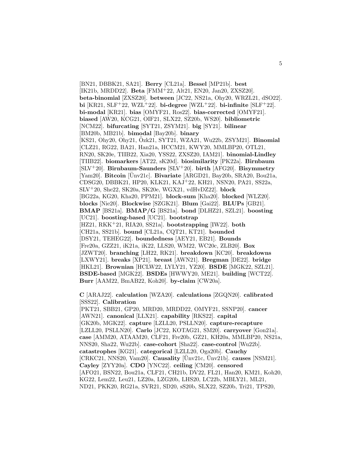[BN21, DBBK21, SA21]. **Berry** [CL21a]. **Bessel** [MP21b]. **best** [IK21b, MRDD22]. **Beta** [FMM<sup>+</sup>22, Alt21, EN20, Jan20, ZXSZ20]. **beta-binomial** [ZXSZ20]. **between** [JC22, NS21a, Ohy20, WRZL21, dSO22]. **bi** [KR21, SLF<sup>+</sup>22, WZL<sup>+</sup>22]. **bi-degree** [WZL<sup>+</sup>22]. **bi-infinite** [SLF<sup>+</sup>22]. **bi-modal** [KR21]. **bias** [OMYF21, Ros22]. **bias-corrected** [OMYF21]. **biased** [AW20, KCG21, OIF21, SLX22, SZ20b, WS20]. **bibliometric** [NCM22]. **bifurcating** [SYT21, ZSYM21]. **big** [SY21]. **bilinear** [BM20b, MB21b]. **bimodal** [Bay20b]. **binary** [KS21, Ohy20, Ohy21, Ozk21, SYT21, WZA21, Wu22b, ZSYM21]. ¨ **Binomial** [CLZ21, RG22, BA21, Han21a, HCCM21, KWY20, MMLBP20, OTL21, RN20, SK20e, TIIB22, Xia20, YSS22, ZXSZ20, IAM21]. **binomial-Lindley** [TIIB22]. **biomarkers** [AT22, sK20d]. **biosimilarity** [PK22a]. **Birnbaum** [SLV<sup>+</sup>20]. **Birnbaum-Saunders** [SLV<sup>+</sup>20]. **birth** [AFG20]. **Bisymmetry** [Yam20]. **Bitcoin** [Unv21c]. ¨ **Bivariate** [ARGD21, Bay20b, SRA20, Bou21a, CDSG20, DBBK21, HP20, KLK21, KAJ<sup>+</sup>22, KH21, NSN20, PA21, SS22a, SLV<sup>+</sup>20, She22, SK20a, SK20e, WGX21, vdHvDZ22]. **block** [BG22a, KG20, Kha20, PPM21]. **block-sum** [Kha20]. **blocked** [WLZ20]. **blocks** [Nie20]. **Blockwise** [SZGK21]. **Blum** [Gai22]. **BLUPs** [GB21]. **BMAP** [BS21a]. **BMAP/G** [BS21a]. **bond** [DLHZ21, SZL21]. **boosting** [UC21]. **boosting-based** [UC21]. **bootstrap** [HZ21, RKK<sup>+</sup>21, RIA20, SS21a]. **bootstrapping** [IW22]. **both** [CH21a, SS21b]. **bound** [CL21a, CQT21, KT21]. **bounded** [DSY21, TEHEG22]. **boundedness** [AEY21, EB21]. **Bounds** [Fre20a, GZZ21, iK21a, iK22, LLS20, WM22, WC20c, ZLB20]. **Box** [JZWT20]. **branching** [LH22, RK21]. **breakdown** [KC20]. **breakdowns** [LXWY21]. **breaks** [XP21]. **breast** [AWN21]. **Bregman** [DE22]. **bridge** [HKL21]. **Brownian** [HCLW22, LYLY21, YZ20]. **BSDE** [MGK22, SZL21]. **BSDE-based** [MGK22]. **BSDEs** [HWWY20, ME21]. **building** [WCT22]. **Burr** [AAM22, BmAB22, Koh20]. **by-claim** [CW20a].

**C** [ARAJ22]. **calculation** [WZA20]. **calculations** [ZGQN20]. **calibrated** [SSS22]. **Calibration**

[PKT21, SBB21, GP20, MRD20, MRDD22, OMYF21, SSNP20]. **cancer** [AWN21]. **canonical** [LLX21]. **capability** [RKS22]. **capital** [GK20b, MGK22]. **capture** [LZLL20, PSLLN20]. **capture-recapture** [LZLL20, PSLLN20]. **Carlo** [JC22, KOTAG21, SM20]. **carryover** [Gon21a]. **case** [AMM20, ATAAM20, CLF21, Fre20b, GZ21, KH20a, MMLBP20, NS21a, NNS20, Sha22, Wu22b]. **case-cohort** [Sha22]. **case-control** [Wu22b]. **catastrophes** [KG21]. **categorical** [LZLL20, Oga20b]. **Cauchy** [CRKC21, NNS20, Vam20]. **Causality** [Unv21c, Unv21b]. **causes** [NSM21]. **Cayley** [ZYY20a]. **CDO** [YNC22]. **ceiling** [CM20]. **censored** [AFO21, BSN22, Bou21a, CLF21, CH21b, DV22, FL21, Han20, KM21, Koh20, KG22, Lem22, Leu21, LZ20a, LZG20b, LHS20, LC22b, MBLY21, ML21, ND21, PKK20, RG21a, SVR21, SD20, sS20b, SLX22, SZ20b, Tri21, TPS20,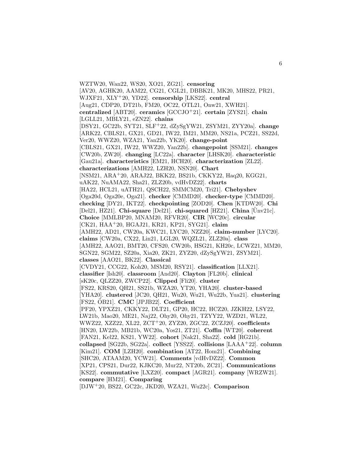WZTW20, Wan22, WS20, XO21, ZG21]. **censoring** [AV20, AGHK20, AAM22, CG21, CGL21, DBBK21, MK20, MHS22, PR21, WJXF21, XLY<sup>+</sup>20, YD22]. **censorship** [LKS22]. **central** [Aug21, CDP20, DT21b, FM20, OC22, OTL21, Onw21, XWH21]. **centralized** [ABT20]. **ceramics** [GCCJO<sup>+</sup>21]. **certain** [ZYS21]. **chain** [LGLL21, MBLY21, eZN22]. **chains** [DSY21, GC22b, SYT21, SLF<sup>+</sup>22, dZySgYW21, ZSYM21, ZYY20a]. **change** [ARK22, CBLS21, GX21, GD21, IW22, IM21, MM20, NS21a, PCZ21, SS22d, Ver20, WWZ20, WZA21, Yan22b, YK20]. **change-point** [CBLS21, GX21, IW22, WWZ20, Yan22b]. **changepoint** [SSM21]. **changes** [CW20b, ZW20]. **changing** [LC22a]. **character** [LHSK20]. **characteristic** [Gau21a]. **characteristics** [EM21, HCH20]. **characterization** [ZL22]. **characterizations** [AMH22, LZH20, NSN20]. **Chart** [NSM21, ARA<sup>+</sup>20, ARAJ22, BKK22, BS21b, CKKY22, Haq20, KGG21, uAK22, NuAMA22, Sha21, ZLZ20b, vdHvDZ22]. **charts** [HA22, HCL21, uATH21, QSCH22, SMMCM20, Tri21]. **Chebyshev** [Oga20d, Oga20e, Oga21]. **checker** [CMMD20]. **checker-type** [CMMD20]. **checking** [DY21, IKT22]. **checkpointing** [ZOD20]. **Chen** [KTDW20]. **Chi** [Del21, HZ21]. **Chi-square** [Del21]. **chi-squared** [HZ21]. **China** [Unv21c]. **Choice** [MMLBP20, MNAM20, RFVR20]. **CIR** [WC20c]. **circular** [CK21, HAA<sup>+</sup>20, HGAJ21, KR21, KP21, SYG21]. **claim** [AMH22, AD21, CW20a, KWC21, LYC20, NZZ20]. **claim-number** [LYC20]. **claims** [CW20a, CX22, Lin21, LGL20, WQZL21, ZLZ20a]. **class** [AMH22, AAO21, BMT20, CFS20, CW20b, HSG21, KH20c, LCWZ21, MM20, SGN22, SGM22, SZ20a, Xia20, ZK21, ZYZ20, dZySgYW21, ZSYM21]. **classes** [AAO21, BK22]. **Classical** [CVDY21, CCG22, Koh20, MSM20, RSY21]. **classification** [LLX21]. **classifier** [Ish20]. **classroom** [And20]. **Clayton** [FL20b]. **clinical** [sK20c, QLZZ20, ZWCP22]. **Clipped** [Fli20]. **cluster** [FS22, KRS20, QH21, SS21b, WZA20, YT20, YHA20]. **cluster-based** [YHA20]. **clustered** [JC20, QH21, Wu20, Wu21, Wu22b, Yua21]. **clustering** [FS22, OB21]. ¨ **CMC** [JPJB22]. **Coefficient** [PF20, YPXZ21, CKKY22, DLT21, GP20, HC22, HCZ20, JZKH22, LSY22, LW21b, Mao20, ME21, Naj22, Ohy20, Ohy21, TZYY22, WZD21, WL22, WWZ22, XZZ22, XL22, ZCT<sup>+</sup>20, ZYZ20, ZGC22, ZCZJ20]. **coefficients** [HN20, LW22b, MB21b, WC20a, Yos21, ZT21]. **Coffin** [WT20]. **coherent** [FAN21, Kel22, KS21, YW22]. **cohort** [Nak21, Sha22]. **cold** [RG21b]. **collapsed** [SG22b, SG22a]. **collect** [YSS22]. **collisions** [LAAA<sup>+</sup>22]. **column** [Kim21]. **COM** [LZH20]. **combination** [AT22, Hom21]. **Combining** [SHC20, ATAAM20, YCW21]. **Comments** [vdHvDZ22]. **Common** [XP21, CPS21, Dur22, KJKC20, Mur22, NT20b, ZC21]. **Communications** [KS22]. **commutative** [LXZ20]. **compact** [AGR21]. **company** [WRZW21]. **compare** [HM21]. **Comparing** [DJW<sup>+</sup>20, BS22, GC22c, JKD20, WZA21, Wu22c]. **Comparison**

6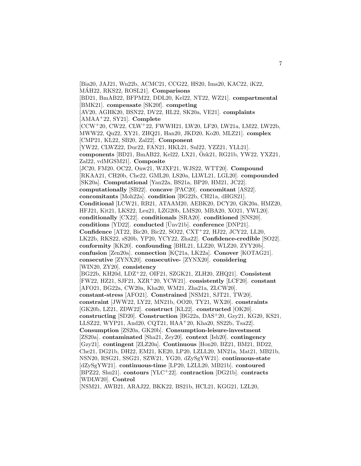[Bia20, JAJ21, Wu22b, ACMC21, CCG22, HS20, Ima20, KAC22, iK22, MÁH22, RKS22, ROSL21]. **Comparisons** [BD21, BmAB22, BFPM22, DDL20, Kel22, NT22, WZ21]. **compartmental** [BMK21]. **compensate** [SK20f]. **competing** [AV20, AGHK20, BSN22, DV22, HL22, SK20a, VE21]. **complaints** [AMAA<sup>+</sup>22, SY21]. **Complete** [CCW<sup>+</sup>20, CW22, CLW<sup>+</sup>22, FWWH21, LW20, LF20, LW21a, LM22, LW22b, MWW22, Qu22, XY21, ZHQ21, Han20, JKD20, Ko20, MLZ21]. **complex** [CMP21, KL22, SB20, Zal22]. **Component** [YW22, CLWZ22, Dur22, FAN21, HKL21, Sul22, YZZ21, YLL21]. **components** [BD21, BmAB22, Kel22, LX21, Özk21, RG21b, YW22, YXZ21, Zal22, vdMGSM21]. **Composite** [JC20, FM20, OC22, Onw21, WJXF21, WJS22, WTT20]. **Compound** [RKAA21, CH20b, Che22, GML20, LS20a, LLWL21, LGL20]. **compounded** [SK20a]. **Computational** [Yan22a, BS21a, BP20, HM21, JC22]. **computationally** [SB22]. **concave** [PAC20]. **concomitant** [AS22]. **concomitants** [Moh22a]. **condition** [BG22b, CH21a, dHGS21]. **Conditional** [LCW21, RB21, ATAAM20, AEBK20, DCY20, GK20a, HMZ20, HFJ21, Kit21, LKS22, Leu21, LZG20b, LMS20, MBA20, XO21, YWL20]. **conditionally** [CX22]. **conditionals** [SRA20]. **conditioned** [SNS20]. **conditions** [YD22]. **conducted** [Unv21b]. **conference** [DNP21]. **Confidence** [AT22, Bic20, Bic22, SO22, CXT<sup>+</sup>22, HJ22, JCY22, LL20, LK22b, RKS22, sS20b, YP20, YCY22, Zha22]. **Confidence-credible** [SO22]. **conformity** [KK20]. **confounding** [BHL21, LLZ20, WLZ20, ZYY20b]. **confusion** [Zen20a]. **connection** [KC21a, LK22a]. **Conover** [KOTAG21]. **consecutive** [ZYNX20]. **consecutive-** [ZYNX20]. **considering** [WIN20, ZY20]. **consistency** [BG22b, KH20d, LDZ<sup>+</sup>22, OIF21, SZGK21, ZLH20, ZHQ21]. **Consistent** [FW22, HZ21, SJF21, XZR<sup>+</sup>20, YCW21]. **consistently** [LCF20]. **constant** [AFO21, BG22a, CW20a, Kha20, WM21, Zha21a, ZLCW20]. **constant-stress** [AFO21]. **Constrained** [NSM21, SJT21, TW20]. **constraint** [JWW22, LY22, MN21b, OO20, TY21, WX20]. **constraints** [GK20b, LZ21, ZDW22]. **construct** [KL22]. **constructed** [OK20]. **constructing** [SD20]. **Construction** [BG22a, DAS<sup>+</sup>20, Gzy21, KG20, KS21, LLSZ22, WYP21, And20, CQT21, HAA<sup>+</sup>20, Kha20, SS22b, Tsa22]. **Consumption** [ZS20a, GK20b]. **Consumption-leisure-investment** [ZS20a]. **contaminated** [Sha21, Zey20]. **context** [Ish20]. **contingency** [Gzy21]. **contingent** [ZLZ20a]. **Continuous** [Hon20, BZ21, BM21, BD22, Che21, DG21b, DH22, EM21, KE20, LP20, LZLL20, MN21a, Mat21, MB21b, NSN20, RSG21, SSG21, SZW21, YG20, dZySgYW21]. **continuous-state** [dZySgYW21]. **continuous-time** [LP20, LZLL20, MB21b]. **contoured** [BPZ22, Shu21]. **contours** [YLC<sup>+</sup>22]. **contraction** [DG21b]. **contracts** [WDLW20]. **Control** [NSM21, AWB21, ARAJ22, BKK22, BS21b, HCL21, KGG21, LZL20,

7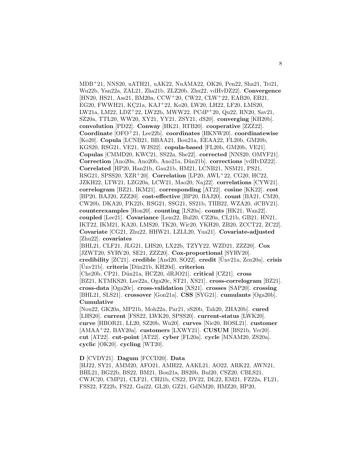MDB<sup>+</sup>21, NNS20, uATH21, uAK22, NuAMA22, OK20, Pen22, Sha21, Tri21, Wu22b, Yan22a, ZAL21, Zha21b, ZLZ20b, Zhu22, vdHvDZ22]. **Convergence** [HN20, HS21, Ass21, BM20a, CCW<sup>+</sup>20, CW22, CLW<sup>+</sup>22, EAB20, EB21, EG20, FWWH21, KC21a, KAJ+22, Ko20, LW20, LH22, LF20, LMS20, LW21a, LM22, LDZ<sup>+</sup>22, LW22b, MWW22, PCdP<sup>+</sup>20, Qu22, RN20, Sav21, SZ20a, TTL20, WW20, XY21, YY21, ZSY21, dS20]. **converging** [KH20b]. **convolution** [PD22]. **Conway** [HK21, RTB20]. **cooperative** [ZZZ22]. **Coordinate** [OFO<sup>+</sup>21, Lee22b]. **coordinates** [HKNW20]. **coordinatewise** [Ko20]. **Copula** [LCNB21, BBAA21, Bou21a, EEAA22, FL20b, GM20b, KGS20, RSG21, VE21, WJS22]. **copula-based** [FL20b, GM20b, VE21]. **Copulas** [CMMD20, KWC21, SS22a, She22]. **corrected** [NNS20, OMYF21]. **Correction** [Ano20a, Ano20b, Ano21a, D¨un21b]. **corrections** [vdHvDZ22]. **Correlated** [HP20, Han21b, Gau21b, HM21, LCNB21, NSM21, PS21, RSG21, SPSS20, XZR<sup>+</sup>20]. **Correlation** [LP20, AWL<sup>+</sup>22, CG20, HC22, JZKH22, LTW21, LZG20a, LCW21, Mao20, Naj22]. **correlations** [CYW21]. **correlogram** [BZ21, IKM21]. **corresponding** [AT22]. **cosine** [KK22]. **cost** [BP20, BAJ20, ZZZ20]. **cost-effective** [BP20, BAJ20]. **count** [BA21, CM20, CW20b, DKA20, PK22b, RSG21, SSG21, SS21b, TIIB22, WZA20, dCBV21]. **counterexamples** [Hon20]. **counting** [LS20a]. **counts** [HK21, Wan22]. **coupled** [Lee21]. **Covariance** [Lem22, Bul20, CZ20a, CL21b, GB21, HN21, IKT22, IKM21, KA20, LMS20, TK20, Wic20, YKH20, ZB20, ZCCT22, ZC22]. **Covariate** [CG21, Zhu22, HHW21, LZLL20, Yua21]. **Covariate-adjusted** [Zhu22]. **covariates** [BHL21, CLF21, JLG21, LHS20, LX22b, TZYY22, WZD21, ZZZ20]. **Cox** [JZWT20, SYRV20, SE21, ZZZ20]. **Cox-proportional** [SYRV20]. **credibility**  $[ZC21]$ . **credible**  $[And20, SO22]$ . **credit**  $[\text{Unv21a}, \text{Zen20a}]$ . **crisis** [Unv21b]. ¨ **criteria** [D¨un21b, KH20d]. **criterion** [Che20b, CP21, Dün21a, HCZ20, dRJO21]. **critical** [CZ21]. **cross** [BZ21, KTMKS20, Lee22a, Oga20c, ST21, XS21]. **cross-correlogram** [BZ21]. **cross-data** [Oga20c]. **cross-validation** [XS21]. **crosses** [SAP20]. **crossing** [BHL21, SLS21]. **crossover** [Gon21a]. **CSS** [SYG21]. **cumulants** [Oga20b]. **Cumulative** [Nou22, GK20a, MP21b, Moh22a, Par21, sS20b, Tah20, ZHA20b]. **cured** [LHS20]. **current** [FSS22, LWK20, SPSS20]. **current-status** [LWK20].

**curve** [HBOR21, LL20, SZ20b, Wu20]. **curves** [Nie20, ROSL21]. **customer** [AMAA<sup>+</sup>22, BAY20a]. **customers** [LXWY21]. **CUSUM** [BS21b, Ver20]. **cut** [AT22]. **cut-point** [AT22]. **cyber** [FL20a]. **cycle** [MNAM20, ZS20a]. **cyclic** [OK20]. **cycling** [WT20].

#### **D** [CVDY21]. **Dagum** [FCCD20]. **Data**

[HJ22, SY21, AMM20, AFO21, AMH22, AAKL21, AO22, ARK22, AWN21, BHL21, BG22b, BS22, BM21, Bou21a, BS20b, Bul20, CSZ20, CBLS21, CWJC20, CMP21, CLF21, CH21b, CS22, DV22, DL22, EM21, FZ22a, FL21, FSS22, FZ22b, FS22, Gai22, GL20, GZ21, GdNM20, HMZ20, HP20,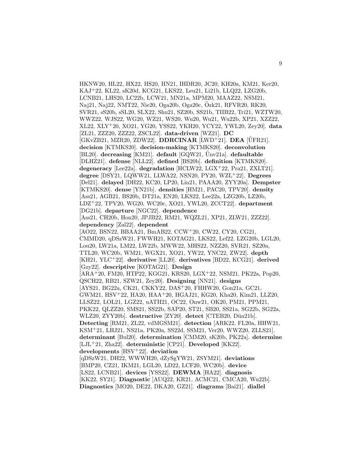HKNW20, HL22, HX22, HS20, HN21, IHDR20, JC20, KH20a, KM21, Ker20, KAJ<sup>+</sup>22, KL22, sK20d, KCG21, LKS22, Leu21, Li21b, LLQ22, LZG20b, LCNB21, LHS20, LC22b, LCW21, MN21a, MPM20, MAAZ22, NSM21, Naj21, Naj22, NMT22, Nie20, Oga20b, Oga20c, Ozk21, RFVR20, RK20, ¨ SVR21, sS20b, sSL20, SLX22, Shu21, SZ20b, SS21b, TIIB22, Tri21, WZTW20, WWZ22, WJS22, WG20, WZ21, WS20, Wu20, Wu21, Wu22b, XP21, XZZ22, XL22, XLY<sup>+</sup>20, XO21, YG20, YSS22, YKH20, YCY22, YWL20, Zey20]. **data** [ZL21, ZZZ20, ZZZ22, ZSCL22]. **data-driven** [WZ21]. **DC** [GKvZB21, MZR20, ZDW22]. **DDRCINAR** [LWD<sup>+</sup>21]. **DEA** [ÜFR21]. **decision** [KTMKS20]. **decision-making** [KTMKS20]. **deconvolution** [BL20]. decreasing [KM21]. default [GQW21, Unv21a]. defaultable [DLHZ21]. **defense** [NLL22]. **defined** [BS20b]. **definition** [KTMKS20]. **degeneracy** [Lee22a]. **degradation** [HCLW22, LGX<sup>+</sup>22, Pra21, ZXLT21]. **degree** [DSY21, LQWW21, LLWA22, NSN20, PY20, WZL<sup>+</sup>22]. **Degrees** [Del21]. **delayed** [DH22, KC20, LP20, Lin21, PAAA20, ZYY20a]. **Dempster** [KTMKS20]. **dense** [YN21b]. **densities** [HM21, PAC20, TPV20]. **density** [Ass21, AGB21, BS20b, DT21a, EN20, LKS22, Lee22a, LZG20b, LZ20b, LDZ<sup>+</sup>22, TPV20, WG20, WC20c, XO21, YWL20, ZCCT22]. **department** [DG21b]. **departure** [NGC22]. **dependence** [Ass21, CH20b, Hon20, JPJB22, RM21, WQZL21, XP21, ZLW21, ZZZ22]. **dependency** [Zal22]. **dependent** [AO22, BSN22, BBAA21, BmAB22, CCW<sup>+</sup>20, CW22, CY20, CG21, CMMD20, qDSzW21, FWWH21, KOTAG21, LKS22, Lef22, LZG20b, LGL20, Lou20, LW21a, LM22, LW22b, MWW22, MHS22, NZZ20, SVR21, SZ20a, TTL20, WC20b, WM21, WGX21, XO21, YW22, YNC22, ZW22]. **depth** [KH21, YLC<sup>+</sup>22]. **derivative** [LL20]. **derivatives** [BD22, KCG21]. **derived** [Gzy22]. **descriptive** [KOTAG21]. **Design** [ARA<sup>+</sup>20, FM20, HTP22, KGG21, KRS20, LGX<sup>+</sup>22, NSM21, PK22a, Pop20, QSCH22, RB21, SZW21, Zey20]. **Designing** [NN21]. **designs** [AYS21, BG22a, CK21, CKKY22, DAS<sup>+</sup>20, FHHW20, Gon21a, GC21, GWM21, HSV<sup>+</sup>22, HA20, HAA<sup>+</sup>20, HGAJ21, KG20, Kha20, Kim21, LLZ20, LLSZ22, LOL21, LGZ22, uATH21, OC22, Onw21, OK20, PM21, PPM21, PKK22, QLZZ20, SMS21, SS22b, SAP20, ST21, SB20, SS21a, SG22b, SG22a, WLZ20, ZYY20b]. **destructive** [ZY20]. **detect** [CTEB20, D¨un21b]. **Detecting** [RM21, ZL22, vdMGSM21]. **detection** [ARK22, FL20a, HHW21, KSM<sup>+</sup>21, LHJ21, NS21a, PK20a, SS22d, SSM21, Ver20, WWZ20, ZLLS21]. **determinant** [Bul20]. **determination** [CMM20, sK20b, PK22a]. **determine** [LJL<sup>+</sup>21, Zha22]. **deterministic** [CP21]. **Developed** [KK22]. **developments** [HSV<sup>+</sup>22]. **deviation** [qDSzW21, DH22, WWWH20, dZySgYW21, ZSYM21]. **deviations** [BMP20, CZ21, IKM21, LGL20, LD22, LCF20, WC20b]. **device** [LS22, LCNB21]. **devices** [YSS22]. **DEWMA** [HA22]. **diagnosis** [KK22, SY21]. **Diagnostic** [AUQ22, KR21, ACMC21, CMCA20, Wu22b]. **Diagnostics** [MO20, DE22, DKA20, GZ21]. **diagrams** [Bai21]. **diallel**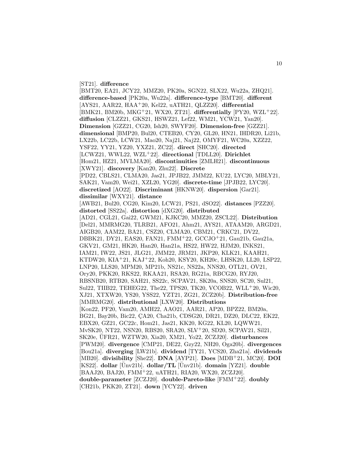[ST21]. **difference**

[BMT20, EA21, JCY22, MMZ20, PK20a, SGN22, SLX22, Wu22a, ZHQ21]. **difference-based** [PK20a, Wu22a]. **difference-type** [BMT20]. **different** [AYS21, AAR22, HAA<sup>+</sup>20, Kel22, uATH21, QLZZ20]. **differential** [BMK21, BM20b, MKG<sup>+</sup>21, WX20, ZT21]. **differentially** [PY20, WZL<sup>+</sup>22]. **diffusion** [CLZZ21, GKS21, HSWZ21, Lef22, WM21, YCW21, Yan20]. **Dimension** [GZZ21, CG20, Ish20, SWYF20]. **Dimension-free** [GZZ21]. **dimensional** [BMP20, Bul20, CTEB20, CY20, GL20, HN21, IHDR20, Li21b, LX22b, LC22b, LCW21, Mao20, Naj21, Naj22, OMYF21, WC20a, XZZ22, YSF22, YY21, YZ20, YXZ21, ZC22]. **direct** [SHC20]. **directed** [LCWZ21, WWL22, WZL<sup>+</sup>22]. **directional** [TDLL20]. **Dirichlet** [Hom21, HZ21, MVLMA20]. **discontinuities** [ZMLH21]. **discontinuous** [XWY21]. **discovery** [Kan20, Zhu22]. **Discrete** [PD22, CBLS21, CLMA20, Jas21, JPJB22, JMM22, KU22, LYC20, MBLY21, SAK21, Vam20, Wei21, XZL20, YG20]. **discrete-time** [JPJB22, LYC20]. **discretized** [AO22]. **Discriminant** [HKNW20]. **dispersion** [Gar21]. **dissimilar** [WXY21]. **distance** [AWB21, Bul20, CG20, Kim20, LCW21, PS21, dSO22]. **distances** [PZZ20]. **distorted** [SS22a]. **distortion** [dXG20]. **distributed** [AD21, CGL21, Gai22, GWM21, KJKC20, MMZ20, ZSCL22]. **Distribution** [Del21, MMRMG20, TLRB21, AFO21, Ahm21, AYS21, ATAAM20, ARGD21, AIGB20, AAM22, BA21, CSZ20, CLMA20, CBM21, CRKC21, DV22, DBBK21, DY21, EAS20, FAN21, FMM<sup>+</sup>22, GCCJO<sup>+</sup>21, Gau21b, Gau21a, GKV21, GM21, HK20, Han20, Han21a, HS22, HW22, HJM20, INKS21, IAM21, IW22, JS21, JLG21, JMM22, JRM21, JKP20, KLK21, KAAH21, KTDW20, KIA<sup>+</sup>21, KAJ<sup>+</sup>22, Koh20, KSY20, KH20c, LHSK20, LL20, LSP22, LNP20, LLS20, MPM20, MP21b, NS21c, NS22a, NNS20, OTL21, OV21, Ory20, PKK20, RKS22, RKAA21, RSA20, RG21a, RBCG20, RYJ20, RBSNB20, RTB20, SAH21, SS22c, SCPAV21, SK20a, SNS20, SC20, Sul21, Sul22, TIIB22, TEHEG22, The22, TPS20, TK20, VCOB22, WLL<sup>+</sup>20, Wic20, XJ21, XTXW20, YS20, YSS22, YZT21, ZG21, ZCZ20b]. **Distribution-free** [MMRMG20]. **distributional** [LXW20]. **Distributions** [Kon22, PF20, Vam20, AMH22, AAO21, AAR21, AP20, BPZ22, BM20a, BG21, Bay20b, Bic22, ÇA20, Cha21b, CDSG20, DR21, DZ20, DLC22, EK22, EBX20, GZ21, GC22c, Hom21, Jas21, KK20, KG22, KL20, LQWW21, MvSK20, NT22, NSN20, RBS20, SRA20, SLV<sup>+</sup>20, SD20, SCPAV21, Sil21, SK20e, UFR21, WZTW20, Xia20, XM21, Yo22, ZCZJ20]. disturbances [PWM20]. **divergence** [CMP21, DE22, Gzy22, NH20, Oga20b]. **divergences** [Bou21a]. **diverging** [LW21b]. **dividend** [TY21, YCS20, Zha21a]. **dividends** [MB20]. **divisibility** [She22]. **DNA** [AYP21]. **Does** [MDB<sup>+</sup>21, MC20]. **DOI** [KS22]. **dollar** [Unv21b]. ¨ **dollar/TL** [Unv21b]. ¨ **domain** [YZ21]. **double** [BAAJ20, BAJ20, FMM<sup>+</sup>22, uATH21, RIA20, WX20, ZCZJ20]. **double-parameter** [ZCZJ20]. **double-Pareto-like** [FMM<sup>+</sup>22]. **doubly** [CH21b, PKK20, ZT21]. **down** [YCY22]. **driven**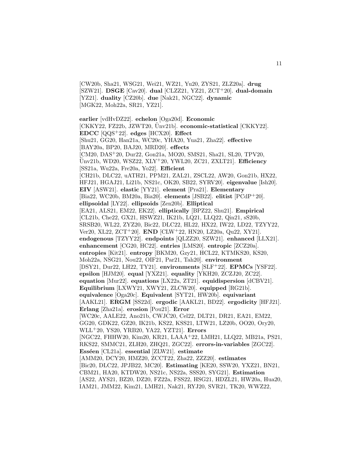[CW20b, Sha21, WSG21, Wei21, WZ21, Yu20, ZYS21, ZLZ20a]. **drug** [SZW21]. **DSGE** [Cav20]. **dual** [CLZZ21, YZ21, ZCT<sup>+</sup>20]. **dual-domain** [YZ21]. **duality** [CZ20b]. **due** [Nak21, NGC22]. **dynamic** [MGK22, Moh22a, SR21, YZ21].

**earlier** [vdHvDZ22]. **echelon** [Oga20d]. **Economic** [CKKY22, FZ22b, JZWT20, Unv21b]. economic-statistical [CKKY22]. **EDCC** [QQS<sup>+</sup>22]. **edges** [HCX20]. **Effect** [Shu21, GG20, Han21a, WC20c, YHA20, Yua21, Zha22]. **effective** [BAY20a, BP20, BAJ20, MRD20]. **effects** [CM20, DAS<sup>+</sup>20, Dur22, Gon21a, MO20, SMS21, Sha21, SL20, TPV20, Unv21b, WD20, WSZ22, XLY ¨ <sup>+</sup>20, YWL20, ZC21, ZXLT21]. **Efficiency** [SS21a, Wu22a, Fre20a, Yo22]. **Efficient** [CH21b, DLC22, uATH21, PPM21, ZAL21, ZSCL22, AW20, Gon21b, HX22, HFJ21, HGAJ21, Li21b, NS21c, OK20, SB22, SYRV20]. **eigenvalue** [Ish20]. **EIV** [ASW21]. **elastic** [YY21]. **element** [Pra21]. **Elementary** [Bia22, WC20b, BM20a, Bia20]. **elements** [JSB22]. **elitist** [PCdP<sup>+</sup>20]. **ellipsoidal** [LY22]. **ellipsoids** [Zen20b]. **Elliptical** [EA21, ALS21, EM22, EK22]. **elliptically** [BPZ22, Shu21]. **Empirical** [CL21b, Che22, GX21, HSWZ21, IK21b, LQ21, LLQ22, Qin21, sS20b, SRSB20, WL22, ZYZ20, Bic22, DLC22, HL22, HX22, IW22, LD22, TZYY22, Ver20, XL22, ZCT<sup>+</sup>20]. **END** [CLW<sup>+</sup>22, HN20, LZ20a, Qu22, XY21]. **endogenous** [TZYY22]. **endpoints** [QLZZ20, SZW21]. **enhanced** [LLX21]. **enhancement** [CG20, HC22]. **entries** [LMS20]. **entropic** [ZCZ20a]. **entropies** [Kit21]. **entropy** [BKM20, Gzy21, HCL22, KTMKS20, KS20, Moh22a, NSG21, Nou22, OIF21, Par21, Tah20]. **environment** [DSY21, Dur22, LH22, TY21]. **environments** [SLF<sup>+</sup>22]. **EPMCs** [YSF22]. **epsilon** [HJM20]. **equal** [YXZ21]. **equality** [YKH20, ZCZJ20, ZC22]. **equation** [Mur22]. **equations** [LX22a, ZT21]. **equidispersion** [dCBV21]. **Equilibrium** [LXWY21, XWY21, ZLCW20]. **equipped** [RG21b]. **equivalence** [Oga20c]. **Equivalent** [SYT21, HW20b]. **equivariant** [AAKL21]. **ERGM** [SS22d]. **ergodic** [AAKL21, BD22]. **ergodicity** [HFJ21]. **Erlang** [Zha21a]. **erosion** [Pou21]. **Error** [WC20c, AALE22, Ano21b, CWJC20, Cel22, DLT21, DR21, EA21, EM22, GG20, GDK22, GZ20, IK21b, KS22, KSS21, LTW21, LZ20b, OO20, Ory20, WLL<sup>+</sup>20, YS20, YRB20, YA22, YZT21]. **Errors** [NGC22, FHHW20, Kim20, KR21, LAAA<sup>+</sup>22, LMH21, LLQ22, MB21a, PS21, RKS22, SMMC21, ZLH20, ZHQ21, ZGC22]. **errors-in-variables** [ZGC22]. **Ess´een** [CL21a]. **essential** [ZLW21]. **estimate** [AMM20, DCY20, HMZ20, ZCCT22, Zha22, ZZZ20]. **estimates** [Bic20, DLC22, JPJB22, MC20]. **Estimating** [KE20, SSW20, YXZ21, BN21, CBM21, HA20, KTDW20, NS21c, NS22a, SSS20, SYG21]. **Estimation** [AS22, AYS21, BZ20, DZ20, FZ22a, FSS22, HSG21, HDZL21, HW20a, Hua20, IAM21, JMM22, Kim21, LMH21, Nak21, RYJ20, SVR21, TK20, WWZ22,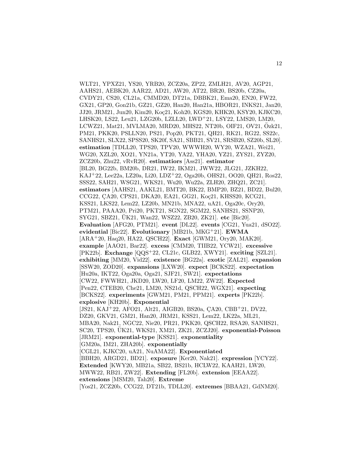WLT21, YPXZ21, YS20, YRB20, ZCZ20a, ZP22, ZMLH21, AV20, AGP21, AAHS21, AEBK20, AAR22, AD21, AW20, AT22, BR20, BS20b, CZ20a, CVDY21, CS20, CL21a, CMMD20, DT21a, DBBK21, Ema20, EN20, FW22, GX21, GP20, Gon21b, GZ21, GZ20, Han20, Han21a, HBOR21, INKS21, Jan20, JJ20, JRM21, Jun20, Kim20, Koc21, Koh20, KGS20, KHK20, KSY20, KJKC20, LHSK20, LS22, Leu21, LZG20b, LZLL20, LWD<sup>+</sup>21, LSY22, LMS20, LM20, LCWZ21, Mat21, MVLMA20, MRD20, MHS22, NT20b, OIF21, OV21, Özk21, PM21, PKK20, PSLLN20, PS21, Pop20, PKT21, QH21, RK21, RG22, SS22c, SANHS21, SLX22, SPSS20, SK20f, SA21, SBB21, SV21, SRSB20, SZ20b, SL20]. **estimation** [TDLL20, TPS20, TPV20, WWWH20, WY20, WZA21, Wei21, WG20, XZL20, XO21, YN21a, YT20, YA22, YHA20, YZ21, ZYS21, ZYZ20, ZCZ20b, Zhu22, vRvR20]. **estimatiors** [Ass21]. **estimator** [BL20, BG22b, BM20b, DR21, IW22, IKM21, JWW22, JLG21, JZKH22, KAJ<sup>+</sup>22, Lee22a, LZ20a, Li20, LDZ<sup>+</sup>22, Oga20b, OHS21, OO20, QH21, Ros22, SSS22, SAH21, WSG21, WKS21, Wu20, Wu22a, ZLH20, ZHQ21, ZC21]. **estimators** [AAHS21, AAKL21, BMT20, BK22, BMP20, BZ21, BD22, Bul20, CCG22, CA20, CPS21, DKA20, EA21, GG21, Koç21, KHSS20, KCG21, KSS21, LKS22, Lem22, LZ20b, MN21b, MNA22, uA21, Oga20c, Ory20, PTM21, PAAA20, Pri20, PKT21, SGN22, SGM22, SANHS21, SSNP20, SYG21, SBZ21, UK21, Wan22, WSZ22, ZB20, ZK21]. **etc** [Bic20]. **Evaluation** [AFG20, PTM21]. **event** [DL22]. **events** [CG21, Yua21, dSO22]. **evidential** [Bic22]. **Evolutionary** [MB21b, MKG<sup>+</sup>21]. **EWMA** [ARA<sup>+</sup>20, Haq20, HA22, QSCH22]. **Exact** [GWM21, Ory20, MAK20]. **example** [AAO21, Bar22]. **excess** [CMM20, TIIB22, YCW21]. **excessive** [PK22b]. **Exchange** [QQS<sup>+</sup>22, CL21c, GLB22, XWY21]. **exciting** [SZL21]. **exhibiting** [MM20, Vid22]. **existence** [BG22a]. **exotic** [ZAL21]. **expansion** [SSW20, ZOD20]. **expansions** [LXW20]. **expect** [BCKS22]. **expectation** [Hu20a, IKT22, Oga20a, Oga21, SJF21, SW21]. **expectations** [CW22, FWWH21, JKD20, LW20, LF20, LM22, ZW22]. **Expected** [Pen22, CTEB20, Che21, LM20, NS21d, QSCH22, WGX21]. **expecting** [BCKS22]. **experiments** [GWM21, PM21, PPM21]. **experts** [PK22b]. **explosive** [KH20b]. **Exponential**  $[JS21, KAJ+22, AFO21, Alt21, AIGB20, BS20a, CA20, CBB+21, DV22,$ DZ20, GKV21, GM21, Han20, JRM21, KSS21, Lem22, LK22a, ML21, MBA20, Nak21, NGC22, Nie20, PR21, PKK20, QSCH22, RSA20, SANHS21, SC20, TPS20, ÜK21, WKS21, XM21, ZK21, ZCZJ20]. exponential-Poisson [JRM21]. **exponential-type** [KSS21]. **exponentiality** [GM20a, IM21, ZHA20b]. **exponentially** [CGL21, KJKC20, uA21, NuAMA22]. **Exponentiated** [BBH20, ARGD21, BD21]. **exposure** [Ker20, Nak21]. **expression** [YCY22]. **Extended** [KWY20, MB21a, SB22, BS21b, HCLW22, KAAH21, LW20, MWW22, RB21, ZW22]. **Extending** [FL20b]. **extension** [EEAA22]. **extensions** [MSM20, Tah20]. **Extreme** [Yos21, ZCZ20b, CCG22, DT21b, TDLL20]. **extremes** [BBAA21, GdNM20].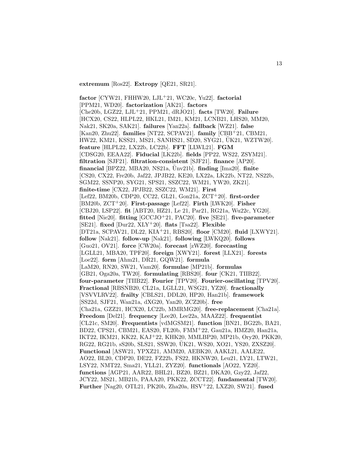**extremum** [Ros22]. **Extropy** [QE21, SR21].

**factor** [CYW21, FHHW20, LJL<sup>+</sup>21, WC20c, Yu22]. **factorial** [PPM21, WD20]. **factorization** [AK21]. **factors** [Che20b, LGZ22, LJL<sup>+</sup>21, PPM21, dRJO21]. **facts** [TW20]. **Failure** [HCX20, CS22, HLPL22, HKL21, IM21, KM21, LCNB21, LHS20, MM20, Nak21, SK20a, SAK21]. **failures** [Yan22a]. **fallback** [WZ21]. **false** [Kan20, Zhu22]. **families** [NT22, SCPAV21]. **family** [CBB<sup>+</sup>21, CBM21, HW22, KM21, KSS21, MS21, SANHS21, SD20, SYG21, UK21, WZTW20]. ¨ **feature** [HLPL22, LX22b, LC22b]. **FFT** [LLWL21]. **FGM** [CDSG20, EEAA22]. **Fiducial** [LK22b]. **fields** [PP22, WS22, ZSYM21]. **filtration** [SJF21]. **filtration-consistent** [SJF21]. **finance** [AP20].  $f$ **inancial** [BPZ22, MBA20, NS21a,  $\overline{U}$ nv21b].  $f$ **inding** [Ima20].  $f$ **inite** [CS20, CX22, Fre20b, Jaf22, JPJB22, KE20, LX22a, LK22b, NT22, NS22b, SGM22, SSNP20, SYG21, SPS21, SSZC22, WM21, YW20, ZK21]. **finite-time** [CX22, JPJB22, SSZC22, WM21]. **First** [Lef22, BM20b, CDP20, CC22, GL21, Gon21a, ZCT<sup>+</sup>20]. **first-order** [BM20b, ZCT<sup>+</sup>20]. **First-passage** [Lef22]. **Firth** [LWK20]. **Fisher** [CBJ20, LSP22]. **fit** [ABT20, HZ21, Le 21, Par21, RG21a, Wu22c, YG20]. **fitted** [Nie20]. **fitting** [GCCJO<sup>+</sup>21, PAC20]. **five** [SE21]. **five-parameter** [SE21]. **fixed** [Dur22, XLY<sup>+</sup>20]. **flats** [Tsa22]. **Flexible** [DT21a, SCPAV21, DL22, KIA<sup>+</sup>21, RBS20]. **floor** [CM20]. **fluid** [LXWY21]. **follow** [Nak21]. **follow-up** [Nak21]. **following** [LWKQ20]. **follows** [Guo21, OV21]. **force** [CW20a]. **forecast** [zWZ20]. **forecasting** [LGLL21, MBA20, TPF20]. **foreign** [XWY21]. **forest** [LLX21]. **forests** [Loe22]. **form** [Ahm21, DR21, GQW21]. **formula** [LaM20, RN20, SW21, Vam20]. **formulae** [MP21b]. **formulas** [GB21, Oga20a, TW20]. **formulating** [RBS20]. **four** [CK21, TIIB22]. **four-parameter** [TIIB22]. **Fourier** [TPV20]. **Fourier-oscillating** [TPV20]. **Fractional** [RBSNB20, CL21a, LGLL21, WSG21, YZ20]. **fractionally** [VSVVLRV22]. **frailty** [CBLS21, DDL20, HP20, Han21b]. **framework** [SS22d, SJF21, Wan21a, dXG20, Yan20, ZCZ20b]. **free** [Cha21a, GZZ21, HCX20, LC22b, MMRMG20]. **free-replacement** [Cha21a]. **Freedom** [Del21]. **frequency** [Lee20, Lee22a, MAAZ22]. **frequentist** [CL21c, SM20]. **Frequentists** [vdMGSM21]. **function** [BN21, BG22b, BA21, BD22, CPS21, CBM21, EAS20, FL20b, FMM<sup>+</sup>22, Gau21a, HMZ20, Han21a, IKT22, IKM21, KK22, KAJ<sup>+</sup>22, KHK20, MMLBP20, MP21b, Ory20, PKK20, RG22, RG21b, sS20b, SLS21, SSW20, UK21, WS20, XO21, YS20, ZXSZ20]. ¨ **Functional** [ASW21, YPXZ21, AMM20, AEBK20, AAKL21, AALE22, AO22, BL20, CDP20, DE22, FZ22b, FS22, HKNW20, Leu21, LY21, LTW21, LSY22, NMT22, Sma21, YLL21, ZYZ20]. **functionals** [AO22, YZ20]. **functions** [AGP21, AAR22, BHL21, BZ20, BZ21, DKA20, Gzy22, Jaf22, JCY22, MS21, MB21b, PAAA20, PKK22, ZCCT22]. **fundamental** [TW20]. **Further** [Nag20, OTL21, PK20b, Zha20a, HSV<sup>+</sup>22, LXZ20, SW21]. **fused**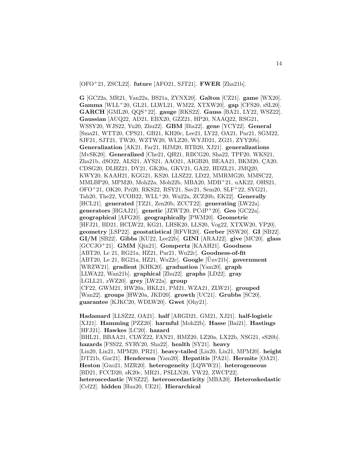[OFO<sup>+</sup>21, ZSCL22]. **future** [AFO21, SJT21]. **FWER** [Zha21b].

**G** [GC22a, MR21, Yan22a, BS21a, ZYNX20]. **Galton** [CZ21]. **game** [WX20]. **Gamma** [WLL<sup>+</sup>20, GL21, LLWL21, WM22, XTXW20]. **gap** [CFS20, sSL20]. **GARCH** [GML20, QQS<sup>+</sup>22]. **gauge** [RKS22]. **Gauss** [BA21, LY22, WSZ22]. **Gaussian** [AUQ22, AD21, EBX20, GZZ21, HP20, NAAQ22, RSG21, WSSY20, WJS22, Yu20, Zhu22]. **GBM** [Bia22]. **gene** [YCY22]. **General** [Sma21, WTT20, CPS21, GB21, KH20c, Lee21, LY22, OA21, Par21, SGM22, SJF21, SJT21, TW20, WZTW20, WLZ20, WYJD21, ZG21, ZYY20b]. **Generalization** [AK21, Far21, HJM20, RTB20, XJ21]. **generalizations** [MvSK20]. **Generalized** [Che21, QH21, RBCG20, Sha22, TPF20, WKS21, Zha21b, dSO22, ALS21, AYS21, AAO21, AIGB20, BEAA21, BKM20, CA20, CDSG20, DLHZ21, DY21, GK20a, GKV21, GA22, HDZL21, JMQ20, KWY20, KAAH21, KGG21, KS20, LLSZ22, LD22, MMRMG20, MMSC22, MMLBP20, MPM20, Moh22a, Moh22b, MBA20, MDB<sup>+</sup>21, uAK22, OHS21, OFO<sup>+</sup>21, OK20, Pri20, RKS22, RSY21, Sav21, Sem20, SLF<sup>+</sup>22, SYG21, Tah20, The22, VCOB22, WLL<sup>+</sup>20, Wu22a, ZCZ20b, EK22]. **Generally** [HCL21]. **generated** [TZ21, Zen20b, ZCCT22]. **generating** [LW22a]. **generators** [HGAJ21]. **genetic** [JZWT20, PCdP<sup>+</sup>20]. **Geo** [GC22a]. **geographical** [AFG20]. **geographically** [PWM20]. **Geometric** [HFJ21, BD21, HCLW22, KG21, LHSK20, LLS20, Vog22, XTXW20, YP20]. **geometry** [LSP22]. **geostatistical** [RFVR20]. **Gerber** [SSW20]. **GI** [SB22]. **GI/M** [SB22]. **Gibbs** [KU22, Lee22b]. **GINI** [ARAJ22]. **give** [MC20]. **glass** [GCCJO<sup>+</sup>21]. **GMM** [Qin21]. **Gompertz** [KAAH21]. **Goodness** [ABT20, Le 21, RG21a, HZ21, Par21, Wu22c]. **Goodness-of-fit**  $[ABT20, Le 21, RG21a, Hz21, Wu22c]$ . **Google**  $[\text{Unv21b}]$ . **government** [WRZW21]. **gradient** [KHK20]. **graduation** [Yam20]. **graph** [LLWA22, Wan21b]. **graphical** [Zhu22]. **graphs** [LD22]. **gray** [LGLL21, zWZ20]. **grey** [LW22a]. **group** [CF22, GWM21, HW20a, HKL21, PM21, WZA21, ZLW21]. **grouped** [Wan22]. **groups** [HW20a, JKD20]. **growth** [UC21]. **Grubbs** [SC20]. **guarantee** [KJKC20, WDLW20]. **Gwet** [Ohy21].

**Hadamard** [LLSZ22, OA21]. **half** [ARGD21, GM21, XJ21]. **half-logistic** [XJ21]. **Hamming** [PZZ20]. **harmful** [Moh22b]. **Hasse** [Bai21]. **Hastings** [HFJ21]. **Hawkes** [LC20]. **hazard** [BHL21, BBAA21, CLWZ22, FAN21, HMZ20, LZ20a, LX22b, NSG21, sS20b]. **hazards** [FSS22, SYRV20, Sha22]. **health** [SY21]. **heavy** [Lin20, Lin21, MPM20, PR21]. **heavy-tailed** [Lin20, Lin21, MPM20]. **height** [DT21b, Gar21]. **Henderson** [Yam20]. **Hepatitis** [PA21]. **Hermite** [OA21]. **Heston** [Guo21, MZR20]. **heterogeneity** [LQWW21]. **heterogeneous** [BD21, FCCD20, sK20c, MR21, PSLLN20, YW22, ZWCP22]. **heteroscedastic** [WSZ22]. **heteroscedasticity** [MBA20]. **Heteroskedastic** [Cel22]. **hidden** [Hua20, UE21]. **Hierarchical**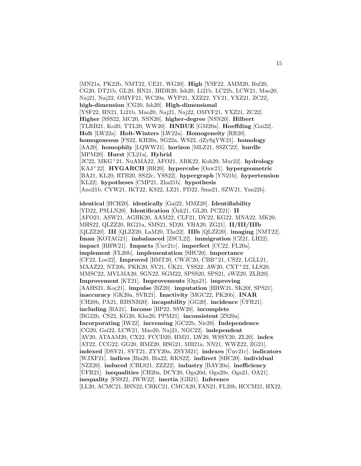[MN21a, PK22b, NMT22, UE21, WG20]. **High** [YSF22, AMM20, Bul20, CG20, DT21b, GL20, HN21, IHDR20, Ish20, Li21b, LC22b, LCW21, Mao20, Naj21, Naj22, OMYF21, WC20a, WYP21, XZZ22, YY21, YXZ21, ZC22]. **high-dimension** [CG20, Ish20]. **High-dimensional** [YSF22, HN21, Li21b, Mao20, Naj21, Naj22, OMYF21, YXZ21, ZC22]. **Higher** [SSS22, MC20, NSN20]. **higher-degree** [NSN20]. **Hilbert** [TLRB21, Ko20, TTL20, WW20]. **HNBUE** [GM20a]. **Hoeffding** [Gai22]. **Holt** [LW22a]. **Holt-Winters** [LW22a]. **Homogeneity** [RR20]. **homogeneous** [FS22, KH20a, SG22a, WS22, dZySgYW21]. **homology** [AA20]. **homophily** [LQWW21]. **horizon** [MLZ21, SSZC22]. **hurdle** [MPM20]. **Hurst** [CL21a]. **Hybrid** [JC22, MKG<sup>+</sup>21, NuAMA22, AFO21, ARK22, Koh20, Mur22]. **hydrology** [KAJ<sup>+</sup>22]. **HYGARCH** [BR20]. **hypercube** [Onw21]. **hypergeometric** [BA21, KL20, RTB20, SS22c, YSS22]. **hypergraph** [YN21b]. **hypertension** [KL22]. **hypotheses** [CMP21, Zha21b]. **hypothesis** [Ano21b, CYW21, IKT22, KS22, LZ21, PD22, Sma21, SZW21, Yan22b].

**identical** [HCH20]. **identically** [Gai22, MMZ20]. **Identifiability**  $[YD22, PSLLN20]$ . **Identification**  $[Ozk21, GL20, PCZ21]$ . **II** [AFO21, ASW21, AGHK20, AAM22, CLF21, DV22, KG22, MNA22, MK20, MHS22, QLZZ20, RG21a, SMS21, SD20, YHA20, ZG21]. **II/III/IIIb** [QLZZ20]. **III** [QLZZ20, LaM20, The22]. **IIIb** [QLZZ20]. **imaging** [NMT22]. **Iman** [KOTAG21]. **imbalanced** [ZSCL22]. **immigration** [CZ21, LH22]. **impact** [HHW21]. **Impacts**  $[\text{Unv21c}]$ . **imperfect** [CC22, FL20a]. **implement** [FL20b]. **implementation** [SHC20]. **importance** [CF22, Loe22]. **Improved** [BMT20, CWJC20, CBB<sup>+</sup>21, CS22, LGLL21, MAAZ22, NT20b, PKK20, SV21, ÜK21, YSS22, AW20, CXT<sup>+</sup>22, LLS20, MMSC22, MVLMA20, SGN22, SGM22, SPSS20, SPS21, zWZ20, ZLB20]. **Improvement** [KT21]. **Improvements** [Oga21]. **improving** [AAHS21, Koç21]. **impulse** [BZ20]. **imputation** [HHW21, SK20f, SPS21]. **inaccuracy** [GK20a, SVR21]. **Inactivity** [MGC22, PK20b]. **INAR** [CH20b, PA21, RBSNB20]. **incapability** [GG20]. **incidence** [UFR21]. **including** [BA21]. **Income** [BP22, SSW20]. **incomplete** [BG22b, CS22, KG20, Kha20, PPM21]. **inconsistent** [ZS20a]. **Incorporating** [IW22]. **increasing** [GC22b, Nie20]. **Independence** [CG20, Gai22, LCW21, Mao20, Naj21, NGC22]. **independent** [AV20, ATAAM20, CX22, FCCD20, HM21, LW20, WSSY20, ZL20]. **index** [AT22, CCG22, GG20, HMZ20, HSG21, MB21a, NN21, WWZ22, ZG21]. **indexed** [DSY21, SYT21, ZYY20a, ZSYM21]. **indexes** [Unv21c]. ¨ **indicators** [WJXF21]. **indices** [Bia20, Bia22, RKS22]. **indirect** [SHC20]. **individual** [NZZ20]. **induced** [CBLS21, ZZZ22]. **industry** [BAY20a]. **inefficiency** [UFR21]. ¨ **inequalities** [CH20a, DCY20, Oga20d, Oga20e, Oga21, OA21]. **inequality** [FSS22, JWW22]. **inertia** [GB21]. **Inference** [LL20, ACMC21, BSN22, CRKC21, CMCA20, FAN21, FL20b, HCCM21, HX22,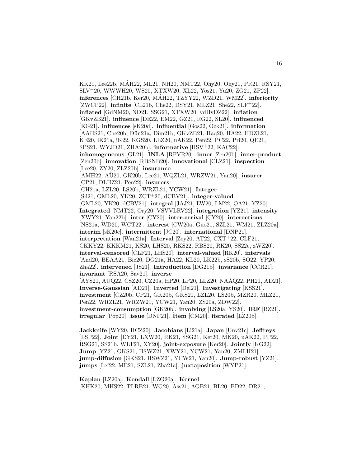KK21, Lee22b, MAH22, ML21, NH20, NMT22, Ohy20, Ohy21, PR21, RSY21, ´ SLV<sup>+</sup>20, WWWH20, WS20, XTXW20, XL22, Yos21, Yu20, ZG21, ZP22]. **inferences** [CH21b, Ker20, MÁH22, TZYY22, WZD21, WM22]. **inferiority** [ZWCP22]. **infinite** [CL21b, Che22, DSY21, MLZ21, She22, SLF<sup>+</sup>22]. **inflated** [GdNM20, ND21, SSG21, XTXW20, vdHvDZ22]. **inflation** [GKvZB21]. **influence** [DE22, EM22, GZ21, RG22, SL20]. **influenced** [KG21]. **influences** [sK20d]. **Influential** [Gos22,  $\ddot{O}zk21$ ]. **information** [AAHS21, Che20b, Dün21a, Dün21b, GKvZB21, Haq20, HA22, HDZL21, KE20, iK21a, iK22, KGS20, LLZ20, uAK22, Pen22, PC22, Pri20, QE21, SPS21, WYJD21, ZHA20b]. **informative** [HSV<sup>+</sup>22, KAC22]. **inhomogeneous** [GL21]. **INLA** [RFVR20]. **inner** [Zen20b]. **inner-product** [Zen20b]. **innovation** [RBSNB20]. **innovational** [CLZ21]. **inspection** [Lee20, ZY20, ZLZ20b]. **insurance** [AMH22, AU<sub>20</sub>, GK<sub>20</sub>b, Lee<sub>21</sub>, WQZL<sub>21</sub>, WRZW<sub>21</sub>, Yan<sub>20</sub>]. **insurer** [CP21, DLHZ21, Pen22]. **insurers** [CH21a, LZL20, LS20b, WRZL21, YCW21]. **Integer** [Sil21, GML20, YK20, ZCT<sup>+</sup>20, dCBV21]. **integer-valued** [GML20, YK20, dCBV21]. **integral** [JAJ21, LW20, LM22, OA21, YZ20]. **Integrated** [NMT22, Ory20, VSVVLRV22]. **integration** [YZ21]. **intensity** [XWY21, Yan22b]. **inter** [CY20]. **inter-arrival** [CY20]. **interactions** [NS21a, WD20, WCT22]. **interest** [CW20a, Guo21, SZL21, WM21, ZLZ20a]. **interim** [sK20c]. **intermittent** [JC20]. **international** [DNP21]. **interpretation** [Wan21a]. **Interval** [Zey20, AT22, CXT<sup>+</sup>22, CLF21, CKKY22, KKKM21, KS20, LHS20, RKS22, RBS20, RK20, SS22c, zWZ20]. **interval-censored** [CLF21, LHS20]. **interval-valued** [RK20]. **intervals** [And20, BEAA21, Bic20, DG21a, HA22, KL20, LK22b, sS20b, SO22, YP20, Zha22]. **intervened** [JS21]. **Introduction** [DG21b]. **invariance** [CCR21]. **invariant** [RSA20, Sav21]. **inverse** [AYS21, AUQ22, CSZ20, CZ20a, HP20, LP20, LLZ20, NAAQ22, PH21, AD21]. **Inverse-Gaussian** [AD21]. **Inverted** [Del21]. **Investigating** [KSS21]. **investment** [CZ20b, CP21, GK20b, GKS21, LZL20, LS20b, MZR20, MLZ21, Pen22, WRZL21, WRZW21, YCW21, Yan20, ZS20a, ZDW22]. **investment-consumption** [GK20b]. **involving** [LS20a, YS20]. **IRF** [BZ21]. **irregular** [Pop20]. **issue** [DNP21]. **Item** [CM20]. **iterated** [LZ20b]. **Jackknife** [WY20, HCZ20]. **Jacobians** [Li21a]. **Japan** [Ünv21c]. **Jeffreys** 

[LSP22]. **Joint** [DY21, LXW20, RK21, SSG21, Ker20, MK20, uAK22, PP22, RSG21, SS21b, WLT21, XY20]. **joint-exposure** [Ker20]. **Jointly** [KG22]. **Jump** [YZ21, GKS21, HSWZ21, XWY21, YCW21, Yan20, ZMLH21]. **jump-diffusion** [GKS21, HSWZ21, YCW21, Yan20]. **Jump-robust** [YZ21]. **jumps** [Lef22, ME21, SZL21, Zha21a]. **juxtaposition** [WYP21].

**Kaplan** [LZ20a]. **Kendall** [LZG20a]. **Kernel** [KHK20, MHS22, TLRB21, WG20, Ass21, AGB21, BL20, BD22, DR21,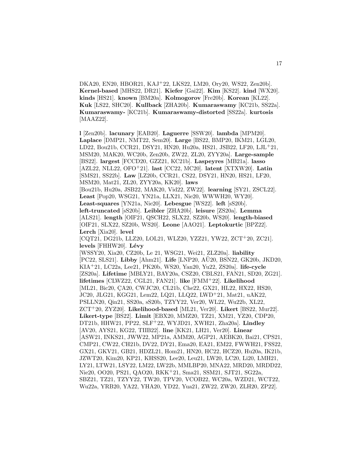DKA20, EN20, HBOR21, KAJ<sup>+</sup>22, LKS22, LM20, Ory20, WS22, Zen20b]. **Kernel-based** [MHS22, DR21]. **Kiefer** [Gai22]. **Kim** [KS22]. **kind** [WX20]. **kinds** [HS21]. **known** [BM20a]. **Kolmogorov** [Fre20b]. **Korean** [KL22]. **Kuk** [LS22, SHC20]. **Kullback** [ZHA20b]. **Kumaraswamy** [KC21b, SS22a]. **Kumaraswamy-** [KC21b]. **Kumaraswamy-distorted** [SS22a]. **kurtosis** [MAAZ22].

**l** [Zen20b]. **lacunary** [EAB20]. **Laguerre** [SSW20]. **lambda** [MPM20]. **Laplace** [DMP21, NMT22, Sem20]. **Large** [BS22, BMP20, IKM21, LGL20, LD22, Bou21b, CCR21, DSY21, HN20, Hu20a, HS21, JSB22, LF20, LJL<sup>+</sup>21, MSM20, MAK20, WC20b, Zen20b, ZW22, ZL20, ZYY20a]. **Large-sample** [BS22]. **largest** [FCCD20, GZZ21, KC21b]. **Laspeyres** [MB21a]. **lasso** [AZL22, NLL22, OFO<sup>+</sup>21]. **last** [CC22, MC20]. **latent** [XTXW20]. **Latin** [SMS21, SS22b]. **Law** [LZ20b, CCR21, CS22, DSY21, HN20, HS21, LF20, MSM20, Mat21, ZL20, ZYY20a, KK20]. **laws** [Bou21b, Hu20a, JSB22, MAK20, Vid22, ZW22]. **learning** [SY21, ZSCL22]. **Least** [Pop20, WSG21, YN21a, LLX21, Nie20, WWWH20, WY20]. **Least-squares** [YN21a, Nie20]. **Lebesgue** [WS22]. **left** [sS20b]. **left-truncated** [sS20b]. **Leibler** [ZHA20b]. **leisure** [ZS20a]. **Lemma** [ALS21]. **length** [OIF21, QSCH22, SLX22, SZ20b, WS20]. **length-biased** [OIF21, SLX22, SZ20b, WS20]. **Leone** [AAO21]. **Leptokurtic** [BPZ22]. **Lerch** [Xia20]. **level** [CQT21, DG21b, LLZ20, LOL21, WLZ20, YZZ21, YW22, ZCT<sup>+</sup>20, ZC21]. levels<sup>[FHHW20]</sup>. Lévy [WSSY20, Xia20, CZ20b, Le 21, WSG21, Wei21, ZLZ20a]. **liability** [PC22, SLS21]. **Libby** [Ahm21]. **Life** [LNP20, AU20, BSN22, GK20b, JKD20, KIA<sup>+</sup>21, LC22a, Lee21, PK20b, WS20, Yan20, Yu22, ZS20a]. **life-cycle** [ZS20a]. **Lifetime** [MBLY21, BAY20a, CSZ20, CBLS21, FAN21, SD20, ZG21]. **lifetimes** [CLWZ22, CGL21, FAN21]. **like** [FMM<sup>+</sup>22]. **Likelihood** [ML21, Bic20, ÇA20, CWJC20, CL21b, Che22, GX21, HL22, HX22, HS20, JC20, JLG21, KGG21, Lem22, LQ21, LLQ22, LWD<sup>+</sup>21, Mat21, uAK22, PSLLN20, Qin21, SS20a, sS20b, TZYY22, Ver20, WL22, Wu22b, XL22, ZCT<sup>+</sup>20, ZYZ20]. **Likelihood-based** [ML21, Ver20]. **Likert** [BS22, Mur22]. **Likert-type** [BS22]. **Limit** [EBX20, MMZ20, TZ21, XM21, YZ20, CDP20, DT21b, HHW21, PP22, SLF<sup>+</sup>22, WYJD21, XWH21, Zha20a]. **Lindley** [AV20, AYS21, KG22, TIIB22]. **line** [KK21, LH21, Ver20]. **Linear** [ASW21, INKS21, JWW22, MP21a, AMM20, AGP21, AEBK20, Bai21, CPS21, CMP21, CW22, CH21b, DV22, DY21, Ema20, EA21, EM22, FWWH21, FSS22, GX21, GKV21, GB21, HDZL21, Hom21, HN20, HC22, HCZ20, Hu20a, IK21b, JZWT20, Kim20, KP21, KHSS20, Lee20, Leu21, LW20, LC20, Li20, LMH21, LY21, LTW21, LSY22, LM22, LW22b, MMLBP20, MNA22, MRD20, MRDD22, Nie20, OO20, PS21, QAO20, RKK<sup>+</sup>21, Sma21, SSM21, SJT21, SG22a, SBZ21, TZ21, TZYY22, TW20, TPV20, VCOB22, WC20a, WZD21, WCT22, Wu22a, YRB20, YA22, YHA20, YD22, Yua21, ZW22, ZW20, ZLH20, ZP22].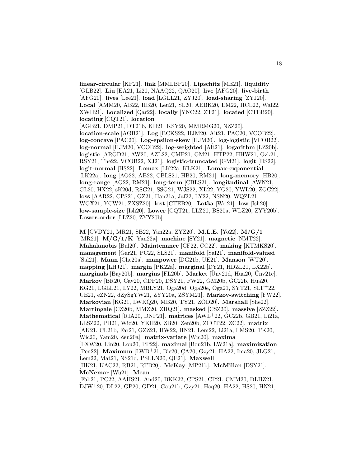**linear-circular** [KP21]. **link** [MMLBP20]. **Lipschitz** [ME21]. **liquidity** [GLB22]. **Liu** [EA21, Li20, NAAQ22, QAO20]. **live** [AFG20]. **live-birth** [AFG20]. **lives** [Lee21]. **load** [LGLL21, ZYJ20]. **load-sharing** [ZYJ20]. **Local** [AMM20, AB22, HB20, Leu21, SL20, AEBK20, EM22, HCL22, Wal22, XWH21]. **Localized** [Qar22]. **locally** [YNC22, ZT21]. **located** [CTEB20]. **locating** [CQT21]. **location** [AGB21, DMP21, DT21b, KH21, KSY20, MMRMG20, NZZ20]. **location-scale** [AGB21]. **Log** [BCKS22, HJM20, Alt21, PAC20, VCOB22]. **log-concave** [PAC20]. **Log-epsilon-skew** [HJM20]. **log-logistic** [VCOB22]. **log-normal** [HJM20, VCOB22]. **log-weighted** [Alt21]. **logarithm** [LZ20b]. **logistic** [ARGD21, AW20, AZL22, CMP21, GM21, HTP22, HHW21, Ozk21, ¨ RSY21, The22, VCOB22, XJ21]. **logistic-truncated** [GM21]. **logit** [HS22]. **logit-normal** [HS22]. **Lomax** [LK22a, KLK21]. **Lomax-exponential** [LK22a]. **long** [AO22, AB22, CBLS21, HB20, RM21]. **long-memory** [HB20]. **long-range** [AO22, RM21]. **long-term** [CBLS21]. **longitudinal** [AWN21, GL20, HX22, sK20d, RSG21, SSG21, WJS22, XL22, YG20, YWL20, ZGC22]. **loss** [AAR22, CPS21, GZ21, Han21a, Jaf22, LY22, NSN20, WQZL21, WGX21, YCW21, ZXSZ20]. **lost** [CTEB20]. **Lotka** [Wei21]. **low** [Ish20]. **low-sample-size** [Ish20]. **Lower** [CQT21, LLZ20, BS20a, WLZ20, ZYY20b].

**Lower-order** [LLZ20, ZYY20b]. **M** [CVDY21, MR21, SB22, Yan22a, ZYZ20]. **M.L.E.** [Yo22]. **M/G/1** [MR21]. **M/G/1/K** [Yan22a]. **machine** [SY21]. **magnetic** [NMT22]. **Mahalanobis** [Bul20]. **Maintenance** [CF22, CC22]. **making** [KTMKS20]. **management** [Gar21, PC22, SLS21]. **manifold** [Sal21]. **manifold-valued** [Sal21]. **Mann** [Che20a]. **manpower** [DG21b, UE21]. **Manson** [WT20]. **mapping** [LHJ21]. **margin** [PK22a]. **marginal** [DY21, HDZL21, LX22b]. **marginals** [Bay20b]. **margins** [FL20b]. **Market** [Ünv21d, Hua20, Ünv21c]. **Markov** [BR20, Cav20, CDP20, DSY21, FW22, GM20b, GC22b, Hua20, KG21, LGLL21, LY22, MBLY21, Oga20d, Oga20e, Oga21, SYT21, SLF<sup>+</sup>22, UE21, eZN22, dZySgYW21, ZYY20a, ZSYM21]. **Markov-switching** [FW22]. **Markovian** [KG21, LWKQ20, MB20, TY21, ZOD20]. **Marshall** [She22]. **Martingale** [CZ20b, MMZ20, ZHQ21]. **masked** [CSZ20]. **massive** [ZZZ22]. **Mathematical** [RIA20, DNP21]. **matrices** [AWL<sup>+</sup>22, GC22b, GB21, Li21a, LLSZ22, PH21, Wic20, YKH20, ZB20, Zen20b, ZCCT22, ZC22]. **matrix** [AK21, CL21b, Far21, GZZ21, HW22, HN21, Lem22, Li21a, LMS20, TK20, Wic20, Yam20, Zen20a]. **matrix-variate** [Wic20]. **maxima** [LXW20, Lin20, Lou20, PP22]. **maximal** [Bou21b, LW21a]. **maximization** [Pen22]. **Maximum** [LWD<sup>+</sup>21, Bic20, CA20, Gzy21, HA22, Ima20, JLG21, Lem22, Mat21, NS21d, PSLLN20, QE21]. **Maxwell** [HK21, KAC22, RB21, RTB20]. **McKay** [MP21b]. **McMillan** [DSY21].

**McNemar** [Wu21]. **Mean**

[Fab21, PC22, AAHS21, And20, BKK22, CPS21, CP21, CMM20, DLHZ21, DJW<sup>+</sup>20, DL22, GP20, GD21, Gau21b, Gzy21, Haq20, HA22, HS20, HN21,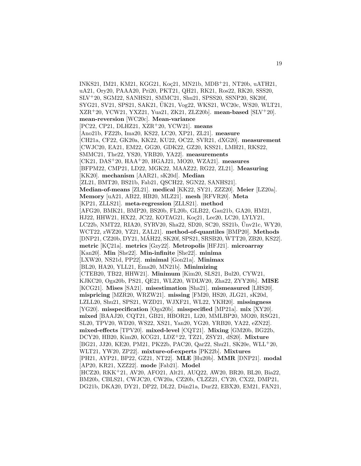INKS21, IM21, KM21, KGG21, Koc21, MN21b, MDB+21, NT20b, uATH21, uA21, Ory20, PAAA20, Pri20, PKT21, QH21, RK21, Ros22, RK20, SSS20, SLV<sup>+</sup>20, SGM22, SANHS21, SMMC21, Shu21, SPSS20, SSNP20, SK20f, SYG21, SV21, SPS21, SAK21, UK21, Vog22, WKS21, WC20c, WS20, WLT21, ¨ XZR<sup>+</sup>20, YCW21, YXZ21, Yua21, ZK21, ZLZ20b]. **mean-based** [SLV<sup>+</sup>20]. **mean-reversion** [WC20c]. **Mean-variance** [PC22, CP21, DLHZ21, XZR<sup>+</sup>20, YCW21]. **means** [Ano21b, FZ22b, Ima20, KS22, LC20, XP21, ZL21]. **measure** [CH21a, CF22, GK20a, KK22, KU22, OC22, SVR21, dXG20]. **measurement** [CWJC20, EA21, EM22, GG20, GDK22, GZ20, KSS21, LMH21, RKS22, SMMC21, The22, YS20, YRB20, YA22]. **measurements** [CK21, DAS<sup>+</sup>20, HAA<sup>+</sup>20, HGAJ21, MO20, WZA21]. **measures** [BFPM22, CMP21, LD22, MGK22, MAAZ22, RG22, ZL21]. **Measuring** [KK20]. **mechanism** [AAR21, sK20d]. **Median** [ZL21, BMT20, BS21b, Fab21, QSCH22, SGN22, SANHS21]. **Median-of-means** [ZL21]. **medical** [KK22, SY21, ZZZ20]. **Meier** [LZ20a]. **Memory** [uA21, AB22, HB20, MLZ21]. **mesh** [RFVR20]. **Meta** [KP21, ZLLS21]. **meta-regression** [ZLLS21]. **method** [AFG20, BMK21, BMP20, BS20b, FL20b, GLB22, Gau21b, GA20, HM21, HJ22, HHW21, HX22, JC22, KOTAG21, Koç21, Lee20, LC20, LYLY21, LC22b, NMT22, RIA20, SYRV20, Sha22, SD20, SC20, SS21b, Unv21c, WY20, WCT22, zWZ20, YZ21, ZAL21]. **method-of-quantiles** [BMP20]. **Methods** [DNP21, CZ20b, DY21, MAH22, SK20f, SPS21, SRSB20, WTT20, ZB20, KS22]. ´ **metric** [KC21a]. **metrics** [Gzy22]. **Metropolis** [HFJ21]. **microarray** [Kan20]. **Min** [She22]. **Min-infinite** [She22]. **minima** [LXW20, NS21d, PP22]. **minimal** [Gon21a]. **Minimax** [BL20, HA20, YLL21, Ema20, MN21b]. **Minimizing** [CTEB20, TB22, HHW21]. **Minimum** [Kim20, SLS21, Bul20, CYW21, KJKC20, Oga20b, PS21, QE21, WLZ20, WDLW20, Zha22, ZYY20b]. **MISE** [KCG21]. **Mises** [SA21]. **misestimation** [Sha21]. **mismeasured** [LHS20]. **mispricing** [MZR20, WRZW21]. **missing** [FM20, HS20, JLG21, sK20d, LZLL20, Shu21, SPS21, WZD21, WJXF21, WL22, YKH20]. **missingness** [YG20]. **misspecification** [Oga20b]. **misspecified** [MP21a]. **mix** [XY20]. **mixed** [BAAJ20, CQT21, GB21, HBOR21, Li20, MMLBP20, MO20, RSG21, SL20, TPV20, WD20, WS22, XS21, Yan20, YG20, YRB20, YA22, eZN22]. **mixed-effects** [TPV20]. **mixed-level** [CQT21]. **Mixing** [GM20b, BG22b, DCY20, HB20, Kim20, KCG21, LDZ<sup>+</sup>22, TZ21, ZSY21, dS20]. **Mixture** [BG21, JJ20, KE20, PM21, PK22b, PAC20, Qar22, Shu21, SK20e, WLL<sup>+</sup>20, WLT21, YW20, ZP22]. **mixture-of-experts** [PK22b]. **Mixtures** [PH21, AYP21, BP22, GZ21, NT22]. **MLE** [Hu20b]. **MMR** [DNP21]. **modal** [AP20, KR21, XZZ22]. **mode** [Fab21]. **Model** [HCZ20, RKK<sup>+</sup>21, AV20, AFO21, Alt21, AUQ22, AW20, BR20, BL20, Bia22, BM20b, CBLS21, CWJC20, CW20a, CZ20b, CLZZ21, CY20, CX22, DMP21, DG21b, DKA20, DY21, DP22, DL22, Dün21a, Dur22, EBX20, EM21, FAN21,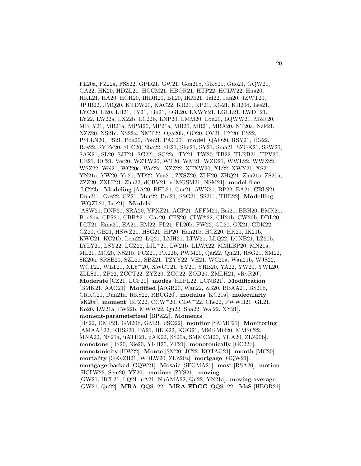FL20a, FZ22a, FSS22, GPD21, GW21, Gon21b, GKS21, Guo21, GQW21, GA22, HK20, HDZL21, HCCM21, HBOR21, HTP22, HCLW22, Hua20, HKL21, HA20, HCH20, IHDR20, Ish20, IKM21, Jaf22, Jan20, JZWT20, JPJB22, JMQ20, KTDW20, KAC22, KR21, KP21, KG21, KH20d, Lee21, LYC20, Li20, LH21, LY21, Lin21, LGL20, LXWY21, LGLL21, LWD<sup>+</sup>21, LY22, LW22a, LX22b, LC22b, LNP20, LMM20, Lou20, LQWW21, MZR20, MBLY21, MB21a, MPM20, MP21a, MB20, MR21, MBA20, NT20a, Nak21, NZZ20, NS21c, NS22a, NMT22, Oga20b, OO20, OV21, PY20, PS22, PSLLN20, PS21, Pou20, Pou21, PAC20]. **model** [QAO20, RSY21, RG22, Ros22, SYRV20, SHC20, Sha22, SE21, Shu21, SY21, Sma21, SZGK21, SSW20, SAK21, SL20, SJT21, SG22b, SG22a, TY21, TW20, TB22, TLRB21, TPV20, UE21, UC21, Ver20, WZTW20, WT20, WM21, WZD21, WWL22, WWZ22, WSZ22, Wei21, WC20c, Wu22a, XZZ22, XTXW20, XL22, XWY21, XS21, YN21a, YW20, Yu20, YD22, Yua21, ZXSZ20, ZLH20, ZHQ21, Zha21a, ZS20a, ZZZ20, ZXLT21, Zhu22, dCBV21, vdMGSM21, NSM21]. **model-free** [LC22b]. **Modeling** [AA20, BHL21, Gar21, AWN21, BP22, BA21, CBLS21, D¨un21b, Gos22, GZ21, Mur22, Pra21, SSG21, SS21b, TIIB22]. **Modelling** [WQZL21, Lee21]. **Models** [ASW21, DNP21, SRA20, YPXZ21, AGP21, AFFM21, Bai21, BBH20, BMK21, Bou21a, CPS21, CBB<sup>+</sup>21, Cav20, CFS20, CLW<sup>+</sup>22, CH21b, CW20b, DDL20, DLT21, Ema20, EA21, EM22, FL21, FL20b, FW22, GL20, GX21, GDK22, GZ20, GB21, HSWZ21, HSG21, HP20, Han21b, HCZ20, HK21, IK21b, KWC21, KC21b, Lem22, LQ21, LMH21, LTW21, LLQ22, LCNB21, LZ20b, LYLY21, LSY22, LGZ22, LJL<sup>+</sup>21, LW21b, LLWA22, MMLBP20, MN21a, ML21, MO20, NS21b, PCZ21, PK22b, PWM20, Qar22, Qin21, RSG21, SM22, SK20a, SRSB20, SZL21, SBZ21, TZYY22, VE21, WC20a, Wan21b, WJS22, WCT22, WLT21, XLY<sup>+</sup>20, XWCT21, YY21, YRB20, YA22, YW20, YWL20, ZLLS21, ZP22, ZCCT22, ZYZ20, ZGC22, ZOD20, ZMLH21, vRvR20]. **Moderate** [CZ21, LCF20]. **modes** [HLPL22, LCNB21]. **Modification** [BMK21, AAO21]. **Modified** [AIGB20, Wan22, ZB20, BBAA21, BS21b, CRKC21, Dün21a, RKS22, RBCG20]. **modulus** [KC21a]. **molecularly** [sK20c]. **moment** [BPZ22, CCW<sup>+</sup>20, CLW<sup>+</sup>22, Che22, FWWH21, GL21, Ko20, LW21a, LW22b, MWW22, Qu22, Sha22, Wal22, XY21]. **moment-parameterized** [BPZ22]. **Moments** [HS22, DMP21, GM20b, GM21, dSO22]. **monitor** [SMMC21]. **Monitoring** [AMAA<sup>+</sup>22, KHSS20, PA21, BKK22, KGG21, MMRMG20, MMSC22, MNA22, NS21a, uATH21, uAK22, SS20a, SMMCM20, YHA20, ZLZ20b]. **monotone** [HS20, Nie20, YKH20, ZT21]. **monotonically** [GC22b]. **monotonicity** [HW22]. **Monte** [SM20, JC22, KOTAG21]. **month** [MC20]. **mortality** [GKvZB21, WDLW20, ZLZ20a]. **mortgage** [GQW21]. **mortgage-backed** [GQW21]. **Mosaic** [SEGMA21]. **most** [RSA20]. **motion** [HCLW22, Sem20, YZ20]. **motions** [ZYS21]. **moving** [GW21, HCL21, LQ21, uA21, NuAMA22, Qu22, YN21a]. **moving-average** [GW21, Qu22]. **MRA** [QQS<sup>+</sup>22]. **MRA-EDCC** [QQS<sup>+</sup>22]. **MsS** [HBOR21].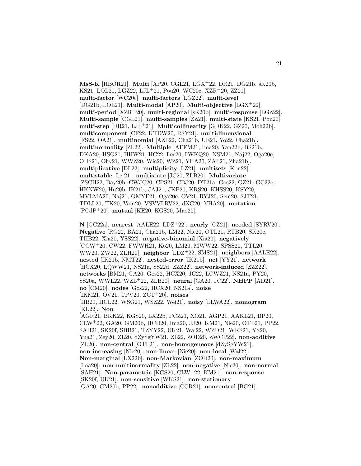**MsS-K** [HBOR21]. **Multi** [AP20, CGL21, LGX<sup>+</sup>22, DR21, DG21b, sK20b, KS21, LOL21, LGZ22, LJL<sup>+</sup>21, Pou20, WC20c, XZR<sup>+</sup>20, ZZ21]. **multi-factor** [WC20c]. **multi-factors** [LGZ22]. **multi-level** [DG21b, LOL21]. **Multi-modal** [AP20]. **Multi-objective** [LGX<sup>+</sup>22]. **multi-period** [XZR<sup>+</sup>20]. **multi-regional** [sK20b]. **multi-response** [LGZ22]. **Multi-sample** [CGL21]. **multi-samples** [ZZ21]. **multi-state** [KS21, Pou20]. **multi-step** [DR21, LJL<sup>+</sup>21]. **Multicollinearity** [GDK22, GZ20, Moh22b]. **multicomponent** [CF22, KTDW20, RSY21]. **multidimensional** [FS22, OA21]. **multinomial** [AZL22, Cha21b, UE21, Yo22, Cha21b]. **multinormality** [ZL22]. **Multiple** [AFFM21, Ima20, Yan22b, BS21b, DKA20, HSG21, HHW21, HC22, Lee20, LWKQ20, NSM21, Naj22, Oga20e, OHS21, Ohy21, WWZ20, Wic20, WZ21, YHA20, ZAL21, Zha21b]. **multiplicative** [DL22]. **multiplicity** [LZ21]. **multisets** [Kon22]. **multistable** [Le 21]. **multistate** [JC20, ZLB20]. **Multivariate** [ZSCH22, Bay20b, CWJC20, CPS21, CBJ20, DT21a, Gos22, GZ21, GC22c, HKNW20, Hu20b, IK21b, JAJ21, JKP20, KRS20, KHSS20, KSY20, MVLMA20, Naj21, OMYF21, Oga20e, OV21, RYJ20, Sem20, SJT21, TDLL20, TK20, Vam20, VSVVLRV22, dXG20, YHA20]. **mutation** [PCdP<sup>+</sup>20]. **mutual** [KE20, KGS20, Mao20].

**N** [GC22a]. **nearest** [AALE22, LDZ<sup>+</sup>22]. **nearly** [CZ21]. **needed** [SYRV20]. **Negative** [RG22, BA21, Cha21b, LM22, Nie20, OTL21, RTB20, SK20e, TIIB22, Xia20, YSS22]. **negative-binomial** [Xia20]. **negatively** [CCW<sup>+</sup>20, CW22, FWWH21, Ko20, LM20, MWW22, SPSS20, TTL20, WW20, ZW22, ZLH20]. **neighbor** [LDZ<sup>+</sup>22, SMS21]. **neighbors** [AALE22]. **nested** [IK21b, NMT22]. **nested-error** [IK21b]. **net** [YY21]. **network** [HCX20, LQWW21, NS21a, SS22d, ZZZ22]. **network-induced** [ZZZ22]. **networks** [BM21, GA20, Gos22, HCX20, JC22, LCWZ21, NS21a, PY20, SS20a, WWL22, WZL<sup>+</sup>22, ZLB20]. **neural** [GA20, JC22]. **NHPP** [AD21]. **no** [CM20]. **nodes** [Gos22, HCX20, NS21a]. **noise** [IKM21, OV21, TPV20, ZCT<sup>+</sup>20]. **noises** [HB20, HCL22, WSG21, WSZ22, Wei21]. **noisy** [LLWA22]. **nomogram** [KL22]. **Non** [AGR21, BKK22, KGS20, LX22b, PCZ21, XO21, AGP21, AAKL21, BP20, CLW<sup>+</sup>22, GA20, GM20b, HCH20, Ima20, JJ20, KM21, Nie20, OTL21, PP22, SAH21, SK20f, SBB21, TZYY22, ÜK21, Wal22, WZD21, WKS21, YS20, Yua21, Zey20, ZL20, dZySgYW21, ZL22, ZOD20, ZWCP22]. **non-additive** [ZL20]. **non-central** [OTL21]. **non-homogeneous** [dZySgYW21]. **non-increasing** [Nie20]. **non-linear** [Nie20]. **non-local** [Wal22]. **Non-marginal** [LX22b]. **non-Markovian** [ZOD20]. **non-maximum** [Ima20]. **non-multinormality** [ZL22]. **non-negative** [Nie20]. **non-normal** [SAH21]. **Non-parametric** [KGS20, CLW<sup>+</sup>22, KM21]. **non-response** [SK20f, UK21]. ¨ **non-sensitive** [WKS21]. **non-stationary** [GA20, GM20b, PP22]. **nonadditive** [CCR21]. **noncentral** [BG21].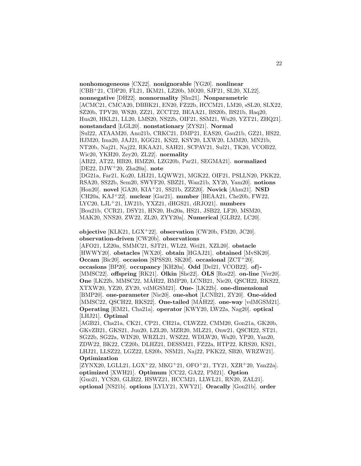**nonhomogeneous** [CX22]. **nonignorable** [YG20]. **nonlinear** [CBB<sup>+</sup>21, CDP20, FL21, IKM21, LZ20b, MO20, SJF21, SL20, XL22]. **nonnegative** [DH22]. **nonnormality** [Shu21]. **Nonparametric** [ACMC21, CMCA20, DBBK21, EN20, FZ22b, HCCM21, LM20, sSL20, SLX22, SZ20b, TPV20, WS20, ZZ21, ZCCT22, BEAA21, BS20b, BS21b, Haq20, Hua20, HKL21, LL20, LMS20, NS22b, OIF21, SSM21, Wu20, YZT21, ZHQ21]. **nonstandard** [LGL20]. **nonstationary** [ZYS21]. **Normal** [Sul22, ATAAM20, Ano21b, CRKC21, DMP21, EAS20, Gau21b, GZ21, HS22, HJM20, Ima20, JAJ21, KGG21, KS22, KSY20, LXW20, LMM20, MN21b, NT20b, Naj21, Naj22, RKAA21, SAH21, SCPAV21, Sul21, TK20, VCOB22, Wic20, YKH20, Zey20, ZL22]. **normality** [AB22, AT22, HB20, HMZ20, LZG20b, Par21, SEGMA21]. **normalized** [DE22, DJW<sup>+</sup>20, Zha20a]. **note** [DG21a, Far21, Ko20, LHJ21, LQWW21, MGK22, OIF21, PSLLN20, PKK22, RSA20, SS22b, Sem20, SWYF20, SBZ21, Wan21b, XY20, Yam20]. **notions** [Hon20]. **novel** [GA20, KIA<sup>+</sup>21, SS21b, ZZZ20]. **Novick** [Ahm21]. **NSD** [CH20a, KAJ<sup>+</sup>22]. **nuclear** [Gar21]. **number** [BEAA21, Che20b, FW22, LYC20, LJL<sup>+</sup>21, LW21b, YXZ21, dHGS21, dRJO21]. **numbers** [Bou21b, CCR21, DSY21, HN20, Hu20a, HS21, JSB22, LF20, MSM20, MAK20, NNS20, ZW22, ZL20, ZYY20a]. **Numerical** [GLB22, LC20].

**objective** [KLK21, LGX<sup>+</sup>22]. **observation** [CW20b, FM20, JC20]. **observation-driven** [CW20b]. **observations**

[AFO21, LZ20a, SMMC21, SJT21, WL22, Wei21, XZL20]. **obstacle** [HWWY20]. **obstacles** [WX20]. **obtain** [HGAJ21]. **obtained** [MvSK20]. **Occam** [Bic20]. **occasion** [SPSS20, SK20f]. **occasional** [ZCT<sup>+</sup>20]. **occasions** [BP20]. **occupancy** [KH20a]. **Odd** [Del21, VCOB22]. **of**}**-** [MMSC22]. **offspring** [RK21]. **Olkin** [She22]. **OLS** [Ros22]. **on-line** [Ver20]. **One** [LK22b, MMSC22, MAH22, BMP20, LCNB21, Nie20, QSCH22, RKS22, ´ XTXW20, YZ20, ZY20, vdMGSM21]. **One-** [LK22b]. **one-dimensional** [BMP20]. **one-parameter** [Nie20]. **one-shot** [LCNB21, ZY20]. **One-sided** [MMSC22, QSCH22, RKS22]. **One-tailed** [MÁH22]. **one-way** [vdMGSM21]. **Operating** [EM21, Cha21a]. **operator** [KWY20, LW22a, Nag20]. **optical** [LHJ21]. **Optimal**

[AGB21, Cha21a, CK21, CP21, CH21a, CLWZ22, CMM20, Gon21a, GK20b, GKvZB21, GKS21, Jun20, LZL20, MZR20, MLZ21, Onw21, QSCH22, ST21, SG22b, SG22a, WIN20, WRZL21, WSZ22, WDLW20, Wu20, YP20, Yan20, ZDW22, BK22, CZ20b, DLHZ21, DESSM21, FZ22a, HTP22, KRS20, KS21, LHJ21, LLSZ22, LGZ22, LS20b, NSM21, Naj22, PKK22, SB20, WRZW21]. **Optimization**

[ZYNX20, LGLL21, LGX<sup>+</sup>22, MKG<sup>+</sup>21, OFO<sup>+</sup>21, TY21, XZR<sup>+</sup>20, Yan22a]. **optimized** [XWH21]. **Optimum** [CC22, GA22, PM21]. **Option** [Guo21, YCS20, GLB22, HSWZ21, HCCM21, LLWL21, RN20, ZAL21]. **optional** [NS21b]. **options** [LYLY21, XWY21]. **Oracally** [Gon21b]. **order**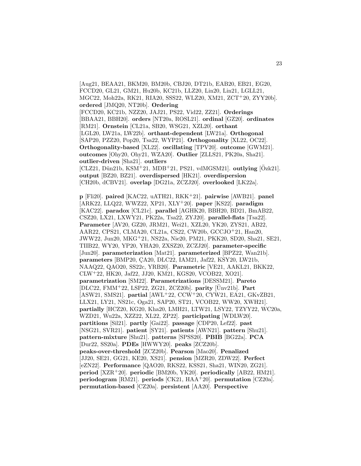[Aug21, BEAA21, BKM20, BM20b, CBJ20, DT21b, EAB20, EB21, EG20, FCCD20, GL21, GM21, Hu20b, KC21b, LLZ20, Lin20, Lin21, LGLL21, MGC22, Moh22a, RK21, RIA20, SSS22, WLZ20, XM21, ZCT<sup>+</sup>20, ZYY20b]. **ordered** [JMQ20, NT20b]. **Ordering** [FCCD20, KC21b, NZZ20, JAJ21, PS22, Vid22, ZZ21]. **Orderings** [BBAA21, BBH20]. **orders** [NT20a, ROSL21]. **ordinal** [GZ20]. **ordinates** [RM21]. **Ornstein** [CL21a, SB20, WSG21, XZL20]. **orthant** [LGL20, LW21a, LW22b]. **orthant-dependent** [LW21a]. **Orthogonal** [SAP20, PZZ20, Pop20, Tsa22, WYP21]. **Orthogonality** [XL22, OC22]. **Orthogonality-based** [XL22]. **oscillating** [TPV20]. **outcome** [GWM21]. **outcomes** [Ohy20, Ohy21, WZA20]. **Outlier** [ZLLS21, PK20a, Sha21]. **outlier-driven** [Sha21]. **outliers** [CLZ21, Dün21b, KSM<sup>+</sup>21, MDB<sup>+</sup>21, PS21, vdMGSM21]. **outlying** [Ozk21]. **output** [BZ20, BZ21]. **overdispersed** [HK21]. **overdispersion** [CH20b, dCBV21]. **overlap** [DG21a, ZCZJ20]. **overlooked** [LK22a].

**p** [Fli20]. **paired** [KAC22, uATH21, RKK<sup>+</sup>21]. **pairwise** [AWB21]. **panel** [ARK22, LLQ22, WWZ22, XP21, XLY<sup>+</sup>20]. **paper** [KS22]. **paradigm** [KAC22]. **paradox** [CL21c]. **parallel** [AGHK20, BBH20, BD21, BmAB22, CSZ20, LX21, LXWY21, PK22a, Tsa22, ZYJ20]. **parallel-flats** [Tsa22]. **Parameter** [AV20, GZ20, JRM21, Wei21, XZL20, YK20, ZYS21, AB22, AAR22, CPS21, CLMA20, CL21a, CS22, CW20b, GCCJO<sup>+</sup>21, Han20, JWW22, Jun20, MKG<sup>+</sup>21, NS22a, Nie20, PM21, PKK20, SD20, Sha21, SE21, TIIB22, WY20, YP20, YHA20, ZXSZ20, ZCZJ20]. **parameter-specific** [Jun20]. **parameterization** [Mat21]. **parameterized** [BPZ22, Wan21b]. **parameters** [BMP20, CA20, DLC22, IAM21, Jaf22, KSY20, LW21b, NAAQ22, QAO20, SS22c, YRB20]. **Parametric** [VE21, AAKL21, BKK22, CLW<sup>+</sup>22, HK20, Jaf22, JJ20, KM21, KGS20, VCOB22, XO21]. **parametrization** [SM22]. **Parametrizations** [DESSM21]. **Pareto**  $[DLC22, FMM<sup>+</sup>22, LSP22, ZG21, ZCZ20b]$ . **parity**  $[\text{Unv21b}]$ . **Part** [ASW21, SMS21]. **partial** [AWL<sup>+</sup>22, CCW<sup>+</sup>20, CYW21, EA21, GKvZB21, LLX21, LY21, NS21c, Oga21, SAP20, ST21, VCOB22, WW20, XWH21]. **partially** [HCZ20, KG20, Kha20, LMH21, LTW21, LSY22, TZYY22, WC20a, WZD21, Wu22a, XZZ22, XL22, ZP22]. **participating** [WDLW20]. **partitions** [Sil21]. **partly** [Gai22]. **passage** [CDP20, Lef22]. **past** [NSG21, SVR21]. **patient** [SY21]. **patients** [AWN21]. **pattern** [Shu21]. **pattern-mixture** [Shu21]. **patterns** [SPSS20]. **PBIB** [BG22a]. **PCA** [Dur22, SS20a]. **PDEs** [HWWY20]. **peaks** [ZCZ20b]. **peaks-over-threshold** [ZCZ20b]. **Pearson** [Mao20]. **Penalized** [JJ20, SE21, GG21, KE20, XS21]. **pension** [MZR20, ZDW22]. **Perfect** [eZN22]. **Performance** [QAO20, RKS22, KSS21, Sha21, WIN20, ZG21]. **period** [XZR<sup>+</sup>20]. **periodic** [BM20b, YK20]. **periodically** [AB22, HM21]. **periodogram** [RM21]. **periods** [CK21, HAA<sup>+</sup>20]. **permutation** [CZ20a]. **permutation-based** [CZ20a]. **persistent** [AA20]. **Perspective**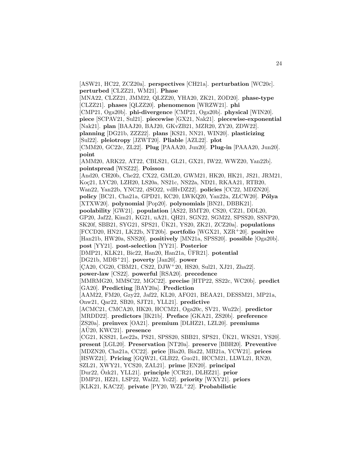[ASW21, HC22, ZCZ20a]. **perspectives** [CH21a]. **perturbation** [WC20c]. **perturbed** [CLZZ21, WM21]. **Phase**

[MNA22, CLZZ21, JMM22, QLZZ20, YHA20, ZK21, ZOD20]. **phase-type** [CLZZ21]. **phases** [QLZZ20]. **phenomenon** [WRZW21]. **phi**

[CMP21, Oga20b]. **phi-divergence** [CMP21, Oga20b]. **physical** [WIN20].

**piece** [SCPAV21, Sul21]. **piecewise** [GX21, Nak21]. **piecewise-exponential** [Nak21]. **plan** [BAAJ20, BAJ20, GKvZB21, MZR20, ZY20, ZDW22].

**planning** [DG21b, ZZZ22]. **plans** [KS21, NN21, WIN20]. **plasticizing**

[Sul22]. **pleiotropy** [JZWT20]. **Pliable** [AZL22]. **plot**

[CMM20, GC22c, ZL22]. **Plug** [PAAA20, Jun20]. **Plug-in** [PAAA20, Jun20]. **point**

[AMM20, ARK22, AT22, CBLS21, GL21, GX21, IW22, WWZ20, Yan22b]. **pointspread** [WSZ22]. **Poisson**

[And20, CH20b, Che22, CX22, GML20, GWM21, HK20, HK21, JS21, JRM21, Koç21, LYC20, LZH20, LS20a, NS21c, NS22a, ND21, RKAA21, RTB20, Wan22, Yan22b, YNC22, dSO22, vdHvDZ22]. **policies** [CC22, MDZN20]. **policy** [BC21, Cha21a, GPD21, KC20, LWKQ20, Yan22a, ZLCW20]. **P´olya** [XTXW20]. **polynomial** [Pop20]. **polynomials** [BN21, DBBK21]. **poolability** [GW21]. **population** [AS22, BMT20, CS20, CZ21, DDL20, GP20, Jaf22, Kim21, KG21, uA21, QH21, SGN22, SGM22, SPSS20, SSNP20, SK20f, SBB21, SYG21, SPS21, UK21, YS20, ZK21, ZCZ20a. **populations** [FCCD20, HN21, LK22b, NT20b]. **portfolio** [WGX21, XZR<sup>+</sup>20]. **positive** [Han21b, HW20a, SNS20]. **positively** [MN21a, SPSS20]. **possible** [Oga20b].

**post** [YY21]. **post-selection** [YY21]. **Posterior**

[DMP21, KLK21, Bic22, Han20, Han21a, UFR21]. **potential** 

[DG21b, MDB<sup>+</sup>21]. **poverty** [Jan20]. **power**

 $[CA20, CG20, CBM21, CS22, DJW<sup>+</sup>20, HS20, Sul21, XJ21, Zha22].$ 

**power-law** [CS22]. **powerful** [RSA20]. **precedence**

[MMRMG20, MMSC22, MGC22]. **precise** [HTP22, SS22c, WC20b]. **predict** [GA20]. **Predicting** [BAY20a]. **Prediction**

[AAM22, FM20, Gzy22, Jaf22, KL20, AFO21, BEAA21, DESSM21, MP21a, Onw21, Qar22, SB20, SJT21, YLL21]. **predictive**

[ACMC21, CMCA20, HK20, HCCM21, Oga20c, SV21, Wu22c]. **predictor** [MRDD22]. **predictors** [IK21b]. **Preface** [GKA21, ZS20b]. **preference**

[ZS20a]. **preinvex** [OA21]. **premium** [DLHZ21, LZL20]. **premiums**  $[A\ddot{U}20, KWC21]$ . **presence** 

[CG21, KSS21, Lee22a, PS21, SPSS20, SBB21, SPS21, UK21, WKS21, YS20]. **present** [LGL20]. **Preservation** [NT20a]. **preserve** [BBH20]. **Preventive** [MDZN20, Cha21a, CC22]. **price** [Bia20, Bia22, MB21a, YCW21]. **prices**

[HSWZ21]. **Pricing** [GQW21, GLB22, Guo21, HCCM21, LLWL21, RN20,

SZL21, XWY21, YCS20, ZAL21]. **prime** [EN20]. **principal**

[Dur22, Ozk21, YLL21]. ¨ **principle** [CCR21, DLHZ21]. **prior**

[DMP21, HZ21, LSP22, Wal22, Yo22]. **priority** [WXY21]. **priors**

[KLK21, KAC22]. **private** [PY20, WZL<sup>+</sup>22]. **Probabilistic**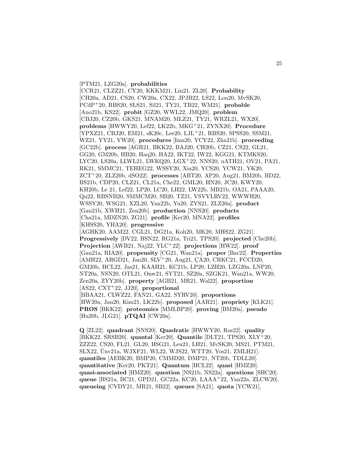[PTM21, LZG20a]. **probabilities**

[CCR21, CLZZ21, CY20, KKKM21, Lin21, ZL20]. **Probability** [CH20a, AD21, CS20, CW20a, CX22, JPJB22, LS22, Lou20, MvSK20, PCdP<sup>+</sup>20, RBS20, SLS21, Sil21, TY21, TB22, WM21]. **probable** [Ano21b, KS22]. **probit** [GZ20, WWL22, JMQ20]. **problem** [CBJ20, CZ20b, GKS21, MNAM20, MLZ21, TY21, WRZL21, WX20]. **problems** [HWWY20, Lef22, LK22b, MKG<sup>+</sup>21, ZYNX20]. **Procedure** [YPXZ21, CBJ20, EM21, sK20c, Lee20, LJL<sup>+</sup>21, RBS20, SPSS20, SSM21, WZ21, YY21, YW20]. **procedures** [Ima20, YCY22, Zha21b]. **proceeding** [GC22b]. **process** [AGR21, BKK22, BAJ20, CH20b, CZ21, CS22, GL21, GG20, GM20b, HB20, Haq20, HA22, IKT22, IW22, KGG21, KTMKS20, LYC20, LS20a, LLWL21, LWKQ20, LGX<sup>+</sup>22, NNS20, uATH21, OV21, PA21, RK21, SMMC21, TEHEG22, WSSY20, Xia20, YCS20, YCW21, YK20, ZCT<sup>+</sup>20, ZLZ20b, dSO22]. **processes** [ABT20, AP20, Aug21, BM20b, BD22, BS21b, CDP20, CLZ21, CL21a, Che22, GML20, HN20, JC20, KWY20, KH20b, Le 21, Lef22, LP20, LC20, LH22, LW22b, MB21b, OA21, PAAA20, Qu22, RBSNB20, SMMCM20, SB20, TZ21, VSVVLRV22, WWWH20, WSSY20, WSG21, XZL20, Yan22b, Yu20, ZYS21, ZLZ20a]. **product** [Gau21b, XWH21, Zen20b]. **production** [NNS20]. **products** [Cha21a, MDZN20, ZG21]. **profile** [Ker20, MNA22]. **profiles** [KHSS20, YHA20]. **progressive** [AGHK20, AAM22, CGL21, DG21a, Koh20, MK20, MHS22, ZG21]. **Progressively** [DV22, BSN22, RG21a, Tri21, TPS20]. **projected** [Che20b]. **Projection** [AWB21, Naj22, YLC<sup>+</sup>22]. **projections** [HW22]. **proof** [Gau21a, RIA20]. **propensity** [CG21, Wan21a]. **proper** [Bar22]. **Properties**  $[AMH22, ARGD21, Jan20, SLV<sup>+</sup>20, Aug21, CA20, CRKC21, FCCD20,$ GM20b, HCL22, Jas21, KAAH21, KC21b, LP20, LZH20, LZG20a, LNP20, NT20a, NSN20, OTL21, Onw21, SYT21, SZ20a, SZGK21, Wan21a, WW20, Zen20a, ZYY20b]. **property** [AGB21, MR21, Wal22]. **proportion** [AS22, CXT<sup>+</sup>22, JJ20]. **proportional** [BBAA21, CLWZ22, FAN21, GA22, SYRV20]. **proportions**

[HW20a, Jan20, Kim21, LK22b]. **proposed** [AAR21]. **propriety** [KLK21]. **PROS** [BKK22]. **proteomics** [MMLBP20]. **proving** [BM20a]. **pseudo** [Hu20b, JLG21]. **pTQAI** [CW20a].

**Q** [ZL22]. **quadrant** [SNS20]. **Quadratic** [HWWY20, Ros22]. **quality** [BKK22, SRSB20]. **quantal** [Ker20]. **Quantile** [DLT21, TPS20, XLY<sup>+</sup>20, ZZZ22, CS20, FL21, GL20, HSG21, Leu21, LH21, MvSK20, MS21, PTM21, SLX22, Unv21a, WJXF21, WL22, WJS22, WTT20, Yos21, ZMLH21]. ¨ **quantiles** [AEBK20, BMP20, CMMD20, DMP21, NT20b, TDLL20]. **quantitative** [Ker20, PKT21]. **Quantum** [HCL22]. **quasi** [HMZ20]. **quasi-associated** [HMZ20]. **question** [NS21b, NS22a]. **questions** [SHC20]. **queue** [BS21a, BC21, GPD21, GC22a, KC20, LAAA<sup>+</sup>22, Yan22a, ZLCW20]. **queueing** [CVDY21, MR21, SB22]. **queues** [SA21]. **quota** [YCW21].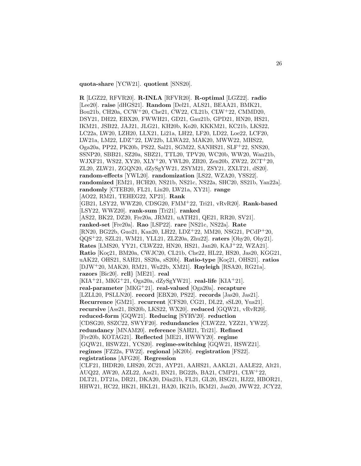**quota-share** [YCW21]. **quotient** [SNS20].

**R** [LGZ22, RFVR20]. **R-INLA** [RFVR20]. **R-optimal** [LGZ22]. **radio** [Lee20]. **raise** [dHGS21]. **Random** [Del21, ALS21, BEAA21, BMK21, Bou21b, CH20a, CCW<sup>+</sup>20, Che21, CW22, CL21b, CLW<sup>+</sup>22, CMMD20, DSY21, DH22, EBX20, FWWH21, GD21, Gau21b, GPD21, HN20, HS21, IKM21, JSB22, JAJ21, JLG21, KH20b, Ko20, KKKM21, KC21b, LKS22, LC22a, LW20, LZH20, LLX21, Li21a, LH22, LF20, LD22, Loe22, LCF20, LW21a, LM22, LDZ<sup>+</sup>22, LW22b, LLWA22, MAK20, MWW22, MHS22, Oga20a, PP22, PK20b, PS22, Sal21, SGM22, SANHS21, SLF<sup>+</sup>22, SNS20, SSNP20, SBB21, SZ20a, SBZ21, TTL20, TPV20, WC20b, WW20, Wan21b, WJXF21, WS22, XY20, XLY<sup>+</sup>20, YWL20, ZB20, Zen20b, ZW22, ZCT<sup>+</sup>20, ZL20, ZLW21, ZGQN20, dZySgYW21, ZSYM21, ZSY21, ZXLT21, dS20]. **random-effects** [YWL20]. **randomization** [LS22, WZA20, YSS22]. **randomized** [EM21, HCH20, NS21b, NS21c, NS22a, SHC20, SS21b, Yan22a]. **randomly** [CTEB20, FL21, Lin20, LW21a, XY21]. **range** [AO22, RM21, TEHEG22, XP21]. **Rank** [GB21, LSY22, WWZ20, CDSG20, FMM<sup>+</sup>22, Tri21, vRvR20]. **Rank-based** [LSY22, WWZ20]. **rank-sum** [Tri21]. **ranked** [AS22, BK22, DZ20, Fre20a, JRM21, uATH21, QE21, RR20, SV21]. **ranked-set** [Fre20a]. **Rao** [LSP22]. **rare** [NS21c, NS22a]. **Rate** [RN20, BG22b, Guo21, Kan20, LH22, LDZ<sup>+</sup>22, MM20, NSG21, PCdP<sup>+</sup>20, QQS<sup>+</sup>22, SZL21, WM21, YLL21, ZLZ20a, Zhu22]. **raters** [Ohy20, Ohy21]. **Rates** [LMS20, YY21, CLWZ22, HN20, HS21, Jan20, KAJ<sup>+</sup>22, WZA21]. Ratio [Koç21, BM20a, CWJC20, CL21b, Che22, HL22, HS20, Jas20, KGG21, uAK22, OHS21, SAH21, SS20a, sS20b]. **Ratio-type** [Koc21, OHS21]. **ratios** [DJW<sup>+</sup>20, MAK20, RM21, Wu22b, XM21]. **Rayleigh** [RSA20, RG21a]. **razors** [Bic20]. **rcll**} [ME21]. **real** [KIA<sup>+</sup>21, MKG<sup>+</sup>21, Oga20a, dZySgYW21]. **real-life** [KIA<sup>+</sup>21]. **real-parameter** [MKG<sup>+</sup>21]. **real-valued** [Oga20a]. **recapture** [LZLL20, PSLLN20]. **record** [EBX20, PS22]. **records** [Jas20, Jas21]. **Recurrence** [GM21]. **recurrent** [CFS20, CG21, DL22, sSL20, Yua21]. **recursive** [Ass21, BS20b, LKS22, WX20]. **reduced** [GQW21, vRvR20]. **reduced-form** [GQW21]. **Reducing** [SYRV20]. **reduction** [CDSG20, SSZC22, SWYF20]. **redundancies** [CLWZ22, YZZ21, YW22]. **redundancy** [MNAM20]. **reference** [SAH21, Tri21]. **Refined** [Fre20b, KOTAG21]. **Reflected** [ME21, HWWY20]. **regime** [GQW21, HSWZ21, YCS20]. **regime-switching** [GQW21, HSWZ21]. **regimes** [FZ22a, FW22]. **regional** [sK20b]. **registration** [FS22]. **registrations** [AFG20]. **Regression** [CLF21, IHDR20, LHS20, ZC21, AYP21, AAHS21, AAKL21, AALE22, Alt21, AUQ22, AW20, AZL22, Ass21, BN21, BG22b, BA21, CMP21, CLW<sup>+</sup>22, DLT21, DT21a, DR21, DKA20, Dün21b, FL21, GL20, HSG21, HJ22, HBOR21, HHW21, HC22, HK21, HKL21, HA20, IK21b, IKM21, Jan20, JWW22, JCY22,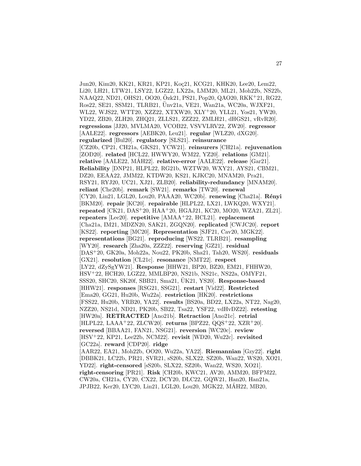Jun20, Kim20, KK21, KR21, KP21, Koc21, KCG21, KHK20, Lee20, Lem22, Li20, LH21, LTW21, LSY22, LGZ22, LX22a, LMM20, ML21, Moh22b, NS22b, NAAQ22, ND21, OHS21, OO20, Ozk21, PS21, Pop20, QAO20, RKK+21, RG22, Ros22, SE21, SSM21, TLRB21, Unv21a, VE21, Wan21a, WC20a, WJXF21, ¨ WL22, WJS22, WTT20, XZZ22, XTXW20, XLY<sup>+</sup>20, YLL21, Yos21, YW20, YD22, ZB20, ZLH20, ZHQ21, ZLLS21, ZZZ22, ZMLH21, dHGS21, vRvR20]. **regressions** [JJ20, MVLMA20, VCOB22, VSVVLRV22, ZW20]. **regressor** [AALE22]. **regressors** [AEBK20, Leu21]. **regular** [WLZ20, dXG20]. **regularized** [Bul20]. **regulatory** [SLS21]. **reinsurance** [CZ20b, CP21, CH21a, GKS21, YCW21]. **reinsurers** [CH21a]. **rejuvenation** [ZOD20]. **related** [HCL22, HWWY20, WM22, YZ20]. **relations** [GM21]. **relative** [AALE22, MAH22]. ´ **relative-error** [AALE22]. **release** [Gar21]. **Reliability** [DNP21, HLPL22, RG21b, WZTW20, WXY21, AYS21, CBM21, DZ20, EEAA22, JMM22, KTDW20, KS21, KJKC20, MNAM20, Pra21, RSY21, RYJ20, UC21, XJ21, ZLB20]. **reliability-redundancy** [MNAM20]. **reliant** [Che20b]. **remark** [SW21]. **remarks** [TW20]. **renewal** [CY20, Lin21, LGL20, Lou20, PAAA20, WC20b]. **renewing** [Cha21a]. **R´enyi** [BKM20]. **repair** [KC20]. **repairable** [HLPL22, LX21, LWKQ20, WXY21]. **repeated** [CK21, DAS<sup>+</sup>20, HAA<sup>+</sup>20, HGAJ21, KC20, MO20, WZA21, ZL21]. **repeaters** [Lee20]. **repetitive** [AMAA<sup>+</sup>22, HCL21]. **replacement** [Cha21a, IM21, MDZN20, SAK21, ZGQN20]. **replicated** [CWJC20]. **report** [KS22]. **reporting** [MC20]. **Representation** [SJF21, Cav20, MGK22]. **representations** [BG21]. **reproducing** [WS22, TLRB21]. **resampling** [WY20]. **research** [Zha20a, ZZZ22]. **reserving** [GZ21]. **residual** [DAS<sup>+</sup>20, GK20a, Moh22a, Nou22, PK20b, Sha21, Tah20, WS20]. **residuals** [GX21]. **resolution** [CL21c]. **resonance** [NMT22]. **respect** [LY22, dZySgYW21]. **Response** [HHW21, BP20, BZ20, EM21, FHHW20, HSV<sup>+</sup>22, HCH20, LGZ22, MMLBP20, NS21b, NS21c, NS22a, OMYF21,  $SSS20, SHC20, SK20f, SBB21, Sma21, UK21, YS20$ . **Response-based** [HHW21]. **responses** [RSG21, SSG21]. **restart** [Vid22]. **Restricted** [Ema20, GG21, Hu20b, Wu22a]. **restriction** [HK20]. **restrictions** [FSS22, Hu20b, YRB20, YA22]. **results** [BS20a, BD22, LX22a, NT22, Nag20, NZZ20, NS21d, ND21, PK20b, SB22, Tsa22, YSF22, vdHvDZ22]. **retesting** [HW20a]. **RETRACTED** [Ano21b]. **Retraction** [Ano21c]. **retrial** [HLPL22, LAAA<sup>+</sup>22, ZLCW20]. **returns** [BPZ22, QQS<sup>+</sup>22, XZR<sup>+</sup>20]. **reversed** [BBAA21, FAN21, NSG21]. **reversion** [WC20c]. **review** [HSV<sup>+</sup>22, KP21, Lee22b, NCM22]. **revisit** [WD20, Wu22c]. **revisited** [GC22a]. **reward** [CDP20]. **ridge** [AAR22, EA21, Moh22b, OO20, Wu22a, YA22]. **Riemannian** [Gzy22]. **right** [DBBK21, LC22b, PR21, SVR21, sS20b, SLX22, SZ20b, Wan22, WS20, XO21, YD22]. **right-censored** [sS20b, SLX22, SZ20b, Wan22, WS20, XO21]. **right-censoring** [PR21]. **Risk** [CH20b, KWC21, AV20, AMM20, BFPM22, CW20a, CH21a, CY20, CX22, DCY20, DLC22, GQW21, Han20, Han21a, JPJB22, Ker20, LYC20, Lin21, LGL20, Lou20, MGK22, MAH22, MB20, ´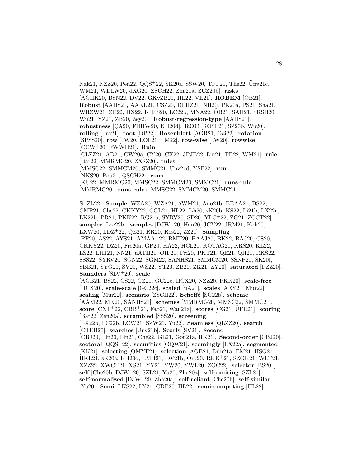Nak21, NZZ20, Pen22, QQS+22, SK20a, SSW20, TPF20, The22, Unv21c, WM21, WDLW20, dXG20, ZSCH22, Zha21a, ZCZ20b]. **risks** [AGHK20, BSN22, DV22, GKvZB21, HL22, VE21]. **ROBEM** [OB21]. **Robust** [AAHS21, AAKL21, CSZ20, DLHZ21, NH20, PK20a, PS21, Sha21, WRZW21, ZC22, HX22, KHSS20, LC22b, MNA22, OB21, SAH21, SRSB20, ¨ Wu21, YZ21, ZB20, Zey20]. **Robust-regression-type** [AAHS21]. **robustness** [CA20, FHHW20, KH20d]. **ROC** [ROSL21, SZ20b, Wu20]. **rolling** [Pra21]. **root** [DP22]. **Rosenblatt** [AGR21, Gai22]. **rotation** [SPSS20]. **row** [LW20, LOL21, LM22]. **row-wise** [LW20]. **rowwise** [CCW<sup>+</sup>20, FWWH21]. **Ruin** [CLZZ21, AD21, CW20a, CY20, CX22, JPJB22, Lin21, TB22, WM21]. **rule** [Bar22, MMRMG20, ZXSZ20]. **rules** [MMSC22, SMMCM20, SMMC21, Unv21d, YSF22]. **run** [NNS20, Pou21, QSCH22]. **runs** [KU22, MMRMG20, MMSC22, SMMCM20, SMMC21]. **runs-rule** [MMRMG20]. **runs-rules** [MMSC22, SMMCM20, SMMC21].

**S** [ZL22]. **Sample** [WZA20, WZA21, AWM21, Ano21b, BEAA21, BS22, CMP21, Che22, CKKY22, CGL21, HL22, Ish20, sK20b, KS22, Li21b, LX22a, LK22b, PR21, PKK22, RG21a, SYRV20, SD20, YLC<sup>+</sup>22, ZG21, ZCCT22]. **sampler** [Lee22b]. **samples** [DJW<sup>+</sup>20, Han20, JCY22, JRM21, Koh20, LXW20, LDZ<sup>+</sup>22, QE21, RR20, Ros22, ZZ21]. **Sampling** [PF20, AS22, AYS21, AMAA<sup>+</sup>22, BMT20, BAAJ20, BK22, BAJ20, CS20, CKKY22, DZ20, Fre20a, GP20, HA22, HCL21, KOTAG21, KRS20, KL22, LS22, LHJ21, NN21, uATH21, OIF21, Pri20, PKT21, QE21, QH21, RKS22, SSS22, SYRV20, SGN22, SGM22, SANHS21, SMMCM20, SSNP20, SK20f, SBB21, SYG21, SV21, WS22, YT20, ZB20, ZK21, ZY20]. **saturated** [PZZ20]. **Saunders** [SLV<sup>+</sup>20]. **scale** [AGB21, BS22, CS22, GZ21, GC22c, HCX20, NZZ20, PKK20]. **scale-free** [HCX20]. **scale-scale** [GC22c]. **scaled** [uA21]. **scales** [AEY21, Mur22]. **scaling** [Mur22]. **scenario** [ZSCH22]. **Scheffé** [SG22b]. **scheme** [AAM22, MK20, SANHS21]. **schemes** [MMRMG20, MMSC22, SMMC21]. **score**  $[$ CXT<sup>+</sup>22,  $CBB+21$ , Fab21, Wan21a]. **scores**  $[$ CG21, UFR21]. **scoring**[Bar22, Zen20a]. **scrambled** [SSS20]. **screening** [LX22b, LC22b, LCW21, SZW21, Yu22]. **Seamless** [QLZZ20]. **search** [CTEB20]. **searches** [Unv21b]. **Searls** [SV21]. **Second** [CBJ20, Lin20, Lin21, Che22, GL21, Gon21a, RK21]. **Second-order** [CBJ20]. **sectoral** [QQS<sup>+</sup>22]. **securities** [GQW21]. **seemingly** [LX22a]. **segmented** [KK21]. **selecting** [OMYF21]. **selection** [AGB21, D¨un21a, EM21, HSG21, HKL21, sK20c, KH20d, LMH21, LW21b, Ory20, RKK<sup>+</sup>21, SZGK21, WLT21, XZZ22, XWCT21, XS21, YY21, YW20, YWL20, ZGC22]. **selector** [BS20b]. **self** [Che20b, DJW<sup>+</sup>20, SZL21, Yu20, Zha20a]. **self-exciting** [SZL21]. **self-normalized** [DJW<sup>+</sup>20, Zha20a]. **self-reliant** [Che20b]. **self-similar** [Yu20]. **Semi** [LKS22, LY21, CDP20, HL22]. **semi-competing** [HL22].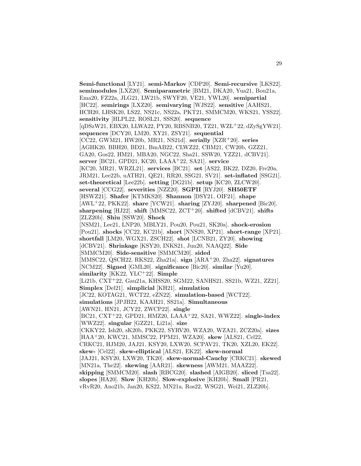**Semi-functional** [LY21]. **semi-Markov** [CDP20]. **Semi-recursive** [LKS22]. **semimodules** [LXZ20]. **Semiparametric** [BM21, DKA20, Yua21, Bou21a, Ema20, FZ22a, JLG21, LW21b, SWYF20, VE21, YWL20]. **semipartial** [HC22]. **semirings** [LXZ20]. **semivarying** [WJS22]. **sensitive** [AAHS21, HCH20, LHSK20, LS22, NS21c, NS22a, PKT21, SMMCM20, WKS21, YSS22]. **sensitivity** [HLPL22, ROSL21, SSS20]. **sequence** [qDSzW21, EBX20, LLWA22, PY20, RBSNB20, TZ21, WZL<sup>+</sup>22, dZySgYW21]. **sequences** [DCY20, LM20, XY21, ZSY21]. **sequential** [CC22, GWM21, HW20b, MR21, NS21d]. **serially** [XZR<sup>+</sup>20]. **series** [AGHK20, BBH20, BD21, BmAB22, CLWZ22, CBM21, CW20b, GZZ21, GA20, Gos22, HM21, MBA20, NGC22, Sha21, SSW20, YZZ21, dCBV21]. **server** [BC21, GPD21, KC20, LAAA<sup>+</sup>22, SA21]. **service** [KC20, MR21, WRZL21]. **services** [BC21]. **set** [AS22, BK22, DZ20, Fre20a, JRM21, Lee22b, uATH21, QE21, RR20, SSG21, SV21]. **set-inflated** [SSG21]. **set-theoretical** [Lee22b]. **setting** [DG21b]. **setup** [KC20, ZLCW20]. **several** [CCG22]. **severities** [NZZ20]. **SGPII** [RYJ20]. **SH50ETF** [HSWZ21]. **Shafer** [KTMKS20]. **Shannon** [DSY21, OIF21]. **shape** [AWL<sup>+</sup>22, PKK22]. **share** [YCW21]. **sharing** [ZYJ20]. **sharpened** [Bic20]. **sharpening** [HJ22]. **shift** [MMSC22, ZCT<sup>+</sup>20]. **shifted** [dCBV21]. **shifts** [ZLZ20b]. **Shiu** [SSW20]. **Shock** [NSM21, Lee21, LNP20, MBLY21, Pou20, Pou21, SK20a]. **shock-erosion** [Pou21]. **shocks** [CC22, KC21b]. **short** [NNS20, XP21]. **short-range** [XP21]. **shortfall** [LM20, WGX21, ZSCH22]. **shot** [LCNB21, ZY20]. **showing** [dCBV21]. **Shrinkage** [KSY20, INKS21, Jun20, NAAQ22]. **Side** [SMMCM20]. **Side-sensitive** [SMMCM20]. **sided** [MMSC22, QSCH22, RKS22, Zha21a]. **sign** [ARA<sup>+</sup>20, Zha22]. **signatures** [NCM22]. **Signed** [GML20]. **significance** [Bic20]. **similar** [Yu20]. **similarity** [KK22, YLC<sup>+</sup>22]. **Simple** [Li21b, CXT<sup>+</sup>22, Gau21a, KHSS20, SGM22, SANHS21, SS21b, WZ21, ZZ21]. **Simplex** [Del21]. **simplicial** [KH21]. **simulation** [JC22, KOTAG21, WCT22, eZN22]. **simulation-based** [WCT22]. **simulations** [JPJB22, KAAH21, SS21a]. **Simultaneous** [AWN21, HN21, JCY22, ZWCP22]. **single** [BC21, CXT<sup>+</sup>22, GPD21, HMZ20, LAAA<sup>+</sup>22, SA21, WWZ22]. **single-index** [WWZ22]. **singular** [GZZ21, Li21a]. **size** [CKKY22, Ish20, sK20b, PKK22, SYRV20, WZA20, WZA21, ZCZ20a]. **sizes** [HAA<sup>+</sup>20, KWC21, MMSC22, PPM21, WZA20]. **skew** [ALS21, Cel22, CRKC21, HJM20, JAJ21, KSY20, LXW20, SCPAV21, TK20, XZL20, EK22]. **skew-** [Cel22]. **skew-elliptical** [ALS21, EK22]. **skew-normal** [JAJ21, KSY20, LXW20, TK20]. **skew-normal-Cauchy** [CRKC21]. **skewed** [MN21a, The22]. **skewing** [AAR21]. **skewness** [AWM21, MAAZ22]. **skipping** [SMMCM20]. **slash** [RBCG20]. **slashed** [AIGB20]. **sliced** [Tsa22]. **slopes** [HA20]. **Slow** [KH20b]. **Slow-explosive** [KH20b]. **Small** [PR21, vRvR20, Ano21b, Jan20, KS22, MN21a, Ros22, WSG21, Wei21, ZLZ20b].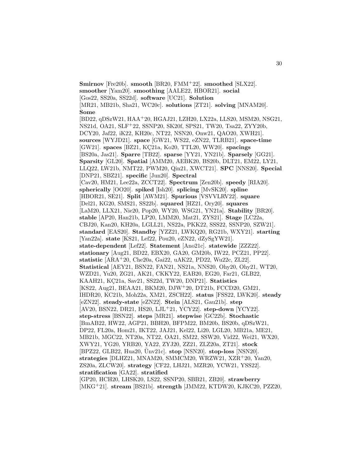**Smirnov** [Fre20b]. **smooth** [BR20, FMM<sup>+</sup>22]. **smoothed** [SLX22]. **smoother** [Yam20]. **smoothing** [AALE22, HBOR21]. **social** [Gos22, SS20a, SS22d]. **software** [UC21]. **Solution** [MR21, MB21b, Sha21, WC20c]. **solutions** [ZT21]. **solving** [MNAM20]. **Some** [BD22, qDSzW21, HAA<sup>+</sup>20, HGAJ21, LZH20, LX22a, LLS20, MSM20, NSG21, NS21d, OA21, SLF<sup>+</sup>22, SSNP20, SK20f, SPS21, TW20, Tsa22, ZYY20b, DCY20, Jaf22, iK22, KH20c, NT22, NSN20, Onw21, QAO20, XWH21]. **sources** [WYJD21]. **space** [GW21, WS22, eZN22, TLRB21]. **space-time** [GW21]. **spaces** [BZ21, KC21a, Ko20, TTL20, WW20]. **spacings** [BS20a, Jas21]. **Sparre** [TB22]. **sparse** [YY21, YN21b]. **Sparsely** [GG21]. **Sparsity** [GL20]. **Spatial** [AMM20, AEBK20, BS20b, DLT21, EM22, LY21, LLQ22, LW21b, NMT22, PWM20, Qin21, XWCT21]. **SPC** [NNS20]. **Special** [DNP21, SBZ21]. **specific** [Jun20]. **Spectral** [Cav20, HM21, Lee22a, ZCCT22]. **Spectrum** [Zen20b]. **speedy** [RIA20]. **spherically** [OO20]. **spiked** [Ish20]. **splicing** [MvSK20]. **spline** [HBOR21, SE21]. **Split** [AWM21]. **Spurious** [VSVVLRV22]. **square** [Del21, KG20, SMS21, SS22b]. **squared** [HZ21, Ory20]. **squares** [LaM20, LLX21, Nie20, Pop20, WY20, WSG21, YN21a]. **Stability** [BR20]. **stable** [AP20, Han21b, LP20, LMM20, Mat21, ZYS21]. **Stage** [LC22a, CBJ20, Kan20, KH20a, LGLL21, NS22a, PKK22, SSS22, SSNP20, SZW21]. **standard** [EAS20]. **Standby** [YZZ21, LWKQ20, RG21b, WXY21]. **starting** [Yan22a]. **state** [KS21, Lef22, Pou20, eZN22, dZySgYW21]. **state-dependent** [Lef22]. **Statement** [Ano21c]. **statewide** [ZZZ22]. **stationary** [Aug21, BD22, EBX20, GA20, GM20b, IW22, PCZ21, PP22]. **statistic** [ARA<sup>+</sup>20, Che20a, Gai22, uAK22, PD22, Wu22c, ZL22]. **Statistical** [AEY21, BSN22, FAN21, NS21a, NNS20, Ohy20, Ohy21, WT20, WZD21, Yu20, ZG21, AK21, CKKY22, EAB20, EG20, Far21, GLB22, KAAH21, KC21a, Sav21, SS22d, TW20, DNP21]. **Statistics** [KS22, Aug21, BEAA21, BKM20, DJW<sup>+</sup>20, DT21b, FCCD20, GM21, IHDR20, KC21b, Moh22a, XM21, ZSCH22]. **status** [FSS22, LWK20]. **steady** [eZN22]. **steady-state** [eZN22]. **Stein** [ALS21, Gau21b]. **step** [AV20, BSN22, DR21, HS20, LJL<sup>+</sup>21, YCY22]. **step-down** [YCY22]. **step-stress** [BSN22]. **steps** [MR21]. **stepwise** [GC22b]. **Stochastic** [BmAB22, HW22, AGP21, BBH20, BFPM22, BM20b, BS20b, qDSzW21, DP22, FL20a, Hom21, IKT22, JAJ21, Kel22, Li20, LGL20, MB21a, ME21, MB21b, MGC22, NT20a, NT22, OA21, SM22, SSW20, Vid22, Wei21, WX20, XWY21, YG20, YRB20, YA22, ZYJ20, ZZ21, ZLZ20a, ZT21]. **stock** [BPZ22, GLB22, Hua20, Unv21c]. ¨ **stop** [NSN20]. **stop-loss** [NSN20]. **strategies** [DLHZ21, MNAM20, SMMCM20, WRZW21, XZR<sup>+</sup>20, Yan20, ZS20a, ZLCW20]. **strategy** [CF22, LHJ21, MZR20, YCW21, YSS22]. **stratification** [GA22]. **stratified** [GP20, HCH20, LHSK20, LS22, SSNP20, SBB21, ZB20]. **strawberry** [MKG<sup>+</sup>21]. **stream** [BS21b]. **strength** [JMM22, KTDW20, KJKC20, PZZ20,

30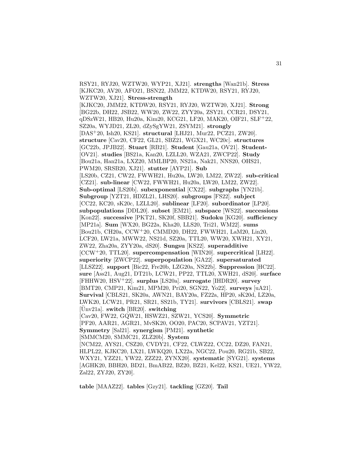RSY21, RYJ20, WZTW20, WYP21, XJ21]. **strengths** [Wan21b]. **Stress** [KJKC20, AV20, AFO21, BSN22, JMM22, KTDW20, RSY21, RYJ20, WZTW20, XJ21]. **Stress-strength** [KJKC20, JMM22, KTDW20, RSY21, RYJ20, WZTW20, XJ21]. **Strong** [BG22b, DH22, JSB22, WW20, ZW22, ZYY20a, ZSY21, CCR21, DSY21, qDSzW21, HB20, Hu20a, Kim20, KCG21, LF20, MAK20, OIF21, SLF<sup>+</sup>22, SZ20a, WYJD21, ZL20, dZySgYW21, ZSYM21]. **strongly** [DAS<sup>+</sup>20, Ish20, KS21]. **structural** [LHJ21, Mur22, PCZ21, ZW20]. **structure** [Cav20, CF22, GL21, SBZ21, WGX21, WC20c]. **structures** [GC22b, JPJB22]. **Stuart** [RB21]. **Student** [Gau21a, OV21]. **Student-** [OV21]. **studies** [BS21a, Kan20, LZLL20, WZA21, ZWCP22]. **Study** [Bou21a, Han21a, LXZ20, MMLBP20, NS21a, Nak21, NNS20, OHS21, PWM20, SRSB20, XJ21]. **stutter** [AYP21]. **Sub** [LS20b, CZ21, CW22, FWWH21, Hu20a, LW20, LM22, ZW22]. **sub-critical** [CZ21]. **sub-linear** [CW22, FWWH21, Hu20a, LW20, LM22, ZW22]. **Sub-optimal** [LS20b]. **subexponential** [CX22]. **subgraphs** [YN21b]. **Subgroup** [YZT21, HDZL21, LHS20]. **subgroups** [FS22]. **subject** [CC22, KC20, sK20c, LZLL20]. **sublinear** [LF20]. **subordinator** [LP20]. **subpopulations** [DDL20]. **subset** [EM21]. **subspace** [WS22]. **successions** [Kon22]. **successive** [PKT21, SK20f, SBB21]. **Sudoku** [KG20]. **sufficiency** [MP21a]. **Sum** [WX20, BG22a, Kha20, LLS20, Tri21, WM22]. **sums** [Bou21b, CH20a, CCW<sup>+</sup>20, CMMD20, DH22, FWWH21, LaM20, Lin20, LCF20, LW21a, MWW22, NS21d, SZ20a, TTL20, WW20, XWH21, XY21, ZW22, Zha20a, ZYY20a, dS20]. **Sungsu** [KS22]. **superadditive** [CCW<sup>+</sup>20, TTL20]. **supercompensation** [WIN20]. **supercritical** [LH22]. **superiority** [ZWCP22]. **superpopulation** [GA22]. **supersaturated** [LLSZ22]. **support** [Bic22, Fre20b, LZG20a, NS22b]. **Suppression** [HC22]. **sure** [Ass21, Aug21, DT21b, LCW21, PP22, TTL20, XWH21, dS20]. **surface** [FHHW20, HSV<sup>+</sup>22]. **surplus** [LS20a]. **surrogate** [IHDR20]. **survey** [BMT20, CMP21, Kim21, MPM20, Pri20, SGN22, Yo22]. **surveys** [uA21]. **Survival** [CBLS21, SK20a, AWN21, BAY20a, FZ22a, HP20, sK20d, LZ20a, LWK20, LCW21, PR21, SR21, SS21b, TY21]. **survivors** [CBLS21]. **swap** [Unv21a]. **switch** [BR20]. **switching** [Cav20, FW22, GQW21, HSWZ21, SZW21, YCS20]. **Symmetric** [PF20, AAR21, AGR21, MvSK20, OO20, PAC20, SCPAV21, YZT21]. **Symmetry** [Sal21]. **synergism** [PM21]. **synthetic** [SMMCM20, SMMC21, ZLZ20b]. **System** [NCM22, AYS21, CSZ20, CVDY21, CF22, CLWZ22, CC22, DZ20, FAN21, HLPL22, KJKC20, LX21, LWKQ20, LX22a, NGC22, Pou20, RG21b, SB22, WXY21, YZZ21, YW22, ZZZ22, ZYNX20]. **systematic** [SYG21]. **systems** [AGHK20, BBH20, BD21, BmAB22, BZ20, BZ21, Kel22, KS21, UE21, YW22, Zal22, ZYJ20, ZY20].

**table** [MAAZ22]. **tables** [Gzy21]. **tackling** [GZ20]. **Tail**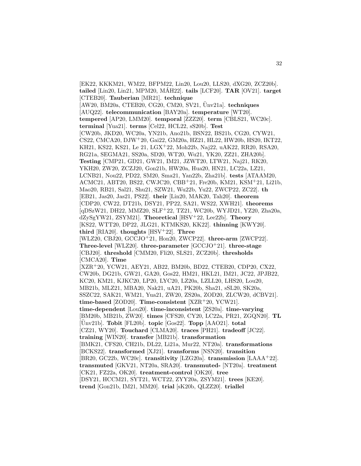[EK22, KKKM21, WM22, BFPM22, Lin20, Lou20, LLS20, dXG20, ZCZ20b]. **tailed** [Lin20, Lin21, MPM20, MAH22]. ´ **tails** [LCF20]. **TAR** [OV21]. **target** [CTEB20]. **Tauberian** [MR21]. **technique**  $[AW20, BM20a, CTEB20, CG20, CM20, SV21, UN21a]$ .  $$ [AUQ22]. **telecommunication** [BAY20a]. **temperature** [WT20]. **tempered** [AP20, LMM20]. **temporal** [ZZZ20]. **term** [CBLS21, WC20c]. **terminal** [Yua21]. **terms** [Cel22, HCL22, sS20b]. **Test** [CW20b, JKD20, WC20a, YN21b, Ano21b, BSN22, BS21b, CG20, CYW21, CS22, CMCA20, DJW<sup>+</sup>20, Gai22, GM20a, HZ21, HL22, HW20b, HS20, IKT22, KH21, KS22, KS21, Le 21, LGX<sup>+</sup>22, Moh22b, Naj22, uAK22, RR20, RSA20, RG21a, SEGMA21, SS20a, SD20, WT20, Wu21, YK20, ZZ21, ZHA20b]. **Testing** [CMP21, GD21, GW21, IM21, JZWT20, LTW21, Naj21, RK20, YKH20, ZW20, ZCZJ20, Gon21b, HW20a, Hua20, HN21, LC22a, LZ21, LCNB21, Nou22, PD22, SM20, Sma21, Yan22b, Zha21b]. **tests** [ATAAM20, ACMC21, ABT20, BS22, CWJC20, CBB<sup>+</sup>21, Fre20b, KM21, KSM<sup>+</sup>21, Li21b, Mao20, RB21, Sal21, Shu21, SZW21, Wu22b, Yu22, ZWCP22, ZC22]. **th** [EB21, Jas20, Jas21, PS22]. **their** [Lin20, MAK20, Tah20]. **theorem** [CDP20, CW22, DT21b, DSY21, PP22, SA21, WS22, XWH21]. **theorems** [qDSzW21, DH22, MMZ20, SLF<sup>+</sup>22, TZ21, WC20b, WYJD21, YZ20, Zha20a, dZySgYW21, ZSYM21]. **Theoretical** [HSV<sup>+</sup>22, Lee22b]. **Theory** [KS22, WTT20, DP22, JLG21, KTMKS20, KK22]. **thinning** [KWY20]. **third** [RIA20]. **thoughts** [HSV<sup>+</sup>22]. **Three** [WLZ20, CBJ20, GCCJO<sup>+</sup>21, Hon20, ZWCP22]. **three-arm** [ZWCP22]. **Three-level** [WLZ20]. **three-parameter** [GCCJO<sup>+</sup>21]. **three-stage** [CBJ20]. **threshold** [CMM20, Fli20, SLS21, ZCZ20b]. **thresholds** [CMCA20]. **Time** [XZR<sup>+</sup>20, YCW21, AEY21, AB22, BM20b, BD22, CTEB20, CDP20, CX22, CW20b, DG21b, GW21, GA20, Gos22, HM21, HKL21, IM21, JC22, JPJB22, KC20, KM21, KJKC20, LP20, LYC20, LZ20a, LZLL20, LHS20, Lou20, MB21b, MLZ21, MBA20, Nak21, uA21, PK20b, Sha21, sSL20, SK20a, SSZC22, SAK21, WM21, Yua21, ZW20, ZS20a, ZOD20, ZLCW20, dCBV21]. **time-based** [ZOD20]. **Time-consistent** [XZR<sup>+</sup>20, YCW21]. **time-dependent** [Lou20]. **time-inconsistent** [ZS20a]. **time-varying** [BM20b, MB21b, ZW20]. **times** [CFS20, CY20, LC22a, PR21, ZGQN20]. **TL** [Unv21b]. ¨ **Tobit** [FL20b]. **topic** [Gos22]. **Topp** [AAO21]. **total** [CZ21, WY20]. **Touchard** [CLMA20]. **traces** [PH21]. **tradeoff** [JC22]. **training** [WIN20]. **transfer** [MB21b]. **transformation** [BMK21, CFS20, CH21b, DL22, Li21a, Mur22, NT20a]. **transformations** [BCKS22]. **transformed** [XJ21]. **transforms** [NSN20]. **transition** [BR20, GC22b, WC20c]. **transitivity** [LZG20a]. **transmission** [LAAA<sup>+</sup>22]. **transmuted** [GKV21, NT20a, SRA20]. **transmuted-** [NT20a]. **treatment** [CK21, FZ22a, OK20]. **treatment-control** [OK20]. **tree** [DSY21, HCCM21, SYT21, WCT22, ZYY20a, ZSYM21]. **trees** [KE20]. **trend** [Gon21b, IM21, MM20]. **trial** [sK20b, QLZZ20]. **triallel**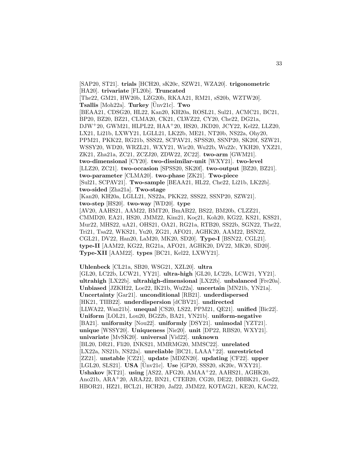[SAP20, ST21]. **trials** [HCH20, sK20c, SZW21, WZA20]. **trigonometric** [HA20]. **trivariate** [FL20b]. **Truncated** [The22, GM21, HW20b, LZG20b, RKAA21, RM21, sS20b, WZTW20]. **Tsallis** [Moh22a]. **Turkey**  $[\text{Unv21c}]$ . **Two** [BEAA21, CDSG20, HL22, Kan20, KH20a, ROSL21, Sul21, ACMC21, BC21, BP20, BZ20, BZ21, CLMA20, CK21, CLWZ22, CY20, Che22, DG21a, DJW<sup>+</sup>20, GWM21, HLPL22, HAA<sup>+</sup>20, HS20, JKD20, JCY22, Kel22, LLZ20, LX21, Li21b, LXWY21, LGLL21, LK22b, ME21, NT20b, NS22a, Ohy20, PPM21, PKK22, RG21b, SSS22, SCPAV21, SPSS20, SSNP20, SK20f, SZW21, WSSY20, WD20, WRZL21, WXY21, Wic20, Wu22b, Wu22c, YKH20, YXZ21, ZK21, Zha21a, ZC21, ZCZJ20, ZDW22, ZC22]. **two-arm** [GWM21]. **two-dimensional** [CY20]. **two-dissimilar-unit** [WXY21]. **two-level** [LLZ20, ZC21]. **two-occasion** [SPSS20, SK20f]. **two-output** [BZ20, BZ21]. **two-parameter** [CLMA20]. **two-phase** [ZK21]. **Two-piece** [Sul21, SCPAV21]. **Two-sample** [BEAA21, HL22, Che22, Li21b, LK22b]. **two-sided** [Zha21a]. **Two-stage** [Kan20, KH20a, LGLL21, NS22a, PKK22, SSS22, SSNP20, SZW21]. **two-step** [HS20]. **two-way** [WD20]. **type** [AV20, AAHS21, AAM22, BMT20, BmAB22, BS22, BM20b, CLZZ21, CMMD20, EA21, HS20, JMM22, Kim21, Koç21, Koh20, KG22, KS21, KSS21, Mur22, MHS22, uA21, OHS21, OA21, RG21a, RTB20, SS22b, SGN22, The22, Tri21, Tsa22, WKS21, Yu20, ZG21, AFO21, AGHK20, AAM22, BSN22, CGL21, DV22, Han20, LaM20, MK20, SD20]. **Type-I** [BSN22, CGL21]. **type-II** [AAM22, KG22, RG21a, AFO21, AGHK20, DV22, MK20, SD20]. **Type-XII** [AAM22]. **types** [BC21, Kel22, LXWY21].

**Uhlenbeck** [CL21a, SB20, WSG21, XZL20]. **ultra** [GL20, LC22b, LCW21, YY21]. **ultra-high** [GL20, LC22b, LCW21, YY21]. **ultrahigh** [LX22b]. **ultrahigh-dimensional** [LX22b]. **unbalanced** [Fre20a]. **Unbiased** [JZKH22, Loe22, IK21b, Wu22a]. **uncertain** [MN21b, YN21a]. **Uncertainty** [Gar21]. **unconditional** [RB21]. **underdispersed** [HK21, TIIB22]. **underdispersion** [dCBV21]. **undirected** [LLWA22, Wan21b]. **unequal** [CS20, LS22, PPM21, QE21]. **unified** [Bic22]. **Uniform** [LOL21, Lou20, BG22b, BA21, YN21b]. **uniform-negative** [BA21]. **uniformity** [Nou22]. **uniformly** [DSY21]. **unimodal** [YZT21]. **unique** [WSSY20]. **Uniqueness** [Nie20]. **unit** [DP22, RBS20, WXY21]. **univariate** [MvSK20]. **universal** [Vid22]. **unknown** [BL20, DR21, Fli20, INKS21, MMRMG20, MMSC22]. **unrelated** [LX22a, NS21b, NS22a]. **unreliable** [BC21, LAAA<sup>+</sup>22]. **unrestricted** [ZZ21]. **unstable** [CZ21]. **update** [MDZN20]. **updating** [CF22]. **upper** [LGL20, SLS21]. **USA** [Ünv21c]. **Use** [GP20, SSS20, sK20c, WXY21]. **Ushakov** [KT21]. **using** [AS22, AFG20, AMAA<sup>+</sup>22, AAHS21, AGHK20, Ano21b, ARA<sup>+</sup>20, ARAJ22, BN21, CTEB20, CG20, DE22, DBBK21, Gos22, HBOR21, HZ21, HCL21, HCH20, Jaf22, JMM22, KOTAG21, KE20, KAC22,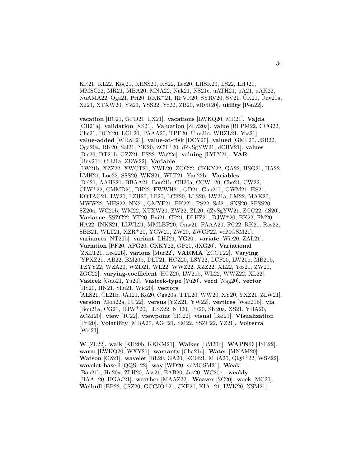KR21, KL22, Koc21, KHSS20, KS22, Lee20, LHSK20, LS22, LHJ21, MMSC22, MR21, MBA20, MNA22, Nak21, NS21c, uATH21, uA21, uAK22,  $NuAMA22, Oga21, Pri20, RKK<sup>+</sup>21, RFVR20, SYRV20, SV21, UK21, UN21a,$ XJ21, XTXW20, YZ21, YSS22, Yo22, ZB20, vRvR20]. **utility** [Pen22].

**vacation** [BC21, GPD21, LX21]. **vacations** [LWKQ20, MR21]. **Vajda** [CH21a]. **validation** [XS21]. **Valuation** [ZLZ20a]. **value** [BFPM22, CCG22, Che21, DCY20, LGL20, PAAA20, TPF20, Unv21c, WRZL21, Yos21]. ¨ **value-added** [WRZL21]. **value-at-risk** [DCY20]. **valued** [GML20, JSB22, Oga20a, RK20, Sal21, YK20, ZCT<sup>+</sup>20, dZySgYW21, dCBV21]. **values** [Bic20, DT21b, GZZ21, PS22, Wu22c]. **valuing** [LYLY21]. **VAR** [Unv21c, CH21a, ZDW22]. **Variable** [LW21b, XZZ22, XWCT21, YWL20, ZGC22, CKKY22, GA22, HSG21, HA22, LMH21, Loe22, SSS20, WKS21, WLT21, Yan22b]. **Variables** [Del21, AAHS21, BBAA21, Bou21b, CH20a, CCW<sup>+</sup>20, Che21, CW22, CLW<sup>+</sup>22, CMMD20, DH22, FWWH21, GD21, Gau21b, GWM21, HS21, KOTAG21, LW20, LZH20, LF20, LCF20, LLS20, LW21a, LM22, MAK20, MWW22, MHS22, NN21, OMYF21, PK22b, PS22, Sal21, SNS20, SPSS20, SZ20a, WC20b, WM22, XTXW20, ZW22, ZL20, dZySgYW21, ZGC22, dS20]. **Variance** [SSZC22, YT20, Bai21, CP21, DLHZ21, DJW<sup>+</sup>20, EK22, FM20, HA22, INKS21, LLWL21, MMLBP20, Onw21, PAAA20, PC22, RK21, Ros22, SBB21, WLT21, XZR<sup>+</sup>20, YCW21, ZW20, ZWCP22, vdMGSM21]. **variances** [NT20b]. **variant** [LHJ21, YG20]. **variate** [Wic20, ZAL21]. **Variation** [PF20, AFG20, CKKY22, GP20, dXG20]. **Variational** [ZXLT21, Lee22b]. **various** [Mur22]. **VARMA** [ZCCT22]. **Varying** [YPXZ21, AB22, BM20b, DLT21, HCZ20, LSY22, LCF20, LW21b, MB21b, TZYY22, WZA20, WZD21, WL22, WWZ22, XZZ22, XL22, Yos21, ZW20, ZGC22]. **varying-coefficient** [HCZ20, LW21b, WL22, WWZ22, XL22]. **Vasicek** [Guo21, Yu20]. **Vasicek-type** [Yu20]. **vecd** [Nag20]. **vector** [HS20, HN21, Shu21, Wic20]. **vectors** [ALS21, CL21b, JAJ21, Ko20, Oga20a, TTL20, WW20, XY20, YXZ21, ZLW21]. **version** [Moh22a, PP22]. **versus** [YZZ21, YW22]. **vertices** [Wan21b]. **via** [Bou21a, CG21, DJW<sup>+</sup>20, LLSZ22, NH20, PF20, SK20a, XS21, YHA20, ZCZJ20]. **view** [JC22]. **viewpoint** [HC22]. **visual** [Bai21]. **Visualization** [Pri20]. **Volatility** [MBA20, AGP21, SM22, SSZC22, YZ21]. **Volterra** [Wei21].

**W** [ZL22]. **walk** [KH20b, KKKM21]. **Walker** [BM20b]. **WAPND** [JSB22]. **warm** [LWKQ20, WXY21]. **warranty** [Cha21a]. **Water** [MNAM20]. **Watson** [CZ21]. **wavelet** [BL20, GA20, KCG21, MBA20, QQS<sup>+</sup>22, WSZ22]. **wavelet-based** [QQS<sup>+</sup>22]. **way** [WD20, vdMGSM21]. **Weak** [Bou21b, Hu20a, ZLH20, Ass21, EAB20, Jas20, WC20c]. **weakly** [HAA<sup>+</sup>20, HGAJ21]. **weather** [MAAZ22]. **Weaver** [SC20]. **week** [MC20]. **Weibull** [BP22, CSZ20, GCCJO<sup>+</sup>21, JKP20, KIA<sup>+</sup>21, LWK20, NSM21].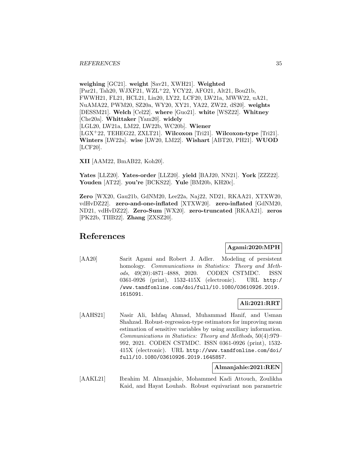**weighing** [GC21]. **weight** [Sav21, XWH21]. **Weighted** [Par21, Tah20, WJXF21, WZL<sup>+</sup>22, YCY22, AFO21, Alt21, Bou21b, FWWH21, FL21, HCL21, Lin20, LY22, LCF20, LW21a, MWW22, uA21, NuAMA22, PWM20, SZ20a, WY20, XY21, YA22, ZW22, dS20]. **weights** [DESSM21]. **Welch** [Cel22]. **where** [Guo21]. **white** [WSZ22]. **Whitney** [Che20a]. **Whittaker** [Yam20]. **widely** [LGL20, LW21a, LM22, LW22b, WC20b]. **Wiener** [LGX<sup>+</sup>22, TEHEG22, ZXLT21]. **Wilcoxon** [Tri21]. **Wilcoxon-type** [Tri21]. **Winters** [LW22a]. **wise** [LW20, LM22]. **Wishart** [ABT20, PH21]. **WUOD** [LCF20].

**XII** [AAM22, BmAB22, Koh20].

**Yates** [LLZ20]. **Yates-order** [LLZ20]. **yield** [BAJ20, NN21]. **York** [ZZZ22]. **Youden** [AT22]. **you're** [BCKS22]. **Yule** [BM20b, KH20c].

**Zero** [WX20, Gau21b, GdNM20, Lee22a, Naj22, ND21, RKAA21, XTXW20, vdHvDZ22]. **zero-and-one-inflated** [XTXW20]. **zero-inflated** [GdNM20, ND21, vdHvDZ22]. **Zero-Sum** [WX20]. **zero-truncated** [RKAA21]. **zeros** [PK22b, TIIB22]. **Zhang** [ZXSZ20].

# **References**

#### **Agami:2020:MPH**

[AA20] Sarit Agami and Robert J. Adler. Modeling of persistent homology. *Communications in Statistics: Theory and Meth*ods, 49(20):4871–4888, 2020. CODEN CSTMDC. ISSN 0361-0926 (print), 1532-415X (electronic). URL http:/ /www.tandfonline.com/doi/full/10.1080/03610926.2019. 1615091.

#### **Ali:2021:RRT**

[AAHS21] Nasir Ali, Ishfaq Ahmad, Muhammad Hanif, and Usman Shahzad. Robust-regression-type estimators for improving mean estimation of sensitive variables by using auxiliary information. Communications in Statistics: Theory and Methods, 50(4):979– 992, 2021. CODEN CSTMDC. ISSN 0361-0926 (print), 1532- 415X (electronic). URL http://www.tandfonline.com/doi/ full/10.1080/03610926.2019.1645857.

**Almanjahie:2021:REN**

[AAKL21] Ibrahim M. Almanjahie, Mohammed Kadi Attouch, Zoulikha Kaid, and Hayat Louhab. Robust equivariant non parametric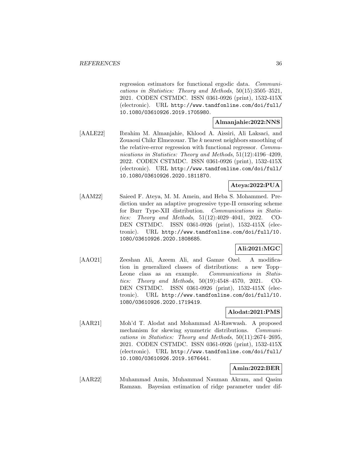regression estimators for functional ergodic data. Communications in Statistics: Theory and Methods, 50(15):3505–3521, 2021. CODEN CSTMDC. ISSN 0361-0926 (print), 1532-415X (electronic). URL http://www.tandfonline.com/doi/full/ 10.1080/03610926.2019.1705980.

#### **Almanjahie:2022:NNS**

[AALE22] Ibrahim M. Almanjahie, Khlood A. Aissiri, Ali Laksaci, and Zouaoui Chikr Elmezouar. The k nearest neighbors smoothing of the relative-error regression with functional regressor. Communications in Statistics: Theory and Methods, 51(12):4196–4209, 2022. CODEN CSTMDC. ISSN 0361-0926 (print), 1532-415X (electronic). URL http://www.tandfonline.com/doi/full/ 10.1080/03610926.2020.1811870.

## **Ateya:2022:PUA**

[AAM22] Saieed F. Ateya, M. M. Amein, and Heba S. Mohammed. Prediction under an adaptive progressive type-II censoring scheme for Burr Type-XII distribution. Communications in Statistics: Theory and Methods, 51(12):4029–4041, 2022. CO-DEN CSTMDC. ISSN 0361-0926 (print), 1532-415X (electronic). URL http://www.tandfonline.com/doi/full/10. 1080/03610926.2020.1808685.

### **Ali:2021:MGC**

[AAO21] Zeeshan Ali, Azeem Ali, and Gamze Ozel. A modification in generalized classes of distributions: a new Topp– Leone class as an example. Communications in Statistics: Theory and Methods, 50(19):4548–4570, 2021. CO-DEN CSTMDC. ISSN 0361-0926 (print), 1532-415X (electronic). URL http://www.tandfonline.com/doi/full/10. 1080/03610926.2020.1719419.

#### **Alodat:2021:PMS**

[AAR21] Moh'd T. Alodat and Mohammad Al-Rawwash. A proposed mechanism for skewing symmetric distributions. *Communi*cations in Statistics: Theory and Methods, 50(11):2674–2695, 2021. CODEN CSTMDC. ISSN 0361-0926 (print), 1532-415X (electronic). URL http://www.tandfonline.com/doi/full/ 10.1080/03610926.2019.1676441.

#### **Amin:2022:BER**

[AAR22] Muhammad Amin, Muhammad Nauman Akram, and Qasim Ramzan. Bayesian estimation of ridge parameter under dif-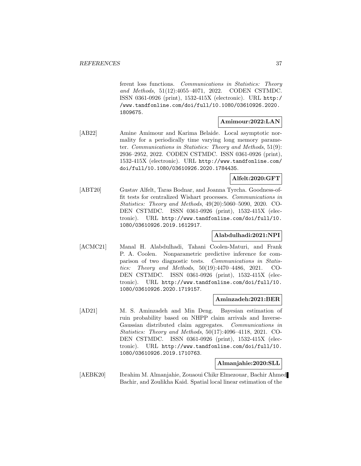ferent loss functions. Communications in Statistics: Theory and Methods, 51(12):4055–4071, 2022. CODEN CSTMDC. ISSN 0361-0926 (print), 1532-415X (electronic). URL http:/ /www.tandfonline.com/doi/full/10.1080/03610926.2020. 1809675.

## **Amimour:2022:LAN**

[AB22] Amine Amimour and Karima Belaide. Local asymptotic normality for a periodically time varying long memory parameter. Communications in Statistics: Theory and Methods, 51(9): 2936–2952, 2022. CODEN CSTMDC. ISSN 0361-0926 (print), 1532-415X (electronic). URL http://www.tandfonline.com/ doi/full/10.1080/03610926.2020.1784435.

# **Alfelt:2020:GFT**

[ABT20] Gustav Alfelt, Taras Bodnar, and Joanna Tyrcha. Goodness-offit tests for centralized Wishart processes. Communications in Statistics: Theory and Methods, 49(20):5060–5090, 2020. CO-DEN CSTMDC. ISSN 0361-0926 (print), 1532-415X (electronic). URL http://www.tandfonline.com/doi/full/10. 1080/03610926.2019.1612917.

# **Alabdulhadi:2021:NPI**

[ACMC21] Manal H. Alabdulhadi, Tahani Coolen-Maturi, and Frank P. A. Coolen. Nonparametric predictive inference for comparison of two diagnostic tests. Communications in Statistics: Theory and Methods, 50(19):4470–4486, 2021. CO-DEN CSTMDC. ISSN 0361-0926 (print), 1532-415X (electronic). URL http://www.tandfonline.com/doi/full/10. 1080/03610926.2020.1719157.

#### **Aminzadeh:2021:BER**

[AD21] M. S. Aminzadeh and Min Deng. Bayesian estimation of ruin probability based on NHPP claim arrivals and Inverse-Gaussian distributed claim aggregates. Communications in Statistics: Theory and Methods, 50(17):4096–4118, 2021. CO-DEN CSTMDC. ISSN 0361-0926 (print), 1532-415X (electronic). URL http://www.tandfonline.com/doi/full/10. 1080/03610926.2019.1710763.

#### **Almanjahie:2020:SLL**

[AEBK20] Ibrahim M. Almanjahie, Zouaoui Chikr Elmezouar, Bachir Ahmed Bachir, and Zoulikha Kaid. Spatial local linear estimation of the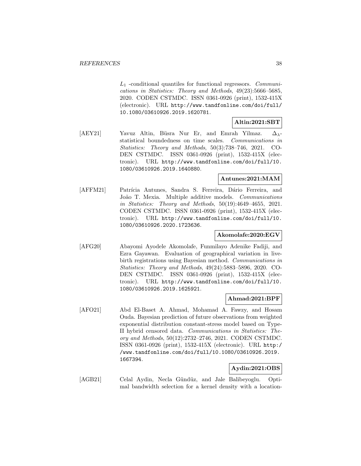$L_1$  -conditional quantiles for functional regressors. Communications in Statistics: Theory and Methods, 49(23):5666–5685, 2020. CODEN CSTMDC. ISSN 0361-0926 (print), 1532-415X (electronic). URL http://www.tandfonline.com/doi/full/ 10.1080/03610926.2019.1620781.

# **Altin:2021:SBT**

[AEY21] Yavuz Altin, Büsra Nur Er, and Emrah Yilmaz.  $\Delta_{\lambda}$ statistical boundedness on time scales. Communications in Statistics: Theory and Methods, 50(3):738–746, 2021. CO-DEN CSTMDC. ISSN 0361-0926 (print), 1532-415X (electronic). URL http://www.tandfonline.com/doi/full/10. 1080/03610926.2019.1640880.

## **Antunes:2021:MAM**

[AFFM21] Patrícia Antunes, Sandra S. Ferreira, Dário Ferreira, and João T. Mexia. Multiple additive models. Communications in Statistics: Theory and Methods, 50(19):4649–4655, 2021. CODEN CSTMDC. ISSN 0361-0926 (print), 1532-415X (electronic). URL http://www.tandfonline.com/doi/full/10. 1080/03610926.2020.1723636.

# **Akomolafe:2020:EGV**

[AFG20] Abayomi Ayodele Akomolafe, Funmilayo Adenike Fadiji, and Ezra Gayawan. Evaluation of geographical variation in livebirth registrations using Bayesian method. Communications in Statistics: Theory and Methods, 49(24):5883–5896, 2020. CO-DEN CSTMDC. ISSN 0361-0926 (print), 1532-415X (electronic). URL http://www.tandfonline.com/doi/full/10. 1080/03610926.2019.1625921.

#### **Ahmad:2021:BPF**

[AFO21] Abd El-Baset A. Ahmad, Mohamad A. Fawzy, and Hosam Ouda. Bayesian prediction of future observations from weighted exponential distribution constant-stress model based on Type-II hybrid censored data. Communications in Statistics: Theory and Methods, 50(12):2732–2746, 2021. CODEN CSTMDC. ISSN 0361-0926 (print), 1532-415X (electronic). URL http:/ /www.tandfonline.com/doi/full/10.1080/03610926.2019. 1667394.

# **Aydin:2021:OBS**

[AGB21] Celal Aydin, Necla Gündüz, and Jale Balibeyoglu. Optimal bandwidth selection for a kernel density with a location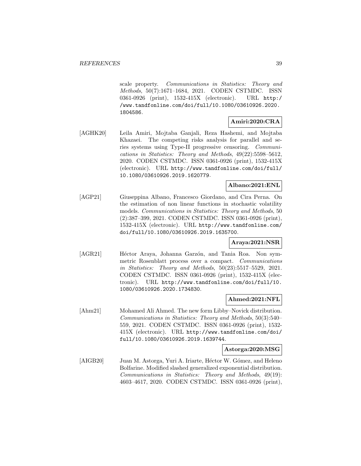scale property. Communications in Statistics: Theory and Methods, 50(7):1671–1684, 2021. CODEN CSTMDC. ISSN 0361-0926 (print), 1532-415X (electronic). URL http:/ /www.tandfonline.com/doi/full/10.1080/03610926.2020. 1804586.

# **Amiri:2020:CRA**

[AGHK20] Leila Amiri, Mojtaba Ganjali, Reza Hashemi, and Mojtaba Khazaei. The competing risks analysis for parallel and series systems using Type-II progressive censoring. Communications in Statistics: Theory and Methods, 49(22):5598–5612, 2020. CODEN CSTMDC. ISSN 0361-0926 (print), 1532-415X (electronic). URL http://www.tandfonline.com/doi/full/ 10.1080/03610926.2019.1620779.

# **Albano:2021:ENL**

[AGP21] Giuseppina Albano, Francesco Giordano, and Cira Perna. On the estimation of non linear functions in stochastic volatility models. Communications in Statistics: Theory and Methods, 50 (2):387–399, 2021. CODEN CSTMDC. ISSN 0361-0926 (print), 1532-415X (electronic). URL http://www.tandfonline.com/ doi/full/10.1080/03610926.2019.1635700.

# **Araya:2021:NSR**

[AGR21] Héctor Araya, Johanna Garzón, and Tania Roa. Non symmetric Rosenblatt process over a compact. Communications in Statistics: Theory and Methods, 50(23):5517–5529, 2021. CODEN CSTMDC. ISSN 0361-0926 (print), 1532-415X (electronic). URL http://www.tandfonline.com/doi/full/10. 1080/03610926.2020.1734830.

#### **Ahmed:2021:NFL**

[Ahm21] Mohamed Ali Ahmed. The new form Libby–Novick distribution. Communications in Statistics: Theory and Methods, 50(3):540– 559, 2021. CODEN CSTMDC. ISSN 0361-0926 (print), 1532- 415X (electronic). URL http://www.tandfonline.com/doi/ full/10.1080/03610926.2019.1639744.

## **Astorga:2020:MSG**

[AIGB20] Juan M. Astorga, Yuri A. Iriarte, Héctor W. Gómez, and Heleno Bolfarine. Modified slashed generalized exponential distribution. Communications in Statistics: Theory and Methods, 49(19): 4603–4617, 2020. CODEN CSTMDC. ISSN 0361-0926 (print),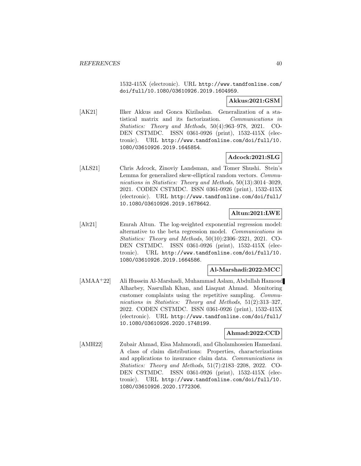1532-415X (electronic). URL http://www.tandfonline.com/ doi/full/10.1080/03610926.2019.1604959.

## **Akkus:2021:GSM**

[AK21] Ilker Akkus and Gonca Kizilaslan. Generalization of a statistical matrix and its factorization. Communications in Statistics: Theory and Methods, 50(4):963–978, 2021. CO-DEN CSTMDC. ISSN 0361-0926 (print), 1532-415X (electronic). URL http://www.tandfonline.com/doi/full/10. 1080/03610926.2019.1645854.

# **Adcock:2021:SLG**

[ALS21] Chris Adcock, Zinoviy Landsman, and Tomer Shushi. Stein's Lemma for generalized skew-elliptical random vectors. Communications in Statistics: Theory and Methods, 50(13):3014–3029, 2021. CODEN CSTMDC. ISSN 0361-0926 (print), 1532-415X (electronic). URL http://www.tandfonline.com/doi/full/ 10.1080/03610926.2019.1678642.

# **Altun:2021:LWE**

[Alt21] Emrah Altun. The log-weighted exponential regression model: alternative to the beta regression model. Communications in Statistics: Theory and Methods, 50(10):2306–2321, 2021. CO-DEN CSTMDC. ISSN 0361-0926 (print), 1532-415X (electronic). URL http://www.tandfonline.com/doi/full/10. 1080/03610926.2019.1664586.

#### **Al-Marshadi:2022:MCC**

[AMAA<sup>+</sup>22] Ali Hussein Al-Marshadi, Muhammad Aslam, Abdullah Hamoud Alharbey, Nasrullah Khan, and Liaquat Ahmad. Monitoring customer complaints using the repetitive sampling. Communications in Statistics: Theory and Methods, 51(2):313-327, 2022. CODEN CSTMDC. ISSN 0361-0926 (print), 1532-415X (electronic). URL http://www.tandfonline.com/doi/full/ 10.1080/03610926.2020.1748199.

#### **Ahmad:2022:CCD**

[AMH22] Zubair Ahmad, Eisa Mahmoudi, and Gholamhossien Hamedani. A class of claim distributions: Properties, characterizations and applications to insurance claim data. Communications in Statistics: Theory and Methods, 51(7):2183–2208, 2022. CO-DEN CSTMDC. ISSN 0361-0926 (print), 1532-415X (electronic). URL http://www.tandfonline.com/doi/full/10. 1080/03610926.2020.1772306.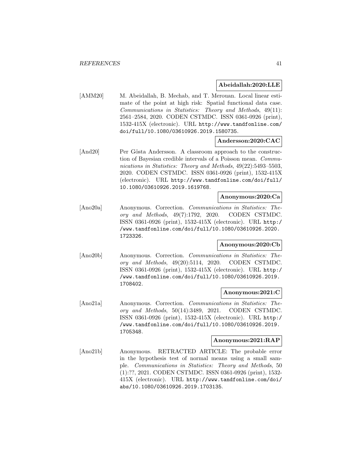#### **Abeidallah:2020:LLE**

[AMM20] M. Abeidallah, B. Mechab, and T. Merouan. Local linear estimate of the point at high risk: Spatial functional data case. Communications in Statistics: Theory and Methods, 49(11): 2561–2584, 2020. CODEN CSTMDC. ISSN 0361-0926 (print), 1532-415X (electronic). URL http://www.tandfonline.com/ doi/full/10.1080/03610926.2019.1580735.

#### **Andersson:2020:CAC**

[And20] Per Gösta Andersson. A classroom approach to the construction of Bayesian credible intervals of a Poisson mean. Communications in Statistics: Theory and Methods, 49(22):5493-5503, 2020. CODEN CSTMDC. ISSN 0361-0926 (print), 1532-415X (electronic). URL http://www.tandfonline.com/doi/full/ 10.1080/03610926.2019.1619768.

## **Anonymous:2020:Ca**

[Ano20a] Anonymous. Correction. Communications in Statistics: Theory and Methods, 49(7):1792, 2020. CODEN CSTMDC. ISSN 0361-0926 (print), 1532-415X (electronic). URL http:/ /www.tandfonline.com/doi/full/10.1080/03610926.2020. 1723326.

### **Anonymous:2020:Cb**

[Ano20b] Anonymous. Correction. Communications in Statistics: Theory and Methods, 49(20):5114, 2020. CODEN CSTMDC. ISSN 0361-0926 (print), 1532-415X (electronic). URL http:/ /www.tandfonline.com/doi/full/10.1080/03610926.2019. 1708402.

#### **Anonymous:2021:C**

[Ano21a] Anonymous. Correction. Communications in Statistics: Theory and Methods, 50(14):3489, 2021. CODEN CSTMDC. ISSN 0361-0926 (print), 1532-415X (electronic). URL http:/ /www.tandfonline.com/doi/full/10.1080/03610926.2019. 1705348.

# **Anonymous:2021:RAP**

[Ano21b] Anonymous. RETRACTED ARTICLE: The probable error in the hypothesis test of normal means using a small sample. Communications in Statistics: Theory and Methods, 50 (1):??, 2021. CODEN CSTMDC. ISSN 0361-0926 (print), 1532- 415X (electronic). URL http://www.tandfonline.com/doi/ abs/10.1080/03610926.2019.1703135.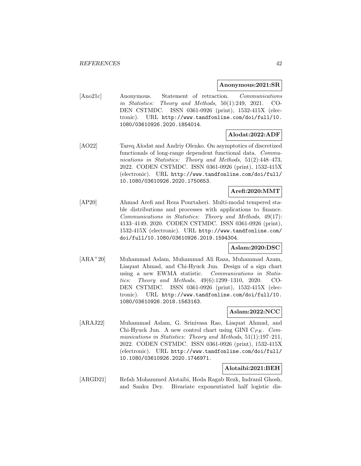#### **Anonymous:2021:SR**

[Ano21c] Anonymous. Statement of retraction. Communications in Statistics: Theory and Methods, 50(1):249, 2021. CO-DEN CSTMDC. ISSN 0361-0926 (print), 1532-415X (electronic). URL http://www.tandfonline.com/doi/full/10. 1080/03610926.2020.1854014.

# **Alodat:2022:ADF**

[AO22] Tareq Alodat and Andriy Olenko. On asymptotics of discretized functionals of long-range dependent functional data. Communications in Statistics: Theory and Methods, 51(2):448-473, 2022. CODEN CSTMDC. ISSN 0361-0926 (print), 1532-415X (electronic). URL http://www.tandfonline.com/doi/full/ 10.1080/03610926.2020.1750653.

## **Arefi:2020:MMT**

[AP20] Ahmad Arefi and Reza Pourtaheri. Multi-modal tempered stable distributions and processes with applications to finance. Communications in Statistics: Theory and Methods, 49(17): 4133–4149, 2020. CODEN CSTMDC. ISSN 0361-0926 (print), 1532-415X (electronic). URL http://www.tandfonline.com/ doi/full/10.1080/03610926.2019.1594304.

#### **Aslam:2020:DSC**

[ARA<sup>+</sup>20] Muhammad Aslam, Muhammad Ali Raza, Muhammad Azam, Liaquat Ahmad, and Chi-Hyuck Jun. Design of a sign chart using a new EWMA statistic. Communications in Statistics: Theory and Methods, 49(6):1299–1310, 2020. CO-DEN CSTMDC. ISSN 0361-0926 (print), 1532-415X (electronic). URL http://www.tandfonline.com/doi/full/10. 1080/03610926.2018.1563163.

# **Aslam:2022:NCC**

[ARAJ22] Muhammad Aslam, G. Srinivasa Rao, Liaquat Ahmad, and Chi-Hyuck Jun. A new control chart using GINI  $C_{PK}$ . Communications in Statistics: Theory and Methods, 51(1):197-211, 2022. CODEN CSTMDC. ISSN 0361-0926 (print), 1532-415X (electronic). URL http://www.tandfonline.com/doi/full/ 10.1080/03610926.2020.1746971.

### **Alotaibi:2021:BEH**

[ARGD21] Refah Mohammed Alotaibi, Hoda Ragab Rezk, Indranil Ghosh, and Sanku Dey. Bivariate exponentiated half logistic dis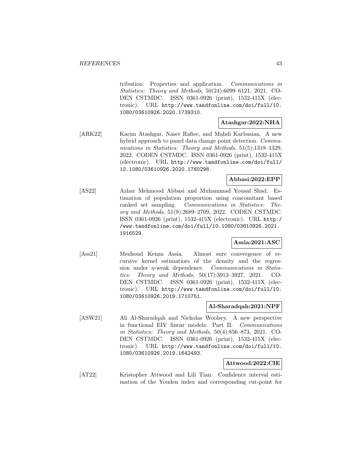tribution: Properties and application. Communications in Statistics: Theory and Methods, 50(24):6099–6121, 2021. CO-DEN CSTMDC. ISSN 0361-0926 (print), 1532-415X (electronic). URL http://www.tandfonline.com/doi/full/10. 1080/03610926.2020.1739310.

# **Atashgar:2022:NHA**

[ARK22] Karim Atashgar, Naser Rafiee, and Mahdi Karbasian. A new hybrid approach to panel data change point detection. *Commu*nications in Statistics: Theory and Methods, 51(5):1318–1329, 2022. CODEN CSTMDC. ISSN 0361-0926 (print), 1532-415X (electronic). URL http://www.tandfonline.com/doi/full/ 10.1080/03610926.2020.1760298.

# **Abbasi:2022:EPP**

[AS22] Azhar Mehmood Abbasi and Muhammad Yousaf Shad. Estimation of population proportion using concomitant based ranked set sampling. Communications in Statistics: Theory and Methods, 51(9):2689–2709, 2022. CODEN CSTMDC. ISSN 0361-0926 (print), 1532-415X (electronic). URL http:/ /www.tandfonline.com/doi/full/10.1080/03610926.2021. 1916529.

# **Assia:2021:ASC**

[Ass21] Mezhoud Kenza Assia. Almost sure convergence of recursive kernel estimatiors of the density and the regression under  $\eta$ -weak dependence. *Communications in Statis*tics: Theory and Methods, 50(17):3913–3927, 2021. CO-DEN CSTMDC. ISSN 0361-0926 (print), 1532-415X (electronic). URL http://www.tandfonline.com/doi/full/10. 1080/03610926.2019.1710751.

#### **Al-Sharadqah:2021:NPF**

[ASW21] Ali Al-Sharadqah and Nicholas Woolsey. A new perspective in functional EIV linear models: Part II. Communications in Statistics: Theory and Methods, 50(4):856–873, 2021. CO-DEN CSTMDC. ISSN 0361-0926 (print), 1532-415X (electronic). URL http://www.tandfonline.com/doi/full/10. 1080/03610926.2019.1642493.

#### **Attwood:2022:CIE**

[AT22] Kristopher Attwood and Lili Tian. Confidence interval estimation of the Youden index and corresponding cut-point for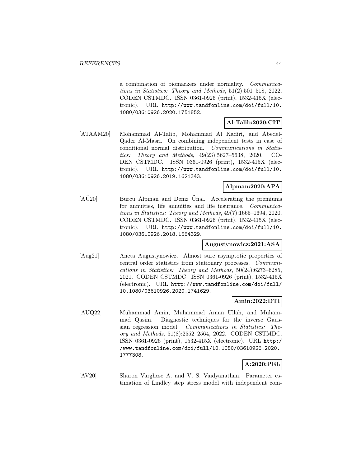a combination of biomarkers under normality. Communications in Statistics: Theory and Methods, 51(2):501–518, 2022. CODEN CSTMDC. ISSN 0361-0926 (print), 1532-415X (electronic). URL http://www.tandfonline.com/doi/full/10. 1080/03610926.2020.1751852.

# **Al-Talib:2020:CIT**

[ATAAM20] Mohammad Al-Talib, Mohammad Al Kadiri, and Abedel-Qader Al-Masri. On combining independent tests in case of conditional normal distribution. Communications in Statistics: Theory and Methods, 49(23):5627–5638, 2020. CO-DEN CSTMDC. ISSN 0361-0926 (print), 1532-415X (electronic). URL http://www.tandfonline.com/doi/full/10. 1080/03610926.2019.1621343.

# **Alpman:2020:APA**

 $[A\ddot{U}20]$  Burcu Alpman and Deniz Unal. Accelerating the premiums for annuities, life annuities and life insurance. Communications in Statistics: Theory and Methods, 49(7):1665–1694, 2020. CODEN CSTMDC. ISSN 0361-0926 (print), 1532-415X (electronic). URL http://www.tandfonline.com/doi/full/10. 1080/03610926.2018.1564329.

#### **Augustynowicz:2021:ASA**

[Aug21] Aneta Augustynowicz. Almost sure asymptotic properties of central order statistics from stationary processes. Communications in Statistics: Theory and Methods, 50(24):6273–6285, 2021. CODEN CSTMDC. ISSN 0361-0926 (print), 1532-415X (electronic). URL http://www.tandfonline.com/doi/full/ 10.1080/03610926.2020.1741629.

#### **Amin:2022:DTI**

[AUQ22] Muhammad Amin, Muhammad Aman Ullah, and Muhammad Qasim. Diagnostic techniques for the inverse Gaussian regression model. Communications in Statistics: Theory and Methods, 51(8):2552–2564, 2022. CODEN CSTMDC. ISSN 0361-0926 (print), 1532-415X (electronic). URL http:/ /www.tandfonline.com/doi/full/10.1080/03610926.2020. 1777308.

#### **A:2020:PEL**

[AV20] Sharon Varghese A. and V. S. Vaidyanathan. Parameter estimation of Lindley step stress model with independent com-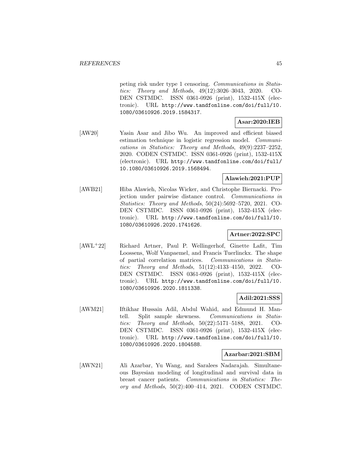peting risk under type 1 censoring. Communications in Statistics: Theory and Methods, 49(12):3026–3043, 2020. CO-DEN CSTMDC. ISSN 0361-0926 (print), 1532-415X (electronic). URL http://www.tandfonline.com/doi/full/10. 1080/03610926.2019.1584317.

# **Asar:2020:IEB**

[AW20] Yasin Asar and Jibo Wu. An improved and efficient biased estimation technique in logistic regression model. Communications in Statistics: Theory and Methods, 49(9):2237–2252, 2020. CODEN CSTMDC. ISSN 0361-0926 (print), 1532-415X (electronic). URL http://www.tandfonline.com/doi/full/ 10.1080/03610926.2019.1568494.

# **Alawieh:2021:PUP**

[AWB21] Hiba Alawieh, Nicolas Wicker, and Christophe Biernacki. Projection under pairwise distance control. Communications in Statistics: Theory and Methods, 50(24):5692–5720, 2021. CO-DEN CSTMDC. ISSN 0361-0926 (print), 1532-415X (electronic). URL http://www.tandfonline.com/doi/full/10. 1080/03610926.2020.1741626.

# **Artner:2022:SPC**

[AWL<sup>+</sup>22] Richard Artner, Paul P. Wellingerhof, Ginette Lafit, Tim Loossens, Wolf Vanpaemel, and Francis Tuerlinckx. The shape of partial correlation matrices. Communications in Statistics: Theory and Methods, 51(12):4133–4150, 2022. CO-DEN CSTMDC. ISSN 0361-0926 (print), 1532-415X (electronic). URL http://www.tandfonline.com/doi/full/10. 1080/03610926.2020.1811338.

# **Adil:2021:SSS**

[AWM21] Iftikhar Hussain Adil, Abdul Wahid, and Edmund H. Mantell. Split sample skewness. Communications in Statistics: Theory and Methods, 50(22):5171–5188, 2021. CO-DEN CSTMDC. ISSN 0361-0926 (print), 1532-415X (electronic). URL http://www.tandfonline.com/doi/full/10. 1080/03610926.2020.1804588.

# **Azarbar:2021:SBM**

[AWN21] Ali Azarbar, Yu Wang, and Saralees Nadarajah. Simultaneous Bayesian modeling of longitudinal and survival data in breast cancer patients. Communications in Statistics: Theory and Methods, 50(2):400–414, 2021. CODEN CSTMDC.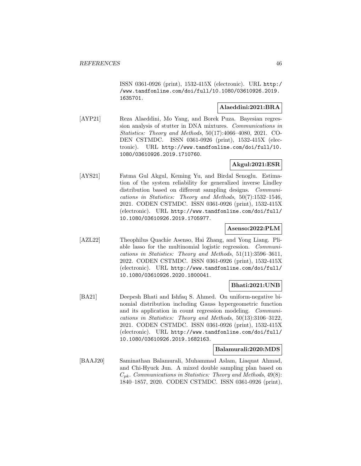ISSN 0361-0926 (print), 1532-415X (electronic). URL http:/ /www.tandfonline.com/doi/full/10.1080/03610926.2019. 1635701.

# **Alaeddini:2021:BRA**

[AYP21] Reza Alaeddini, Mo Yang, and Borek Puza. Bayesian regression analysis of stutter in DNA mixtures. Communications in Statistics: Theory and Methods, 50(17):4066–4080, 2021. CO-DEN CSTMDC. ISSN 0361-0926 (print), 1532-415X (electronic). URL http://www.tandfonline.com/doi/full/10. 1080/03610926.2019.1710760.

# **Akgul:2021:ESR**

[AYS21] Fatma Gul Akgul, Keming Yu, and Birdal Senoglu. Estimation of the system reliability for generalized inverse Lindley distribution based on different sampling designs. *Communi*cations in Statistics: Theory and Methods, 50(7):1532–1546, 2021. CODEN CSTMDC. ISSN 0361-0926 (print), 1532-415X (electronic). URL http://www.tandfonline.com/doi/full/ 10.1080/03610926.2019.1705977.

#### **Asenso:2022:PLM**

[AZL22] Theophilus Quachie Asenso, Hai Zhang, and Yong Liang. Pliable lasso for the multinomial logistic regression. Communications in Statistics: Theory and Methods, 51(11):3596–3611, 2022. CODEN CSTMDC. ISSN 0361-0926 (print), 1532-415X (electronic). URL http://www.tandfonline.com/doi/full/ 10.1080/03610926.2020.1800041.

# **Bhati:2021:UNB**

[BA21] Deepesh Bhati and Ishfaq S. Ahmed. On uniform-negative binomial distribution including Gauss hypergeometric function and its application in count regression modeling. Communications in Statistics: Theory and Methods, 50(13):3106–3122, 2021. CODEN CSTMDC. ISSN 0361-0926 (print), 1532-415X (electronic). URL http://www.tandfonline.com/doi/full/ 10.1080/03610926.2019.1682163.

#### **Balamurali:2020:MDS**

[BAAJ20] Saminathan Balamurali, Muhammad Aslam, Liaquat Ahmad, and Chi-Hyuck Jun. A mixed double sampling plan based on  $C_{pk}$ . Communications in Statistics: Theory and Methods, 49(8): 1840–1857, 2020. CODEN CSTMDC. ISSN 0361-0926 (print),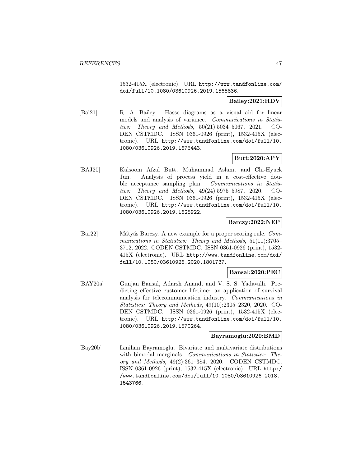1532-415X (electronic). URL http://www.tandfonline.com/ doi/full/10.1080/03610926.2019.1565836.

# **Bailey:2021:HDV**

[Bai21] R. A. Bailey. Hasse diagrams as a visual aid for linear models and analysis of variance. Communications in Statistics: Theory and Methods, 50(21):5034–5067, 2021. CO-DEN CSTMDC. ISSN 0361-0926 (print), 1532-415X (electronic). URL http://www.tandfonline.com/doi/full/10. 1080/03610926.2019.1676443.

# **Butt:2020:APY**

[BAJ20] Kalsoom Afzal Butt, Muhammad Aslam, and Chi-Hyuck Jun. Analysis of process yield in a cost-effective double acceptance sampling plan. Communications in Statistics: Theory and Methods, 49(24):5975–5987, 2020. CO-DEN CSTMDC. ISSN 0361-0926 (print), 1532-415X (electronic). URL http://www.tandfonline.com/doi/full/10. 1080/03610926.2019.1625922.

## **Barczy:2022:NEP**

[Bar22] M´aty´as Barczy. A new example for a proper scoring rule. Communications in Statistics: Theory and Methods, 51(11):3705– 3712, 2022. CODEN CSTMDC. ISSN 0361-0926 (print), 1532- 415X (electronic). URL http://www.tandfonline.com/doi/ full/10.1080/03610926.2020.1801737.

#### **Bansal:2020:PEC**

[BAY20a] Gunjan Bansal, Adarsh Anand, and V. S. S. Yadavalli. Predicting effective customer lifetime: an application of survival analysis for telecommunication industry. Communications in Statistics: Theory and Methods, 49(10):2305–2320, 2020. CO-DEN CSTMDC. ISSN 0361-0926 (print), 1532-415X (electronic). URL http://www.tandfonline.com/doi/full/10. 1080/03610926.2019.1570264.

#### **Bayramoglu:2020:BMD**

[Bay20b] Ismihan Bayramoglu. Bivariate and multivariate distributions with bimodal marginals. Communications in Statistics: Theory and Methods, 49(2):361–384, 2020. CODEN CSTMDC. ISSN 0361-0926 (print), 1532-415X (electronic). URL http:/ /www.tandfonline.com/doi/full/10.1080/03610926.2018. 1543766.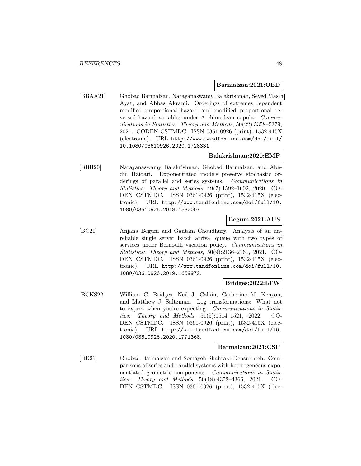#### **Barmalzan:2021:OED**

[BBAA21] Ghobad Barmalzan, Narayanaswamy Balakrishnan, Seyed Masih Ayat, and Abbas Akrami. Orderings of extremes dependent modified proportional hazard and modified proportional reversed hazard variables under Archimedean copula. Communications in Statistics: Theory and Methods, 50(22):5358–5379, 2021. CODEN CSTMDC. ISSN 0361-0926 (print), 1532-415X (electronic). URL http://www.tandfonline.com/doi/full/ 10.1080/03610926.2020.1728331.

# **Balakrishnan:2020:EMP**

[BBH20] Narayanaswamy Balakrishnan, Ghobad Barmalzan, and Abedin Haidari. Exponentiated models preserve stochastic orderings of parallel and series systems. Communications in Statistics: Theory and Methods, 49(7):1592–1602, 2020. CO-DEN CSTMDC. ISSN 0361-0926 (print), 1532-415X (electronic). URL http://www.tandfonline.com/doi/full/10. 1080/03610926.2018.1532007.

## **Begum:2021:AUS**

[BC21] Anjana Begum and Gautam Choudhury. Analysis of an unreliable single server batch arrival queue with two types of services under Bernoulli vacation policy. Communications in Statistics: Theory and Methods, 50(9):2136–2160, 2021. CO-DEN CSTMDC. ISSN 0361-0926 (print), 1532-415X (electronic). URL http://www.tandfonline.com/doi/full/10. 1080/03610926.2019.1659972.

#### **Bridges:2022:LTW**

[BCKS22] William C. Bridges, Neil J. Calkin, Catherine M. Kenyon, and Matthew J. Saltzman. Log transformations: What not to expect when you're expecting. Communications in Statistics: Theory and Methods, 51(5):1514–1521, 2022. CO-DEN CSTMDC. ISSN 0361-0926 (print), 1532-415X (electronic). URL http://www.tandfonline.com/doi/full/10. 1080/03610926.2020.1771368.

#### **Barmalzan:2021:CSP**

[BD21] Ghobad Barmalzan and Somayeh Shahraki Dehsukhteh. Comparisons of series and parallel systems with heterogeneous exponentiated geometric components. Communications in Statistics: Theory and Methods, 50(18):4352–4366, 2021. CO-DEN CSTMDC. ISSN 0361-0926 (print), 1532-415X (elec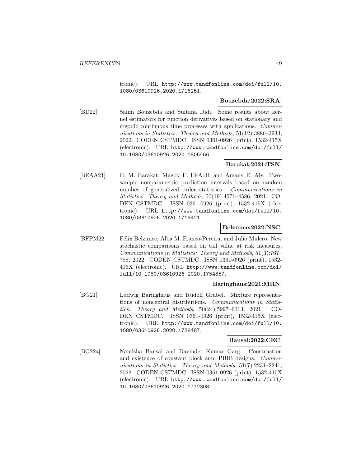tronic). URL http://www.tandfonline.com/doi/full/10. 1080/03610926.2020.1716251.

#### **Bouzebda:2022:SRA**

[BD22] Salim Bouzebda and Sultana Didi. Some results about kernel estimators for function derivatives based on stationary and ergodic continuous time processes with applications. Communications in Statistics: Theory and Methods, 51(12):3886–3933, 2022. CODEN CSTMDC. ISSN 0361-0926 (print), 1532-415X (electronic). URL http://www.tandfonline.com/doi/full/ 10.1080/03610926.2020.1805466.

# **Barakat:2021:TSN**

[BEAA21] H. M. Barakat, Magdy E. El-Adll, and Amany E. Aly. Twosample nonparametric prediction intervals based on random number of generalized order statistics. Communications in Statistics: Theory and Methods, 50(19):4571–4586, 2021. CO-DEN CSTMDC. ISSN 0361-0926 (print), 1532-415X (electronic). URL http://www.tandfonline.com/doi/full/10. 1080/03610926.2020.1719421.

#### **Belzunce:2022:NSC**

[BFPM22] Félix Belzunce, Alba M. Franco-Pereira, and Julio Mulero. New stochastic comparisons based on tail value at risk measures. Communications in Statistics: Theory and Methods, 51(3):767– 788, 2022. CODEN CSTMDC. ISSN 0361-0926 (print), 1532- 415X (electronic). URL http://www.tandfonline.com/doi/ full/10.1080/03610926.2020.1754857.

### **Baringhaus:2021:MRN**

[BG21] Ludwig Baringhaus and Rudolf Grübel. Mixture representations of noncentral distributions. Communications in Statistics: Theory and Methods, 50(24):5997–6013, 2021. CO-DEN CSTMDC. ISSN 0361-0926 (print), 1532-415X (electronic). URL http://www.tandfonline.com/doi/full/10. 1080/03610926.2020.1738487.

### **Bansal:2022:CEC**

[BG22a] Namisha Bansal and Davinder Kumar Garg. Construction and existence of constant block sum PBIB designs. Communications in Statistics: Theory and Methods, 51(7):2231-2241, 2022. CODEN CSTMDC. ISSN 0361-0926 (print), 1532-415X (electronic). URL http://www.tandfonline.com/doi/full/ 10.1080/03610926.2020.1772308.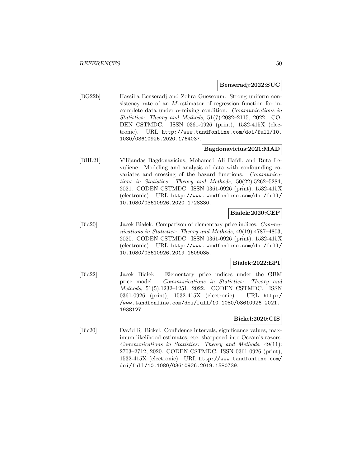#### **Benseradj:2022:SUC**

[BG22b] Hassiba Benseradj and Zohra Guessoum. Strong uniform consistency rate of an M-estimator of regression function for incomplete data under  $\alpha$ -mixing condition. Communications in Statistics: Theory and Methods, 51(7):2082–2115, 2022. CO-DEN CSTMDC. ISSN 0361-0926 (print), 1532-415X (electronic). URL http://www.tandfonline.com/doi/full/10. 1080/03610926.2020.1764037.

#### **Bagdonavicius:2021:MAD**

[BHL21] Vilijandas Bagdonavicius, Mohamed Ali Hafdi, and Ruta Levuliene. Modeling and analysis of data with confounding covariates and crossing of the hazard functions. Communications in Statistics: Theory and Methods, 50(22):5262–5284, 2021. CODEN CSTMDC. ISSN 0361-0926 (print), 1532-415X (electronic). URL http://www.tandfonline.com/doi/full/ 10.1080/03610926.2020.1728330.

# **Bialek:2020:CEP**

[Bia20] Jacek Białek. Comparison of elementary price indices. Communications in Statistics: Theory and Methods, 49(19):4787–4803, 2020. CODEN CSTMDC. ISSN 0361-0926 (print), 1532-415X (electronic). URL http://www.tandfonline.com/doi/full/ 10.1080/03610926.2019.1609035.

### **Bialek:2022:EPI**

[Bia22] Jacek Białek. Elementary price indices under the GBM price model. Communications in Statistics: Theory and Methods, 51(5):1232–1251, 2022. CODEN CSTMDC. ISSN 0361-0926 (print), 1532-415X (electronic). URL http:/ /www.tandfonline.com/doi/full/10.1080/03610926.2021. 1938127.

### **Bickel:2020:CIS**

[Bic20] David R. Bickel. Confidence intervals, significance values, maximum likelihood estimates, etc. sharpened into Occam's razors. Communications in Statistics: Theory and Methods, 49(11): 2703–2712, 2020. CODEN CSTMDC. ISSN 0361-0926 (print), 1532-415X (electronic). URL http://www.tandfonline.com/ doi/full/10.1080/03610926.2019.1580739.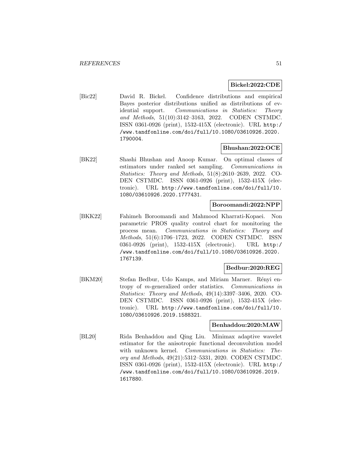#### **Bickel:2022:CDE**

[Bic22] David R. Bickel. Confidence distributions and empirical Bayes posterior distributions unified as distributions of evidential support. Communications in Statistics: Theory and Methods, 51(10):3142–3163, 2022. CODEN CSTMDC. ISSN 0361-0926 (print), 1532-415X (electronic). URL http:/ /www.tandfonline.com/doi/full/10.1080/03610926.2020. 1790004.

### **Bhushan:2022:OCE**

[BK22] Shashi Bhushan and Anoop Kumar. On optimal classes of estimators under ranked set sampling. Communications in Statistics: Theory and Methods, 51(8):2610–2639, 2022. CO-DEN CSTMDC. ISSN 0361-0926 (print), 1532-415X (electronic). URL http://www.tandfonline.com/doi/full/10. 1080/03610926.2020.1777431.

## **Boroomandi:2022:NPP**

[BKK22] Fahimeh Boroomandi and Mahmood Kharrati-Kopaei. Non parametric PROS quality control chart for monitoring the process mean. Communications in Statistics: Theory and Methods, 51(6):1706–1723, 2022. CODEN CSTMDC. ISSN 0361-0926 (print), 1532-415X (electronic). URL http:/ /www.tandfonline.com/doi/full/10.1080/03610926.2020. 1767139.

#### **Bedbur:2020:REG**

[BKM20] Stefan Bedbur, Udo Kamps, and Miriam Marner. Rényi entropy of m-generalized order statistics. Communications in Statistics: Theory and Methods, 49(14):3397–3406, 2020. CO-DEN CSTMDC. ISSN 0361-0926 (print), 1532-415X (electronic). URL http://www.tandfonline.com/doi/full/10. 1080/03610926.2019.1588321.

#### **Benhaddou:2020:MAW**

[BL20] Rida Benhaddou and Qing Liu. Minimax adaptive wavelet estimator for the anisotropic functional deconvolution model with unknown kernel. *Communications in Statistics: The*ory and Methods, 49(21):5312–5331, 2020. CODEN CSTMDC. ISSN 0361-0926 (print), 1532-415X (electronic). URL http:/ /www.tandfonline.com/doi/full/10.1080/03610926.2019. 1617880.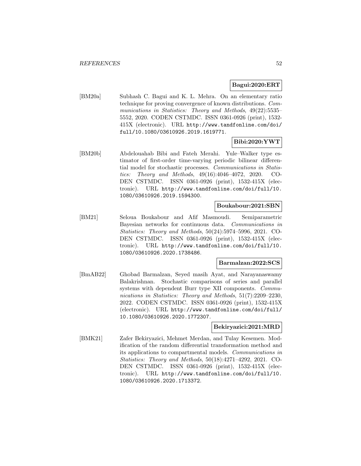### **Bagui:2020:ERT**

[BM20a] Subhash C. Bagui and K. L. Mehra. On an elementary ratio technique for proving convergence of known distributions. Communications in Statistics: Theory and Methods, 49(22):5535– 5552, 2020. CODEN CSTMDC. ISSN 0361-0926 (print), 1532- 415X (electronic). URL http://www.tandfonline.com/doi/ full/10.1080/03610926.2019.1619771.

## **Bibi:2020:YWT**

[BM20b] Abdelouahab Bibi and Fateh Merahi. Yule–Walker type estimator of first-order time-varying periodic bilinear differential model for stochastic processes. Communications in Statistics: Theory and Methods, 49(16):4046–4072, 2020. CO-DEN CSTMDC. ISSN 0361-0926 (print), 1532-415X (electronic). URL http://www.tandfonline.com/doi/full/10. 1080/03610926.2019.1594300.

#### **Boukabour:2021:SBN**

[BM21] Seloua Boukabour and Afif Masmoudi. Semiparametric Bayesian networks for continuous data. Communications in Statistics: Theory and Methods, 50(24):5974–5996, 2021. CO-DEN CSTMDC. ISSN 0361-0926 (print), 1532-415X (electronic). URL http://www.tandfonline.com/doi/full/10. 1080/03610926.2020.1738486.

## **Barmalzan:2022:SCS**

[BmAB22] Ghobad Barmalzan, Seyed masih Ayat, and Narayanaswamy Balakrishnan. Stochastic comparisons of series and parallel systems with dependent Burr type XII components. *Commu*nications in Statistics: Theory and Methods, 51(7):2209–2230, 2022. CODEN CSTMDC. ISSN 0361-0926 (print), 1532-415X (electronic). URL http://www.tandfonline.com/doi/full/ 10.1080/03610926.2020.1772307.

#### **Bekiryazici:2021:MRD**

[BMK21] Zafer Bekiryazici, Mehmet Merdan, and Tulay Kesemen. Modification of the random differential transformation method and its applications to compartmental models. Communications in Statistics: Theory and Methods, 50(18):4271–4292, 2021. CO-DEN CSTMDC. ISSN 0361-0926 (print), 1532-415X (electronic). URL http://www.tandfonline.com/doi/full/10. 1080/03610926.2020.1713372.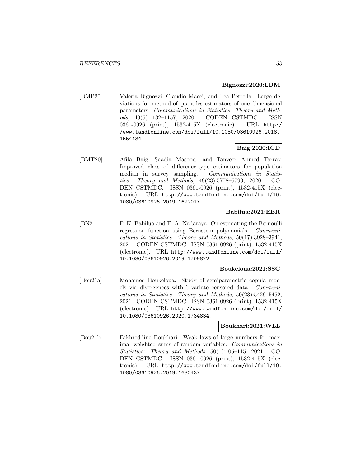#### **Bignozzi:2020:LDM**

[BMP20] Valeria Bignozzi, Claudio Macci, and Lea Petrella. Large deviations for method-of-quantiles estimators of one-dimensional parameters. Communications in Statistics: Theory and Methods, 49(5):1132–1157, 2020. CODEN CSTMDC. ISSN 0361-0926 (print), 1532-415X (electronic). URL http:/ /www.tandfonline.com/doi/full/10.1080/03610926.2018. 1554134.

### **Baig:2020:ICD**

[BMT20] Afifa Baig, Saadia Masood, and Tanveer Ahmed Tarray. Improved class of difference-type estimators for population median in survey sampling. Communications in Statistics: Theory and Methods, 49(23):5778–5793, 2020. CO-DEN CSTMDC. ISSN 0361-0926 (print), 1532-415X (electronic). URL http://www.tandfonline.com/doi/full/10. 1080/03610926.2019.1622017.

#### **Babilua:2021:EBR**

[BN21] P. K. Babilua and E. A. Nadaraya. On estimating the Bernoulli regression function using Bernstein polynomials. Communications in Statistics: Theory and Methods, 50(17):3928–3941, 2021. CODEN CSTMDC. ISSN 0361-0926 (print), 1532-415X (electronic). URL http://www.tandfonline.com/doi/full/ 10.1080/03610926.2019.1709872.

#### **Boukeloua:2021:SSC**

[Bou21a] Mohamed Boukeloua. Study of semiparametric copula models via divergences with bivariate censored data. Communications in Statistics: Theory and Methods, 50(23):5429–5452, 2021. CODEN CSTMDC. ISSN 0361-0926 (print), 1532-415X (electronic). URL http://www.tandfonline.com/doi/full/ 10.1080/03610926.2020.1734834.

#### **Boukhari:2021:WLL**

[Bou21b] Fakhreddine Boukhari. Weak laws of large numbers for maximal weighted sums of random variables. Communications in Statistics: Theory and Methods, 50(1):105–115, 2021. CO-DEN CSTMDC. ISSN 0361-0926 (print), 1532-415X (electronic). URL http://www.tandfonline.com/doi/full/10. 1080/03610926.2019.1630437.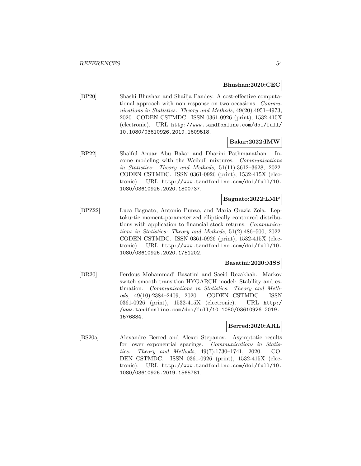#### **Bhushan:2020:CEC**

[BP20] Shashi Bhushan and Shailja Pandey. A cost-effective computational approach with non response on two occasions. Communications in Statistics: Theory and Methods, 49(20):4951–4973, 2020. CODEN CSTMDC. ISSN 0361-0926 (print), 1532-415X (electronic). URL http://www.tandfonline.com/doi/full/ 10.1080/03610926.2019.1609518.

#### **Bakar:2022:IMW**

[BP22] Shaiful Anuar Abu Bakar and Dharini Pathmanathan. Income modeling with the Weibull mixtures. Communications in Statistics: Theory and Methods, 51(11):3612–3628, 2022. CODEN CSTMDC. ISSN 0361-0926 (print), 1532-415X (electronic). URL http://www.tandfonline.com/doi/full/10. 1080/03610926.2020.1800737.

#### **Bagnato:2022:LMP**

[BPZ22] Luca Bagnato, Antonio Punzo, and Maria Grazia Zoia. Leptokurtic moment-parameterized elliptically contoured distributions with application to financial stock returns. Communications in Statistics: Theory and Methods, 51(2):486–500, 2022. CODEN CSTMDC. ISSN 0361-0926 (print), 1532-415X (electronic). URL http://www.tandfonline.com/doi/full/10. 1080/03610926.2020.1751202.

## **Basatini:2020:MSS**

[BR20] Ferdous Mohammadi Basatini and Saeid Rezakhah. Markov switch smooth transition HYGARCH model: Stability and estimation. Communications in Statistics: Theory and Methods, 49(10):2384–2409, 2020. CODEN CSTMDC. ISSN 0361-0926 (print), 1532-415X (electronic). URL http:/ /www.tandfonline.com/doi/full/10.1080/03610926.2019. 1576884.

#### **Berred:2020:ARL**

[BS20a] Alexandre Berred and Alexei Stepanov. Asymptotic results for lower exponential spacings. Communications in Statistics: Theory and Methods, 49(7):1730–1741, 2020. CO-DEN CSTMDC. ISSN 0361-0926 (print), 1532-415X (electronic). URL http://www.tandfonline.com/doi/full/10. 1080/03610926.2019.1565781.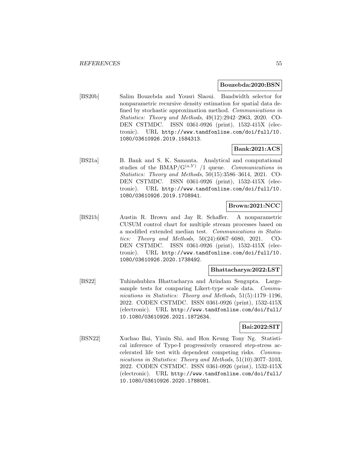#### **Bouzebda:2020:BSN**

[BS20b] Salim Bouzebda and Yousri Slaoui. Bandwidth selector for nonparametric recursive density estimation for spatial data defined by stochastic approximation method. Communications in Statistics: Theory and Methods, 49(12):2942–2963, 2020. CO-DEN CSTMDC. ISSN 0361-0926 (print), 1532-415X (electronic). URL http://www.tandfonline.com/doi/full/10. 1080/03610926.2019.1584313.

## **Bank:2021:ACS**

[BS21a] B. Bank and S. K. Samanta. Analytical and computational studies of the BMAP/ $G^{(a,Y)}$  /1 queue. Communications in Statistics: Theory and Methods, 50(15):3586–3614, 2021. CO-DEN CSTMDC. ISSN 0361-0926 (print), 1532-415X (electronic). URL http://www.tandfonline.com/doi/full/10. 1080/03610926.2019.1708941.

# **Brown:2021:NCC**

[BS21b] Austin R. Brown and Jay R. Schaffer. A nonparametric CUSUM control chart for multiple stream processes based on a modified extended median test. Communications in Statistics: Theory and Methods, 50(24):6067–6080, 2021. CO-DEN CSTMDC. ISSN 0361-0926 (print), 1532-415X (electronic). URL http://www.tandfonline.com/doi/full/10. 1080/03610926.2020.1738492.

#### **Bhattacharya:2022:LST**

[BS22] Tuhinshubhra Bhattacharya and Arindam Sengupta. Largesample tests for comparing Likert-type scale data. Communications in Statistics: Theory and Methods, 51(5):1179–1196, 2022. CODEN CSTMDC. ISSN 0361-0926 (print), 1532-415X (electronic). URL http://www.tandfonline.com/doi/full/ 10.1080/03610926.2021.1872634.

## **Bai:2022:SIT**

[BSN22] Xuchao Bai, Yimin Shi, and Hon Keung Tony Ng. Statistical inference of Type-I progressively censored step-stress accelerated life test with dependent competing risks. Communications in Statistics: Theory and Methods, 51(10):3077–3103, 2022. CODEN CSTMDC. ISSN 0361-0926 (print), 1532-415X (electronic). URL http://www.tandfonline.com/doi/full/ 10.1080/03610926.2020.1788081.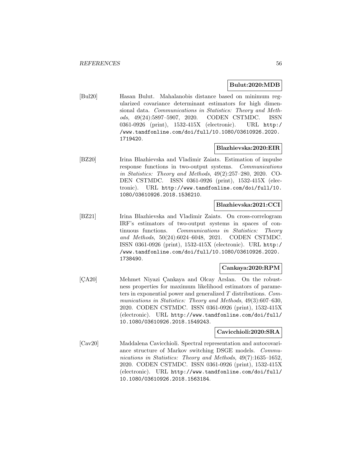#### **Bulut:2020:MDB**

[Bul20] Hasan Bulut. Mahalanobis distance based on minimum regularized covariance determinant estimators for high dimensional data. Communications in Statistics: Theory and Methods, 49(24):5897–5907, 2020. CODEN CSTMDC. ISSN 0361-0926 (print), 1532-415X (electronic). URL http:/ /www.tandfonline.com/doi/full/10.1080/03610926.2020. 1719420.

### **Blazhievska:2020:EIR**

[BZ20] Irina Blazhievska and Vladimir Zaiats. Estimation of impulse response functions in two-output systems. Communications in Statistics: Theory and Methods, 49(2):257–280, 2020. CO-DEN CSTMDC. ISSN 0361-0926 (print), 1532-415X (electronic). URL http://www.tandfonline.com/doi/full/10. 1080/03610926.2018.1536210.

## **Blazhievska:2021:CCI**

[BZ21] Irina Blazhievska and Vladimir Zaiats. On cross-correlogram IRF's estimators of two-output systems in spaces of continuous functions. Communications in Statistics: Theory and Methods, 50(24):6024–6048, 2021. CODEN CSTMDC. ISSN 0361-0926 (print), 1532-415X (electronic). URL http:/ /www.tandfonline.com/doi/full/10.1080/03610926.2020. 1738490.

#### **Cankaya:2020:RPM**

[CA20] Mehmet Niyazi Çankaya and Olcay Arslan. On the robustness properties for maximum likelihood estimators of parameters in exponential power and generalized T distributions. Communications in Statistics: Theory and Methods, 49(3):607–630, 2020. CODEN CSTMDC. ISSN 0361-0926 (print), 1532-415X (electronic). URL http://www.tandfonline.com/doi/full/ 10.1080/03610926.2018.1549243.

#### **Cavicchioli:2020:SRA**

[Cav20] Maddalena Cavicchioli. Spectral representation and autocovariance structure of Markov switching DSGE models. Communications in Statistics: Theory and Methods, 49(7):1635–1652, 2020. CODEN CSTMDC. ISSN 0361-0926 (print), 1532-415X (electronic). URL http://www.tandfonline.com/doi/full/ 10.1080/03610926.2018.1563184.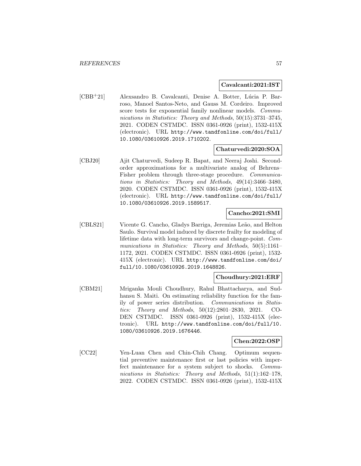#### **Cavalcanti:2021:IST**

[CBB<sup>+</sup>21] Alexsandro B. Cavalcanti, Denise A. Botter, Lúcia P. Barroso, Manoel Santos-Neto, and Gauss M. Cordeiro. Improved score tests for exponential family nonlinear models. Communications in Statistics: Theory and Methods, 50(15):3731–3745, 2021. CODEN CSTMDC. ISSN 0361-0926 (print), 1532-415X (electronic). URL http://www.tandfonline.com/doi/full/ 10.1080/03610926.2019.1710202.

#### **Chaturvedi:2020:SOA**

[CBJ20] Ajit Chaturvedi, Sudeep R. Bapat, and Neeraj Joshi. Secondorder approximations for a multivariate analog of Behrens– Fisher problem through three-stage procedure. Communications in Statistics: Theory and Methods, 49(14):3466–3480, 2020. CODEN CSTMDC. ISSN 0361-0926 (print), 1532-415X (electronic). URL http://www.tandfonline.com/doi/full/ 10.1080/03610926.2019.1589517.

# **Cancho:2021:SMI**

[CBLS21] Vicente G. Cancho, Gladys Barriga, Jeremias Leão, and Helton Saulo. Survival model induced by discrete frailty for modeling of lifetime data with long-term survivors and change-point. Communications in Statistics: Theory and Methods, 50(5):1161– 1172, 2021. CODEN CSTMDC. ISSN 0361-0926 (print), 1532- 415X (electronic). URL http://www.tandfonline.com/doi/ full/10.1080/03610926.2019.1648826.

# **Choudhury:2021:ERF**

[CBM21] Mriganka Mouli Choudhury, Rahul Bhattacharya, and Sudhansu S. Maiti. On estimating reliability function for the family of power series distribution. Communications in Statistics: Theory and Methods, 50(12):2801–2830, 2021. CO-DEN CSTMDC. ISSN 0361-0926 (print), 1532-415X (electronic). URL http://www.tandfonline.com/doi/full/10. 1080/03610926.2019.1676446.

#### **Chen:2022:OSP**

[CC22] Yen-Luan Chen and Chin-Chih Chang. Optimum sequential preventive maintenance first or last policies with imperfect maintenance for a system subject to shocks. Communications in Statistics: Theory and Methods, 51(1):162-178, 2022. CODEN CSTMDC. ISSN 0361-0926 (print), 1532-415X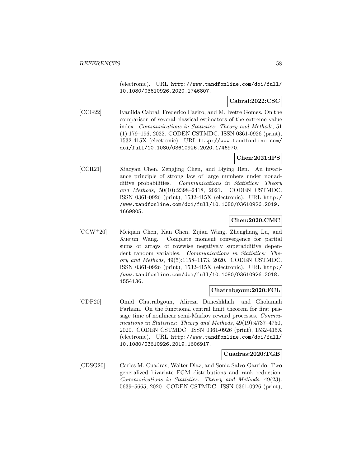(electronic). URL http://www.tandfonline.com/doi/full/ 10.1080/03610926.2020.1746807.

# **Cabral:2022:CSC**

[CCG22] Ivanilda Cabral, Frederico Caeiro, and M. Ivette Gomes. On the comparison of several classical estimators of the extreme value index. Communications in Statistics: Theory and Methods, 51 (1):179–196, 2022. CODEN CSTMDC. ISSN 0361-0926 (print), 1532-415X (electronic). URL http://www.tandfonline.com/ doi/full/10.1080/03610926.2020.1746970.

## **Chen:2021:IPS**

[CCR21] Xiaoyan Chen, Zengjing Chen, and Liying Ren. An invariance principle of strong law of large numbers under nonadditive probabilities. Communications in Statistics: Theory and Methods, 50(10):2398–2418, 2021. CODEN CSTMDC. ISSN 0361-0926 (print), 1532-415X (electronic). URL http:/ /www.tandfonline.com/doi/full/10.1080/03610926.2019. 1669805.

#### **Chen:2020:CMC**

[CCW<sup>+</sup>20] Meiqian Chen, Kan Chen, Zijian Wang, Zhengliang Lu, and Xuejun Wang. Complete moment convergence for partial sums of arrays of rowwise negatively superadditive dependent random variables. Communications in Statistics: Theory and Methods, 49(5):1158–1173, 2020. CODEN CSTMDC. ISSN 0361-0926 (print), 1532-415X (electronic). URL http:/ /www.tandfonline.com/doi/full/10.1080/03610926.2018. 1554136.

#### **Chatrabgoun:2020:FCL**

[CDP20] Omid Chatrabgoun, Alireza Daneshkhah, and Gholamali Parham. On the functional central limit theorem for first passage time of nonlinear semi-Markov reward processes. Communications in Statistics: Theory and Methods, 49(19):4737–4750, 2020. CODEN CSTMDC. ISSN 0361-0926 (print), 1532-415X (electronic). URL http://www.tandfonline.com/doi/full/ 10.1080/03610926.2019.1606917.

#### **Cuadras:2020:TGB**

[CDSG20] Carles M. Cuadras, Walter Diaz, and Sonia Salvo-Garrido. Two generalized bivariate FGM distributions and rank reduction. Communications in Statistics: Theory and Methods, 49(23): 5639–5665, 2020. CODEN CSTMDC. ISSN 0361-0926 (print),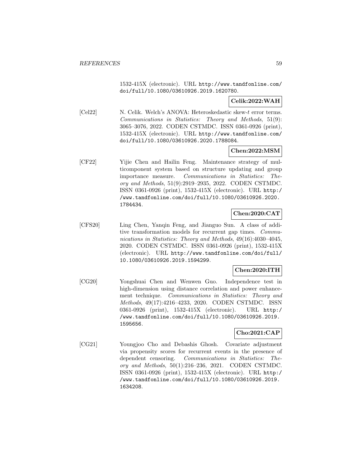1532-415X (electronic). URL http://www.tandfonline.com/ doi/full/10.1080/03610926.2019.1620780.

## **Celik:2022:WAH**

[Cel22] N. Celik. Welch's ANOVA: Heteroskedastic skew-t error terms. Communications in Statistics: Theory and Methods, 51(9): 3065–3076, 2022. CODEN CSTMDC. ISSN 0361-0926 (print), 1532-415X (electronic). URL http://www.tandfonline.com/ doi/full/10.1080/03610926.2020.1788084.

## **Chen:2022:MSM**

[CF22] Yijie Chen and Hailin Feng. Maintenance strategy of multicomponent system based on structure updating and group importance measure. Communications in Statistics: Theory and Methods, 51(9):2919–2935, 2022. CODEN CSTMDC. ISSN 0361-0926 (print), 1532-415X (electronic). URL http:/ /www.tandfonline.com/doi/full/10.1080/03610926.2020. 1784434.

# **Chen:2020:CAT**

[CFS20] Ling Chen, Yanqin Feng, and Jianguo Sun. A class of additive transformation models for recurrent gap times. Communications in Statistics: Theory and Methods, 49(16):4030–4045, 2020. CODEN CSTMDC. ISSN 0361-0926 (print), 1532-415X (electronic). URL http://www.tandfonline.com/doi/full/ 10.1080/03610926.2019.1594299.

#### **Chen:2020:ITH**

[CG20] Yongshuai Chen and Wenwen Guo. Independence test in high-dimension using distance correlation and power enhancement technique. Communications in Statistics: Theory and Methods, 49(17):4216–4233, 2020. CODEN CSTMDC. ISSN 0361-0926 (print), 1532-415X (electronic). URL http:/ /www.tandfonline.com/doi/full/10.1080/03610926.2019. 1595656.

# **Cho:2021:CAP**

[CG21] Youngjoo Cho and Debashis Ghosh. Covariate adjustment via propensity scores for recurrent events in the presence of dependent censoring. Communications in Statistics: Theory and Methods, 50(1):216–236, 2021. CODEN CSTMDC. ISSN 0361-0926 (print), 1532-415X (electronic). URL http:/ /www.tandfonline.com/doi/full/10.1080/03610926.2019. 1634208.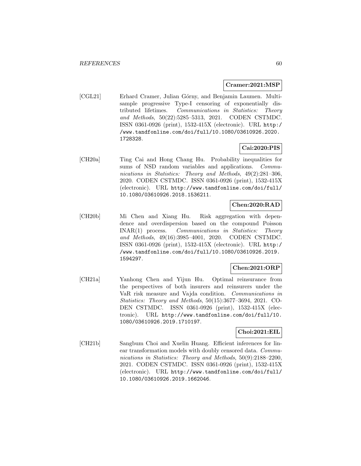#### **Cramer:2021:MSP**

[CGL21] Erhard Cramer, Julian Górny, and Benjamin Laumen. Multisample progressive Type-I censoring of exponentially distributed lifetimes. Communications in Statistics: Theory and Methods, 50(22):5285–5313, 2021. CODEN CSTMDC. ISSN 0361-0926 (print), 1532-415X (electronic). URL http:/ /www.tandfonline.com/doi/full/10.1080/03610926.2020. 1728328.

#### **Cai:2020:PIS**

[CH20a] Ting Cai and Hong Chang Hu. Probability inequalities for sums of NSD random variables and applications. Communications in Statistics: Theory and Methods, 49(2):281–306, 2020. CODEN CSTMDC. ISSN 0361-0926 (print), 1532-415X (electronic). URL http://www.tandfonline.com/doi/full/ 10.1080/03610926.2018.1536211.

## **Chen:2020:RAD**

[CH20b] Mi Chen and Xiang Hu. Risk aggregation with dependence and overdispersion based on the compound Poisson INAR(1) process. Communications in Statistics: Theory and Methods, 49(16):3985–4001, 2020. CODEN CSTMDC. ISSN 0361-0926 (print), 1532-415X (electronic). URL http:/ /www.tandfonline.com/doi/full/10.1080/03610926.2019. 1594297.

### **Chen:2021:ORP**

[CH21a] Yanhong Chen and Yijun Hu. Optimal reinsurance from the perspectives of both insurers and reinsurers under the VaR risk measure and Vajda condition. Communications in Statistics: Theory and Methods, 50(15):3677–3694, 2021. CO-DEN CSTMDC. ISSN 0361-0926 (print), 1532-415X (electronic). URL http://www.tandfonline.com/doi/full/10. 1080/03610926.2019.1710197.

### **Choi:2021:EIL**

[CH21b] Sangbum Choi and Xuelin Huang. Efficient inferences for linear transformation models with doubly censored data. Communications in Statistics: Theory and Methods, 50(9):2188–2200, 2021. CODEN CSTMDC. ISSN 0361-0926 (print), 1532-415X (electronic). URL http://www.tandfonline.com/doi/full/ 10.1080/03610926.2019.1662046.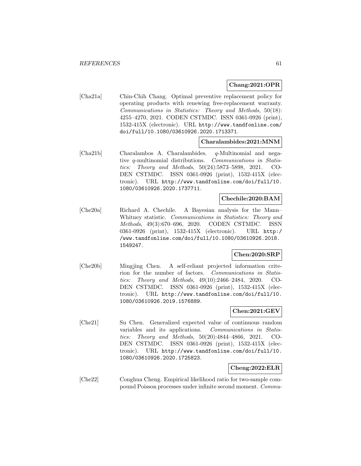#### **Chang:2021:OPR**

[Cha21a] Chin-Chih Chang. Optimal preventive replacement policy for operating products with renewing free-replacement warranty. Communications in Statistics: Theory and Methods, 50(18): 4255–4270, 2021. CODEN CSTMDC. ISSN 0361-0926 (print), 1532-415X (electronic). URL http://www.tandfonline.com/ doi/full/10.1080/03610926.2020.1713371.

#### **Charalambides:2021:MNM**

[Cha21b] Charalambos A. Charalambides. q-Multinomial and negative q-multinomial distributions. Communications in Statistics: Theory and Methods, 50(24):5873–5898, 2021. CO-DEN CSTMDC. ISSN 0361-0926 (print), 1532-415X (electronic). URL http://www.tandfonline.com/doi/full/10. 1080/03610926.2020.1737711.

#### **Chechile:2020:BAM**

[Che20a] Richard A. Chechile. A Bayesian analysis for the Mann– Whitney statistic. Communications in Statistics: Theory and Methods, 49(3):670–696, 2020. CODEN CSTMDC. ISSN 0361-0926 (print), 1532-415X (electronic). URL http:/ /www.tandfonline.com/doi/full/10.1080/03610926.2018. 1549247.

#### **Chen:2020:SRP**

[Che20b] Mingjing Chen. A self-reliant projected information criterion for the number of factors. Communications in Statistics: Theory and Methods, 49(10):2466–2484, 2020. CO-DEN CSTMDC. ISSN 0361-0926 (print), 1532-415X (electronic). URL http://www.tandfonline.com/doi/full/10. 1080/03610926.2019.1576889.

# **Chen:2021:GEV**

[Che21] Su Chen. Generalized expected value of continuous random variables and its applications. Communications in Statistics: Theory and Methods, 50(20):4844–4866, 2021. CO-DEN CSTMDC. ISSN 0361-0926 (print), 1532-415X (electronic). URL http://www.tandfonline.com/doi/full/10. 1080/03610926.2020.1725823.

### **Cheng:2022:ELR**

[Che22] Conghua Cheng. Empirical likelihood ratio for two-sample compound Poisson processes under infinite second moment. Commu-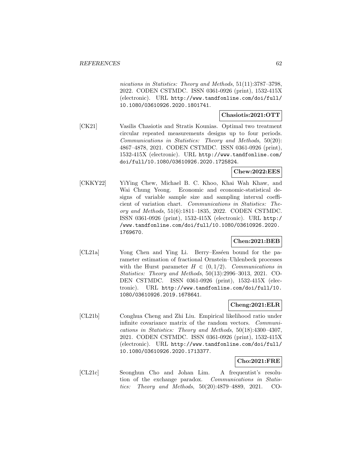nications in Statistics: Theory and Methods, 51(11):3787-3798. 2022. CODEN CSTMDC. ISSN 0361-0926 (print), 1532-415X (electronic). URL http://www.tandfonline.com/doi/full/ 10.1080/03610926.2020.1801741.

#### **Chasiotis:2021:OTT**

[CK21] Vasilis Chasiotis and Stratis Kounias. Optimal two treatment circular repeated measurements designs up to four periods. Communications in Statistics: Theory and Methods, 50(20): 4867–4878, 2021. CODEN CSTMDC. ISSN 0361-0926 (print), 1532-415X (electronic). URL http://www.tandfonline.com/ doi/full/10.1080/03610926.2020.1725824.

#### **Chew:2022:EES**

[CKKY22] YiYing Chew, Michael B. C. Khoo, Khai Wah Khaw, and Wai Chung Yeong. Economic and economic-statistical designs of variable sample size and sampling interval coefficient of variation chart. Communications in Statistics: Theory and Methods, 51(6):1811–1835, 2022. CODEN CSTMDC. ISSN 0361-0926 (print), 1532-415X (electronic). URL http:/ /www.tandfonline.com/doi/full/10.1080/03610926.2020. 1769670.

## **Chen:2021:BEB**

[CL21a] Yong Chen and Ying Li. Berry–Esséen bound for the parameter estimation of fractional Ornstein–Uhlenbeck processes with the Hurst parameter  $H \in (0, 1/2)$ . Communications in Statistics: Theory and Methods, 50(13):2996–3013, 2021. CO-DEN CSTMDC. ISSN 0361-0926 (print), 1532-415X (electronic). URL http://www.tandfonline.com/doi/full/10. 1080/03610926.2019.1678641.

### **Cheng:2021:ELR**

[CL21b] Conghua Cheng and Zhi Liu. Empirical likelihood ratio under infinite covariance matrix of the random vectors. Communications in Statistics: Theory and Methods, 50(18):4300–4307, 2021. CODEN CSTMDC. ISSN 0361-0926 (print), 1532-415X (electronic). URL http://www.tandfonline.com/doi/full/ 10.1080/03610926.2020.1713377.

## **Cho:2021:FRE**

[CL21c] Seonghun Cho and Johan Lim. A frequentist's resolution of the exchange paradox. Communications in Statistics: Theory and Methods, 50(20):4879–4889, 2021. CO-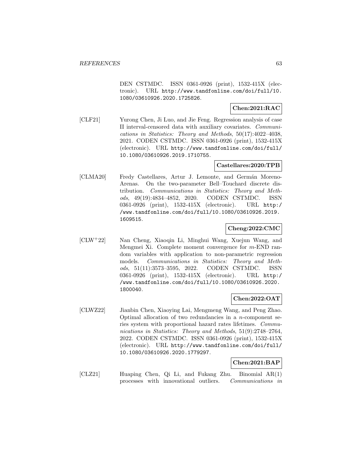DEN CSTMDC. ISSN 0361-0926 (print), 1532-415X (electronic). URL http://www.tandfonline.com/doi/full/10. 1080/03610926.2020.1725826.

## **Chen:2021:RAC**

[CLF21] Yurong Chen, Ji Luo, and Jie Feng. Regression analysis of case II interval-censored data with auxiliary covariates. Communications in Statistics: Theory and Methods, 50(17):4022–4038, 2021. CODEN CSTMDC. ISSN 0361-0926 (print), 1532-415X (electronic). URL http://www.tandfonline.com/doi/full/ 10.1080/03610926.2019.1710755.

### **Castellares:2020:TPB**

[CLMA20] Fredy Castellares, Artur J. Lemonte, and Germán Moreno-Arenas. On the two-parameter Bell–Touchard discrete distribution. Communications in Statistics: Theory and Methods, 49(19):4834–4852, 2020. CODEN CSTMDC. ISSN 0361-0926 (print), 1532-415X (electronic). URL http:/ /www.tandfonline.com/doi/full/10.1080/03610926.2019. 1609515.

## **Cheng:2022:CMC**

[CLW<sup>+</sup>22] Nan Cheng, Xiaoqin Li, Minghui Wang, Xuejun Wang, and Mengmei Xi. Complete moment convergence for m-END random variables with application to non-parametric regression models. Communications in Statistics: Theory and Methods, 51(11):3573–3595, 2022. CODEN CSTMDC. ISSN 0361-0926 (print), 1532-415X (electronic). URL http:/ /www.tandfonline.com/doi/full/10.1080/03610926.2020. 1800040.

#### **Chen:2022:OAT**

[CLWZ22] Jianbin Chen, Xiaoying Lai, Mengmeng Wang, and Peng Zhao. Optimal allocation of two redundancies in a  $n$ -component series system with proportional hazard rates lifetimes. Communications in Statistics: Theory and Methods, 51(9):2748–2764, 2022. CODEN CSTMDC. ISSN 0361-0926 (print), 1532-415X (electronic). URL http://www.tandfonline.com/doi/full/ 10.1080/03610926.2020.1779297.

#### **Chen:2021:BAP**

[CLZ21] Huaping Chen, Qi Li, and Fukang Zhu. Binomial AR(1) processes with innovational outliers. Communications in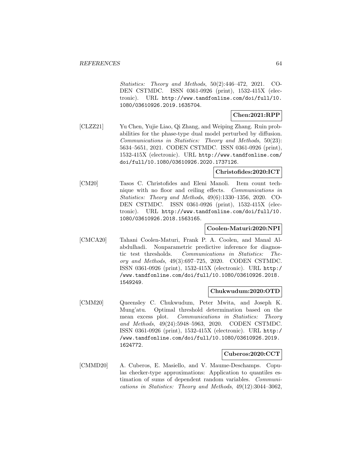Statistics: Theory and Methods, 50(2):446–472, 2021. CO-DEN CSTMDC. ISSN 0361-0926 (print), 1532-415X (electronic). URL http://www.tandfonline.com/doi/full/10. 1080/03610926.2019.1635704.

## **Chen:2021:RPP**

[CLZZ21] Yu Chen, Yujie Liao, Qi Zhang, and Weiping Zhang. Ruin probabilities for the phase-type dual model perturbed by diffusion. Communications in Statistics: Theory and Methods, 50(23): 5634–5651, 2021. CODEN CSTMDC. ISSN 0361-0926 (print), 1532-415X (electronic). URL http://www.tandfonline.com/ doi/full/10.1080/03610926.2020.1737126.

#### **Christofides:2020:ICT**

[CM20] Tasos C. Christofides and Eleni Manoli. Item count technique with no floor and ceiling effects. Communications in Statistics: Theory and Methods, 49(6):1330–1356, 2020. CO-DEN CSTMDC. ISSN 0361-0926 (print), 1532-415X (electronic). URL http://www.tandfonline.com/doi/full/10. 1080/03610926.2018.1563165.

#### **Coolen-Maturi:2020:NPI**

[CMCA20] Tahani Coolen-Maturi, Frank P. A. Coolen, and Manal Alabdulhadi. Nonparametric predictive inference for diagnostic test thresholds. Communications in Statistics: Theory and Methods, 49(3):697–725, 2020. CODEN CSTMDC. ISSN 0361-0926 (print), 1532-415X (electronic). URL http:/ /www.tandfonline.com/doi/full/10.1080/03610926.2018. 1549249.

#### **Chukwudum:2020:OTD**

[CMM20] Queensley C. Chukwudum, Peter Mwita, and Joseph K. Mung'atu. Optimal threshold determination based on the mean excess plot. Communications in Statistics: Theory and Methods, 49(24):5948–5963, 2020. CODEN CSTMDC. ISSN 0361-0926 (print), 1532-415X (electronic). URL http:/ /www.tandfonline.com/doi/full/10.1080/03610926.2019. 1624772.

#### **Cuberos:2020:CCT**

[CMMD20] A. Cuberos, E. Masiello, and V. Maume-Deschamps. Copulas checker-type approximations: Application to quantiles estimation of sums of dependent random variables. Communications in Statistics: Theory and Methods, 49(12):3044–3062,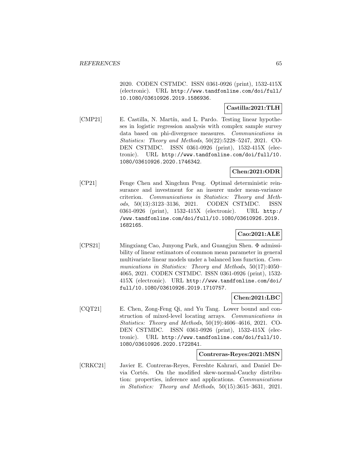2020. CODEN CSTMDC. ISSN 0361-0926 (print), 1532-415X (electronic). URL http://www.tandfonline.com/doi/full/ 10.1080/03610926.2019.1586936.

# **Castilla:2021:TLH**

[CMP21] E. Castilla, N. Martín, and L. Pardo. Testing linear hypotheses in logistic regression analysis with complex sample survey data based on phi-divergence measures. Communications in Statistics: Theory and Methods, 50(22):5228–5247, 2021. CO-DEN CSTMDC. ISSN 0361-0926 (print), 1532-415X (electronic). URL http://www.tandfonline.com/doi/full/10. 1080/03610926.2020.1746342.

# **Chen:2021:ODR**

[CP21] Fenge Chen and Xingchun Peng. Optimal deterministic reinsurance and investment for an insurer under mean-variance criterion. Communications in Statistics: Theory and Methods, 50(13):3123–3136, 2021. CODEN CSTMDC. ISSN 0361-0926 (print), 1532-415X (electronic). URL http:/ /www.tandfonline.com/doi/full/10.1080/03610926.2019. 1682165.

# **Cao:2021:ALE**

[CPS21] Mingxiang Cao, Junyong Park, and Guangjun Shen. Φ admissibility of linear estimators of common mean parameter in general multivariate linear models under a balanced loss function. Communications in Statistics: Theory and Methods, 50(17):4050– 4065, 2021. CODEN CSTMDC. ISSN 0361-0926 (print), 1532- 415X (electronic). URL http://www.tandfonline.com/doi/ full/10.1080/03610926.2019.1710757.

#### **Chen:2021:LBC**

[CQT21] E. Chen, Zong-Feng Qi, and Yu Tang. Lower bound and construction of mixed-level locating arrays. Communications in Statistics: Theory and Methods, 50(19):4606–4616, 2021. CO-DEN CSTMDC. ISSN 0361-0926 (print), 1532-415X (electronic). URL http://www.tandfonline.com/doi/full/10. 1080/03610926.2020.1722841.

### **Contreras-Reyes:2021:MSN**

[CRKC21] Javier E. Contreras-Reyes, Fereshte Kahrari, and Daniel Devia Cortés. On the modified skew-normal-Cauchy distribution: properties, inference and applications. Communications in Statistics: Theory and Methods, 50(15):3615–3631, 2021.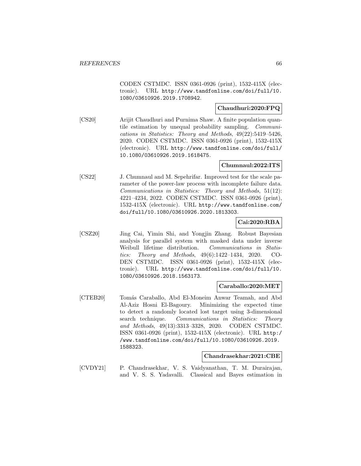CODEN CSTMDC. ISSN 0361-0926 (print), 1532-415X (electronic). URL http://www.tandfonline.com/doi/full/10. 1080/03610926.2019.1708942.

#### **Chaudhuri:2020:FPQ**

[CS20] Arijit Chaudhuri and Purnima Shaw. A finite population quantile estimation by unequal probability sampling. Communications in Statistics: Theory and Methods, 49(22):5419–5426, 2020. CODEN CSTMDC. ISSN 0361-0926 (print), 1532-415X (electronic). URL http://www.tandfonline.com/doi/full/ 10.1080/03610926.2019.1618475.

## **Chumnaul:2022:ITS**

[CS22] J. Chumnaul and M. Sepehrifar. Improved test for the scale parameter of the power-law process with incomplete failure data. Communications in Statistics: Theory and Methods, 51(12): 4221–4234, 2022. CODEN CSTMDC. ISSN 0361-0926 (print), 1532-415X (electronic). URL http://www.tandfonline.com/ doi/full/10.1080/03610926.2020.1813303.

## **Cai:2020:RBA**

[CSZ20] Jing Cai, Yimin Shi, and Yongjin Zhang. Robust Bayesian analysis for parallel system with masked data under inverse Weibull lifetime distribution. Communications in Statistics: Theory and Methods, 49(6):1422–1434, 2020. CO-DEN CSTMDC. ISSN 0361-0926 (print), 1532-415X (electronic). URL http://www.tandfonline.com/doi/full/10. 1080/03610926.2018.1563173.

#### **Caraballo:2020:MET**

[CTEB20] Tomás Caraballo, Abd El-Moneim Anwar Teamah, and Abd Al-Aziz Hosni El-Bagoury. Minimizing the expected time to detect a randomly located lost target using 3-dimensional search technique. Communications in Statistics: Theory and Methods, 49(13):3313–3328, 2020. CODEN CSTMDC. ISSN 0361-0926 (print), 1532-415X (electronic). URL http:/ /www.tandfonline.com/doi/full/10.1080/03610926.2019. 1588323.

#### **Chandrasekhar:2021:CBE**

[CVDY21] P. Chandrasekhar, V. S. Vaidyanathan, T. M. Durairajan, and V. S. S. Yadavalli. Classical and Bayes estimation in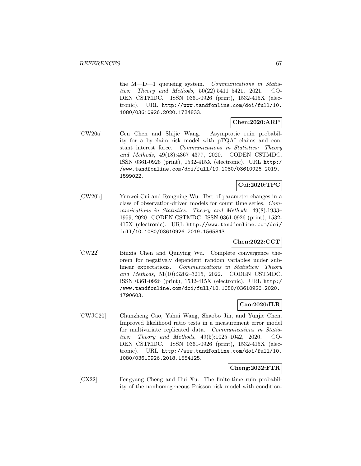the M—D—1 queueing system. Communications in Statistics: Theory and Methods, 50(22):5411–5421, 2021. CO-DEN CSTMDC. ISSN 0361-0926 (print), 1532-415X (electronic). URL http://www.tandfonline.com/doi/full/10. 1080/03610926.2020.1734833.

# **Chen:2020:ARP**

[CW20a] Cen Chen and Shijie Wang. Asymptotic ruin probability for a by-claim risk model with pTQAI claims and constant interest force. Communications in Statistics: Theory and Methods, 49(18):4367–4377, 2020. CODEN CSTMDC. ISSN 0361-0926 (print), 1532-415X (electronic). URL http:/ /www.tandfonline.com/doi/full/10.1080/03610926.2019. 1599022.

# **Cui:2020:TPC**

[CW20b] Yunwei Cui and Rongning Wu. Test of parameter changes in a class of observation-driven models for count time series. Communications in Statistics: Theory and Methods, 49(8):1933– 1959, 2020. CODEN CSTMDC. ISSN 0361-0926 (print), 1532- 415X (electronic). URL http://www.tandfonline.com/doi/ full/10.1080/03610926.2019.1565843.

# **Chen:2022:CCT**

[CW22] Binxia Chen and Qunying Wu. Complete convergence theorem for negatively dependent random variables under sublinear expectations. Communications in Statistics: Theory and Methods, 51(10):3202–3215, 2022. CODEN CSTMDC. ISSN 0361-0926 (print), 1532-415X (electronic). URL http:/ /www.tandfonline.com/doi/full/10.1080/03610926.2020. 1790603.

# **Cao:2020:ILR**

[CWJC20] Chunzheng Cao, Yahui Wang, Shaobo Jin, and Yunjie Chen. Improved likelihood ratio tests in a measurement error model for multivariate replicated data. Communications in Statistics: Theory and Methods, 49(5):1025–1042, 2020. CO-DEN CSTMDC. ISSN 0361-0926 (print), 1532-415X (electronic). URL http://www.tandfonline.com/doi/full/10. 1080/03610926.2018.1554125.

# **Cheng:2022:FTR**

[CX22] Fengyang Cheng and Hui Xu. The finite-time ruin probability of the nonhomogeneous Poisson risk model with condition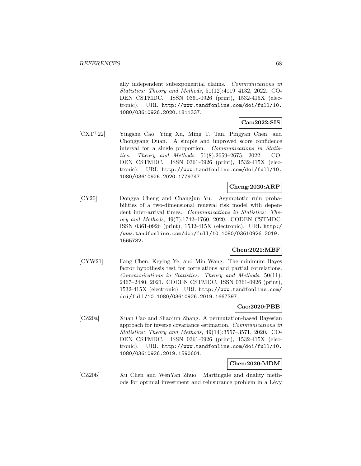ally independent subexponential claims. Communications in Statistics: Theory and Methods, 51(12):4119–4132, 2022. CO-DEN CSTMDC. ISSN 0361-0926 (print), 1532-415X (electronic). URL http://www.tandfonline.com/doi/full/10. 1080/03610926.2020.1811337.

# **Cao:2022:SIS**

[CXT<sup>+</sup>22] Yingshu Cao, Ying Xu, Ming T. Tan, Pingyan Chen, and Chongyang Duan. A simple and improved score confidence interval for a single proportion. Communications in Statistics: Theory and Methods, 51(8):2659–2675, 2022. CO-DEN CSTMDC. ISSN 0361-0926 (print), 1532-415X (electronic). URL http://www.tandfonline.com/doi/full/10. 1080/03610926.2020.1779747.

# **Cheng:2020:ARP**

[CY20] Dongya Cheng and Changjun Yu. Asymptotic ruin probabilities of a two-dimensional renewal risk model with dependent inter-arrival times. Communications in Statistics: Theory and Methods, 49(7):1742–1760, 2020. CODEN CSTMDC. ISSN 0361-0926 (print), 1532-415X (electronic). URL http:/ /www.tandfonline.com/doi/full/10.1080/03610926.2019. 1565782.

# **Chen:2021:MBF**

[CYW21] Fang Chen, Keying Ye, and Min Wang. The minimum Bayes factor hypothesis test for correlations and partial correlations. Communications in Statistics: Theory and Methods, 50(11): 2467–2480, 2021. CODEN CSTMDC. ISSN 0361-0926 (print), 1532-415X (electronic). URL http://www.tandfonline.com/ doi/full/10.1080/03610926.2019.1667397.

# **Cao:2020:PBB**

[CZ20a] Xuan Cao and Shaojun Zhang. A permutation-based Bayesian approach for inverse covariance estimation. Communications in Statistics: Theory and Methods, 49(14):3557–3571, 2020. CO-DEN CSTMDC. ISSN 0361-0926 (print), 1532-415X (electronic). URL http://www.tandfonline.com/doi/full/10. 1080/03610926.2019.1590601.

#### **Chen:2020:MDM**

[CZ20b] Xu Chen and WenYan Zhuo. Martingale and duality methods for optimal investment and reinsurance problem in a Lévy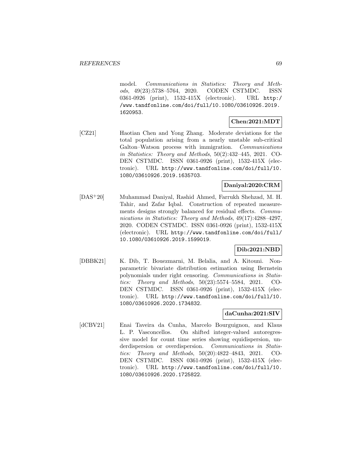model. Communications in Statistics: Theory and Methods, 49(23):5738–5764, 2020. CODEN CSTMDC. ISSN 0361-0926 (print), 1532-415X (electronic). URL http:/ /www.tandfonline.com/doi/full/10.1080/03610926.2019. 1620953.

# **Chen:2021:MDT**

[CZ21] Haotian Chen and Yong Zhang. Moderate deviations for the total population arising from a nearly unstable sub-critical Galton–Watson process with immigration. Communications in Statistics: Theory and Methods, 50(2):432–445, 2021. CO-DEN CSTMDC. ISSN 0361-0926 (print), 1532-415X (electronic). URL http://www.tandfonline.com/doi/full/10. 1080/03610926.2019.1635703.

# **Daniyal:2020:CRM**

[DAS<sup>+</sup>20] Muhammad Daniyal, Rashid Ahmed, Farrukh Shehzad, M. H. Tahir, and Zafar Iqbal. Construction of repeated measurements designs strongly balanced for residual effects. Communications in Statistics: Theory and Methods, 49(17):4288-4297, 2020. CODEN CSTMDC. ISSN 0361-0926 (print), 1532-415X (electronic). URL http://www.tandfonline.com/doi/full/ 10.1080/03610926.2019.1599019.

#### **Dib:2021:NBD**

[DBBK21] K. Dib, T. Bouezmarni, M. Belalia, and A. Kitouni. Nonparametric bivariate distribution estimation using Bernstein polynomials under right censoring. Communications in Statistics: Theory and Methods, 50(23):5574–5584, 2021. CO-DEN CSTMDC. ISSN 0361-0926 (print), 1532-415X (electronic). URL http://www.tandfonline.com/doi/full/10. 1080/03610926.2020.1734832.

### **daCunha:2021:SIV**

[dCBV21] Enai Taveira da Cunha, Marcelo Bourguignon, and Klaus L. P. Vasconcellos. On shifted integer-valued autoregressive model for count time series showing equidispersion, underdispersion or overdispersion. Communications in Statistics: Theory and Methods, 50(20):4822–4843, 2021. CO-DEN CSTMDC. ISSN 0361-0926 (print), 1532-415X (electronic). URL http://www.tandfonline.com/doi/full/10. 1080/03610926.2020.1725822.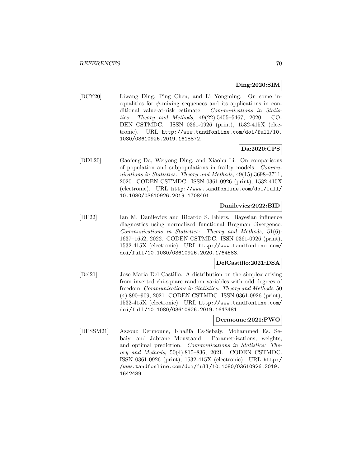## **Ding:2020:SIM**

[DCY20] Liwang Ding, Ping Chen, and Li Yongming. On some inequalities for  $\psi$ -mixing sequences and its applications in conditional value-at-risk estimate. Communications in Statistics: Theory and Methods, 49(22):5455–5467, 2020. CO-DEN CSTMDC. ISSN 0361-0926 (print), 1532-415X (electronic). URL http://www.tandfonline.com/doi/full/10. 1080/03610926.2019.1618872.

## **Da:2020:CPS**

[DDL20] Gaofeng Da, Weiyong Ding, and Xiaohu Li. On comparisons of population and subpopulations in frailty models. Communications in Statistics: Theory and Methods, 49(15):3698–3711, 2020. CODEN CSTMDC. ISSN 0361-0926 (print), 1532-415X (electronic). URL http://www.tandfonline.com/doi/full/ 10.1080/03610926.2019.1708401.

# **Danilevicz:2022:BID**

[DE22] Ian M. Danilevicz and Ricardo S. Ehlers. Bayesian influence diagnostics using normalized functional Bregman divergence. Communications in Statistics: Theory and Methods, 51(6): 1637–1652, 2022. CODEN CSTMDC. ISSN 0361-0926 (print), 1532-415X (electronic). URL http://www.tandfonline.com/ doi/full/10.1080/03610926.2020.1764583.

## **DelCastillo:2021:DSA**

[Del21] Jose Maria Del Castillo. A distribution on the simplex arising from inverted chi-square random variables with odd degrees of freedom. Communications in Statistics: Theory and Methods, 50 (4):890–909, 2021. CODEN CSTMDC. ISSN 0361-0926 (print), 1532-415X (electronic). URL http://www.tandfonline.com/ doi/full/10.1080/03610926.2019.1643481.

#### **Dermoune:2021:PWO**

[DESSM21] Azzouz Dermoune, Khalifa Es-Sebaiy, Mohammed Es. Sebaiy, and Jabrane Moustaaid. Parametrizations, weights, and optimal prediction. Communications in Statistics: Theory and Methods, 50(4):815–836, 2021. CODEN CSTMDC. ISSN 0361-0926 (print), 1532-415X (electronic). URL http:/ /www.tandfonline.com/doi/full/10.1080/03610926.2019. 1642489.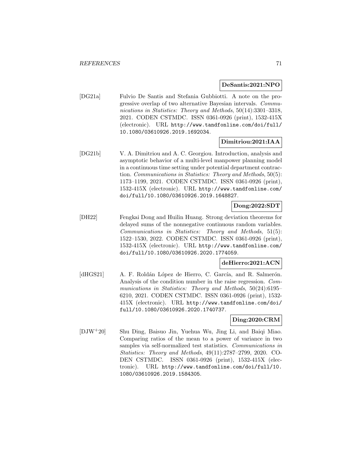#### **DeSantis:2021:NPO**

[DG21a] Fulvio De Santis and Stefania Gubbiotti. A note on the progressive overlap of two alternative Bayesian intervals. Communications in Statistics: Theory and Methods, 50(14):3301-3318, 2021. CODEN CSTMDC. ISSN 0361-0926 (print), 1532-415X (electronic). URL http://www.tandfonline.com/doi/full/ 10.1080/03610926.2019.1692034.

#### **Dimitriou:2021:IAA**

[DG21b] V. A. Dimitriou and A. C. Georgiou. Introduction, analysis and asymptotic behavior of a multi-level manpower planning model in a continuous time setting under potential department contraction. Communications in Statistics: Theory and Methods, 50(5): 1173–1199, 2021. CODEN CSTMDC. ISSN 0361-0926 (print), 1532-415X (electronic). URL http://www.tandfonline.com/ doi/full/10.1080/03610926.2019.1648827.

## **Dong:2022:SDT**

[DH22] Fengkai Dong and Huilin Huang. Strong deviation theorems for delayed sums of the nonnegative continuous random variables. Communications in Statistics: Theory and Methods, 51(5): 1522–1530, 2022. CODEN CSTMDC. ISSN 0361-0926 (print), 1532-415X (electronic). URL http://www.tandfonline.com/ doi/full/10.1080/03610926.2020.1774059.

# **deHierro:2021:ACN**

[dHGS21] A. F. Roldán López de Hierro, C. García, and R. Salmerón. Analysis of the condition number in the raise regression. Communications in Statistics: Theory and Methods, 50(24):6195– 6210, 2021. CODEN CSTMDC. ISSN 0361-0926 (print), 1532- 415X (electronic). URL http://www.tandfonline.com/doi/ full/10.1080/03610926.2020.1740737.

## **Ding:2020:CRM**

[DJW<sup>+</sup>20] Shu Ding, Baisuo Jin, Yuehua Wu, Jing Li, and Baiqi Miao. Comparing ratios of the mean to a power of variance in two samples via self-normalized test statistics. Communications in Statistics: Theory and Methods, 49(11):2787–2799, 2020. CO-DEN CSTMDC. ISSN 0361-0926 (print), 1532-415X (electronic). URL http://www.tandfonline.com/doi/full/10. 1080/03610926.2019.1584305.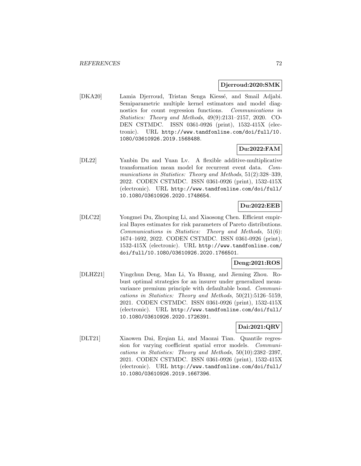#### **Djerroud:2020:SMK**

[DKA20] Lamia Djerroud, Tristan Senga Kiessé, and Smail Adjabi. Semiparametric multiple kernel estimators and model diagnostics for count regression functions. Communications in Statistics: Theory and Methods, 49(9):2131–2157, 2020. CO-DEN CSTMDC. ISSN 0361-0926 (print), 1532-415X (electronic). URL http://www.tandfonline.com/doi/full/10. 1080/03610926.2019.1568488.

# **Du:2022:FAM**

[DL22] Yanbin Du and Yuan Lv. A flexible additive-multiplicative transformation mean model for recurrent event data. Communications in Statistics: Theory and Methods, 51(2):328–339, 2022. CODEN CSTMDC. ISSN 0361-0926 (print), 1532-415X (electronic). URL http://www.tandfonline.com/doi/full/ 10.1080/03610926.2020.1748654.

# **Du:2022:EEB**

[DLC22] Yongmei Du, Zhouping Li, and Xiaosong Chen. Efficient empirical Bayes estimates for risk parameters of Pareto distributions. Communications in Statistics: Theory and Methods, 51(6): 1674–1692, 2022. CODEN CSTMDC. ISSN 0361-0926 (print), 1532-415X (electronic). URL http://www.tandfonline.com/ doi/full/10.1080/03610926.2020.1766501.

# **Deng:2021:ROS**

[DLHZ21] Yingchun Deng, Man Li, Ya Huang, and Jieming Zhou. Robust optimal strategies for an insurer under generalized meanvariance premium principle with defaultable bond. Communications in Statistics: Theory and Methods, 50(21):5126–5159, 2021. CODEN CSTMDC. ISSN 0361-0926 (print), 1532-415X (electronic). URL http://www.tandfonline.com/doi/full/ 10.1080/03610926.2020.1726391.

# **Dai:2021:QRV**

[DLT21] Xiaowen Dai, Erqian Li, and Maozai Tian. Quantile regression for varying coefficient spatial error models. Communications in Statistics: Theory and Methods, 50(10):2382–2397, 2021. CODEN CSTMDC. ISSN 0361-0926 (print), 1532-415X (electronic). URL http://www.tandfonline.com/doi/full/ 10.1080/03610926.2019.1667396.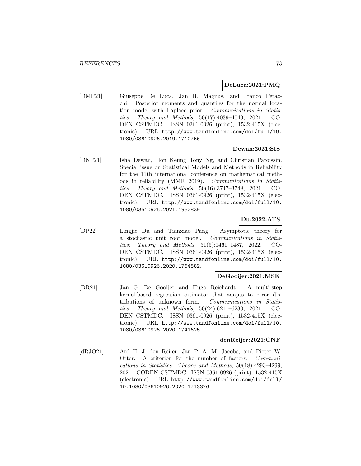### **DeLuca:2021:PMQ**

[DMP21] Giuseppe De Luca, Jan R. Magnus, and Franco Peracchi. Posterior moments and quantiles for the normal location model with Laplace prior. Communications in Statistics: Theory and Methods, 50(17):4039–4049, 2021. CO-DEN CSTMDC. ISSN 0361-0926 (print), 1532-415X (electronic). URL http://www.tandfonline.com/doi/full/10. 1080/03610926.2019.1710756.

## **Dewan:2021:SIS**

[DNP21] Isha Dewan, Hon Keung Tony Ng, and Christian Paroissin. Special issue on Statistical Models and Methods in Reliability for the 11th international conference on mathematical methods in reliability (MMR 2019). Communications in Statistics: Theory and Methods, 50(16):3747–3748, 2021. CO-DEN CSTMDC. ISSN 0361-0926 (print), 1532-415X (electronic). URL http://www.tandfonline.com/doi/full/10. 1080/03610926.2021.1952839.

## **Du:2022:ATS**

[DP22] Lingjie Du and Tianxiao Pang. Asymptotic theory for a stochastic unit root model. Communications in Statistics: Theory and Methods, 51(5):1461–1487, 2022. CO-DEN CSTMDC. ISSN 0361-0926 (print), 1532-415X (electronic). URL http://www.tandfonline.com/doi/full/10. 1080/03610926.2020.1764582.

### **DeGooijer:2021:MSK**

[DR21] Jan G. De Gooijer and Hugo Reichardt. A multi-step kernel-based regression estimator that adapts to error distributions of unknown form. Communications in Statistics: Theory and Methods, 50(24):6211–6230, 2021. CO-DEN CSTMDC. ISSN 0361-0926 (print), 1532-415X (electronic). URL http://www.tandfonline.com/doi/full/10. 1080/03610926.2020.1741625.

### **denReijer:2021:CNF**

[dRJO21] Ard H. J. den Reijer, Jan P. A. M. Jacobs, and Pieter W. Otter. A criterion for the number of factors. Communications in Statistics: Theory and Methods, 50(18):4293–4299, 2021. CODEN CSTMDC. ISSN 0361-0926 (print), 1532-415X (electronic). URL http://www.tandfonline.com/doi/full/ 10.1080/03610926.2020.1713376.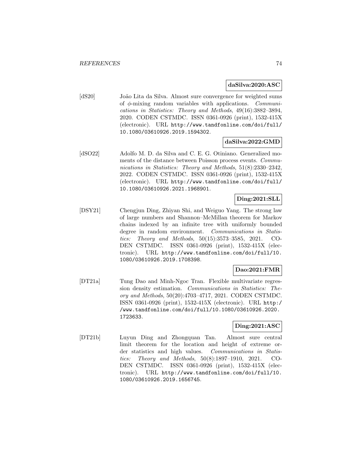#### **daSilva:2020:ASC**

[dS20] João Lita da Silva. Almost sure convergence for weighted sums of  $\phi$ -mixing random variables with applications. *Communi*cations in Statistics: Theory and Methods, 49(16):3882–3894, 2020. CODEN CSTMDC. ISSN 0361-0926 (print), 1532-415X (electronic). URL http://www.tandfonline.com/doi/full/ 10.1080/03610926.2019.1594302.

#### **daSilva:2022:GMD**

[dSO22] Adolfo M. D. da Silva and C. E. G. Otiniano. Generalized moments of the distance between Poisson process events. Communications in Statistics: Theory and Methods, 51(8):2330–2342, 2022. CODEN CSTMDC. ISSN 0361-0926 (print), 1532-415X (electronic). URL http://www.tandfonline.com/doi/full/ 10.1080/03610926.2021.1968901.

## **Ding:2021:SLL**

[DSY21] Chengjun Ding, Zhiyan Shi, and Weiguo Yang. The strong law of large numbers and Shannon–McMillan theorem for Markov chains indexed by an infinite tree with uniformly bounded degree in random environment. Communications in Statistics: Theory and Methods, 50(15):3573–3585, 2021. CO-DEN CSTMDC. ISSN 0361-0926 (print), 1532-415X (electronic). URL http://www.tandfonline.com/doi/full/10. 1080/03610926.2019.1708398.

### **Dao:2021:FMR**

[DT21a] Tung Dao and Minh-Ngoc Tran. Flexible multivariate regression density estimation. Communications in Statistics: Theory and Methods, 50(20):4703–4717, 2021. CODEN CSTMDC. ISSN 0361-0926 (print), 1532-415X (electronic). URL http:/ /www.tandfonline.com/doi/full/10.1080/03610926.2020. 1723633.

### **Ding:2021:ASC**

[DT21b] Luyun Ding and Zhongquan Tan. Almost sure central limit theorem for the location and height of extreme order statistics and high values. Communications in Statistics: Theory and Methods, 50(8):1897–1910, 2021. CO-DEN CSTMDC. ISSN 0361-0926 (print), 1532-415X (electronic). URL http://www.tandfonline.com/doi/full/10. 1080/03610926.2019.1656745.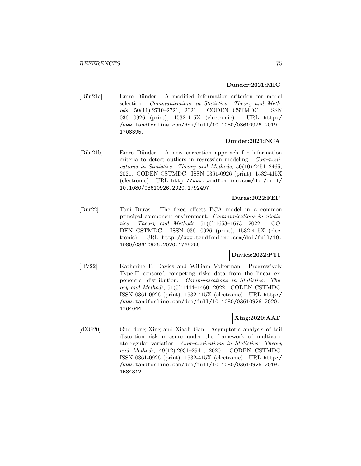### **Dunder:2021:MIC**

[Dün21a] Emre Dünder. A modified information criterion for model selection. Communications in Statistics: Theory and Methods, 50(11):2710–2721, 2021. CODEN CSTMDC. ISSN 0361-0926 (print), 1532-415X (electronic). URL http:/ /www.tandfonline.com/doi/full/10.1080/03610926.2019. 1708395.

## **Dunder:2021:NCA**

[Dün21b] Emre Dünder. A new correction approach for information criteria to detect outliers in regression modeling. Communications in Statistics: Theory and Methods, 50(10):2451–2465, 2021. CODEN CSTMDC. ISSN 0361-0926 (print), 1532-415X (electronic). URL http://www.tandfonline.com/doi/full/ 10.1080/03610926.2020.1792497.

## **Duras:2022:FEP**

[Dur22] Toni Duras. The fixed effects PCA model in a common principal component environment. Communications in Statistics: Theory and Methods, 51(6):1653–1673, 2022. CO-DEN CSTMDC. ISSN 0361-0926 (print), 1532-415X (electronic). URL http://www.tandfonline.com/doi/full/10. 1080/03610926.2020.1765255.

### **Davies:2022:PTI**

[DV22] Katherine F. Davies and William Volterman. Progressively Type-II censored competing risks data from the linear exponential distribution. Communications in Statistics: Theory and Methods, 51(5):1444–1460, 2022. CODEN CSTMDC. ISSN 0361-0926 (print), 1532-415X (electronic). URL http:/ /www.tandfonline.com/doi/full/10.1080/03610926.2020. 1764044.

### **Xing:2020:AAT**

[dXG20] Guo dong Xing and Xiaoli Gan. Asymptotic analysis of tail distortion risk measure under the framework of multivariate regular variation. Communications in Statistics: Theory and Methods, 49(12):2931–2941, 2020. CODEN CSTMDC. ISSN 0361-0926 (print), 1532-415X (electronic). URL http:/ /www.tandfonline.com/doi/full/10.1080/03610926.2019. 1584312.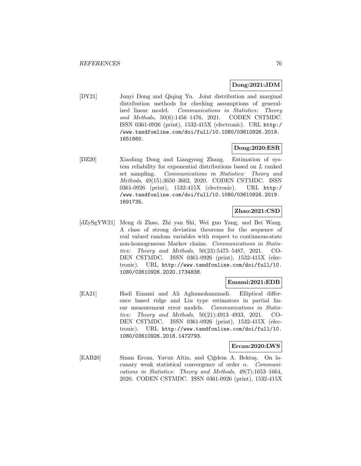## **Dong:2021:JDM**

[DY21] Junyi Dong and Qiqing Yu. Joint distribution and marginal distribution methods for checking assumptions of generalized linear model. Communications in Statistics: Theory and Methods, 50(6):1456–1476, 2021. CODEN CSTMDC. ISSN 0361-0926 (print), 1532-415X (electronic). URL http:/ /www.tandfonline.com/doi/full/10.1080/03610926.2019. 1651860.

### **Dong:2020:ESR**

[DZ20] Xiaofang Dong and Liangyong Zhang. Estimation of system reliability for exponential distributions based on L ranked set sampling. Communications in Statistics: Theory and Methods, 49(15):3650–3662, 2020. CODEN CSTMDC. ISSN 0361-0926 (print), 1532-415X (electronic). URL http:/ /www.tandfonline.com/doi/full/10.1080/03610926.2019. 1691735.

#### **Zhao:2021:CSD**

[dZySgYW21] Meng di Zhao, Zhi yan Shi, Wei guo Yang, and Bei Wang. A class of strong deviation theorems for the sequence of real valued random variables with respect to continuous-state non-homogeneous Markov chains. Communications in Statistics: Theory and Methods, 50(23):5475–5487, 2021. CO-DEN CSTMDC. ISSN 0361-0926 (print), 1532-415X (electronic). URL http://www.tandfonline.com/doi/full/10. 1080/03610926.2020.1734838.

### **Emami:2021:EDB**

[EA21] Hadi Emami and Ali Aghamohammadi. Elliptical difference based ridge and Liu type estimators in partial linear measurement error models. Communications in Statistics: Theory and Methods, 50(21):4913–4933, 2021. CO-DEN CSTMDC. ISSN 0361-0926 (print), 1532-415X (electronic). URL http://www.tandfonline.com/doi/full/10. 1080/03610926.2018.1472793.

#### **Ercan:2020:LWS**

[EAB20] Sinan Ercan, Yavuz Altin, and Çiğdem A. Bektaş. On lacunary weak statistical convergence of order  $\alpha$ . Communications in Statistics: Theory and Methods, 49(7):1653–1664, 2020. CODEN CSTMDC. ISSN 0361-0926 (print), 1532-415X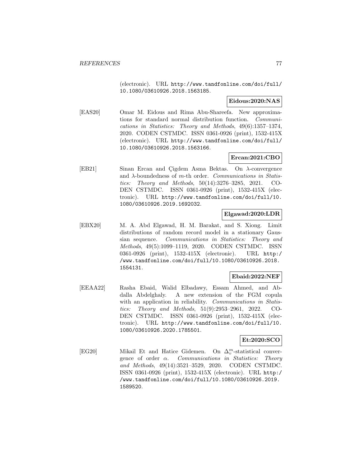(electronic). URL http://www.tandfonline.com/doi/full/ 10.1080/03610926.2018.1563185.

## **Eidous:2020:NAS**

[EAS20] Omar M. Eidous and Rima Abu-Shareefa. New approximations for standard normal distribution function. Communications in Statistics: Theory and Methods, 49(6):1357–1374, 2020. CODEN CSTMDC. ISSN 0361-0926 (print), 1532-415X (electronic). URL http://www.tandfonline.com/doi/full/ 10.1080/03610926.2018.1563166.

## **Ercan:2021:CBO**

[EB21] Sinan Ercan and Cigdem Asma Bektas. On  $\lambda$ -convergence and  $\lambda$ -boundedness of m-th order. Communications in Statistics: Theory and Methods, 50(14):3276–3285, 2021. CO-DEN CSTMDC. ISSN 0361-0926 (print), 1532-415X (electronic). URL http://www.tandfonline.com/doi/full/10. 1080/03610926.2019.1692032.

## **Elgawad:2020:LDR**

[EBX20] M. A. Abd Elgawad, H. M. Barakat, and S. Xiong. Limit distributions of random record model in a stationary Gaussian sequence. Communications in Statistics: Theory and Methods, 49(5):1099–1119, 2020. CODEN CSTMDC. ISSN 0361-0926 (print), 1532-415X (electronic). URL http:/ /www.tandfonline.com/doi/full/10.1080/03610926.2018. 1554131.

## **Ebaid:2022:NEF**

[EEAA22] Rasha Ebaid, Walid Elbadawy, Essam Ahmed, and Abdalla Abdelghaly. A new extension of the FGM copula with an application in reliability. Communications in Statistics: Theory and Methods, 51(9):2953–2961, 2022. CO-DEN CSTMDC. ISSN 0361-0926 (print), 1532-415X (electronic). URL http://www.tandfonline.com/doi/full/10. 1080/03610926.2020.1785501.

## **Et:2020:SCO**

[EG20] Mikail Et and Hatice Gidemen. On  $\Delta_v^m$ -statistical convergence of order α. Communications in Statistics: Theory and Methods, 49(14):3521–3529, 2020. CODEN CSTMDC. ISSN 0361-0926 (print), 1532-415X (electronic). URL http:/ /www.tandfonline.com/doi/full/10.1080/03610926.2019. 1589520.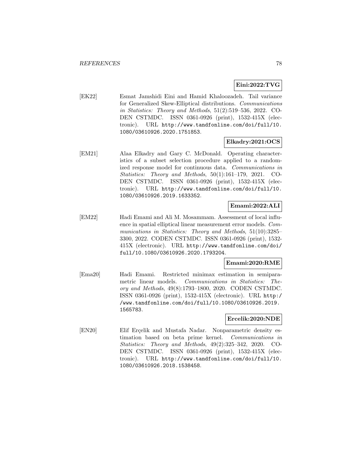## **Eini:2022:TVG**

[EK22] Esmat Jamshidi Eini and Hamid Khaloozadeh. Tail variance for Generalized Skew-Elliptical distributions. Communications in Statistics: Theory and Methods, 51(2):519–536, 2022. CO-DEN CSTMDC. ISSN 0361-0926 (print), 1532-415X (electronic). URL http://www.tandfonline.com/doi/full/10. 1080/03610926.2020.1751853.

### **Elkadry:2021:OCS**

[EM21] Alaa Elkadry and Gary C. McDonald. Operating characteristics of a subset selection procedure applied to a randomized response model for continuous data. Communications in Statistics: Theory and Methods, 50(1):161–179, 2021. CO-DEN CSTMDC. ISSN 0361-0926 (print), 1532-415X (electronic). URL http://www.tandfonline.com/doi/full/10. 1080/03610926.2019.1633352.

## **Emami:2022:ALI**

[EM22] Hadi Emami and Ali M. Mosammam. Assessment of local influence in spatial elliptical linear measurement error models. Communications in Statistics: Theory and Methods, 51(10):3285– 3300, 2022. CODEN CSTMDC. ISSN 0361-0926 (print), 1532- 415X (electronic). URL http://www.tandfonline.com/doi/ full/10.1080/03610926.2020.1793204.

## **Emami:2020:RME**

[Ema20] Hadi Emami. Restricted minimax estimation in semiparametric linear models. Communications in Statistics: Theory and Methods, 49(8):1793–1800, 2020. CODEN CSTMDC. ISSN 0361-0926 (print), 1532-415X (electronic). URL http:/ /www.tandfonline.com/doi/full/10.1080/03610926.2019. 1565783.

#### **Ercelik:2020:NDE**

[EN20] Elif Erçelik and Mustafa Nadar. Nonparametric density estimation based on beta prime kernel. Communications in Statistics: Theory and Methods, 49(2):325–342, 2020. CO-DEN CSTMDC. ISSN 0361-0926 (print), 1532-415X (electronic). URL http://www.tandfonline.com/doi/full/10. 1080/03610926.2018.1538458.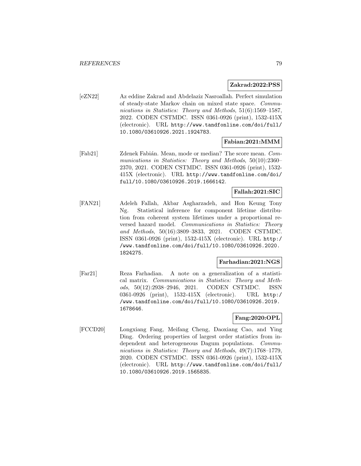#### **Zakrad:2022:PSS**

[eZN22] Az eddine Zakrad and Abdelaziz Nasroallah. Perfect simulation of steady-state Markov chain on mixed state space. Communications in Statistics: Theory and Methods, 51(6):1569–1587, 2022. CODEN CSTMDC. ISSN 0361-0926 (print), 1532-415X (electronic). URL http://www.tandfonline.com/doi/full/ 10.1080/03610926.2021.1924783.

### **Fabian:2021:MMM**

[Fab21] Zdenek Fabián. Mean, mode or median? The score mean. Communications in Statistics: Theory and Methods, 50(10):2360– 2370, 2021. CODEN CSTMDC. ISSN 0361-0926 (print), 1532- 415X (electronic). URL http://www.tandfonline.com/doi/ full/10.1080/03610926.2019.1666142.

### **Fallah:2021:SIC**

[FAN21] Adeleh Fallah, Akbar Asgharzadeh, and Hon Keung Tony Ng. Statistical inference for component lifetime distribution from coherent system lifetimes under a proportional reversed hazard model. Communications in Statistics: Theory and Methods, 50(16):3809–3833, 2021. CODEN CSTMDC. ISSN 0361-0926 (print), 1532-415X (electronic). URL http:/ /www.tandfonline.com/doi/full/10.1080/03610926.2020. 1824275.

## **Farhadian:2021:NGS**

[Far21] Reza Farhadian. A note on a generalization of a statistical matrix. Communications in Statistics: Theory and Methods, 50(12):2938–2946, 2021. CODEN CSTMDC. ISSN 0361-0926 (print), 1532-415X (electronic). URL http:/ /www.tandfonline.com/doi/full/10.1080/03610926.2019. 1678646.

### **Fang:2020:OPL**

[FCCD20] Longxiang Fang, Meifang Cheng, Daoxiang Cao, and Ying Ding. Ordering properties of largest order statistics from independent and heterogeneous Dagum populations. Communications in Statistics: Theory and Methods, 49(7):1768–1779, 2020. CODEN CSTMDC. ISSN 0361-0926 (print), 1532-415X (electronic). URL http://www.tandfonline.com/doi/full/ 10.1080/03610926.2019.1565835.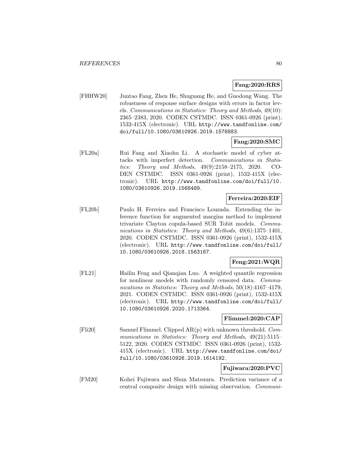#### **Fang:2020:RRS**

[FHHW20] Juntao Fang, Zhen He, Shuguang He, and Guodong Wang. The robustness of response surface designs with errors in factor levels. Communications in Statistics: Theory and Methods, 49(10): 2365–2383, 2020. CODEN CSTMDC. ISSN 0361-0926 (print), 1532-415X (electronic). URL http://www.tandfonline.com/ doi/full/10.1080/03610926.2019.1576883.

## **Fang:2020:SMC**

[FL20a] Rui Fang and Xiaohu Li. A stochastic model of cyber attacks with imperfect detection. Communications in Statistics: Theory and Methods, 49(9):2158–2175, 2020. CO-DEN CSTMDC. ISSN 0361-0926 (print), 1532-415X (electronic). URL http://www.tandfonline.com/doi/full/10. 1080/03610926.2019.1568489.

#### **Ferreira:2020:EIF**

[FL20b] Paulo H. Ferreira and Francisco Louzada. Extending the inference function for augmented margins method to implement trivariate Clayton copula-based SUR Tobit models. Communications in Statistics: Theory and Methods, 49(6):1375–1401, 2020. CODEN CSTMDC. ISSN 0361-0926 (print), 1532-415X (electronic). URL http://www.tandfonline.com/doi/full/ 10.1080/03610926.2018.1563167.

## **Feng:2021:WQR**

[FL21] Hailin Feng and Qianqian Luo. A weighted quantile regression for nonlinear models with randomly censored data. Communications in Statistics: Theory and Methods, 50(18):4167–4179, 2021. CODEN CSTMDC. ISSN 0361-0926 (print), 1532-415X (electronic). URL http://www.tandfonline.com/doi/full/ 10.1080/03610926.2020.1713364.

### **Flimmel:2020:CAP**

[Fli20] Samuel Flimmel. Clipped AR(p) with unknown threshold. Communications in Statistics: Theory and Methods, 49(21):5115– 5122, 2020. CODEN CSTMDC. ISSN 0361-0926 (print), 1532- 415X (electronic). URL http://www.tandfonline.com/doi/ full/10.1080/03610926.2019.1614192.

## **Fujiwara:2020:PVC**

[FM20] Kohei Fujiwara and Shun Matsuura. Prediction variance of a central composite design with missing observation. Communi-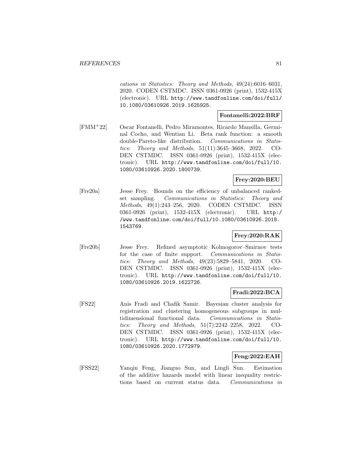cations in Statistics: Theory and Methods, 49(24):6016–6031, 2020. CODEN CSTMDC. ISSN 0361-0926 (print), 1532-415X (electronic). URL http://www.tandfonline.com/doi/full/ 10.1080/03610926.2019.1625925.

#### **Fontanelli:2022:BRF**

[FMM<sup>+</sup>22] Oscar Fontanelli, Pedro Miramontes, Ricardo Mansilla, Germinal Cocho, and Wentian Li. Beta rank function: a smooth double-Pareto-like distribution. Communications in Statistics: Theory and Methods, 51(11):3645–3668, 2022. CO-DEN CSTMDC. ISSN 0361-0926 (print), 1532-415X (electronic). URL http://www.tandfonline.com/doi/full/10. 1080/03610926.2020.1800739.

### **Frey:2020:BEU**

[Fre20a] Jesse Frey. Bounds on the efficiency of unbalanced rankedset sampling. Communications in Statistics: Theory and Methods, 49(1):243–256, 2020. CODEN CSTMDC. ISSN 0361-0926 (print), 1532-415X (electronic). URL http:/ /www.tandfonline.com/doi/full/10.1080/03610926.2018. 1543769.

## **Frey:2020:RAK**

[Fre20b] Jesse Frey. Refined asymptotic Kolmogorov–Smirnov tests for the case of finite support. Communications in Statistics: Theory and Methods, 49(23):5829–5841, 2020. CO-DEN CSTMDC. ISSN 0361-0926 (print), 1532-415X (electronic). URL http://www.tandfonline.com/doi/full/10. 1080/03610926.2019.1622726.

### **Fradi:2022:BCA**

[FS22] Anis Fradi and Chafik Samir. Bayesian cluster analysis for registration and clustering homogeneous subgroups in multidimensional functional data. Communications in Statistics: Theory and Methods, 51(7):2242–2258, 2022. CO-DEN CSTMDC. ISSN 0361-0926 (print), 1532-415X (electronic). URL http://www.tandfonline.com/doi/full/10. 1080/03610926.2020.1772979.

## **Feng:2022:EAH**

[FSS22] Yanqin Feng, Jianguo Sun, and Lingli Sun. Estimation of the additive hazards model with linear inequality restrictions based on current status data. Communications in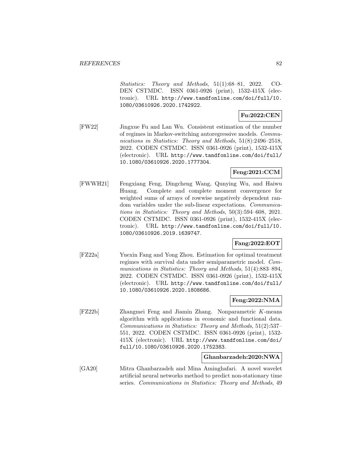Statistics: Theory and Methods, 51(1):68–81, 2022. CO-DEN CSTMDC. ISSN 0361-0926 (print), 1532-415X (electronic). URL http://www.tandfonline.com/doi/full/10. 1080/03610926.2020.1742922.

## **Fu:2022:CEN**

[FW22] Jingxue Fu and Lan Wu. Consistent estimation of the number of regimes in Markov-switching autoregressive models. Communications in Statistics: Theory and Methods, 51(8):2496–2518, 2022. CODEN CSTMDC. ISSN 0361-0926 (print), 1532-415X (electronic). URL http://www.tandfonline.com/doi/full/ 10.1080/03610926.2020.1777304.

### **Feng:2021:CCM**

[FWWH21] Fengxiang Feng, Dingcheng Wang, Qunying Wu, and Haiwu Huang. Complete and complete moment convergence for weighted sums of arrays of rowwise negatively dependent random variables under the sub-linear expectations. Communications in Statistics: Theory and Methods, 50(3):594–608, 2021. CODEN CSTMDC. ISSN 0361-0926 (print), 1532-415X (electronic). URL http://www.tandfonline.com/doi/full/10. 1080/03610926.2019.1639747.

## **Fang:2022:EOT**

[FZ22a] Yuexin Fang and Yong Zhou. Estimation for optimal treatment regimes with survival data under semiparametric model. Communications in Statistics: Theory and Methods, 51(4):883–894, 2022. CODEN CSTMDC. ISSN 0361-0926 (print), 1532-415X (electronic). URL http://www.tandfonline.com/doi/full/ 10.1080/03610926.2020.1808686.

## **Feng:2022:NMA**

[FZ22b] Zhangmei Feng and Jiamin Zhang. Nonparametric K-means algorithm with applications in economic and functional data. Communications in Statistics: Theory and Methods, 51(2):537– 551, 2022. CODEN CSTMDC. ISSN 0361-0926 (print), 1532- 415X (electronic). URL http://www.tandfonline.com/doi/ full/10.1080/03610926.2020.1752383.

#### **Ghanbarzadeh:2020:NWA**

[GA20] Mitra Ghanbarzadeh and Mina Aminghafari. A novel wavelet artificial neural networks method to predict non-stationary time series. Communications in Statistics: Theory and Methods, 49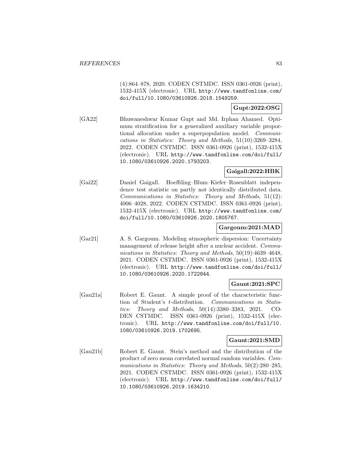(4):864–878, 2020. CODEN CSTMDC. ISSN 0361-0926 (print), 1532-415X (electronic). URL http://www.tandfonline.com/ doi/full/10.1080/03610926.2018.1549259.

**Gupt:2022:OSG**

[GA22] Bhuwaneshwar Kumar Gupt and Md. Irphan Ahamed. Optimum stratification for a generalized auxiliary variable proportional allocation under a superpopulation model. Communications in Statistics: Theory and Methods, 51(10):3269–3284, 2022. CODEN CSTMDC. ISSN 0361-0926 (print), 1532-415X (electronic). URL http://www.tandfonline.com/doi/full/ 10.1080/03610926.2020.1793203.

### **Gaigall:2022:HBK**

[Gai22] Daniel Gaigall. Hoeffding–Blum–Kiefer–Rosenblatt independence test statistic on partly not identically distributed data. Communications in Statistics: Theory and Methods, 51(12): 4006–4028, 2022. CODEN CSTMDC. ISSN 0361-0926 (print), 1532-415X (electronic). URL http://www.tandfonline.com/ doi/full/10.1080/03610926.2020.1805767.

### **Gargoum:2021:MAD**

[Gar21] A. S. Gargoum. Modeling atmospheric dispersion: Uncertainty management of release height after a nuclear accident. Communications in Statistics: Theory and Methods, 50(19):4639-4648, 2021. CODEN CSTMDC. ISSN 0361-0926 (print), 1532-415X (electronic). URL http://www.tandfonline.com/doi/full/ 10.1080/03610926.2020.1722844.

## **Gaunt:2021:SPC**

[Gau21a] Robert E. Gaunt. A simple proof of the characteristic function of Student's t-distribution. Communications in Statistics: Theory and Methods, 50(14):3380–3383, 2021. CO-DEN CSTMDC. ISSN 0361-0926 (print), 1532-415X (electronic). URL http://www.tandfonline.com/doi/full/10. 1080/03610926.2019.1702695.

## **Gaunt:2021:SMD**

[Gau21b] Robert E. Gaunt. Stein's method and the distribution of the product of zero mean correlated normal random variables. Communications in Statistics: Theory and Methods, 50(2):280–285, 2021. CODEN CSTMDC. ISSN 0361-0926 (print), 1532-415X (electronic). URL http://www.tandfonline.com/doi/full/ 10.1080/03610926.2019.1634210.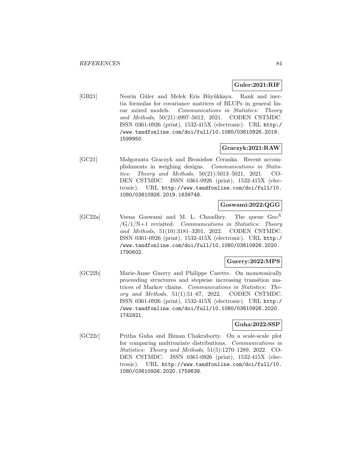#### **Guler:2021:RIF**

[GB21] Nesrin Güler and Melek Eris Büyükkaya. Rank and inertia formulas for covariance matrices of BLUPs in general linear mixed models. Communications in Statistics: Theory and Methods, 50(21):4997–5012, 2021. CODEN CSTMDC. ISSN 0361-0926 (print), 1532-415X (electronic). URL http:/ /www.tandfonline.com/doi/full/10.1080/03610926.2019. 1599950.

### **Graczyk:2021:RAW**

[GC21] Małgorzata Graczyk and Bronisław Ceranka. Recent accomplishments in weighing designs. Communications in Statistics: Theory and Methods, 50(21):5013–5021, 2021. CO-DEN CSTMDC. ISSN 0361-0926 (print), 1532-415X (electronic). URL http://www.tandfonline.com/doi/full/10. 1080/03610926.2019.1639748.

### **Goswami:2022:QGG**

[GC22a] Veena Goswami and M. L. Chaudhry. The queue  $\text{Geo}^X$  $/G/1/N+1$  revisited. Communications in Statistics: Theory and Methods, 51(10):3181–3201, 2022. CODEN CSTMDC. ISSN 0361-0926 (print), 1532-415X (electronic). URL http:/ /www.tandfonline.com/doi/full/10.1080/03610926.2020. 1790602.

## **Guerry:2022:MPS**

[GC22b] Marie-Anne Guerry and Philippe Carette. On monotonically proceeding structures and stepwise increasing transition matrices of Markov chains. Communications in Statistics: Theory and Methods, 51(1):51–67, 2022. CODEN CSTMDC. ISSN 0361-0926 (print), 1532-415X (electronic). URL http:/ /www.tandfonline.com/doi/full/10.1080/03610926.2020. 1742921.

#### **Guha:2022:SSP**

[GC22c] Pritha Guha and Biman Chakraborty. On a scale-scale plot for comparing multivariate distributions. Communications in Statistics: Theory and Methods, 51(5):1270–1289, 2022. CO-DEN CSTMDC. ISSN 0361-0926 (print), 1532-415X (electronic). URL http://www.tandfonline.com/doi/full/10. 1080/03610926.2020.1759639.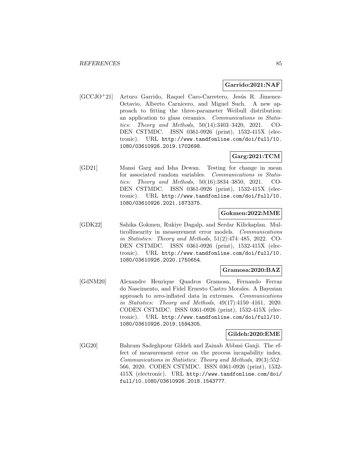### **Garrido:2021:NAF**

[GCCJO<sup>+</sup>21] Arturo Garrido, Raquel Caro-Carretero, Jesús R. Jimenez-Octavio, Alberto Carnicero, and Miguel Such. A new approach to fitting the three-parameter Weibull distribution: an application to glass ceramics. Communications in Statistics: Theory and Methods, 50(14):3403–3420, 2021. CO-DEN CSTMDC. ISSN 0361-0926 (print), 1532-415X (electronic). URL http://www.tandfonline.com/doi/full/10. 1080/03610926.2019.1702698.

# **Garg:2021:TCM**

[GD21] Mansi Garg and Isha Dewan. Testing for change in mean for associated random variables. Communications in Statistics: Theory and Methods, 50(16):3834–3850, 2021. CO-DEN CSTMDC. ISSN 0361-0926 (print), 1532-415X (electronic). URL http://www.tandfonline.com/doi/full/10. 1080/03610926.2021.1873375.

## **Gokmen:2022:MME**

[GDK22] Sahika Gokmen, Rukiye Dagalp, and Serdar Kilickaplan. Multicollinearity in measurement error models. Communications in Statistics: Theory and Methods, 51(2):474–485, 2022. CO-DEN CSTMDC. ISSN 0361-0926 (print), 1532-415X (electronic). URL http://www.tandfonline.com/doi/full/10. 1080/03610926.2020.1750654.

### **Gramosa:2020:BAZ**

[GdNM20] Alexandre Henrique Quadros Gramosa, Fernando Ferraz do Nascimento, and Fidel Ernesto Castro Morales. A Bayesian approach to zero-inflated data in extremes. Communications in Statistics: Theory and Methods, 49(17):4150–4161, 2020. CODEN CSTMDC. ISSN 0361-0926 (print), 1532-415X (electronic). URL http://www.tandfonline.com/doi/full/10. 1080/03610926.2019.1594305.

### **Gildeh:2020:EME**

[GG20] Bahram Sadeghpour Gildeh and Zainab Abbasi Ganji. The effect of measurement error on the process incapability index. Communications in Statistics: Theory and Methods, 49(3):552– 566, 2020. CODEN CSTMDC. ISSN 0361-0926 (print), 1532- 415X (electronic). URL http://www.tandfonline.com/doi/ full/10.1080/03610926.2018.1543777.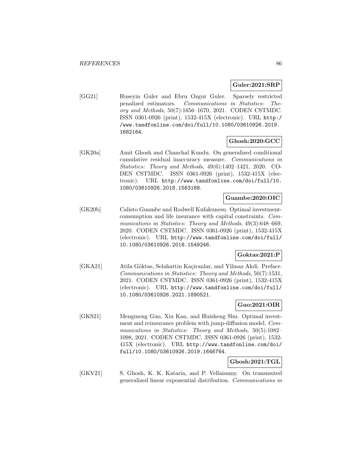### **Guler:2021:SRP**

[GG21] Huseyin Guler and Ebru Ozgur Guler. Sparsely restricted penalized estimators. Communications in Statistics: Theory and Methods, 50(7):1656–1670, 2021. CODEN CSTMDC. ISSN 0361-0926 (print), 1532-415X (electronic). URL http:/ /www.tandfonline.com/doi/full/10.1080/03610926.2019. 1682164.

## **Ghosh:2020:GCC**

[GK20a] Amit Ghosh and Chanchal Kundu. On generalized conditional cumulative residual inaccuracy measure. Communications in Statistics: Theory and Methods, 49(6):1402–1421, 2020. CO-DEN CSTMDC. ISSN 0361-0926 (print), 1532-415X (electronic). URL http://www.tandfonline.com/doi/full/10. 1080/03610926.2018.1563168.

## **Guambe:2020:OIC**

[GK20b] Calisto Guambe and Rodwell Kufakunesu. Optimal investmentconsumption and life insurance with capital constraints. Communications in Statistics: Theory and Methods, 49(3):648–669, 2020. CODEN CSTMDC. ISSN 0361-0926 (print), 1532-415X (electronic). URL http://www.tandfonline.com/doi/full/ 10.1080/03610926.2018.1549246.

## **Goktas:2021:P**

[GKA21] Atila Göktas, Selahattin Kaçiranlar, and Yilmaz Akdi. Preface. Communications in Statistics: Theory and Methods, 50(7):1531, 2021. CODEN CSTMDC. ISSN 0361-0926 (print), 1532-415X (electronic). URL http://www.tandfonline.com/doi/full/ 10.1080/03610926.2021.1890521.

### **Guo:2021:OIR**

[GKS21] Mengmeng Guo, Xiu Kan, and Huisheng Shu. Optimal investment and reinsurance problem with jump-diffusion model. Communications in Statistics: Theory and Methods, 50(5):1082– 1098, 2021. CODEN CSTMDC. ISSN 0361-0926 (print), 1532- 415X (electronic). URL http://www.tandfonline.com/doi/ full/10.1080/03610926.2019.1646764.

### **Ghosh:2021:TGL**

[GKV21] S. Ghosh, K. K. Kataria, and P. Vellaisamy. On transmuted generalized linear exponential distribution. Communications in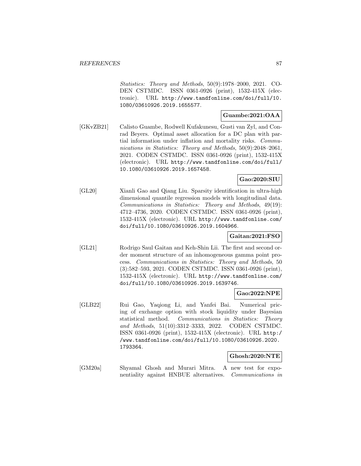Statistics: Theory and Methods, 50(9):1978–2000, 2021. CO-DEN CSTMDC. ISSN 0361-0926 (print), 1532-415X (electronic). URL http://www.tandfonline.com/doi/full/10. 1080/03610926.2019.1655577.

### **Guambe:2021:OAA**

[GKvZB21] Calisto Guambe, Rodwell Kufakunesu, Gusti van Zyl, and Conrad Beyers. Optimal asset allocation for a DC plan with partial information under inflation and mortality risks. Communications in Statistics: Theory and Methods, 50(9):2048–2061, 2021. CODEN CSTMDC. ISSN 0361-0926 (print), 1532-415X (electronic). URL http://www.tandfonline.com/doi/full/ 10.1080/03610926.2019.1657458.

## **Gao:2020:SIU**

[GL20] Xianli Gao and Qiang Liu. Sparsity identification in ultra-high dimensional quantile regression models with longitudinal data. Communications in Statistics: Theory and Methods, 49(19): 4712–4736, 2020. CODEN CSTMDC. ISSN 0361-0926 (print), 1532-415X (electronic). URL http://www.tandfonline.com/ doi/full/10.1080/03610926.2019.1604966.

## **Gaitan:2021:FSO**

[GL21] Rodrigo Saul Gaitan and Keh-Shin Lii. The first and second order moment structure of an inhomogeneous gamma point process. Communications in Statistics: Theory and Methods, 50 (3):582–593, 2021. CODEN CSTMDC. ISSN 0361-0926 (print), 1532-415X (electronic). URL http://www.tandfonline.com/ doi/full/10.1080/03610926.2019.1639746.

## **Gao:2022:NPE**

[GLB22] Rui Gao, Yaqiong Li, and Yanfei Bai. Numerical pricing of exchange option with stock liquidity under Bayesian statistical method. Communications in Statistics: Theory and Methods, 51(10):3312–3333, 2022. CODEN CSTMDC. ISSN 0361-0926 (print), 1532-415X (electronic). URL http:/ /www.tandfonline.com/doi/full/10.1080/03610926.2020. 1793364.

#### **Ghosh:2020:NTE**

[GM20a] Shyamal Ghosh and Murari Mitra. A new test for exponentiality against HNBUE alternatives. Communications in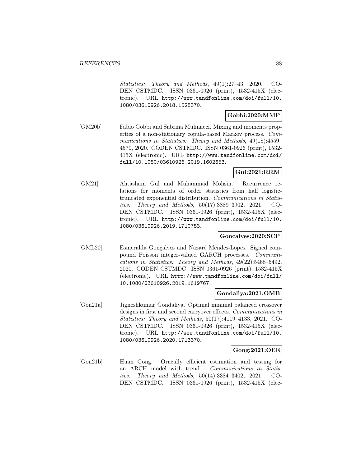Statistics: Theory and Methods, 49(1):27–43, 2020. CO-DEN CSTMDC. ISSN 0361-0926 (print), 1532-415X (electronic). URL http://www.tandfonline.com/doi/full/10. 1080/03610926.2018.1528370.

#### **Gobbi:2020:MMP**

[GM20b] Fabio Gobbi and Sabrina Mulinacci. Mixing and moments properties of a non-stationary copula-based Markov process. Communications in Statistics: Theory and Methods, 49(18):4559– 4570, 2020. CODEN CSTMDC. ISSN 0361-0926 (print), 1532- 415X (electronic). URL http://www.tandfonline.com/doi/ full/10.1080/03610926.2019.1602653.

### **Gul:2021:RRM**

[GM21] Ahtasham Gul and Muhammad Mohsin. Recurrence relations for moments of order statistics from half logistictruncated exponential distribution. Communications in Statistics: Theory and Methods, 50(17):3889–3902, 2021. CO-DEN CSTMDC. ISSN 0361-0926 (print), 1532-415X (electronic). URL http://www.tandfonline.com/doi/full/10. 1080/03610926.2019.1710753.

### **Goncalves:2020:SCP**

[GML20] Esmeralda Gonçalves and Nazaré Mendes-Lopes. Signed compound Poisson integer-valued GARCH processes. Communications in Statistics: Theory and Methods, 49(22):5468–5492, 2020. CODEN CSTMDC. ISSN 0361-0926 (print), 1532-415X (electronic). URL http://www.tandfonline.com/doi/full/ 10.1080/03610926.2019.1619767.

### **Gondaliya:2021:OMB**

[Gon21a] Jigneshkumar Gondaliya. Optimal minimal balanced crossover designs in first and second carryover effects. Communications in Statistics: Theory and Methods, 50(17):4119–4133, 2021. CO-DEN CSTMDC. ISSN 0361-0926 (print), 1532-415X (electronic). URL http://www.tandfonline.com/doi/full/10. 1080/03610926.2020.1713370.

### **Gong:2021:OEE**

[Gon21b] Huan Gong. Oracally efficient estimation and testing for an ARCH model with trend. Communications in Statistics: Theory and Methods, 50(14):3384–3402, 2021. CO-DEN CSTMDC. ISSN 0361-0926 (print), 1532-415X (elec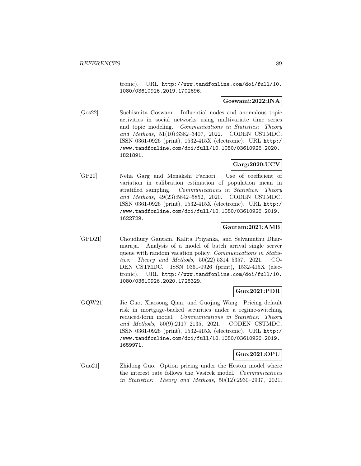tronic). URL http://www.tandfonline.com/doi/full/10. 1080/03610926.2019.1702696.

### **Goswami:2022:INA**

[Gos22] Suchismita Goswami. Influential nodes and anomalous topic activities in social networks using multivariate time series and topic modeling. Communications in Statistics: Theory and Methods, 51(10):3382–3407, 2022. CODEN CSTMDC. ISSN 0361-0926 (print), 1532-415X (electronic). URL http:/ /www.tandfonline.com/doi/full/10.1080/03610926.2020. 1821891.

## **Garg:2020:UCV**

[GP20] Neha Garg and Menakshi Pachori. Use of coefficient of variation in calibration estimation of population mean in stratified sampling. Communications in Statistics: Theory and Methods, 49(23):5842–5852, 2020. CODEN CSTMDC. ISSN 0361-0926 (print), 1532-415X (electronic). URL http:/ /www.tandfonline.com/doi/full/10.1080/03610926.2019. 1622729.

## **Gautam:2021:AMB**

[GPD21] Choudhury Gautam, Kalita Priyanka, and Selvamuthu Dharmaraja. Analysis of a model of batch arrival single server queue with random vacation policy. Communications in Statistics: Theory and Methods, 50(22):5314–5357, 2021. CO-DEN CSTMDC. ISSN 0361-0926 (print), 1532-415X (electronic). URL http://www.tandfonline.com/doi/full/10. 1080/03610926.2020.1728329.

## **Guo:2021:PDR**

[GQW21] Jie Guo, Xiaosong Qian, and Guojing Wang. Pricing default risk in mortgage-backed securities under a regime-switching reduced-form model. Communications in Statistics: Theory and Methods, 50(9):2117–2135, 2021. CODEN CSTMDC. ISSN 0361-0926 (print), 1532-415X (electronic). URL http:/ /www.tandfonline.com/doi/full/10.1080/03610926.2019. 1659971.

### **Guo:2021:OPU**

[Guo21] Zhidong Guo. Option pricing under the Heston model where the interest rate follows the Vasicek model. Communications in Statistics: Theory and Methods, 50(12):2930–2937, 2021.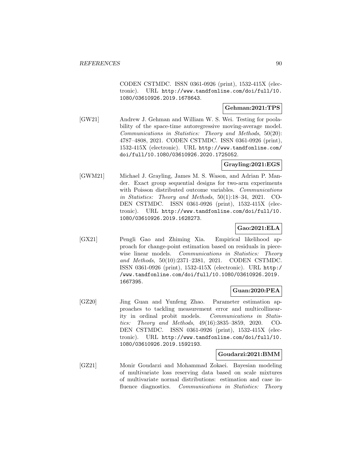CODEN CSTMDC. ISSN 0361-0926 (print), 1532-415X (electronic). URL http://www.tandfonline.com/doi/full/10. 1080/03610926.2019.1678643.

## **Gehman:2021:TPS**

[GW21] Andrew J. Gehman and William W. S. Wei. Testing for poolability of the space-time autoregressive moving-average model. Communications in Statistics: Theory and Methods, 50(20): 4787–4808, 2021. CODEN CSTMDC. ISSN 0361-0926 (print), 1532-415X (electronic). URL http://www.tandfonline.com/ doi/full/10.1080/03610926.2020.1725052.

## **Grayling:2021:EGS**

[GWM21] Michael J. Grayling, James M. S. Wason, and Adrian P. Mander. Exact group sequential designs for two-arm experiments with Poisson distributed outcome variables. Communications in Statistics: Theory and Methods, 50(1):18–34, 2021. CO-DEN CSTMDC. ISSN 0361-0926 (print), 1532-415X (electronic). URL http://www.tandfonline.com/doi/full/10. 1080/03610926.2019.1628273.

## **Gao:2021:ELA**

[GX21] Pengli Gao and Zhiming Xia. Empirical likelihood approach for change-point estimation based on residuals in piecewise linear models. Communications in Statistics: Theory and Methods, 50(10):2371–2381, 2021. CODEN CSTMDC. ISSN 0361-0926 (print), 1532-415X (electronic). URL http:/ /www.tandfonline.com/doi/full/10.1080/03610926.2019. 1667395.

## **Guan:2020:PEA**

[GZ20] Jing Guan and Yunfeng Zhao. Parameter estimation approaches to tackling measurement error and multicollinearity in ordinal probit models. Communications in Statistics: Theory and Methods, 49(16):3835–3859, 2020. CO-DEN CSTMDC. ISSN 0361-0926 (print), 1532-415X (electronic). URL http://www.tandfonline.com/doi/full/10. 1080/03610926.2019.1592193.

### **Goudarzi:2021:BMM**

[GZ21] Monir Goudarzi and Mohammad Zokaei. Bayesian modeling of multivariate loss reserving data based on scale mixtures of multivariate normal distributions: estimation and case influence diagnostics. Communications in Statistics: Theory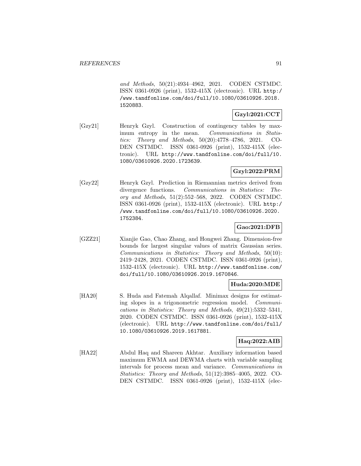and Methods, 50(21):4934–4962, 2021. CODEN CSTMDC. ISSN 0361-0926 (print), 1532-415X (electronic). URL http:/ /www.tandfonline.com/doi/full/10.1080/03610926.2018. 1520883.

## **Gzyl:2021:CCT**

[Gzy21] Henryk Gzyl. Construction of contingency tables by maximum entropy in the mean. Communications in Statistics: Theory and Methods, 50(20):4778–4786, 2021. CO-DEN CSTMDC. ISSN 0361-0926 (print), 1532-415X (electronic). URL http://www.tandfonline.com/doi/full/10. 1080/03610926.2020.1723639.

## **Gzyl:2022:PRM**

[Gzy22] Henryk Gzyl. Prediction in Riemannian metrics derived from divergence functions. Communications in Statistics: Theory and Methods, 51(2):552–568, 2022. CODEN CSTMDC. ISSN 0361-0926 (print), 1532-415X (electronic). URL http:/ /www.tandfonline.com/doi/full/10.1080/03610926.2020. 1752384.

## **Gao:2021:DFB**

[GZZ21] Xianjie Gao, Chao Zhang, and Hongwei Zhang. Dimension-free bounds for largest singular values of matrix Gaussian series. Communications in Statistics: Theory and Methods, 50(10): 2419–2428, 2021. CODEN CSTMDC. ISSN 0361-0926 (print), 1532-415X (electronic). URL http://www.tandfonline.com/ doi/full/10.1080/03610926.2019.1670846.

### **Huda:2020:MDE**

[HA20] S. Huda and Fatemah Alqallaf. Minimax designs for estimating slopes in a trigonometric regression model. Communications in Statistics: Theory and Methods, 49(21):5332–5341, 2020. CODEN CSTMDC. ISSN 0361-0926 (print), 1532-415X (electronic). URL http://www.tandfonline.com/doi/full/ 10.1080/03610926.2019.1617881.

### **Haq:2022:AIB**

[HA22] Abdul Haq and Shareen Akhtar. Auxiliary information based maximum EWMA and DEWMA charts with variable sampling intervals for process mean and variance. Communications in Statistics: Theory and Methods, 51(12):3985–4005, 2022. CO-DEN CSTMDC. ISSN 0361-0926 (print), 1532-415X (elec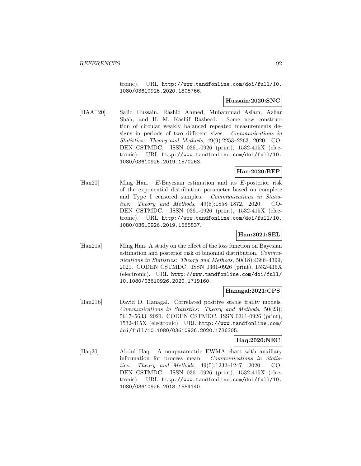tronic). URL http://www.tandfonline.com/doi/full/10. 1080/03610926.2020.1805766.

## **Hussain:2020:SNC**

[HAA<sup>+</sup>20] Sajid Hussain, Rashid Ahmed, Muhammad Aslam, Azhar Shah, and H. M. Kashif Rasheed. Some new construction of circular weakly balanced repeated measurements designs in periods of two different sizes. Communications in Statistics: Theory and Methods, 49(9):2253–2263, 2020. CO-DEN CSTMDC. ISSN 0361-0926 (print), 1532-415X (electronic). URL http://www.tandfonline.com/doi/full/10. 1080/03610926.2019.1570263.

## **Han:2020:BEP**

[Han20] Ming Han. E-Bayesian estimation and its E-posterior risk of the exponential distribution parameter based on complete and Type I censored samples. Communications in Statistics: Theory and Methods, 49(8):1858–1872, 2020. CO-DEN CSTMDC. ISSN 0361-0926 (print), 1532-415X (electronic). URL http://www.tandfonline.com/doi/full/10. 1080/03610926.2019.1565837.

## **Han:2021:SEL**

[Han21a] Ming Han. A study on the effect of the loss function on Bayesian estimation and posterior risk of binomial distribution. Communications in Statistics: Theory and Methods, 50(18):4386–4399, 2021. CODEN CSTMDC. ISSN 0361-0926 (print), 1532-415X (electronic). URL http://www.tandfonline.com/doi/full/ 10.1080/03610926.2020.1719160.

### **Hanagal:2021:CPS**

[Han21b] David D. Hanagal. Correlated positive stable frailty models. Communications in Statistics: Theory and Methods, 50(23): 5617–5633, 2021. CODEN CSTMDC. ISSN 0361-0926 (print), 1532-415X (electronic). URL http://www.tandfonline.com/ doi/full/10.1080/03610926.2020.1736305.

### **Haq:2020:NEC**

[Haq20] Abdul Haq. A nonparametric EWMA chart with auxiliary information for process mean. Communications in Statistics: Theory and Methods, 49(5):1232–1247, 2020. CO-DEN CSTMDC. ISSN 0361-0926 (print), 1532-415X (electronic). URL http://www.tandfonline.com/doi/full/10. 1080/03610926.2018.1554140.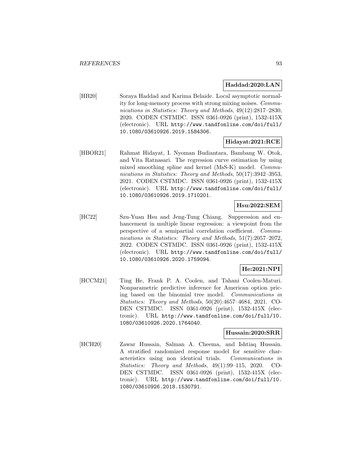### **Haddad:2020:LAN**

[HB20] Soraya Haddad and Karima Belaide. Local asymptotic normality for long-memory process with strong mixing noises. Communications in Statistics: Theory and Methods, 49(12):2817–2830, 2020. CODEN CSTMDC. ISSN 0361-0926 (print), 1532-415X (electronic). URL http://www.tandfonline.com/doi/full/ 10.1080/03610926.2019.1584306.

## **Hidayat:2021:RCE**

[HBOR21] Rahmat Hidayat, I. Nyoman Budiantara, Bambang W. Otok, and Vita Ratnasari. The regression curve estimation by using mixed smoothing spline and kernel (MsS-K) model. Communications in Statistics: Theory and Methods, 50(17):3942-3953, 2021. CODEN CSTMDC. ISSN 0361-0926 (print), 1532-415X (electronic). URL http://www.tandfonline.com/doi/full/ 10.1080/03610926.2019.1710201.

## **Hsu:2022:SEM**

[HC22] Szu-Yuan Hsu and Jeng-Tung Chiang. Suppression and enhancement in multiple linear regression: a viewpoint from the perspective of a semipartial correlation coefficient. Communications in Statistics: Theory and Methods, 51(7):2057–2072, 2022. CODEN CSTMDC. ISSN 0361-0926 (print), 1532-415X (electronic). URL http://www.tandfonline.com/doi/full/ 10.1080/03610926.2020.1759094.

## **He:2021:NPI**

[HCCM21] Ting He, Frank P. A. Coolen, and Tahani Coolen-Maturi. Nonparametric predictive inference for American option pricing based on the binomial tree model. Communications in Statistics: Theory and Methods, 50(20):4657–4684, 2021. CO-DEN CSTMDC. ISSN 0361-0926 (print), 1532-415X (electronic). URL http://www.tandfonline.com/doi/full/10. 1080/03610926.2020.1764040.

#### **Hussain:2020:SRR**

[HCH20] Zawar Hussain, Salman A. Cheema, and Ishtiaq Hussain. A stratified randomized response model for sensitive characteristics using non identical trials. Communications in Statistics: Theory and Methods, 49(1):99–115, 2020. CO-DEN CSTMDC. ISSN 0361-0926 (print), 1532-415X (electronic). URL http://www.tandfonline.com/doi/full/10. 1080/03610926.2018.1530791.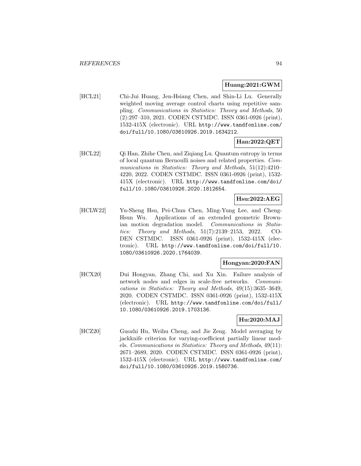#### **Huang:2021:GWM**

[HCL21] Chi-Jui Huang, Jen-Hsiang Chen, and Shin-Li Lu. Generally weighted moving average control charts using repetitive sampling. Communications in Statistics: Theory and Methods, 50 (2):297–310, 2021. CODEN CSTMDC. ISSN 0361-0926 (print), 1532-415X (electronic). URL http://www.tandfonline.com/ doi/full/10.1080/03610926.2019.1634212.

## **Han:2022:QET**

[HCL22] Qi Han, Zhihe Chen, and Ziqiang Lu. Quantum entropy in terms of local quantum Bernoulli noises and related properties. Communications in Statistics: Theory and Methods, 51(12):4210– 4220, 2022. CODEN CSTMDC. ISSN 0361-0926 (print), 1532- 415X (electronic). URL http://www.tandfonline.com/doi/ full/10.1080/03610926.2020.1812654.

## **Hsu:2022:AEG**

[HCLW22] Yu-Sheng Hsu, Pei-Chun Chen, Ming-Yung Lee, and Cheng-Hsun Wu. Applications of an extended geometric Brownian motion degradation model. Communications in Statistics: Theory and Methods, 51(7):2139–2153, 2022. CO-DEN CSTMDC. ISSN 0361-0926 (print), 1532-415X (electronic). URL http://www.tandfonline.com/doi/full/10. 1080/03610926.2020.1764039.

## **Hongyan:2020:FAN**

[HCX20] Dui Hongyan, Zhang Chi, and Xu Xin. Failure analysis of network nodes and edges in scale-free networks. Communications in Statistics: Theory and Methods, 49(15):3635–3649, 2020. CODEN CSTMDC. ISSN 0361-0926 (print), 1532-415X (electronic). URL http://www.tandfonline.com/doi/full/ 10.1080/03610926.2019.1703136.

## **Hu:2020:MAJ**

[HCZ20] Guozhi Hu, Weihu Cheng, and Jie Zeng. Model averaging by jackknife criterion for varying-coefficient partially linear models. Communications in Statistics: Theory and Methods, 49(11): 2671–2689, 2020. CODEN CSTMDC. ISSN 0361-0926 (print), 1532-415X (electronic). URL http://www.tandfonline.com/ doi/full/10.1080/03610926.2019.1580736.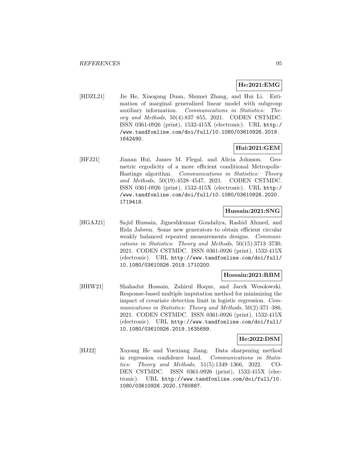## **He:2021:EMG**

[HDZL21] Jie He, Xiaogang Duan, Shumei Zhang, and Hui Li. Estimation of marginal generalized linear model with subgroup auxiliary information. Communications in Statistics: Theory and Methods, 50(4):837–855, 2021. CODEN CSTMDC. ISSN 0361-0926 (print), 1532-415X (electronic). URL http:/ /www.tandfonline.com/doi/full/10.1080/03610926.2019. 1642490.

## **Hui:2021:GEM**

[HFJ21] Jianan Hui, James M. Flegal, and Alicia Johnson. Geometric ergodicity of a more efficient conditional Metropolis– Hastings algorithm. Communications in Statistics: Theory and Methods, 50(19):4528–4547, 2021. CODEN CSTMDC. ISSN 0361-0926 (print), 1532-415X (electronic). URL http:/ /www.tandfonline.com/doi/full/10.1080/03610926.2020. 1719418.

### **Hussain:2021:SNG**

[HGAJ21] Sajid Hussain, Jigneshkumar Gondaliya, Rashid Ahmed, and Rida Jabeen. Some new generators to obtain efficient circular weakly balanced repeated measurements designs. Communications in Statistics: Theory and Methods, 50(15):3713–3730, 2021. CODEN CSTMDC. ISSN 0361-0926 (print), 1532-415X (electronic). URL http://www.tandfonline.com/doi/full/ 10.1080/03610926.2019.1710200.

## **Hossain:2021:RBM**

[HHW21] Shahadut Hossain, Zahirul Hoque, and Jacek Wesolowski. Response-based multiple imputation method for minimizing the impact of covariate detection limit in logistic regression. Communications in Statistics: Theory and Methods, 50(2):371–386, 2021. CODEN CSTMDC. ISSN 0361-0926 (print), 1532-415X (electronic). URL http://www.tandfonline.com/doi/full/ 10.1080/03610926.2019.1635699.

## **He:2022:DSM**

[HJ22] Xuyang He and Yuexiang Jiang. Data sharpening method in regression confidence band. Communications in Statistics: Theory and Methods, 51(5):1349–1366, 2022. CO-DEN CSTMDC. ISSN 0361-0926 (print), 1532-415X (electronic). URL http://www.tandfonline.com/doi/full/10. 1080/03610926.2020.1760887.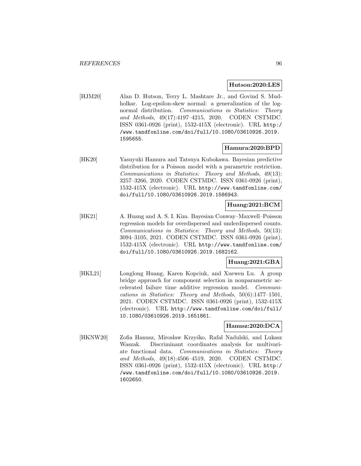#### **Hutson:2020:LES**

[HJM20] Alan D. Hutson, Terry L. Mashtare Jr., and Govind S. Mudholkar. Log-epsilon-skew normal: a generalization of the lognormal distribution. Communications in Statistics: Theory and Methods, 49(17):4197–4215, 2020. CODEN CSTMDC. ISSN 0361-0926 (print), 1532-415X (electronic). URL http:/ /www.tandfonline.com/doi/full/10.1080/03610926.2019. 1595655.

## **Hamura:2020:BPD**

[HK20] Yasuyuki Hamura and Tatsuya Kubokawa. Bayesian predictive distribution for a Poisson model with a parametric restriction. Communications in Statistics: Theory and Methods, 49(13): 3257–3266, 2020. CODEN CSTMDC. ISSN 0361-0926 (print), 1532-415X (electronic). URL http://www.tandfonline.com/ doi/full/10.1080/03610926.2019.1586943.

### **Huang:2021:BCM**

[HK21] A. Huang and A. S. I. Kim. Bayesian Conway–Maxwell–Poisson regression models for overdispersed and underdispersed counts. Communications in Statistics: Theory and Methods, 50(13): 3094–3105, 2021. CODEN CSTMDC. ISSN 0361-0926 (print), 1532-415X (electronic). URL http://www.tandfonline.com/ doi/full/10.1080/03610926.2019.1682162.

## **Huang:2021:GBA**

[HKL21] Longlong Huang, Karen Kopciuk, and Xuewen Lu. A group bridge approach for component selection in nonparametric accelerated failure time additive regression model. Communications in Statistics: Theory and Methods, 50(6):1477–1501, 2021. CODEN CSTMDC. ISSN 0361-0926 (print), 1532-415X (electronic). URL http://www.tandfonline.com/doi/full/ 10.1080/03610926.2019.1651861.

### **Hanusz:2020:DCA**

[HKNW20] Zofia Hanusz, Mirosław Krzyśko, Rafał Nadulski, and Lukasz Waszak. Discriminant coordinates analysis for multivariate functional data. Communications in Statistics: Theory and Methods, 49(18):4506–4519, 2020. CODEN CSTMDC. ISSN 0361-0926 (print), 1532-415X (electronic). URL http:/ /www.tandfonline.com/doi/full/10.1080/03610926.2019. 1602650.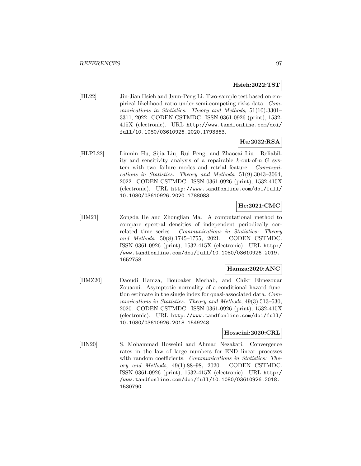#### **Hsieh:2022:TST**

[HL22] Jin-Jian Hsieh and Jyun-Peng Li. Two-sample test based on empirical likelihood ratio under semi-competing risks data. Communications in Statistics: Theory and Methods, 51(10):3301– 3311, 2022. CODEN CSTMDC. ISSN 0361-0926 (print), 1532- 415X (electronic). URL http://www.tandfonline.com/doi/ full/10.1080/03610926.2020.1793363.

## **Hu:2022:RSA**

[HLPL22] Linmin Hu, Sijia Liu, Rui Peng, and Zhaocai Liu. Reliability and sensitivity analysis of a repairable  $k$ -out-of-n:  $G$  system with two failure modes and retrial feature. Communications in Statistics: Theory and Methods, 51(9):3043–3064, 2022. CODEN CSTMDC. ISSN 0361-0926 (print), 1532-415X (electronic). URL http://www.tandfonline.com/doi/full/ 10.1080/03610926.2020.1788083.

## **He:2021:CMC**

[HM21] Zongda He and Zhonglian Ma. A computational method to compare spectral densities of independent periodically correlated time series. Communications in Statistics: Theory and Methods, 50(8):1745–1755, 2021. CODEN CSTMDC. ISSN 0361-0926 (print), 1532-415X (electronic). URL http:/ /www.tandfonline.com/doi/full/10.1080/03610926.2019. 1652758.

### **Hamza:2020:ANC**

[HMZ20] Daoudi Hamza, Boubaker Mechab, and Chikr Elmezouar Zouaoui. Asymptotic normality of a conditional hazard function estimate in the single index for quasi-associated data. Communications in Statistics: Theory and Methods, 49(3):513-530, 2020. CODEN CSTMDC. ISSN 0361-0926 (print), 1532-415X (electronic). URL http://www.tandfonline.com/doi/full/ 10.1080/03610926.2018.1549248.

### **Hosseini:2020:CRL**

[HN20] S. Mohammad Hosseini and Ahmad Nezakati. Convergence rates in the law of large numbers for END linear processes with random coefficients. Communications in Statistics: Theory and Methods, 49(1):88–98, 2020. CODEN CSTMDC. ISSN 0361-0926 (print), 1532-415X (electronic). URL http:/ /www.tandfonline.com/doi/full/10.1080/03610926.2018. 1530790.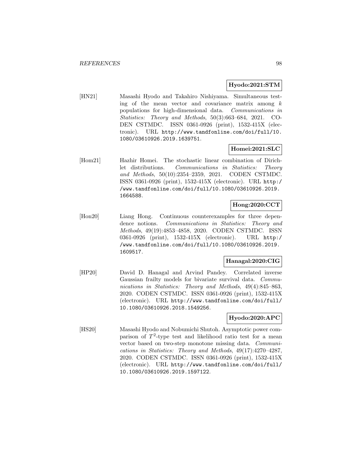#### **Hyodo:2021:STM**

[HN21] Masashi Hyodo and Takahiro Nishiyama. Simultaneous testing of the mean vector and covariance matrix among  $k$ populations for high-dimensional data. Communications in Statistics: Theory and Methods, 50(3):663–684, 2021. CO-DEN CSTMDC. ISSN 0361-0926 (print), 1532-415X (electronic). URL http://www.tandfonline.com/doi/full/10. 1080/03610926.2019.1639751.

### **Homei:2021:SLC**

[Hom21] Hazhir Homei. The stochastic linear combination of Dirichlet distributions. Communications in Statistics: Theory and Methods, 50(10):2354–2359, 2021. CODEN CSTMDC. ISSN 0361-0926 (print), 1532-415X (electronic). URL http:/ /www.tandfonline.com/doi/full/10.1080/03610926.2019. 1664588.

## **Hong:2020:CCT**

[Hon20] Liang Hong. Continuous counterexamples for three dependence notions. Communications in Statistics: Theory and Methods, 49(19):4853–4858, 2020. CODEN CSTMDC. ISSN 0361-0926 (print), 1532-415X (electronic). URL http:/ /www.tandfonline.com/doi/full/10.1080/03610926.2019. 1609517.

### **Hanagal:2020:CIG**

[HP20] David D. Hanagal and Arvind Pandey. Correlated inverse Gaussian frailty models for bivariate survival data. Communications in Statistics: Theory and Methods, 49(4):845–863, 2020. CODEN CSTMDC. ISSN 0361-0926 (print), 1532-415X (electronic). URL http://www.tandfonline.com/doi/full/ 10.1080/03610926.2018.1549256.

### **Hyodo:2020:APC**

[HS20] Masashi Hyodo and Nobumichi Shutoh. Asymptotic power comparison of  $T^2$ -type test and likelihood ratio test for a mean vector based on two-step monotone missing data. Communications in Statistics: Theory and Methods, 49(17):4270–4287, 2020. CODEN CSTMDC. ISSN 0361-0926 (print), 1532-415X (electronic). URL http://www.tandfonline.com/doi/full/ 10.1080/03610926.2019.1597122.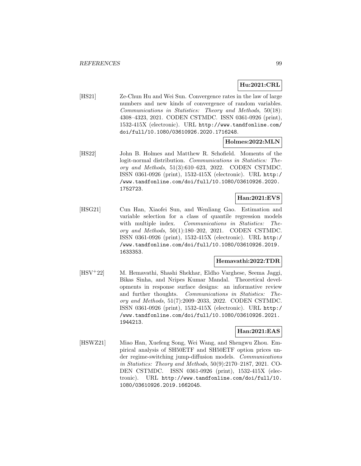## **Hu:2021:CRL**

[HS21] Ze-Chun Hu and Wei Sun. Convergence rates in the law of large numbers and new kinds of convergence of random variables. Communications in Statistics: Theory and Methods, 50(18): 4308–4323, 2021. CODEN CSTMDC. ISSN 0361-0926 (print), 1532-415X (electronic). URL http://www.tandfonline.com/ doi/full/10.1080/03610926.2020.1716248.

### **Holmes:2022:MLN**

[HS22] John B. Holmes and Matthew R. Schofield. Moments of the logit-normal distribution. Communications in Statistics: Theory and Methods, 51(3):610–623, 2022. CODEN CSTMDC. ISSN 0361-0926 (print), 1532-415X (electronic). URL http:/ /www.tandfonline.com/doi/full/10.1080/03610926.2020. 1752723.

## **Han:2021:EVS**

[HSG21] Cun Han, Xiaofei Sun, and Wenliang Gao. Estimation and variable selection for a class of quantile regression models with multiple index. Communications in Statistics: Theory and Methods, 50(1):180–202, 2021. CODEN CSTMDC. ISSN 0361-0926 (print), 1532-415X (electronic). URL http:/ /www.tandfonline.com/doi/full/10.1080/03610926.2019. 1633353.

#### **Hemavathi:2022:TDR**

[HSV<sup>+</sup>22] M. Hemavathi, Shashi Shekhar, Eldho Varghese, Seema Jaggi, Bikas Sinha, and Nripes Kumar Mandal. Theoretical developments in response surface designs: an informative review and further thoughts. Communications in Statistics: Theory and Methods, 51(7):2009–2033, 2022. CODEN CSTMDC. ISSN 0361-0926 (print), 1532-415X (electronic). URL http:/ /www.tandfonline.com/doi/full/10.1080/03610926.2021. 1944213.

## **Han:2021:EAS**

[HSWZ21] Miao Han, Xuefeng Song, Wei Wang, and Shengwu Zhou. Empirical analysis of SH50ETF and SH50ETF option prices under regime-switching jump-diffusion models. Communications in Statistics: Theory and Methods, 50(9):2170–2187, 2021. CO-DEN CSTMDC. ISSN 0361-0926 (print), 1532-415X (electronic). URL http://www.tandfonline.com/doi/full/10. 1080/03610926.2019.1662045.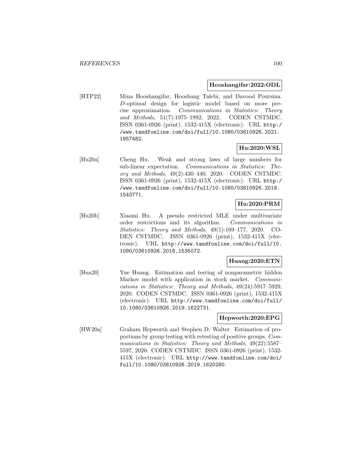#### **Hooshangifar:2022:ODL**

[HTP22] Mina Hooshangifar, Hooshang Talebi, and Davood Poursina. D-optimal design for logistic model based on more precise approximation. Communications in Statistics: Theory and Methods, 51(7):1975–1992, 2022. CODEN CSTMDC. ISSN 0361-0926 (print), 1532-415X (electronic). URL http:/ /www.tandfonline.com/doi/full/10.1080/03610926.2021. 1957482.

## **Hu:2020:WSL**

[Hu20a] Cheng Hu. Weak and strong laws of large numbers for sub-linear expectation. Communications in Statistics: Theory and Methods, 49(2):430–440, 2020. CODEN CSTMDC. ISSN 0361-0926 (print), 1532-415X (electronic). URL http:/ /www.tandfonline.com/doi/full/10.1080/03610926.2018. 1543771.

## **Hu:2020:PRM**

[Hu20b] Xiaomi Hu. A pseudo restricted MLE under multivariate order restrictions and its algorithm. Communications in Statistics: Theory and Methods, 49(1):169–177, 2020. CO-DEN CSTMDC. ISSN 0361-0926 (print), 1532-415X (electronic). URL http://www.tandfonline.com/doi/full/10. 1080/03610926.2018.1535072.

## **Huang:2020:ETN**

[Hua20] Yue Huang. Estimation and testing of nonparametric hidden Markov model with application in stock market. Communications in Statistics: Theory and Methods, 49(24):5917–5929, 2020. CODEN CSTMDC. ISSN 0361-0926 (print), 1532-415X (electronic). URL http://www.tandfonline.com/doi/full/ 10.1080/03610926.2019.1622731.

#### **Hepworth:2020:EPG**

[HW20a] Graham Hepworth and Stephen D. Walter. Estimation of proportions by group testing with retesting of positive groups. Communications in Statistics: Theory and Methods, 49(22):5587– 5597, 2020. CODEN CSTMDC. ISSN 0361-0926 (print), 1532- 415X (electronic). URL http://www.tandfonline.com/doi/ full/10.1080/03610926.2019.1620280.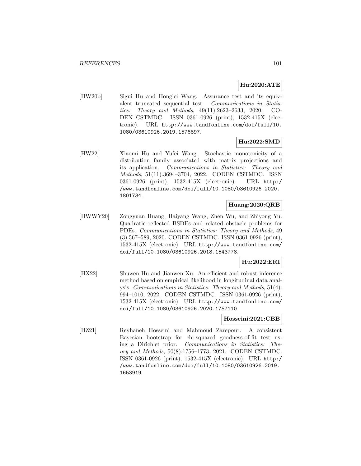## **Hu:2020:ATE**

[HW20b] Sigui Hu and Honglei Wang. Assurance test and its equivalent truncated sequential test. Communications in Statistics: Theory and Methods, 49(11):2623–2633, 2020. CO-DEN CSTMDC. ISSN 0361-0926 (print), 1532-415X (electronic). URL http://www.tandfonline.com/doi/full/10. 1080/03610926.2019.1576897.

## **Hu:2022:SMD**

[HW22] Xiaomi Hu and Yufei Wang. Stochastic monotonicity of a distribution family associated with matrix projections and its application. Communications in Statistics: Theory and Methods, 51(11):3694–3704, 2022. CODEN CSTMDC. ISSN 0361-0926 (print), 1532-415X (electronic). URL http:/ /www.tandfonline.com/doi/full/10.1080/03610926.2020. 1801734.

## **Huang:2020:QRB**

[HWWY20] Zongyuan Huang, Haiyang Wang, Zhen Wu, and Zhiyong Yu. Quadratic reflected BSDEs and related obstacle problems for PDEs. Communications in Statistics: Theory and Methods, 49 (3):567–589, 2020. CODEN CSTMDC. ISSN 0361-0926 (print), 1532-415X (electronic). URL http://www.tandfonline.com/ doi/full/10.1080/03610926.2018.1543778.

## **Hu:2022:ERI**

[HX22] Shuwen Hu and Jianwen Xu. An efficient and robust inference method based on empirical likelihood in longitudinal data analysis. Communications in Statistics: Theory and Methods, 51(4): 994–1010, 2022. CODEN CSTMDC. ISSN 0361-0926 (print), 1532-415X (electronic). URL http://www.tandfonline.com/ doi/full/10.1080/03610926.2020.1757110.

## **Hosseini:2021:CBB**

[HZ21] Reyhaneh Hosseini and Mahmoud Zarepour. A consistent Bayesian bootstrap for chi-squared goodness-of-fit test using a Dirichlet prior. Communications in Statistics: Theory and Methods, 50(8):1756–1773, 2021. CODEN CSTMDC. ISSN 0361-0926 (print), 1532-415X (electronic). URL http:/ /www.tandfonline.com/doi/full/10.1080/03610926.2019. 1653919.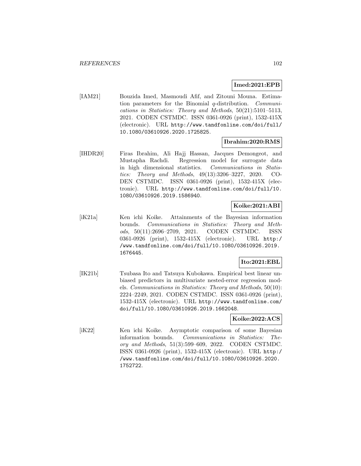### **Imed:2021:EPB**

[IAM21] Bouzida Imed, Masmoudi Afif, and Zitouni Mouna. Estimation parameters for the Binomial q-distribution. Communications in Statistics: Theory and Methods, 50(21):5101–5113, 2021. CODEN CSTMDC. ISSN 0361-0926 (print), 1532-415X (electronic). URL http://www.tandfonline.com/doi/full/ 10.1080/03610926.2020.1725825.

## **Ibrahim:2020:RMS**

[IHDR20] Firas Ibrahim, Ali Hajj Hassan, Jacques Demongeot, and Mustapha Rachdi. Regression model for surrogate data in high dimensional statistics. Communications in Statistics: Theory and Methods, 49(13):3206–3227, 2020. CO-DEN CSTMDC. ISSN 0361-0926 (print), 1532-415X (electronic). URL http://www.tandfonline.com/doi/full/10. 1080/03610926.2019.1586940.

## **Koike:2021:ABI**

[iK21a] Ken ichi Koike. Attainments of the Bayesian information bounds. Communications in Statistics: Theory and Methods, 50(11):2696–2709, 2021. CODEN CSTMDC. ISSN 0361-0926 (print), 1532-415X (electronic). URL http:/ /www.tandfonline.com/doi/full/10.1080/03610926.2019. 1676445.

## **Ito:2021:EBL**

[IK21b] Tsubasa Ito and Tatsuya Kubokawa. Empirical best linear unbiased predictors in multivariate nested-error regression models. Communications in Statistics: Theory and Methods, 50(10): 2224–2249, 2021. CODEN CSTMDC. ISSN 0361-0926 (print), 1532-415X (electronic). URL http://www.tandfonline.com/ doi/full/10.1080/03610926.2019.1662048.

## **Koike:2022:ACS**

[iK22] Ken ichi Koike. Asymptotic comparison of some Bayesian information bounds. Communications in Statistics: Theory and Methods, 51(3):599–609, 2022. CODEN CSTMDC. ISSN 0361-0926 (print), 1532-415X (electronic). URL http:/ /www.tandfonline.com/doi/full/10.1080/03610926.2020. 1752722.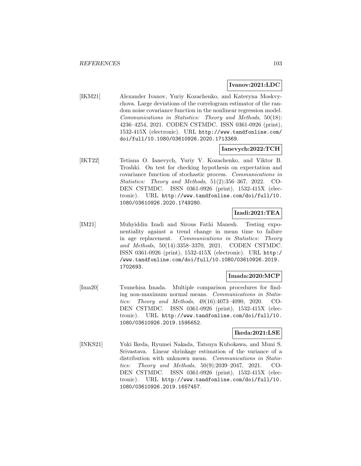#### **Ivanov:2021:LDC**

[IKM21] Alexander Ivanov, Yuriy Kozachenko, and Kateryna Moskvychova. Large deviations of the correlogram estimator of the random noise covariance function in the nonlinear regression model. Communications in Statistics: Theory and Methods, 50(18): 4236–4254, 2021. CODEN CSTMDC. ISSN 0361-0926 (print), 1532-415X (electronic). URL http://www.tandfonline.com/ doi/full/10.1080/03610926.2020.1713369.

### **Ianevych:2022:TCH**

[IKT22] Tetiana O. Ianevych, Yuriy V. Kozachenko, and Viktor B. Troshki. On test for checking hypothesis on expectation and covariance function of stochastic process. Communications in Statistics: Theory and Methods, 51(2):356–367, 2022. CO-DEN CSTMDC. ISSN 0361-0926 (print), 1532-415X (electronic). URL http://www.tandfonline.com/doi/full/10. 1080/03610926.2020.1749280.

## **Izadi:2021:TEA**

[IM21] Muhyiddin Izadi and Sirous Fathi Manesh. Testing exponentiality against a trend change in mean time to failure in age replacement. Communications in Statistics: Theory and Methods, 50(14):3358–3370, 2021. CODEN CSTMDC. ISSN 0361-0926 (print), 1532-415X (electronic). URL http:/ /www.tandfonline.com/doi/full/10.1080/03610926.2019. 1702693.

### **Imada:2020:MCP**

[Ima20] Tsunehisa Imada. Multiple comparison procedures for finding non-maximum normal means. Communications in Statistics: Theory and Methods, 49(16):4073–4090, 2020. CO-DEN CSTMDC. ISSN 0361-0926 (print), 1532-415X (electronic). URL http://www.tandfonline.com/doi/full/10. 1080/03610926.2019.1595652.

## **Ikeda:2021:LSE**

[INKS21] Yuki Ikeda, Ryumei Nakada, Tatsuya Kubokawa, and Muni S. Srivastava. Linear shrinkage estimation of the variance of a distribution with unknown mean. Communications in Statistics: Theory and Methods, 50(9):2039–2047, 2021. CO-DEN CSTMDC. ISSN 0361-0926 (print), 1532-415X (electronic). URL http://www.tandfonline.com/doi/full/10. 1080/03610926.2019.1657457.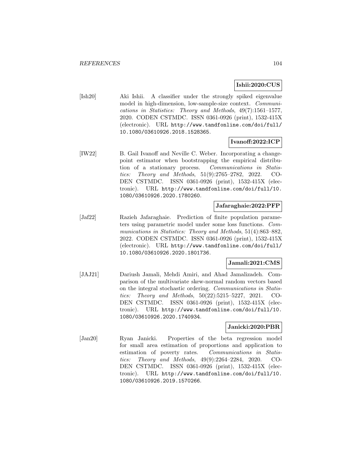## **Ishii:2020:CUS**

[Ish20] Aki Ishii. A classifier under the strongly spiked eigenvalue model in high-dimension, low-sample-size context. Communications in Statistics: Theory and Methods, 49(7):1561–1577, 2020. CODEN CSTMDC. ISSN 0361-0926 (print), 1532-415X (electronic). URL http://www.tandfonline.com/doi/full/ 10.1080/03610926.2018.1528365.

## **Ivanoff:2022:ICP**

[IW22] B. Gail Ivanoff and Neville C. Weber. Incorporating a changepoint estimator when bootstrapping the empirical distribution of a stationary process. Communications in Statistics: Theory and Methods, 51(9):2765–2782, 2022. CO-DEN CSTMDC. ISSN 0361-0926 (print), 1532-415X (electronic). URL http://www.tandfonline.com/doi/full/10. 1080/03610926.2020.1780260.

### **Jafaraghaie:2022:PFP**

[Jaf22] Razieh Jafaraghaie. Prediction of finite population parameters using parametric model under some loss functions. Communications in Statistics: Theory and Methods, 51(4):863–882, 2022. CODEN CSTMDC. ISSN 0361-0926 (print), 1532-415X (electronic). URL http://www.tandfonline.com/doi/full/ 10.1080/03610926.2020.1801736.

## **Jamali:2021:CMS**

[JAJ21] Dariush Jamali, Mehdi Amiri, and Ahad Jamalizadeh. Comparison of the multivariate skew-normal random vectors based on the integral stochastic ordering. Communications in Statistics: Theory and Methods, 50(22):5215–5227, 2021. CO-DEN CSTMDC. ISSN 0361-0926 (print), 1532-415X (electronic). URL http://www.tandfonline.com/doi/full/10. 1080/03610926.2020.1740934.

### **Janicki:2020:PBR**

[Jan20] Ryan Janicki. Properties of the beta regression model for small area estimation of proportions and application to estimation of poverty rates. Communications in Statistics: Theory and Methods, 49(9):2264–2284, 2020. CO-DEN CSTMDC. ISSN 0361-0926 (print), 1532-415X (electronic). URL http://www.tandfonline.com/doi/full/10. 1080/03610926.2019.1570266.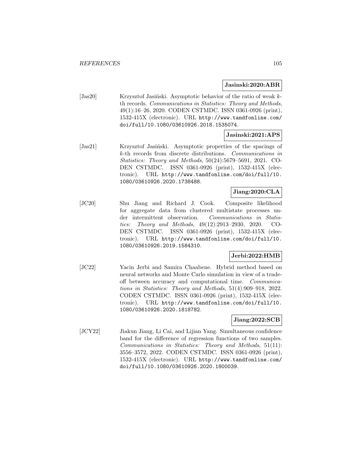#### **Jasinski:2020:ABR**

[Jas20] Krzysztof Jasiński. Asymptotic behavior of the ratio of weak kth records. Communications in Statistics: Theory and Methods, 49(1):16–26, 2020. CODEN CSTMDC. ISSN 0361-0926 (print), 1532-415X (electronic). URL http://www.tandfonline.com/ doi/full/10.1080/03610926.2018.1535074.

#### **Jasinski:2021:APS**

[Jas21] Krzysztof Jasiński. Asymptotic properties of the spacings of k-th records from discrete distributions. Communications in Statistics: Theory and Methods, 50(24):5679–5691, 2021. CO-DEN CSTMDC. ISSN 0361-0926 (print), 1532-415X (electronic). URL http://www.tandfonline.com/doi/full/10. 1080/03610926.2020.1738488.

## **Jiang:2020:CLA**

[JC20] Shu Jiang and Richard J. Cook. Composite likelihood for aggregate data from clustered multistate processes under intermittent observation. Communications in Statistics: Theory and Methods, 49(12):2913–2930, 2020. CO-DEN CSTMDC. ISSN 0361-0926 (print), 1532-415X (electronic). URL http://www.tandfonline.com/doi/full/10. 1080/03610926.2019.1584310.

## **Jerbi:2022:HMB**

[JC22] Yacin Jerbi and Samira Chaabene. Hybrid method based on neural networks and Monte Carlo simulation in view of a tradeoff between accuracy and computational time. Communications in Statistics: Theory and Methods, 51(4):909–918, 2022. CODEN CSTMDC. ISSN 0361-0926 (print), 1532-415X (electronic). URL http://www.tandfonline.com/doi/full/10. 1080/03610926.2020.1818782.

### **Jiang:2022:SCB**

[JCY22] Jiakun Jiang, Li Cai, and Lijian Yang. Simultaneous confidence band for the difference of regression functions of two samples. Communications in Statistics: Theory and Methods, 51(11): 3556–3572, 2022. CODEN CSTMDC. ISSN 0361-0926 (print), 1532-415X (electronic). URL http://www.tandfonline.com/ doi/full/10.1080/03610926.2020.1800039.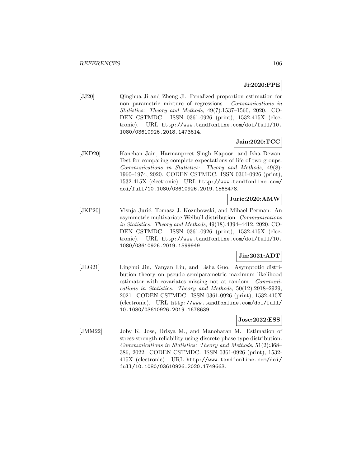## **Ji:2020:PPE**

[JJ20] Qinghua Ji and Zheng Ji. Penalized proportion estimation for non parametric mixture of regressions. Communications in Statistics: Theory and Methods, 49(7):1537–1560, 2020. CO-DEN CSTMDC. ISSN 0361-0926 (print), 1532-415X (electronic). URL http://www.tandfonline.com/doi/full/10. 1080/03610926.2018.1473614.

## **Jain:2020:TCC**

[JKD20] Kanchan Jain, Harmanpreet Singh Kapoor, and Isha Dewan. Test for comparing complete expectations of life of two groups. Communications in Statistics: Theory and Methods, 49(8): 1960–1974, 2020. CODEN CSTMDC. ISSN 0361-0926 (print), 1532-415X (electronic). URL http://www.tandfonline.com/ doi/full/10.1080/03610926.2019.1568478.

## **Juric:2020:AMW**

[JKP20] Visnja Jurić, Tomasz J. Kozubowski, and Mihael Perman. An asymmetric multivariate Weibull distribution. Communications in Statistics: Theory and Methods, 49(18):4394–4412, 2020. CO-DEN CSTMDC. ISSN 0361-0926 (print), 1532-415X (electronic). URL http://www.tandfonline.com/doi/full/10. 1080/03610926.2019.1599949.

## **Jin:2021:ADT**

[JLG21] Linghui Jin, Yanyan Liu, and Lisha Guo. Asymptotic distribution theory on pseudo semiparametric maximum likelihood estimator with covariates missing not at random. Communications in Statistics: Theory and Methods, 50(12):2918–2929, 2021. CODEN CSTMDC. ISSN 0361-0926 (print), 1532-415X (electronic). URL http://www.tandfonline.com/doi/full/ 10.1080/03610926.2019.1678639.

### **Jose:2022:ESS**

[JMM22] Joby K. Jose, Drisya M., and Manoharan M. Estimation of stress-strength reliability using discrete phase type distribution. Communications in Statistics: Theory and Methods, 51(2):368– 386, 2022. CODEN CSTMDC. ISSN 0361-0926 (print), 1532- 415X (electronic). URL http://www.tandfonline.com/doi/ full/10.1080/03610926.2020.1749663.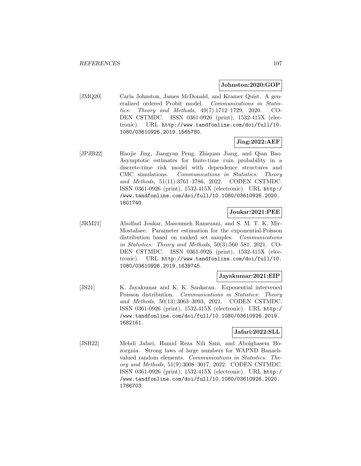### **Johnston:2020:GOP**

[JMQ20] Carla Johnston, James McDonald, and Kramer Quist. A generalized ordered Probit model. Communications in Statistics: Theory and Methods, 49(7):1712–1729, 2020. CO-DEN CSTMDC. ISSN 0361-0926 (print), 1532-415X (electronic). URL http://www.tandfonline.com/doi/full/10. 1080/03610926.2019.1565780.

## **Jing:2022:AEF**

[JPJB22] Haojie Jing, Jiangyan Peng, Zhiquan Jiang, and Qian Bao. Asymptotic estimates for finite-time ruin probability in a discrete-time risk model with dependence structures and CMC simulations. Communications in Statistics: Theory and Methods, 51(11):3761–3786, 2022. CODEN CSTMDC. ISSN 0361-0926 (print), 1532-415X (electronic). URL http:/ /www.tandfonline.com/doi/full/10.1080/03610926.2020. 1801740.

## **Joukar:2021:PEE**

[JRM21] Abolfazl Joukar, Masoumeh Ramezani, and S. M. T. K. Mir-Mostafaee. Parameter estimation for the exponential-Poisson distribution based on ranked set samples. Communications in Statistics: Theory and Methods, 50(3):560–581, 2021. CO-DEN CSTMDC. ISSN 0361-0926 (print), 1532-415X (electronic). URL http://www.tandfonline.com/doi/full/10. 1080/03610926.2019.1639745.

### **Jayakumar:2021:EIP**

[JS21] K. Jayakumar and K. K. Sankaran. Exponential intervened Poisson distribution. Communications in Statistics: Theory and Methods, 50(13):3063–3093, 2021. CODEN CSTMDC. ISSN 0361-0926 (print), 1532-415X (electronic). URL http:/ /www.tandfonline.com/doi/full/10.1080/03610926.2019. 1682161.

### **Jafari:2022:SLL**

[JSB22] Mehdi Jafari, Hamid Reza Nili Sani, and Abolghasem Bozorgnia. Strong laws of large numbers for WAPND Banachvalued random elements. Communications in Statistics: Theory and Methods, 51(9):3008–3017, 2022. CODEN CSTMDC. ISSN 0361-0926 (print), 1532-415X (electronic). URL http:/ /www.tandfonline.com/doi/full/10.1080/03610926.2020. 1786703.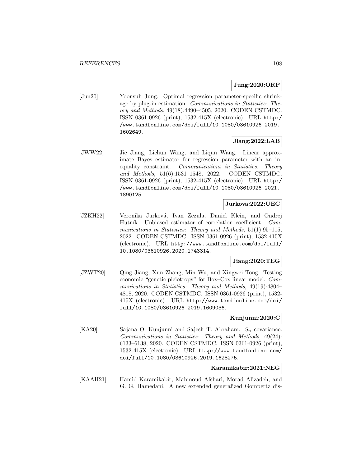## **Jung:2020:ORP**

[Jun20] Yoonsuh Jung. Optimal regression parameter-specific shrinkage by plug-in estimation. Communications in Statistics: Theory and Methods, 49(18):4490–4505, 2020. CODEN CSTMDC. ISSN 0361-0926 (print), 1532-415X (electronic). URL http:/ /www.tandfonline.com/doi/full/10.1080/03610926.2019. 1602649.

## **Jiang:2022:LAB**

[JWW22] Jie Jiang, Lichun Wang, and Liqun Wang. Linear approximate Bayes estimator for regression parameter with an inequality constraint. Communications in Statistics: Theory and Methods, 51(6):1531–1548, 2022. CODEN CSTMDC. ISSN 0361-0926 (print), 1532-415X (electronic). URL http:/ /www.tandfonline.com/doi/full/10.1080/03610926.2021. 1890125.

### **Jurkova:2022:UEC**

[JZKH22] Veronika Jurková, Ivan Zezula, Daniel Klein, and Ondrej Hutník. Unbiased estimator of correlation coefficient. Communications in Statistics: Theory and Methods, 51(1):95–115, 2022. CODEN CSTMDC. ISSN 0361-0926 (print), 1532-415X (electronic). URL http://www.tandfonline.com/doi/full/ 10.1080/03610926.2020.1743314.

### **Jiang:2020:TEG**

[JZWT20] Qing Jiang, Xun Zhang, Min Wu, and Xingwei Tong. Testing economic "genetic pleiotropy" for Box–Cox linear model. Communications in Statistics: Theory and Methods, 49(19):4804– 4818, 2020. CODEN CSTMDC. ISSN 0361-0926 (print), 1532- 415X (electronic). URL http://www.tandfonline.com/doi/ full/10.1080/03610926.2019.1609036.

### **Kunjunni:2020:C**

[KA20] Sajana O. Kunjunni and Sajesh T. Abraham.  $S_n$  covariance. Communications in Statistics: Theory and Methods, 49(24): 6133–6138, 2020. CODEN CSTMDC. ISSN 0361-0926 (print), 1532-415X (electronic). URL http://www.tandfonline.com/ doi/full/10.1080/03610926.2019.1628275.

#### **Karamikabir:2021:NEG**

[KAAH21] Hamid Karamikabir, Mahmoud Afshari, Morad Alizadeh, and G. G. Hamedani. A new extended generalized Gompertz dis-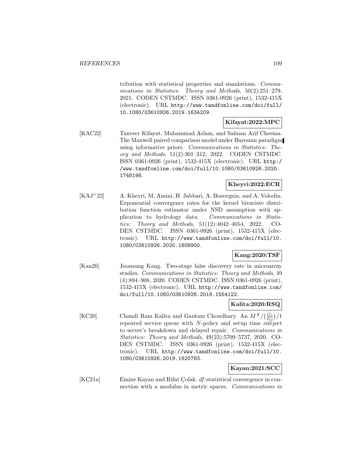tribution with statistical properties and simulations. Communications in Statistics: Theory and Methods, 50(2):251–279, 2021. CODEN CSTMDC. ISSN 0361-0926 (print), 1532-415X (electronic). URL http://www.tandfonline.com/doi/full/ 10.1080/03610926.2019.1634209.

### **Kifayat:2022:MPC**

[KAC22] Tanveer Kifayat, Muhammad Aslam, and Salman Arif Cheema. The Maxwell paired comparison model under Bayesian paradigm using informative priors. Communications in Statistics: Theory and Methods, 51(2):301–312, 2022. CODEN CSTMDC. ISSN 0361-0926 (print), 1532-415X (electronic). URL http:/ /www.tandfonline.com/doi/full/10.1080/03610926.2020. 1748198.

# **Kheyri:2022:ECR**

[KAJ<sup>+</sup>22] A. Kheyri, M. Amini, H. Jabbari, A. Bozorgnia, and A. Volodin. Exponential convergence rates for the kernel bivariate distribution function estimator under NSD assumption with application to hydrology data. Communications in Statistics: Theory and Methods, 51(12):4042–4054, 2022. CO-DEN CSTMDC. ISSN 0361-0926 (print), 1532-415X (electronic). URL http://www.tandfonline.com/doi/full/10. 1080/03610926.2020.1808900.

### **Kang:2020:TSF**

[Kan20] Joonsung Kang. Two-stage false discovery rate in microarray studies. Communications in Statistics: Theory and Methods, 49 (4):894–908, 2020. CODEN CSTMDC. ISSN 0361-0926 (print), 1532-415X (electronic). URL http://www.tandfonline.com/ doi/full/10.1080/03610926.2018.1554122.

### **Kalita:2020:RSQ**

[KC20] Chandi Ram Kalita and Gautam Choudhury. An  $M^X/(\frac{G_1}{G_2})/1$ repeated service queue with N-policy and setup time subject to server's breakdown and delayed repair. Communications in Statistics: Theory and Methods, 49(23):5709–5737, 2020. CO-DEN CSTMDC. ISSN 0361-0926 (print), 1532-415X (electronic). URL http://www.tandfonline.com/doi/full/10. 1080/03610926.2019.1620783.

### **Kayan:2021:SCC**

[KC21a] Emine Kayan and Rifat Colak.  $df$ -statistical convergence in connection with a modulus in metric spaces. Communications in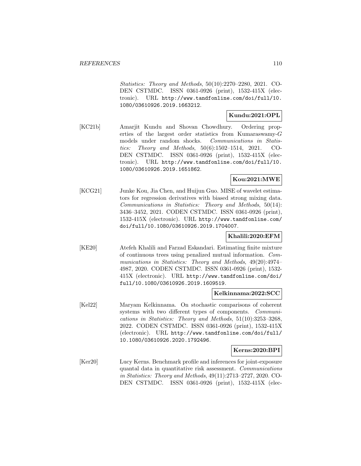Statistics: Theory and Methods, 50(10):2270–2280, 2021. CO-DEN CSTMDC. ISSN 0361-0926 (print), 1532-415X (electronic). URL http://www.tandfonline.com/doi/full/10. 1080/03610926.2019.1663212.

## **Kundu:2021:OPL**

[KC21b] Amarjit Kundu and Shovan Chowdhury. Ordering properties of the largest order statistics from Kumaraswamy-G models under random shocks. *Communications in Statis*tics: Theory and Methods, 50(6):1502–1514, 2021. CO-DEN CSTMDC. ISSN 0361-0926 (print), 1532-415X (electronic). URL http://www.tandfonline.com/doi/full/10. 1080/03610926.2019.1651862.

## **Kou:2021:MWE**

[KCG21] Junke Kou, Jia Chen, and Huijun Guo. MISE of wavelet estimators for regression derivatives with biased strong mixing data. Communications in Statistics: Theory and Methods, 50(14): 3436–3452, 2021. CODEN CSTMDC. ISSN 0361-0926 (print), 1532-415X (electronic). URL http://www.tandfonline.com/ doi/full/10.1080/03610926.2019.1704007.

## **Khalili:2020:EFM**

[KE20] Atefeh Khalili and Farzad Eskandari. Estimating finite mixture of continuous trees using penalized mutual information. Communications in Statistics: Theory and Methods, 49(20):4974– 4987, 2020. CODEN CSTMDC. ISSN 0361-0926 (print), 1532- 415X (electronic). URL http://www.tandfonline.com/doi/ full/10.1080/03610926.2019.1609519.

### **Kelkinnama:2022:SCC**

[Kel22] Maryam Kelkinnama. On stochastic comparisons of coherent systems with two different types of components. Communications in Statistics: Theory and Methods, 51(10):3253–3268, 2022. CODEN CSTMDC. ISSN 0361-0926 (print), 1532-415X (electronic). URL http://www.tandfonline.com/doi/full/ 10.1080/03610926.2020.1792496.

### **Kerns:2020:BPI**

[Ker20] Lucy Kerns. Benchmark profile and inferences for joint-exposure quantal data in quantitative risk assessment. Communications in Statistics: Theory and Methods, 49(11):2713–2727, 2020. CO-DEN CSTMDC. ISSN 0361-0926 (print), 1532-415X (elec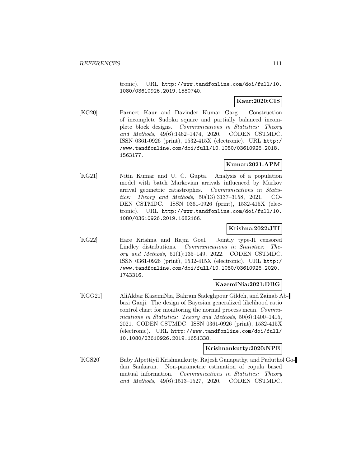tronic). URL http://www.tandfonline.com/doi/full/10. 1080/03610926.2019.1580740.

### **Kaur:2020:CIS**

[KG20] Parneet Kaur and Davinder Kumar Garg. Construction of incomplete Sudoku square and partially balanced incomplete block designs. Communications in Statistics: Theory and Methods, 49(6):1462–1474, 2020. CODEN CSTMDC. ISSN 0361-0926 (print), 1532-415X (electronic). URL http:/ /www.tandfonline.com/doi/full/10.1080/03610926.2018. 1563177.

# **Kumar:2021:APM**

[KG21] Nitin Kumar and U. C. Gupta. Analysis of a population model with batch Markovian arrivals influenced by Markov arrival geometric catastrophes. Communications in Statistics: Theory and Methods, 50(13):3137–3158, 2021. CO-DEN CSTMDC. ISSN 0361-0926 (print), 1532-415X (electronic). URL http://www.tandfonline.com/doi/full/10. 1080/03610926.2019.1682166.

### **Krishna:2022:JTI**

[KG22] Hare Krishna and Rajni Goel. Jointly type-II censored Lindley distributions. Communications in Statistics: Theory and Methods, 51(1):135–149, 2022. CODEN CSTMDC. ISSN 0361-0926 (print), 1532-415X (electronic). URL http:/ /www.tandfonline.com/doi/full/10.1080/03610926.2020. 1743316.

### **KazemiNia:2021:DBG**

[KGG21] AliAkbar KazemiNia, Bahram Sadeghpour Gildeh, and Zainab Abbasi Ganji. The design of Bayesian generalized likelihood ratio control chart for monitoring the normal process mean. Communications in Statistics: Theory and Methods, 50(6):1400–1415, 2021. CODEN CSTMDC. ISSN 0361-0926 (print), 1532-415X (electronic). URL http://www.tandfonline.com/doi/full/ 10.1080/03610926.2019.1651338.

### **Krishnankutty:2020:NPE**

[KGS20] Baby Alpettiyil Krishnankutty, Rajesh Ganapathy, and Paduthol Godan Sankaran. Non-parametric estimation of copula based mutual information. Communications in Statistics: Theory and Methods, 49(6):1513–1527, 2020. CODEN CSTMDC.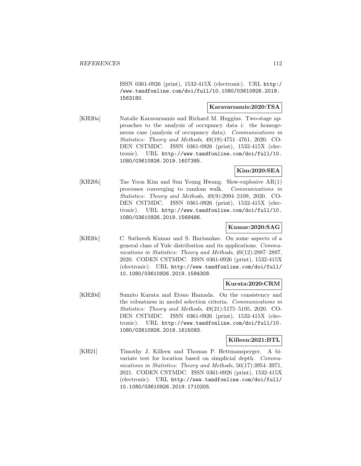ISSN 0361-0926 (print), 1532-415X (electronic). URL http:/ /www.tandfonline.com/doi/full/10.1080/03610926.2018. 1563180.

### **Karavarsamis:2020:TSA**

[KH20a] Natalie Karavarsamis and Richard M. Huggins. Two-stage approaches to the analysis of occupancy data i: the homogeneous case (analysis of occupancy data). Communications in Statistics: Theory and Methods, 49(19):4751–4761, 2020. CO-DEN CSTMDC. ISSN 0361-0926 (print), 1532-415X (electronic). URL http://www.tandfonline.com/doi/full/10. 1080/03610926.2019.1607385.

## **Kim:2020:SEA**

[KH20b] Tae Yoon Kim and Sun Young Hwang. Slow-explosive AR(1) processes converging to random walk. Communications in Statistics: Theory and Methods, 49(9):2094–2109, 2020. CO-DEN CSTMDC. ISSN 0361-0926 (print), 1532-415X (electronic). URL http://www.tandfonline.com/doi/full/10. 1080/03610926.2019.1568486.

### **Kumar:2020:SAG**

[KH20c] C. Satheesh Kumar and S. Harisankar. On some aspects of a general class of Yule distribution and its applications. Communications in Statistics: Theory and Methods, 49(12):2887–2897, 2020. CODEN CSTMDC. ISSN 0361-0926 (print), 1532-415X (electronic). URL http://www.tandfonline.com/doi/full/ 10.1080/03610926.2019.1584308.

### **Kurata:2020:CRM**

[KH20d] Sumito Kurata and Etsuo Hamada. On the consistency and the robustness in model selection criteria. Communications in Statistics: Theory and Methods, 49(21):5175–5195, 2020. CO-DEN CSTMDC. ISSN 0361-0926 (print), 1532-415X (electronic). URL http://www.tandfonline.com/doi/full/10. 1080/03610926.2019.1615093.

### **Killeen:2021:BTL**

[KH21] Timothy J. Killeen and Thomas P. Hettmansperger. A bivariate test for location based on simplicial depth. Communications in Statistics: Theory and Methods, 50(17):3954–3971, 2021. CODEN CSTMDC. ISSN 0361-0926 (print), 1532-415X (electronic). URL http://www.tandfonline.com/doi/full/ 10.1080/03610926.2019.1710205.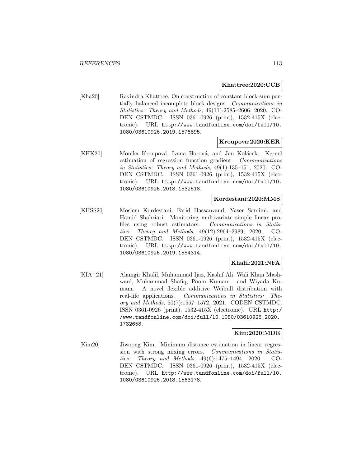### **Khattree:2020:CCB**

[Kha20] Ravindra Khattree. On construction of constant block-sum partially balanced incomplete block designs. Communications in Statistics: Theory and Methods, 49(11):2585–2606, 2020. CO-DEN CSTMDC. ISSN 0361-0926 (print), 1532-415X (electronic). URL http://www.tandfonline.com/doi/full/10. 1080/03610926.2019.1576895.

#### **Kroupova:2020:KER**

[KHK20] Monika Kroupová, Ivana Horová, and Jan Kolácek. Kernel estimation of regression function gradient. Communications in Statistics: Theory and Methods, 49(1):135–151, 2020. CO-DEN CSTMDC. ISSN 0361-0926 (print), 1532-415X (electronic). URL http://www.tandfonline.com/doi/full/10. 1080/03610926.2018.1532518.

#### **Kordestani:2020:MMS**

[KHSS20] Moslem Kordestani, Farid Hassanvand, Yaser Samimi, and Hamid Shahriari. Monitoring multivariate simple linear profiles using robust estimators. Communications in Statistics: Theory and Methods, 49(12):2964–2989, 2020. CO-DEN CSTMDC. ISSN 0361-0926 (print), 1532-415X (electronic). URL http://www.tandfonline.com/doi/full/10. 1080/03610926.2019.1584314.

# **Khalil:2021:NFA**

[KIA<sup>+</sup>21] Alamgir Khalil, Muhammad Ijaz, Kashif Ali, Wali Khan Mashwani, Muhammad Shafiq, Poom Kumam and Wiyada Kumam. A novel flexible additive Weibull distribution with real-life applications. Communications in Statistics: Theory and Methods, 50(7):1557–1572, 2021. CODEN CSTMDC. ISSN 0361-0926 (print), 1532-415X (electronic). URL http:/ /www.tandfonline.com/doi/full/10.1080/03610926.2020. 1732658.

#### **Kim:2020:MDE**

[Kim20] Jiwoong Kim. Minimum distance estimation in linear regression with strong mixing errors. Communications in Statistics: Theory and Methods, 49(6):1475–1494, 2020. CO-DEN CSTMDC. ISSN 0361-0926 (print), 1532-415X (electronic). URL http://www.tandfonline.com/doi/full/10. 1080/03610926.2018.1563178.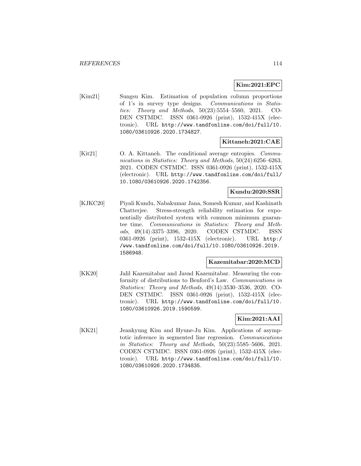# **Kim:2021:EPC**

[Kim21] Sungsu Kim. Estimation of population column proportions of 1's in survey type designs. Communications in Statistics: Theory and Methods, 50(23):5554–5560, 2021. CO-DEN CSTMDC. ISSN 0361-0926 (print), 1532-415X (electronic). URL http://www.tandfonline.com/doi/full/10. 1080/03610926.2020.1734827.

### **Kittaneh:2021:CAE**

[Kit21] O. A. Kittaneh. The conditional average entropies. Communications in Statistics: Theory and Methods, 50(24):6256–6263, 2021. CODEN CSTMDC. ISSN 0361-0926 (print), 1532-415X (electronic). URL http://www.tandfonline.com/doi/full/ 10.1080/03610926.2020.1742356.

### **Kundu:2020:SSR**

[KJKC20] Piyali Kundu, Nabakumar Jana, Somesh Kumar, and Kashinath Chatterjee. Stress-strength reliability estimation for exponentially distributed system with common minimum guarantee time. Communications in Statistics: Theory and Methods, 49(14):3375–3396, 2020. CODEN CSTMDC. ISSN 0361-0926 (print), 1532-415X (electronic). URL http:/ /www.tandfonline.com/doi/full/10.1080/03610926.2019. 1586948.

### **Kazemitabar:2020:MCD**

[KK20] Jalil Kazemitabar and Javad Kazemitabar. Measuring the conformity of distributions to Benford's Law. Communications in Statistics: Theory and Methods, 49(14):3530–3536, 2020. CO-DEN CSTMDC. ISSN 0361-0926 (print), 1532-415X (electronic). URL http://www.tandfonline.com/doi/full/10. 1080/03610926.2019.1590599.

# **Kim:2021:AAI**

[KK21] Jeankyung Kim and Hyune-Ju Kim. Applications of asymptotic inference in segmented line regression. Communications in Statistics: Theory and Methods, 50(23):5585–5606, 2021. CODEN CSTMDC. ISSN 0361-0926 (print), 1532-415X (electronic). URL http://www.tandfonline.com/doi/full/10. 1080/03610926.2020.1734835.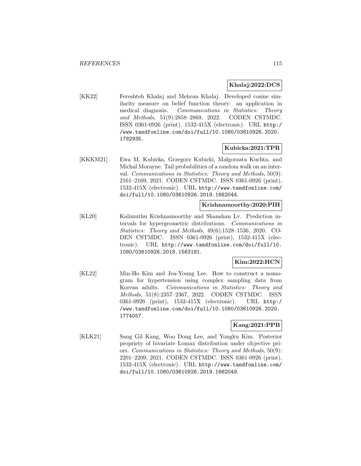### **Khalaj:2022:DCS**

[KK22] Fereshteh Khalaj and Mehran Khalaj. Developed cosine similarity measure on belief function theory: an application in medical diagnosis. Communications in Statistics: Theory and Methods, 51(9):2858–2869, 2022. CODEN CSTMDC. ISSN 0361-0926 (print), 1532-415X (electronic). URL http:/ /www.tandfonline.com/doi/full/10.1080/03610926.2020. 1782935.

### **Kubicka:2021:TPR**

[KKKM21] Ewa M. Kubicka, Grzegorz Kubicki, Małgorzata Kuchta, and Michał Morayne. Tail probabilities of a random walk on an interval. Communications in Statistics: Theory and Methods, 50(9): 2161–2169, 2021. CODEN CSTMDC. ISSN 0361-0926 (print), 1532-415X (electronic). URL http://www.tandfonline.com/ doi/full/10.1080/03610926.2019.1662044.

### **Krishnamoorthy:2020:PIH**

[KL20] Kalimuthu Krishnamoorthy and Shanshan Lv. Prediction intervals for hypergeometric distributions. Communications in Statistics: Theory and Methods, 49(6):1528–1536, 2020. CO-DEN CSTMDC. ISSN 0361-0926 (print), 1532-415X (electronic). URL http://www.tandfonline.com/doi/full/10. 1080/03610926.2018.1563181.

# **Kim:2022:HCN**

[KL22] Min-Ho Kim and Jea-Young Lee. How to construct a nomogram for hypertension using complex sampling data from Korean adults. Communications in Statistics: Theory and Methods, 51(8):2357–2367, 2022. CODEN CSTMDC. ISSN 0361-0926 (print), 1532-415X (electronic). URL http:/ /www.tandfonline.com/doi/full/10.1080/03610926.2020. 1774057.

### **Kang:2021:PPB**

[KLK21] Sang Gil Kang, Woo Dong Lee, and Yongku Kim. Posterior propriety of bivariate Lomax distribution under objective priors. Communications in Statistics: Theory and Methods, 50(9): 2201–2209, 2021. CODEN CSTMDC. ISSN 0361-0926 (print), 1532-415X (electronic). URL http://www.tandfonline.com/ doi/full/10.1080/03610926.2019.1662049.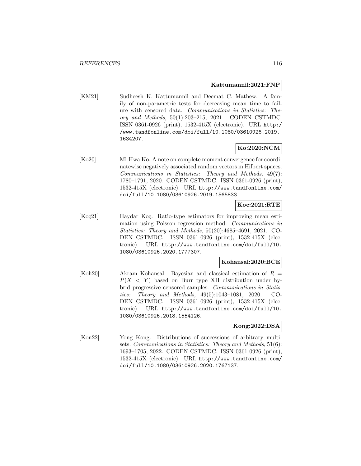#### **Kattumannil:2021:FNP**

[KM21] Sudheesh K. Kattumannil and Deemat C. Mathew. A family of non-parametric tests for decreasing mean time to failure with censored data. Communications in Statistics: Theory and Methods, 50(1):203–215, 2021. CODEN CSTMDC. ISSN 0361-0926 (print), 1532-415X (electronic). URL http:/ /www.tandfonline.com/doi/full/10.1080/03610926.2019. 1634207.

### **Ko:2020:NCM**

[Ko20] Mi-Hwa Ko. A note on complete moment convergence for coordinatewise negatively associated random vectors in Hilbert spaces. Communications in Statistics: Theory and Methods, 49(7): 1780–1791, 2020. CODEN CSTMDC. ISSN 0361-0926 (print), 1532-415X (electronic). URL http://www.tandfonline.com/ doi/full/10.1080/03610926.2019.1565833.

## **Koc:2021:RTE**

[Koç21] Haydar Koç. Ratio-type estimators for improving mean estimation using Poisson regression method. Communications in Statistics: Theory and Methods, 50(20):4685–4691, 2021. CO-DEN CSTMDC. ISSN 0361-0926 (print), 1532-415X (electronic). URL http://www.tandfonline.com/doi/full/10. 1080/03610926.2020.1777307.

### **Kohansal:2020:BCE**

[Koh20] Akram Kohansal. Bayesian and classical estimation of  $R =$  $P(X \leq Y)$  based on Burr type XII distribution under hybrid progressive censored samples. Communications in Statistics: Theory and Methods, 49(5):1043–1081, 2020. CO-DEN CSTMDC. ISSN 0361-0926 (print), 1532-415X (electronic). URL http://www.tandfonline.com/doi/full/10. 1080/03610926.2018.1554126.

### **Kong:2022:DSA**

[Kon22] Yong Kong. Distributions of successions of arbitrary multisets. Communications in Statistics: Theory and Methods, 51(6): 1693–1705, 2022. CODEN CSTMDC. ISSN 0361-0926 (print), 1532-415X (electronic). URL http://www.tandfonline.com/ doi/full/10.1080/03610926.2020.1767137.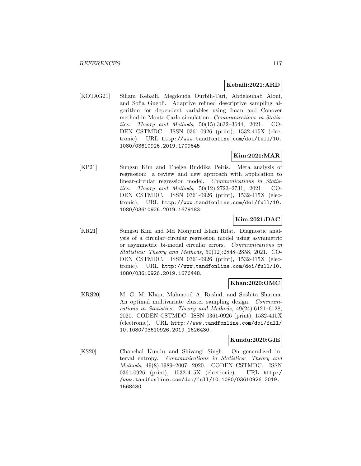## **Kebaili:2021:ARD**

[KOTAG21] Siham Kebaili, Megdouda Ourbih-Tari, Abdelouhab Aloui, and Sofia Guebli. Adaptive refined descriptive sampling algorithm for dependent variables using Iman and Conover method in Monte Carlo simulation. Communications in Statistics: Theory and Methods, 50(15):3632–3644, 2021. CO-DEN CSTMDC. ISSN 0361-0926 (print), 1532-415X (electronic). URL http://www.tandfonline.com/doi/full/10. 1080/03610926.2019.1709645.

# **Kim:2021:MAR**

[KP21] Sungsu Kim and Thelge Buddika Peiris. Meta analysis of regression: a review and new approach with application to linear-circular regression model. Communications in Statistics: Theory and Methods, 50(12):2723–2731, 2021. CO-DEN CSTMDC. ISSN 0361-0926 (print), 1532-415X (electronic). URL http://www.tandfonline.com/doi/full/10. 1080/03610926.2019.1679183.

# **Kim:2021:DAC**

[KR21] Sungsu Kim and Md Monjurul Islam Rifat. Diagnostic analysis of a circular–circular regression model using asymmetric or asymmetric bi-modal circular errors. Communications in Statistics: Theory and Methods, 50(12):2848–2858, 2021. CO-DEN CSTMDC. ISSN 0361-0926 (print), 1532-415X (electronic). URL http://www.tandfonline.com/doi/full/10. 1080/03610926.2019.1676448.

# **Khan:2020:OMC**

[KRS20] M. G. M. Khan, Mahmood A. Rashid, and Sushita Sharma. An optimal multivariate cluster sampling design. Communications in Statistics: Theory and Methods, 49(24):6121–6128, 2020. CODEN CSTMDC. ISSN 0361-0926 (print), 1532-415X (electronic). URL http://www.tandfonline.com/doi/full/ 10.1080/03610926.2019.1626430.

## **Kundu:2020:GIE**

[KS20] Chanchal Kundu and Shivangi Singh. On generalized interval entropy. Communications in Statistics: Theory and Methods, 49(8):1989–2007, 2020. CODEN CSTMDC. ISSN 0361-0926 (print), 1532-415X (electronic). URL http:/ /www.tandfonline.com/doi/full/10.1080/03610926.2019. 1568480.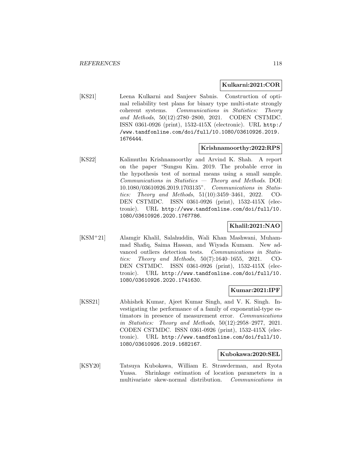#### **Kulkarni:2021:COR**

[KS21] Leena Kulkarni and Sanjeev Sabnis. Construction of optimal reliability test plans for binary type multi-state strongly coherent systems. Communications in Statistics: Theory and Methods, 50(12):2780–2800, 2021. CODEN CSTMDC. ISSN 0361-0926 (print), 1532-415X (electronic). URL http:/ /www.tandfonline.com/doi/full/10.1080/03610926.2019. 1676444.

#### **Krishnamoorthy:2022:RPS**

[KS22] Kalimuthu Krishnamoorthy and Arvind K. Shah. A report on the paper "Sungsu Kim. 2019. The probable error in the hypothesis test of normal means using a small sample. Communications in Statistics — Theory and Methods. DOI: 10.1080/03610926.2019.1703135". Communications in Statistics: Theory and Methods, 51(10):3459–3461, 2022. CO-DEN CSTMDC. ISSN 0361-0926 (print), 1532-415X (electronic). URL http://www.tandfonline.com/doi/full/10. 1080/03610926.2020.1767786.

### **Khalil:2021:NAO**

[KSM<sup>+</sup>21] Alamgir Khalil, Salahuddin, Wali Khan Mashwani, Muhammad Shafiq, Saima Hassan, and Wiyada Kumam. New advanced outliers detection tests. Communications in Statistics: Theory and Methods, 50(7):1640–1655, 2021. CO-DEN CSTMDC. ISSN 0361-0926 (print), 1532-415X (electronic). URL http://www.tandfonline.com/doi/full/10. 1080/03610926.2020.1741630.

### **Kumar:2021:IPF**

[KSS21] Abhishek Kumar, Ajeet Kumar Singh, and V. K. Singh. Investigating the performance of a family of exponential-type estimators in presence of measurement error. Communications in Statistics: Theory and Methods, 50(12):2958–2977, 2021. CODEN CSTMDC. ISSN 0361-0926 (print), 1532-415X (electronic). URL http://www.tandfonline.com/doi/full/10. 1080/03610926.2019.1682167.

#### **Kubokawa:2020:SEL**

[KSY20] Tatsuya Kubokawa, William E. Strawderman, and Ryota Yuasa. Shrinkage estimation of location parameters in a multivariate skew-normal distribution. Communications in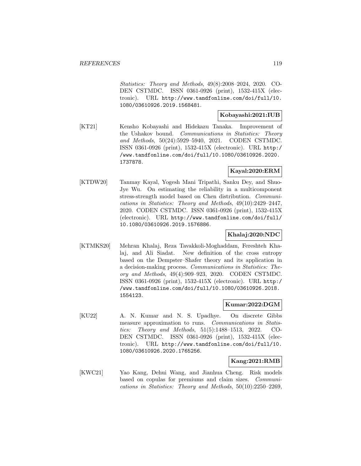Statistics: Theory and Methods, 49(8):2008–2024, 2020. CO-DEN CSTMDC. ISSN 0361-0926 (print), 1532-415X (electronic). URL http://www.tandfonline.com/doi/full/10. 1080/03610926.2019.1568481.

### **Kobayashi:2021:IUB**

[KT21] Kensho Kobayashi and Hidekazu Tanaka. Improvement of the Ushakov bound. Communications in Statistics: Theory and Methods, 50(24):5929–5940, 2021. CODEN CSTMDC. ISSN 0361-0926 (print), 1532-415X (electronic). URL http:/ /www.tandfonline.com/doi/full/10.1080/03610926.2020. 1737878.

### **Kayal:2020:ERM**

[KTDW20] Tanmay Kayal, Yogesh Mani Tripathi, Sanku Dey, and Shuo-Jye Wu. On estimating the reliability in a multicomponent stress-strength model based on Chen distribution. Communications in Statistics: Theory and Methods, 49(10):2429–2447, 2020. CODEN CSTMDC. ISSN 0361-0926 (print), 1532-415X (electronic). URL http://www.tandfonline.com/doi/full/ 10.1080/03610926.2019.1576886.

## **Khalaj:2020:NDC**

[KTMKS20] Mehran Khalaj, Reza Tavakkoli-Moghaddam, Fereshteh Khalaj, and Ali Siadat. New definition of the cross entropy based on the Dempster–Shafer theory and its application in a decision-making process. Communications in Statistics: Theory and Methods, 49(4):909–923, 2020. CODEN CSTMDC. ISSN 0361-0926 (print), 1532-415X (electronic). URL http:/ /www.tandfonline.com/doi/full/10.1080/03610926.2018. 1554123.

### **Kumar:2022:DGM**

[KU22] A. N. Kumar and N. S. Upadhye. On discrete Gibbs measure approximation to runs. Communications in Statistics: Theory and Methods, 51(5):1488–1513, 2022. CO-DEN CSTMDC. ISSN 0361-0926 (print), 1532-415X (electronic). URL http://www.tandfonline.com/doi/full/10. 1080/03610926.2020.1765256.

### **Kang:2021:RMB**

[KWC21] Yao Kang, Dehui Wang, and Jianhua Cheng. Risk models based on copulas for premiums and claim sizes. Communications in Statistics: Theory and Methods, 50(10):2250–2269,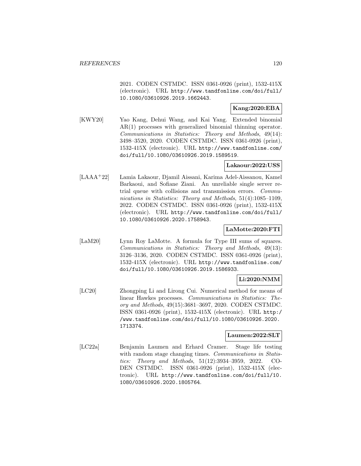2021. CODEN CSTMDC. ISSN 0361-0926 (print), 1532-415X (electronic). URL http://www.tandfonline.com/doi/full/ 10.1080/03610926.2019.1662443.

### **Kang:2020:EBA**

[KWY20] Yao Kang, Dehui Wang, and Kai Yang. Extended binomial AR(1) processes with generalized binomial thinning operator. Communications in Statistics: Theory and Methods, 49(14): 3498–3520, 2020. CODEN CSTMDC. ISSN 0361-0926 (print), 1532-415X (electronic). URL http://www.tandfonline.com/ doi/full/10.1080/03610926.2019.1589519.

### **Lakaour:2022:USS**

[LAAA<sup>+</sup>22] Lamia Lakaour, Djamil Aissani, Karima Adel-Aissanou, Kamel Barkaoui, and Sofiane Ziani. An unreliable single server retrial queue with collisions and transmission errors. Communications in Statistics: Theory and Methods, 51(4):1085–1109, 2022. CODEN CSTMDC. ISSN 0361-0926 (print), 1532-415X (electronic). URL http://www.tandfonline.com/doi/full/ 10.1080/03610926.2020.1758943.

#### **LaMotte:2020:FTI**

[LaM20] Lynn Roy LaMotte. A formula for Type III sums of squares. Communications in Statistics: Theory and Methods, 49(13): 3126–3136, 2020. CODEN CSTMDC. ISSN 0361-0926 (print), 1532-415X (electronic). URL http://www.tandfonline.com/ doi/full/10.1080/03610926.2019.1586933.

# **Li:2020:NMM**

[LC20] Zhongping Li and Lirong Cui. Numerical method for means of linear Hawkes processes. Communications in Statistics: Theory and Methods, 49(15):3681–3697, 2020. CODEN CSTMDC. ISSN 0361-0926 (print), 1532-415X (electronic). URL http:/ /www.tandfonline.com/doi/full/10.1080/03610926.2020. 1713374.

### **Laumen:2022:SLT**

[LC22a] Benjamin Laumen and Erhard Cramer. Stage life testing with random stage changing times. Communications in Statistics: Theory and Methods, 51(12):3934–3959, 2022. CO-DEN CSTMDC. ISSN 0361-0926 (print), 1532-415X (electronic). URL http://www.tandfonline.com/doi/full/10. 1080/03610926.2020.1805764.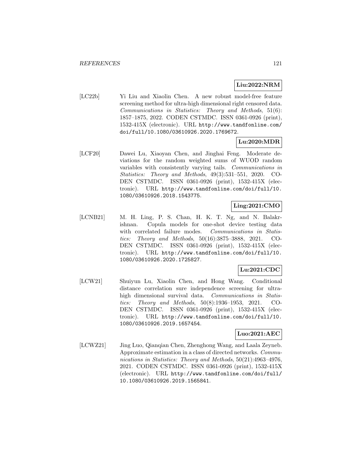### **Liu:2022:NRM**

[LC22b] Yi Liu and Xiaolin Chen. A new robust model-free feature screening method for ultra-high dimensional right censored data. Communications in Statistics: Theory and Methods, 51(6): 1857–1875, 2022. CODEN CSTMDC. ISSN 0361-0926 (print), 1532-415X (electronic). URL http://www.tandfonline.com/ doi/full/10.1080/03610926.2020.1769672.

## **Lu:2020:MDR**

[LCF20] Dawei Lu, Xiaoyan Chen, and Jinghai Feng. Moderate deviations for the random weighted sums of WUOD random variables with consistently varying tails. Communications in Statistics: Theory and Methods, 49(3):531–551, 2020. CO-DEN CSTMDC. ISSN 0361-0926 (print), 1532-415X (electronic). URL http://www.tandfonline.com/doi/full/10. 1080/03610926.2018.1543775.

# **Ling:2021:CMO**

[LCNB21] M. H. Ling, P. S. Chan, H. K. T. Ng, and N. Balakrishnan. Copula models for one-shot device testing data with correlated failure modes. Communications in Statistics: Theory and Methods, 50(16):3875–3888, 2021. CO-DEN CSTMDC. ISSN 0361-0926 (print), 1532-415X (electronic). URL http://www.tandfonline.com/doi/full/10. 1080/03610926.2020.1725827.

# **Lu:2021:CDC**

[LCW21] Shuiyun Lu, Xiaolin Chen, and Hong Wang. Conditional distance correlation sure independence screening for ultrahigh dimensional survival data. Communications in Statistics: Theory and Methods, 50(8):1936–1953, 2021. CO-DEN CSTMDC. ISSN 0361-0926 (print), 1532-415X (electronic). URL http://www.tandfonline.com/doi/full/10. 1080/03610926.2019.1657454.

### **Luo:2021:AEC**

[LCWZ21] Jing Luo, Qianqian Chen, Zhenghong Wang, and Laala Zeyneb. Approximate estimation in a class of directed networks. Communications in Statistics: Theory and Methods, 50(21):4963–4976, 2021. CODEN CSTMDC. ISSN 0361-0926 (print), 1532-415X (electronic). URL http://www.tandfonline.com/doi/full/ 10.1080/03610926.2019.1565841.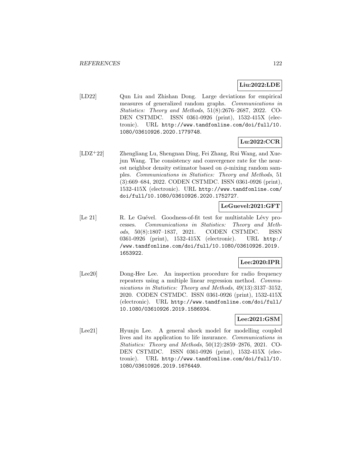# **Liu:2022:LDE**

[LD22] Qun Liu and Zhishan Dong. Large deviations for empirical measures of generalized random graphs. Communications in Statistics: Theory and Methods, 51(8):2676–2687, 2022. CO-DEN CSTMDC. ISSN 0361-0926 (print), 1532-415X (electronic). URL http://www.tandfonline.com/doi/full/10. 1080/03610926.2020.1779748.

# **Lu:2022:CCR**

[LDZ<sup>+</sup>22] Zhengliang Lu, Shengnan Ding, Fei Zhang, Rui Wang, and Xuejun Wang. The consistency and convergence rate for the nearest neighbor density estimator based on  $\phi$ -mixing random samples. Communications in Statistics: Theory and Methods, 51 (3):669–684, 2022. CODEN CSTMDC. ISSN 0361-0926 (print), 1532-415X (electronic). URL http://www.tandfonline.com/ doi/full/10.1080/03610926.2020.1752727.

### **LeGuevel:2021:GFT**

[Le 21] R. Le Guével. Goodness-of-fit test for multistable Lévy processes. Communications in Statistics: Theory and Methods, 50(8):1807–1837, 2021. CODEN CSTMDC. ISSN 0361-0926 (print), 1532-415X (electronic). URL http:/ /www.tandfonline.com/doi/full/10.1080/03610926.2019. 1653922.

# **Lee:2020:IPR**

[Lee20] Dong-Hee Lee. An inspection procedure for radio frequency repeaters using a multiple linear regression method. Communications in Statistics: Theory and Methods, 49(13):3137–3152, 2020. CODEN CSTMDC. ISSN 0361-0926 (print), 1532-415X (electronic). URL http://www.tandfonline.com/doi/full/ 10.1080/03610926.2019.1586934.

## **Lee:2021:GSM**

[Lee21] Hyunju Lee. A general shock model for modelling coupled lives and its application to life insurance. Communications in Statistics: Theory and Methods, 50(12):2859–2876, 2021. CO-DEN CSTMDC. ISSN 0361-0926 (print), 1532-415X (electronic). URL http://www.tandfonline.com/doi/full/10. 1080/03610926.2019.1676449.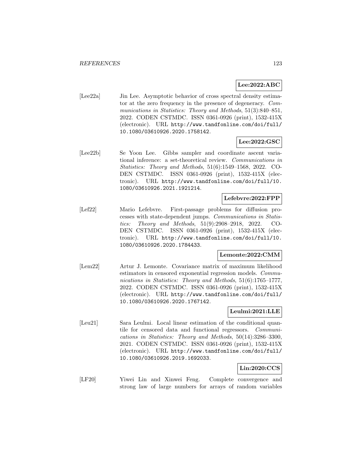# **Lee:2022:ABC**

[Lee22a] Jin Lee. Asymptotic behavior of cross spectral density estimator at the zero frequency in the presence of degeneracy. Communications in Statistics: Theory and Methods, 51(3):840–851, 2022. CODEN CSTMDC. ISSN 0361-0926 (print), 1532-415X (electronic). URL http://www.tandfonline.com/doi/full/ 10.1080/03610926.2020.1758142.

# **Lee:2022:GSC**

[Lee22b] Se Yoon Lee. Gibbs sampler and coordinate ascent variational inference: a set-theoretical review. Communications in Statistics: Theory and Methods, 51(6):1549–1568, 2022. CO-DEN CSTMDC. ISSN 0361-0926 (print), 1532-415X (electronic). URL http://www.tandfonline.com/doi/full/10. 1080/03610926.2021.1921214.

### **Lefebvre:2022:FPP**

[Lef22] Mario Lefebvre. First-passage problems for diffusion processes with state-dependent jumps. Communications in Statistics: Theory and Methods, 51(9):2908–2918, 2022. CO-DEN CSTMDC. ISSN 0361-0926 (print), 1532-415X (electronic). URL http://www.tandfonline.com/doi/full/10. 1080/03610926.2020.1784433.

### **Lemonte:2022:CMM**

[Lem22] Artur J. Lemonte. Covariance matrix of maximum likelihood estimators in censored exponential regression models. Communications in Statistics: Theory and Methods, 51(6):1765–1777, 2022. CODEN CSTMDC. ISSN 0361-0926 (print), 1532-415X (electronic). URL http://www.tandfonline.com/doi/full/ 10.1080/03610926.2020.1767142.

# **Leulmi:2021:LLE**

[Leu21] Sara Leulmi. Local linear estimation of the conditional quantile for censored data and functional regressors. Communications in Statistics: Theory and Methods, 50(14):3286–3300, 2021. CODEN CSTMDC. ISSN 0361-0926 (print), 1532-415X (electronic). URL http://www.tandfonline.com/doi/full/ 10.1080/03610926.2019.1692033.

# **Lin:2020:CCS**

[LF20] Yiwei Lin and Xinwei Feng. Complete convergence and strong law of large numbers for arrays of random variables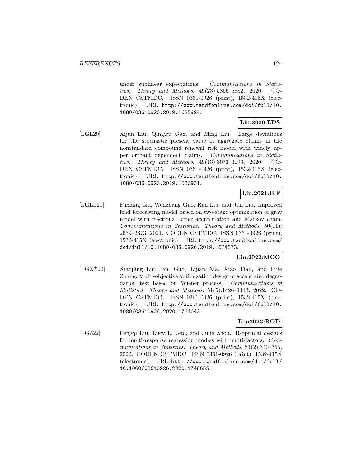under sublinear expectations. Communications in Statistics: Theory and Methods, 49(23):5866–5882, 2020. CO-DEN CSTMDC. ISSN 0361-0926 (print), 1532-415X (electronic). URL http://www.tandfonline.com/doi/full/10. 1080/03610926.2019.1625924.

# **Liu:2020:LDS**

[LGL20] Xijun Liu, Qingwu Gao, and Ming Liu. Large deviations for the stochastic present value of aggregate claims in the nonstandard compound renewal risk model with widely upper orthant dependent claims. Communications in Statistics: Theory and Methods, 49(13):3073–3093, 2020. CO-DEN CSTMDC. ISSN 0361-0926 (print), 1532-415X (electronic). URL http://www.tandfonline.com/doi/full/10. 1080/03610926.2019.1586931.

# **Liu:2021:ILF**

[LGLL21] Fuxiang Liu, Wenzhang Guo, Ran Liu, and Jun Liu. Improved load forecasting model based on two-stage optimization of gray model with fractional order accumulation and Markov chain. Communications in Statistics: Theory and Methods, 50(11): 2659–2673, 2021. CODEN CSTMDC. ISSN 0361-0926 (print), 1532-415X (electronic). URL http://www.tandfonline.com/ doi/full/10.1080/03610926.2019.1674873.

## **Liu:2022:MOO**

[LGX<sup>+</sup>22] Xiaoping Liu, Bin Guo, Lijian Xia, Xiao Tian, and Lijie Zhang. Multi-objective optimization design of accelerated degradation test based on Wiener process. Communications in Statistics: Theory and Methods, 51(5):1426–1443, 2022. CO-DEN CSTMDC. ISSN 0361-0926 (print), 1532-415X (electronic). URL http://www.tandfonline.com/doi/full/10. 1080/03610926.2020.1764043.

## **Liu:2022:ROD**

[LGZ22] Pengqi Liu, Lucy L. Gao, and Julie Zhou. R-optimal designs for multi-response regression models with multi-factors. Communications in Statistics: Theory and Methods, 51(2):340–355, 2022. CODEN CSTMDC. ISSN 0361-0926 (print), 1532-415X (electronic). URL http://www.tandfonline.com/doi/full/ 10.1080/03610926.2020.1748655.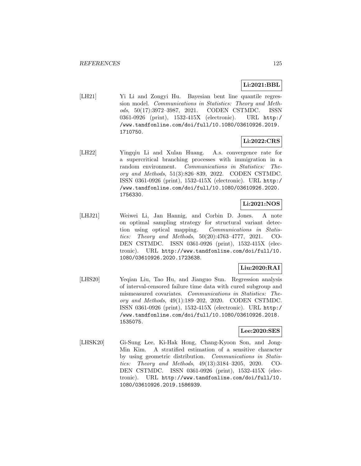# **Li:2021:BBL**

[LH21] Yi Li and Zongyi Hu. Bayesian bent line quantile regression model. Communications in Statistics: Theory and Methods, 50(17):3972–3987, 2021. CODEN CSTMDC. ISSN 0361-0926 (print), 1532-415X (electronic). URL http:/ /www.tandfonline.com/doi/full/10.1080/03610926.2019. 1710750.

# **Li:2022:CRS**

[LH22] Yingqiu Li and Xulan Huang. A.s. convergence rate for a supercritical branching processes with immigration in a random environment. Communications in Statistics: Theory and Methods, 51(3):826–839, 2022. CODEN CSTMDC. ISSN 0361-0926 (print), 1532-415X (electronic). URL http:/ /www.tandfonline.com/doi/full/10.1080/03610926.2020. 1756330.

# **Li:2021:NOS**

[LHJ21] Weiwei Li, Jan Hannig, and Corbin D. Jones. A note on optimal sampling strategy for structural variant detection using optical mapping. Communications in Statistics: Theory and Methods, 50(20):4763–4777, 2021. CO-DEN CSTMDC. ISSN 0361-0926 (print), 1532-415X (electronic). URL http://www.tandfonline.com/doi/full/10. 1080/03610926.2020.1723638.

# **Liu:2020:RAI**

[LHS20] Yeqian Liu, Tao Hu, and Jianguo Sun. Regression analysis of interval-censored failure time data with cured subgroup and mismeasured covariates. Communications in Statistics: Theory and Methods, 49(1):189–202, 2020. CODEN CSTMDC. ISSN 0361-0926 (print), 1532-415X (electronic). URL http:/ /www.tandfonline.com/doi/full/10.1080/03610926.2018. 1535075.

### **Lee:2020:SES**

[LHSK20] Gi-Sung Lee, Ki-Hak Hong, Chang-Kyoon Son, and Jong-Min Kim. A stratified estimation of a sensitive character by using geometric distribution. Communications in Statistics: Theory and Methods, 49(13):3184–3205, 2020. CO-DEN CSTMDC. ISSN 0361-0926 (print), 1532-415X (electronic). URL http://www.tandfonline.com/doi/full/10. 1080/03610926.2019.1586939.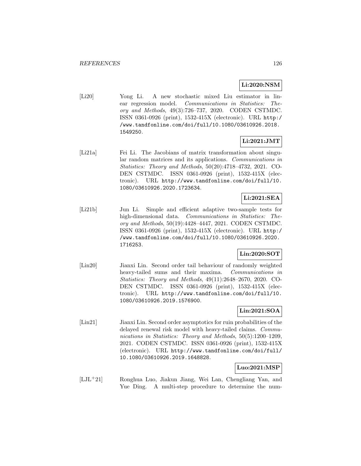# **Li:2020:NSM**

[Li20] Yong Li. A new stochastic mixed Liu estimator in linear regression model. Communications in Statistics: Theory and Methods, 49(3):726–737, 2020. CODEN CSTMDC. ISSN 0361-0926 (print), 1532-415X (electronic). URL http:/ /www.tandfonline.com/doi/full/10.1080/03610926.2018. 1549250.

# **Li:2021:JMT**

[Li21a] Fei Li. The Jacobians of matrix transformation about singular random matrices and its applications. Communications in Statistics: Theory and Methods, 50(20):4718–4732, 2021. CO-DEN CSTMDC. ISSN 0361-0926 (print), 1532-415X (electronic). URL http://www.tandfonline.com/doi/full/10. 1080/03610926.2020.1723634.

# **Li:2021:SEA**

[Li21b] Jun Li. Simple and efficient adaptive two-sample tests for high-dimensional data. Communications in Statistics: Theory and Methods, 50(19):4428–4447, 2021. CODEN CSTMDC. ISSN 0361-0926 (print), 1532-415X (electronic). URL http:/ /www.tandfonline.com/doi/full/10.1080/03610926.2020. 1716253.

## **Lin:2020:SOT**

[Lin20] Jianxi Lin. Second order tail behaviour of randomly weighted heavy-tailed sums and their maxima. Communications in Statistics: Theory and Methods, 49(11):2648–2670, 2020. CO-DEN CSTMDC. ISSN 0361-0926 (print), 1532-415X (electronic). URL http://www.tandfonline.com/doi/full/10. 1080/03610926.2019.1576900.

# **Lin:2021:SOA**

[Lin21] Jianxi Lin. Second order asymptotics for ruin probabilities of the delayed renewal risk model with heavy-tailed claims. Communications in Statistics: Theory and Methods, 50(5):1200–1209, 2021. CODEN CSTMDC. ISSN 0361-0926 (print), 1532-415X (electronic). URL http://www.tandfonline.com/doi/full/ 10.1080/03610926.2019.1648828.

## **Luo:2021:MSP**

[LJL<sup>+</sup>21] Ronghua Luo, Jiakun Jiang, Wei Lan, Chengliang Yan, and Yue Ding. A multi-step procedure to determine the num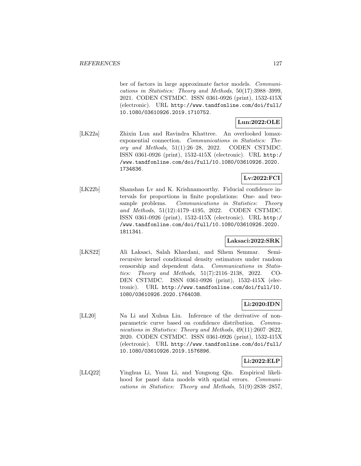ber of factors in large approximate factor models. Communications in Statistics: Theory and Methods, 50(17):3988–3999, 2021. CODEN CSTMDC. ISSN 0361-0926 (print), 1532-415X (electronic). URL http://www.tandfonline.com/doi/full/ 10.1080/03610926.2019.1710752.

# **Lun:2022:OLE**

[LK22a] Zhixin Lun and Ravindra Khattree. An overlooked lomaxexponential connection. Communications in Statistics: Theory and Methods,  $51(1):26-28$ ,  $2022$ . CODEN CSTMDC. ISSN 0361-0926 (print), 1532-415X (electronic). URL http:/ /www.tandfonline.com/doi/full/10.1080/03610926.2020. 1734836.

# **Lv:2022:FCI**

[LK22b] Shanshan Lv and K. Krishnamoorthy. Fiducial confidence intervals for proportions in finite populations: One- and twosample problems. Communications in Statistics: Theory and Methods, 51(12):4179–4195, 2022. CODEN CSTMDC. ISSN 0361-0926 (print), 1532-415X (electronic). URL http:/ /www.tandfonline.com/doi/full/10.1080/03610926.2020. 1811341.

### **Laksaci:2022:SRK**

[LKS22] Ali Laksaci, Salah Khardani, and Sihem Semmar. Semirecursive kernel conditional density estimators under random censorship and dependent data. Communications in Statistics: Theory and Methods, 51(7):2116–2138, 2022. CO-DEN CSTMDC. ISSN 0361-0926 (print), 1532-415X (electronic). URL http://www.tandfonline.com/doi/full/10. 1080/03610926.2020.1764038.

# **Li:2020:IDN**

[LL20] Na Li and Xuhua Liu. Inference of the derivative of nonparametric curve based on confidence distribution. Communications in Statistics: Theory and Methods, 49(11):2607–2622, 2020. CODEN CSTMDC. ISSN 0361-0926 (print), 1532-415X (electronic). URL http://www.tandfonline.com/doi/full/ 10.1080/03610926.2019.1576896.

## **Li:2022:ELP**

[LLQ22] Yinghua Li, Yuan Li, and Yongsong Qin. Empirical likelihood for panel data models with spatial errors. Communications in Statistics: Theory and Methods, 51(9):2838–2857,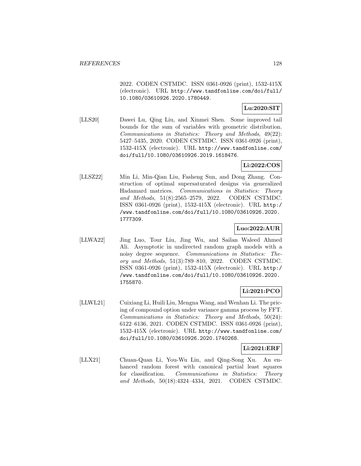2022. CODEN CSTMDC. ISSN 0361-0926 (print), 1532-415X (electronic). URL http://www.tandfonline.com/doi/full/ 10.1080/03610926.2020.1780449.

### **Lu:2020:SIT**

[LLS20] Dawei Lu, Qing Liu, and Xinmei Shen. Some improved tail bounds for the sum of variables with geometric distribution. Communications in Statistics: Theory and Methods, 49(22): 5427–5435, 2020. CODEN CSTMDC. ISSN 0361-0926 (print), 1532-415X (electronic). URL http://www.tandfonline.com/ doi/full/10.1080/03610926.2019.1618476.

# **Li:2022:COS**

[LLSZ22] Min Li, Min-Qian Liu, Fasheng Sun, and Dong Zhang. Construction of optimal supersaturated designs via generalized Hadamard matrices. Communications in Statistics: Theory and Methods, 51(8):2565–2579, 2022. CODEN CSTMDC. ISSN 0361-0926 (print), 1532-415X (electronic). URL http:/ /www.tandfonline.com/doi/full/10.1080/03610926.2020. 1777309.

### **Luo:2022:AUR**

[LLWA22] Jing Luo, Tour Liu, Jing Wu, and Sailan Waleed Ahmed Ali. Asymptotic in undirected random graph models with a noisy degree sequence. Communications in Statistics: Theory and Methods, 51(3):789–810, 2022. CODEN CSTMDC. ISSN 0361-0926 (print), 1532-415X (electronic). URL http:/ /www.tandfonline.com/doi/full/10.1080/03610926.2020. 1755870.

# **Li:2021:PCO**

[LLWL21] Cuixiang Li, Huili Liu, Mengna Wang, and Wenhan Li. The pricing of compound option under variance gamma process by FFT. Communications in Statistics: Theory and Methods, 50(24): 6122–6136, 2021. CODEN CSTMDC. ISSN 0361-0926 (print), 1532-415X (electronic). URL http://www.tandfonline.com/ doi/full/10.1080/03610926.2020.1740268.

### **Li:2021:ERF**

[LLX21] Chuan-Quan Li, You-Wu Lin, and Qing-Song Xu. An enhanced random forest with canonical partial least squares for classification. Communications in Statistics: Theory and Methods, 50(18):4324–4334, 2021. CODEN CSTMDC.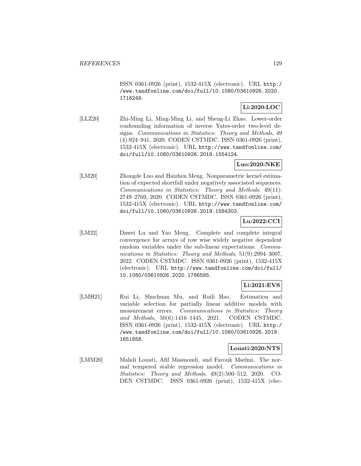ISSN 0361-0926 (print), 1532-415X (electronic). URL http:/ /www.tandfonline.com/doi/full/10.1080/03610926.2020. 1716249.

# **Li:2020:LOC**

[LLZ20] Zhi-Ming Li, Ming-Ming Li, and Sheng-Li Zhao. Lower-order confounding information of inverse Yates-order two-level designs. Communications in Statistics: Theory and Methods, 49 (4):924–941, 2020. CODEN CSTMDC. ISSN 0361-0926 (print), 1532-415X (electronic). URL http://www.tandfonline.com/ doi/full/10.1080/03610926.2018.1554124.

# **Luo:2020:NKE**

[LM20] Zhongde Luo and Haizhen Meng. Nonparametric kernel estimation of expected shortfall under negatively associated sequences. Communications in Statistics: Theory and Methods, 49(11): 2749–2769, 2020. CODEN CSTMDC. ISSN 0361-0926 (print), 1532-415X (electronic). URL http://www.tandfonline.com/ doi/full/10.1080/03610926.2019.1584303.

# **Lu:2022:CCI**

[LM22] Dawei Lu and Yao Meng. Complete and complete integral convergence for arrays of row wise widely negative dependent random variables under the sub-linear expectations. Communications in Statistics: Theory and Methods, 51(9):2994-3007, 2022. CODEN CSTMDC. ISSN 0361-0926 (print), 1532-415X (electronic). URL http://www.tandfonline.com/doi/full/ 10.1080/03610926.2020.1786585.

## **Li:2021:EVS**

[LMH21] Rui Li, Shuchuan Mu, and Ruili Hao. Estimation and variable selection for partially linear additive models with measurement errors. Communications in Statistics: Theory and Methods, 50(6):1416–1445, 2021. CODEN CSTMDC. ISSN 0361-0926 (print), 1532-415X (electronic). URL http:/ /www.tandfonline.com/doi/full/10.1080/03610926.2019. 1651858.

### **Louati:2020:NTS**

[LMM20] Mahdi Louati, Afif Masmoudi, and Farouk Mselmi. The normal tempered stable regression model. Communications in Statistics: Theory and Methods, 49(2):500–512, 2020. CO-DEN CSTMDC. ISSN 0361-0926 (print), 1532-415X (elec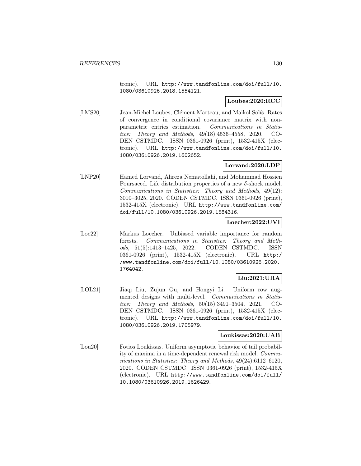tronic). URL http://www.tandfonline.com/doi/full/10. 1080/03610926.2018.1554121.

### **Loubes:2020:RCC**

[LMS20] Jean-Michel Loubes, Clément Marteau, and Maikol Solís. Rates of convergence in conditional covariance matrix with nonparametric entries estimation. Communications in Statistics: Theory and Methods, 49(18):4536–4558, 2020. CO-DEN CSTMDC. ISSN 0361-0926 (print), 1532-415X (electronic). URL http://www.tandfonline.com/doi/full/10. 1080/03610926.2019.1602652.

## **Lorvand:2020:LDP**

[LNP20] Hamed Lorvand, Alireza Nematollahi, and Mohammad Hossien Poursaeed. Life distribution properties of a new  $\delta$ -shock model. Communications in Statistics: Theory and Methods, 49(12): 3010–3025, 2020. CODEN CSTMDC. ISSN 0361-0926 (print), 1532-415X (electronic). URL http://www.tandfonline.com/ doi/full/10.1080/03610926.2019.1584316.

### **Loecher:2022:UVI**

[Loe22] Markus Loecher. Unbiased variable importance for random forests. Communications in Statistics: Theory and Methods, 51(5):1413–1425, 2022. CODEN CSTMDC. ISSN 0361-0926 (print), 1532-415X (electronic). URL http:/ /www.tandfonline.com/doi/full/10.1080/03610926.2020. 1764042.

# **Liu:2021:URA**

[LOL21] Jiaqi Liu, Zujun Ou, and Hongyi Li. Uniform row augmented designs with multi-level. Communications in Statistics: Theory and Methods, 50(15):3491–3504, 2021. CO-DEN CSTMDC. ISSN 0361-0926 (print), 1532-415X (electronic). URL http://www.tandfonline.com/doi/full/10. 1080/03610926.2019.1705979.

### **Loukissas:2020:UAB**

[Lou20] Fotios Loukissas. Uniform asymptotic behavior of tail probability of maxima in a time-dependent renewal risk model. Communications in Statistics: Theory and Methods, 49(24):6112–6120, 2020. CODEN CSTMDC. ISSN 0361-0926 (print), 1532-415X (electronic). URL http://www.tandfonline.com/doi/full/ 10.1080/03610926.2019.1626429.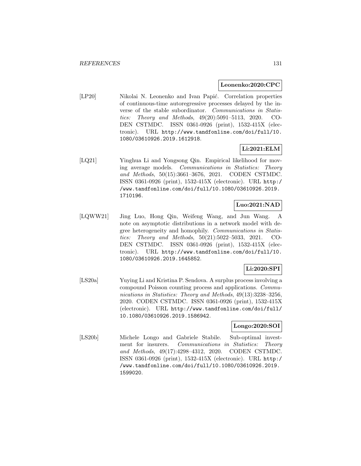#### **Leonenko:2020:CPC**

[LP20] Nikolai N. Leonenko and Ivan Papić. Correlation properties of continuous-time autoregressive processes delayed by the inverse of the stable subordinator. Communications in Statistics: Theory and Methods, 49(20):5091–5113, 2020. CO-DEN CSTMDC. ISSN 0361-0926 (print), 1532-415X (electronic). URL http://www.tandfonline.com/doi/full/10. 1080/03610926.2019.1612918.

# **Li:2021:ELM**

[LQ21] Yinghua Li and Yongsong Qin. Empirical likelihood for moving average models. Communications in Statistics: Theory and Methods, 50(15):3661–3676, 2021. CODEN CSTMDC. ISSN 0361-0926 (print), 1532-415X (electronic). URL http:/ /www.tandfonline.com/doi/full/10.1080/03610926.2019. 1710196.

# **Luo:2021:NAD**

[LQWW21] Jing Luo, Hong Qin, Weifeng Wang, and Jun Wang. A note on asymptotic distributions in a network model with degree heterogeneity and homophily. Communications in Statistics: Theory and Methods, 50(21):5022–5033, 2021. CO-DEN CSTMDC. ISSN 0361-0926 (print), 1532-415X (electronic). URL http://www.tandfonline.com/doi/full/10. 1080/03610926.2019.1645852.

# **Li:2020:SPI**

[LS20a] Yuying Li and Kristina P. Sendova. A surplus process involving a compound Poisson counting process and applications. Communications in Statistics: Theory and Methods, 49(13):3238–3256, 2020. CODEN CSTMDC. ISSN 0361-0926 (print), 1532-415X (electronic). URL http://www.tandfonline.com/doi/full/ 10.1080/03610926.2019.1586942.

### **Longo:2020:SOI**

[LS20b] Michele Longo and Gabriele Stabile. Sub-optimal investment for insurers. Communications in Statistics: Theory and Methods, 49(17):4298–4312, 2020. CODEN CSTMDC. ISSN 0361-0926 (print), 1532-415X (electronic). URL http:/ /www.tandfonline.com/doi/full/10.1080/03610926.2019. 1599020.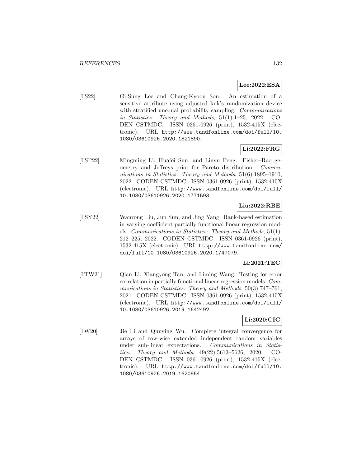# **Lee:2022:ESA**

[LS22] Gi-Sung Lee and Chang-Kyoon Son. An estimation of a sensitive attribute using adjusted kuk's randomization device with stratified unequal probability sampling. *Communications* in Statistics: Theory and Methods, 51(1):1–25, 2022. CO-DEN CSTMDC. ISSN 0361-0926 (print), 1532-415X (electronic). URL http://www.tandfonline.com/doi/full/10. 1080/03610926.2020.1821890.

# **Li:2022:FRG**

[LSP22] Mingming Li, Huafei Sun, and Linyu Peng. Fisher–Rao geometry and Jeffreys prior for Pareto distribution. Communications in Statistics: Theory and Methods, 51(6):1895–1910, 2022. CODEN CSTMDC. ISSN 0361-0926 (print), 1532-415X (electronic). URL http://www.tandfonline.com/doi/full/ 10.1080/03610926.2020.1771593.

# **Liu:2022:RBE**

[LSY22] Wanrong Liu, Jun Sun, and Jing Yang. Rank-based estimation in varying coefficient partially functional linear regression models. Communications in Statistics: Theory and Methods, 51(1): 212–225, 2022. CODEN CSTMDC. ISSN 0361-0926 (print), 1532-415X (electronic). URL http://www.tandfonline.com/ doi/full/10.1080/03610926.2020.1747079.

# **Li:2021:TEC**

[LTW21] Qian Li, Xiangyong Tan, and Liming Wang. Testing for error correlation in partially functional linear regression models. Communications in Statistics: Theory and Methods, 50(3):747–761, 2021. CODEN CSTMDC. ISSN 0361-0926 (print), 1532-415X (electronic). URL http://www.tandfonline.com/doi/full/ 10.1080/03610926.2019.1642492.

# **Li:2020:CIC**

[LW20] Jie Li and Qunying Wu. Complete integral convergence for arrays of row-wise extended independent random variables under sub-linear expectations. Communications in Statistics: Theory and Methods, 49(22):5613–5626, 2020. CO-DEN CSTMDC. ISSN 0361-0926 (print), 1532-415X (electronic). URL http://www.tandfonline.com/doi/full/10. 1080/03610926.2019.1620954.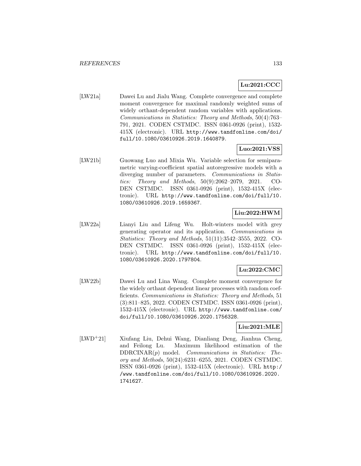# **Lu:2021:CCC**

[LW21a] Dawei Lu and Jialu Wang. Complete convergence and complete moment convergence for maximal randomly weighted sums of widely orthant-dependent random variables with applications. Communications in Statistics: Theory and Methods, 50(4):763– 791, 2021. CODEN CSTMDC. ISSN 0361-0926 (print), 1532- 415X (electronic). URL http://www.tandfonline.com/doi/ full/10.1080/03610926.2019.1640879.

### **Luo:2021:VSS**

[LW21b] Guowang Luo and Mixia Wu. Variable selection for semiparametric varying-coefficient spatial autoregressive models with a diverging number of parameters. Communications in Statistics: Theory and Methods, 50(9):2062–2079, 2021. CO-DEN CSTMDC. ISSN 0361-0926 (print), 1532-415X (electronic). URL http://www.tandfonline.com/doi/full/10. 1080/03610926.2019.1659367.

# **Liu:2022:HWM**

[LW22a] Lianyi Liu and Lifeng Wu. Holt-winters model with grey generating operator and its application. Communications in Statistics: Theory and Methods, 51(11):3542–3555, 2022. CO-DEN CSTMDC. ISSN 0361-0926 (print), 1532-415X (electronic). URL http://www.tandfonline.com/doi/full/10. 1080/03610926.2020.1797804.

### **Lu:2022:CMC**

[LW22b] Dawei Lu and Lina Wang. Complete moment convergence for the widely orthant dependent linear processes with random coefficients. Communications in Statistics: Theory and Methods, 51 (3):811–825, 2022. CODEN CSTMDC. ISSN 0361-0926 (print), 1532-415X (electronic). URL http://www.tandfonline.com/ doi/full/10.1080/03610926.2020.1756328.

### **Liu:2021:MLE**

[LWD<sup>+</sup>21] Xiufang Liu, Dehui Wang, Dianliang Deng, Jianhua Cheng, and Feilong Lu. Maximum likelihood estimation of the  $DDRCINAR(p)$  model. *Communications in Statistics: The*ory and Methods, 50(24):6231–6255, 2021. CODEN CSTMDC. ISSN 0361-0926 (print), 1532-415X (electronic). URL http:/ /www.tandfonline.com/doi/full/10.1080/03610926.2020. 1741627.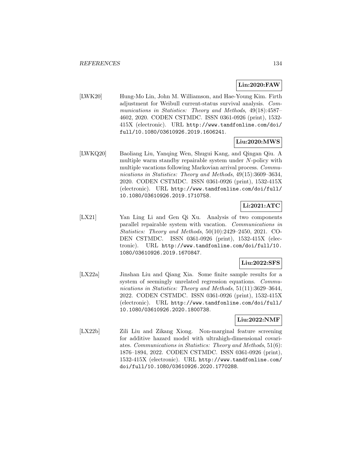# **Lin:2020:FAW**

[LWK20] Hung-Mo Lin, John M. Williamson, and Hae-Young Kim. Firth adjustment for Weibull current-status survival analysis. Communications in Statistics: Theory and Methods, 49(18):4587– 4602, 2020. CODEN CSTMDC. ISSN 0361-0926 (print), 1532- 415X (electronic). URL http://www.tandfonline.com/doi/ full/10.1080/03610926.2019.1606241.

# **Liu:2020:MWS**

[LWKQ20] Baoliang Liu, Yanqing Wen, Shugui Kang, and Qingan Qiu. A multiple warm standby repairable system under N-policy with multiple vacations following Markovian arrival process. Communications in Statistics: Theory and Methods, 49(15):3609–3634, 2020. CODEN CSTMDC. ISSN 0361-0926 (print), 1532-415X (electronic). URL http://www.tandfonline.com/doi/full/ 10.1080/03610926.2019.1710758.

# **Li:2021:ATC**

[LX21] Yan Ling Li and Gen Qi Xu. Analysis of two components parallel repairable system with vacation. Communications in Statistics: Theory and Methods, 50(10):2429–2450, 2021. CO-DEN CSTMDC. ISSN 0361-0926 (print), 1532-415X (electronic). URL http://www.tandfonline.com/doi/full/10. 1080/03610926.2019.1670847.

## **Liu:2022:SFS**

[LX22a] Jinshan Liu and Qiang Xia. Some finite sample results for a system of seemingly unrelated regression equations. Communications in Statistics: Theory and Methods, 51(11):3629–3644, 2022. CODEN CSTMDC. ISSN 0361-0926 (print), 1532-415X (electronic). URL http://www.tandfonline.com/doi/full/ 10.1080/03610926.2020.1800738.

## **Liu:2022:NMF**

[LX22b] Zili Liu and Zikang Xiong. Non-marginal feature screening for additive hazard model with ultrahigh-dimensional covariates. Communications in Statistics: Theory and Methods, 51(6): 1876–1894, 2022. CODEN CSTMDC. ISSN 0361-0926 (print), 1532-415X (electronic). URL http://www.tandfonline.com/ doi/full/10.1080/03610926.2020.1770288.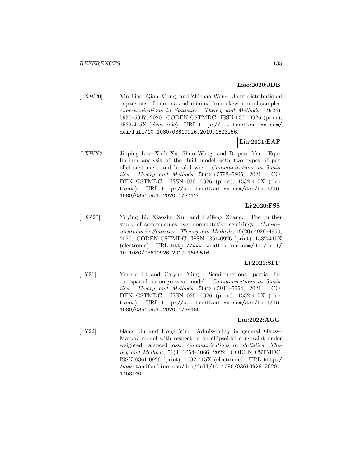## **Liao:2020:JDE**

[LXW20] Xin Liao, Qian Xiong, and Zhichao Weng. Joint distributional expansions of maxima and minima from skew-normal samples. Communications in Statistics: Theory and Methods, 49(24): 5930–5947, 2020. CODEN CSTMDC. ISSN 0361-0926 (print), 1532-415X (electronic). URL http://www.tandfonline.com/ doi/full/10.1080/03610926.2019.1623256.

# **Liu:2021:EAF**

[LXWY21] Jinping Liu, Xiuli Xu, Shuo Wang, and Dequan Yue. Equilibrium analysis of the fluid model with two types of parallel customers and breakdowns. Communications in Statistics: Theory and Methods, 50(24):5792–5805, 2021. CO-DEN CSTMDC. ISSN 0361-0926 (print), 1532-415X (electronic). URL http://www.tandfonline.com/doi/full/10. 1080/03610926.2020.1737124.

# **Li:2020:FSS**

[LXZ20] Yuying Li, Xiaozhu Xu, and Haifeng Zhang. The further study of semimodules over commutative semirings. Communications in Statistics: Theory and Methods, 49(20):4929–4950, 2020. CODEN CSTMDC. ISSN 0361-0926 (print), 1532-415X (electronic). URL http://www.tandfonline.com/doi/full/ 10.1080/03610926.2019.1609516.

# **Li:2021:SFP**

[LY21] Yunxia Li and Caiyun Ying. Semi-functional partial linear spatial autoregressive model. Communications in Statistics: Theory and Methods, 50(24):5941–5954, 2021. CO-DEN CSTMDC. ISSN 0361-0926 (print), 1532-415X (electronic). URL http://www.tandfonline.com/doi/full/10. 1080/03610926.2020.1738485.

## **Liu:2022:AGG**

[LY22] Gang Liu and Hong Yin. Admissibility in general Gauss– Markov model with respect to an ellipsoidal constraint under weighted balanced loss. Communications in Statistics: Theory and Methods, 51(4):1054–1066, 2022. CODEN CSTMDC. ISSN 0361-0926 (print), 1532-415X (electronic). URL http:/ /www.tandfonline.com/doi/full/10.1080/03610926.2020. 1758140.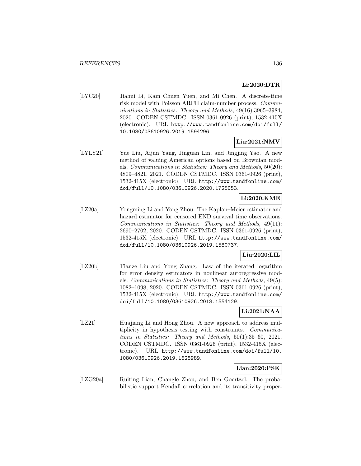## **Li:2020:DTR**

[LYC20] Jiahui Li, Kam Chuen Yuen, and Mi Chen. A discrete-time risk model with Poisson ARCH claim-number process. Communications in Statistics: Theory and Methods, 49(16):3965–3984, 2020. CODEN CSTMDC. ISSN 0361-0926 (print), 1532-415X (electronic). URL http://www.tandfonline.com/doi/full/ 10.1080/03610926.2019.1594296.

# **Liu:2021:NMV**

[LYLY21] Yue Liu, Aijun Yang, Jinguan Lin, and Jingjing Yao. A new method of valuing American options based on Brownian models. Communications in Statistics: Theory and Methods, 50(20): 4809–4821, 2021. CODEN CSTMDC. ISSN 0361-0926 (print), 1532-415X (electronic). URL http://www.tandfonline.com/ doi/full/10.1080/03610926.2020.1725053.

### **Li:2020:KME**

[LZ20a] Yongming Li and Yong Zhou. The Kaplan–Meier estimator and hazard estimator for censored END survival time observations. Communications in Statistics: Theory and Methods, 49(11): 2690–2702, 2020. CODEN CSTMDC. ISSN 0361-0926 (print), 1532-415X (electronic). URL http://www.tandfonline.com/ doi/full/10.1080/03610926.2019.1580737.

## **Liu:2020:LIL**

[LZ20b] Tianze Liu and Yong Zhang. Law of the iterated logarithm for error density estimators in nonlinear autoregressive models. Communications in Statistics: Theory and Methods, 49(5): 1082–1098, 2020. CODEN CSTMDC. ISSN 0361-0926 (print), 1532-415X (electronic). URL http://www.tandfonline.com/ doi/full/10.1080/03610926.2018.1554129.

# **Li:2021:NAA**

[LZ21] Huajiang Li and Hong Zhou. A new approach to address multiplicity in hypothesis testing with constraints. Communications in Statistics: Theory and Methods, 50(1):35–60, 2021. CODEN CSTMDC. ISSN 0361-0926 (print), 1532-415X (electronic). URL http://www.tandfonline.com/doi/full/10. 1080/03610926.2019.1628989.

# **Lian:2020:PSK**

[LZG20a] Ruiting Lian, Changle Zhou, and Ben Goertzel. The probabilistic support Kendall correlation and its transitivity proper-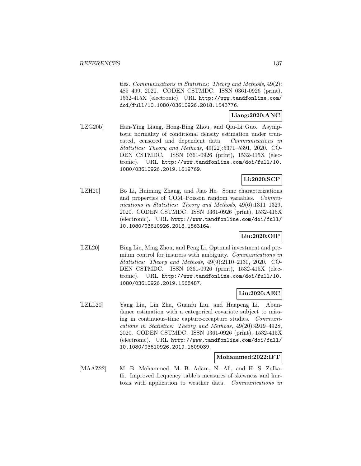ties. Communications in Statistics: Theory and Methods, 49(2): 485–499, 2020. CODEN CSTMDC. ISSN 0361-0926 (print), 1532-415X (electronic). URL http://www.tandfonline.com/ doi/full/10.1080/03610926.2018.1543776.

# **Liang:2020:ANC**

[LZG20b] Han-Ying Liang, Hong-Bing Zhou, and Qiu-Li Guo. Asymptotic normality of conditional density estimation under truncated, censored and dependent data. Communications in Statistics: Theory and Methods, 49(22):5371–5391, 2020. CO-DEN CSTMDC. ISSN 0361-0926 (print), 1532-415X (electronic). URL http://www.tandfonline.com/doi/full/10. 1080/03610926.2019.1619769.

# **Li:2020:SCP**

[LZH20] Bo Li, Huiming Zhang, and Jiao He. Some characterizations and properties of COM–Poisson random variables. Communications in Statistics: Theory and Methods, 49(6):1311–1329, 2020. CODEN CSTMDC. ISSN 0361-0926 (print), 1532-415X (electronic). URL http://www.tandfonline.com/doi/full/ 10.1080/03610926.2018.1563164.

# **Liu:2020:OIP**

[LZL20] Bing Liu, Ming Zhou, and Peng Li. Optimal investment and premium control for insurers with ambiguity. Communications in Statistics: Theory and Methods, 49(9):2110–2130, 2020. CO-DEN CSTMDC. ISSN 0361-0926 (print), 1532-415X (electronic). URL http://www.tandfonline.com/doi/full/10. 1080/03610926.2019.1568487.

## **Liu:2020:AEC**

[LZLL20] Yang Liu, Lin Zhu, Guanfu Liu, and Huapeng Li. Abundance estimation with a categorical covariate subject to missing in continuous-time capture-recapture studies. Communications in Statistics: Theory and Methods, 49(20):4919–4928, 2020. CODEN CSTMDC. ISSN 0361-0926 (print), 1532-415X (electronic). URL http://www.tandfonline.com/doi/full/ 10.1080/03610926.2019.1609039.

#### **Mohammed:2022:IFT**

[MAAZ22] M. B. Mohammed, M. B. Adam, N. Ali, and H. S. Zulkafli. Improved frequency table's measures of skewness and kurtosis with application to weather data. Communications in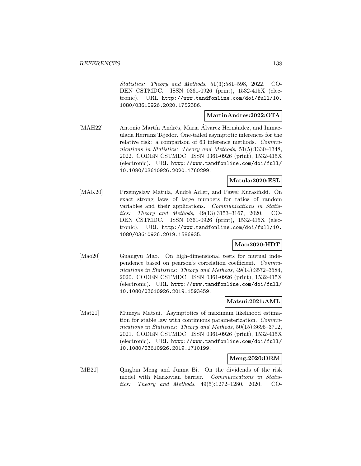Statistics: Theory and Methods, 51(3):581–598, 2022. CO-DEN CSTMDC. ISSN 0361-0926 (print), 1532-415X (electronic). URL http://www.tandfonline.com/doi/full/10. 1080/03610926.2020.1752386.

### **MartinAndres:2022:OTA**

[MÁH22] Antonio Martín Andrés, Maria Álvarez Hernández, and Inmaculada Herranz Tejedor. One-tailed asymptotic inferences for the relative risk: a comparison of 63 inference methods. Communications in Statistics: Theory and Methods, 51(5):1330–1348, 2022. CODEN CSTMDC. ISSN 0361-0926 (print), 1532-415X (electronic). URL http://www.tandfonline.com/doi/full/ 10.1080/03610926.2020.1760299.

## **Matula:2020:ESL**

[MAK20] Przemysław Matuła, André Adler, and Paweł Kurasiński. On exact strong laws of large numbers for ratios of random variables and their applications. Communications in Statistics: Theory and Methods, 49(13):3153–3167, 2020. CO-DEN CSTMDC. ISSN 0361-0926 (print), 1532-415X (electronic). URL http://www.tandfonline.com/doi/full/10. 1080/03610926.2019.1586935.

### **Mao:2020:HDT**

[Mao20] Guangyu Mao. On high-dimensional tests for mutual independence based on pearson's correlation coefficient. Communications in Statistics: Theory and Methods, 49(14):3572–3584, 2020. CODEN CSTMDC. ISSN 0361-0926 (print), 1532-415X (electronic). URL http://www.tandfonline.com/doi/full/ 10.1080/03610926.2019.1593459.

### **Matsui:2021:AML**

[Mat21] Muneya Matsui. Asymptotics of maximum likelihood estimation for stable law with continuous parameterization. Communications in Statistics: Theory and Methods, 50(15):3695–3712, 2021. CODEN CSTMDC. ISSN 0361-0926 (print), 1532-415X (electronic). URL http://www.tandfonline.com/doi/full/ 10.1080/03610926.2019.1710199.

### **Meng:2020:DRM**

[MB20] Qingbin Meng and Junna Bi. On the dividends of the risk model with Markovian barrier. Communications in Statistics: Theory and Methods, 49(5):1272–1280, 2020. CO-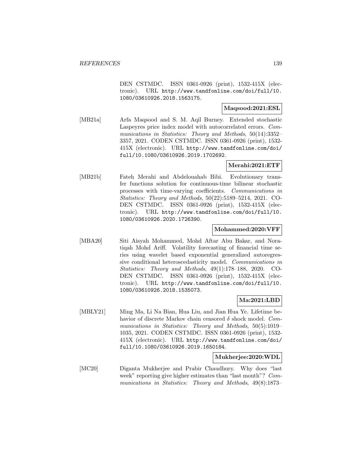DEN CSTMDC. ISSN 0361-0926 (print), 1532-415X (electronic). URL http://www.tandfonline.com/doi/full/10. 1080/03610926.2018.1563175.

### **Maqsood:2021:ESL**

[MB21a] Arfa Maqsood and S. M. Aqil Burney. Extended stochastic Laspeyres price index model with autocorrelated errors. Communications in Statistics: Theory and Methods, 50(14):3352-3357, 2021. CODEN CSTMDC. ISSN 0361-0926 (print), 1532- 415X (electronic). URL http://www.tandfonline.com/doi/ full/10.1080/03610926.2019.1702692.

## **Merahi:2021:ETF**

[MB21b] Fateh Merahi and Abdelouahab Bibi. Evolutionary transfer functions solution for continuous-time bilinear stochastic processes with time-varying coefficients. Communications in Statistics: Theory and Methods, 50(22):5189–5214, 2021. CO-DEN CSTMDC. ISSN 0361-0926 (print), 1532-415X (electronic). URL http://www.tandfonline.com/doi/full/10. 1080/03610926.2020.1726390.

### **Mohammed:2020:VFF**

[MBA20] Siti Aisyah Mohammed, Mohd Aftar Abu Bakar, and Noratiqah Mohd Ariff. Volatility forecasting of financial time series using wavelet based exponential generalized autoregressive conditional heteroscedasticity model. Communications in Statistics: Theory and Methods, 49(1):178–188, 2020. CO-DEN CSTMDC. ISSN 0361-0926 (print), 1532-415X (electronic). URL http://www.tandfonline.com/doi/full/10. 1080/03610926.2018.1535073.

# **Ma:2021:LBD**

[MBLY21] Ming Ma, Li Na Bian, Hua Liu, and Jian Hua Ye. Lifetime behavior of discrete Markov chain censored  $\delta$  shock model. Communications in Statistics: Theory and Methods, 50(5):1019– 1035, 2021. CODEN CSTMDC. ISSN 0361-0926 (print), 1532- 415X (electronic). URL http://www.tandfonline.com/doi/ full/10.1080/03610926.2019.1650184.

#### **Mukherjee:2020:WDL**

[MC20] Diganta Mukherjee and Prabir Chaudhury. Why does "last week" reporting give higher estimates than "last month"? Communications in Statistics: Theory and Methods, 49(8):1873–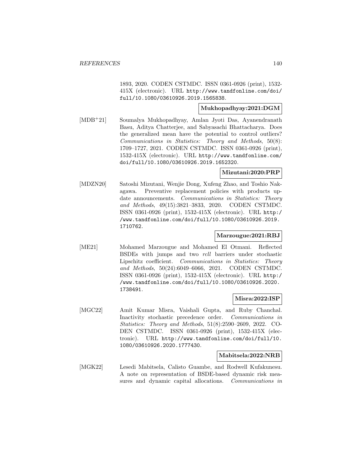1893, 2020. CODEN CSTMDC. ISSN 0361-0926 (print), 1532- 415X (electronic). URL http://www.tandfonline.com/doi/ full/10.1080/03610926.2019.1565838.

### **Mukhopadhyay:2021:DGM**

[MDB<sup>+</sup>21] Soumalya Mukhopadhyay, Amlan Jyoti Das, Ayanendranath Basu, Aditya Chatterjee, and Sabyasachi Bhattacharya. Does the generalized mean have the potential to control outliers? Communications in Statistics: Theory and Methods, 50(8): 1709–1727, 2021. CODEN CSTMDC. ISSN 0361-0926 (print), 1532-415X (electronic). URL http://www.tandfonline.com/ doi/full/10.1080/03610926.2019.1652320.

### **Mizutani:2020:PRP**

[MDZN20] Satoshi Mizutani, Wenjie Dong, Xufeng Zhao, and Toshio Nakagawa. Preventive replacement policies with products update announcements. Communications in Statistics: Theory and Methods, 49(15):3821–3833, 2020. CODEN CSTMDC. ISSN 0361-0926 (print), 1532-415X (electronic). URL http:/ /www.tandfonline.com/doi/full/10.1080/03610926.2019. 1710762.

## **Marzougue:2021:RBJ**

[ME21] Mohamed Marzougue and Mohamed El Otmani. Reflected BSDEs with jumps and two rcll barriers under stochastic Lipschitz coefficient. Communications in Statistics: Theory and Methods, 50(24):6049–6066, 2021. CODEN CSTMDC. ISSN 0361-0926 (print), 1532-415X (electronic). URL http:/ /www.tandfonline.com/doi/full/10.1080/03610926.2020. 1738491.

#### **Misra:2022:ISP**

[MGC22] Amit Kumar Misra, Vaishali Gupta, and Ruby Chanchal. Inactivity stochastic precedence order. Communications in Statistics: Theory and Methods, 51(8):2590–2609, 2022. CO-DEN CSTMDC. ISSN 0361-0926 (print), 1532-415X (electronic). URL http://www.tandfonline.com/doi/full/10. 1080/03610926.2020.1777430.

#### **Mabitsela:2022:NRB**

[MGK22] Lesedi Mabitsela, Calisto Guambe, and Rodwell Kufakunesu. A note on representation of BSDE-based dynamic risk measures and dynamic capital allocations. Communications in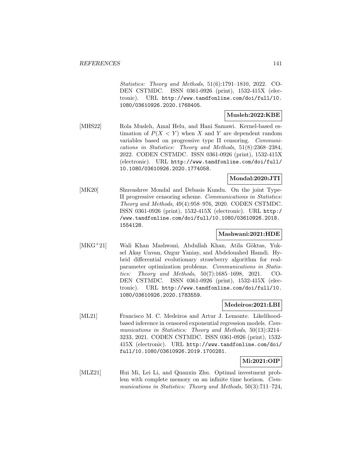Statistics: Theory and Methods, 51(6):1791–1810, 2022. CO-DEN CSTMDC. ISSN 0361-0926 (print), 1532-415X (electronic). URL http://www.tandfonline.com/doi/full/10. 1080/03610926.2020.1768405.

### **Musleh:2022:KBE**

[MHS22] Rola Musleh, Amal Helu, and Hani Samawi. Kernel-based estimation of  $P(X \leq Y)$  when X and Y are dependent random variables based on progressive type II censoring. Communications in Statistics: Theory and Methods, 51(8):2368–2384, 2022. CODEN CSTMDC. ISSN 0361-0926 (print), 1532-415X (electronic). URL http://www.tandfonline.com/doi/full/ 10.1080/03610926.2020.1774058.

### **Mondal:2020:JTI**

[MK20] Shuvashree Mondal and Debasis Kundu. On the joint Type-II progressive censoring scheme. Communications in Statistics: Theory and Methods, 49(4):958–976, 2020. CODEN CSTMDC. ISSN 0361-0926 (print), 1532-415X (electronic). URL http:/ /www.tandfonline.com/doi/full/10.1080/03610926.2018. 1554128.

### **Mashwani:2021:HDE**

[MKG<sup>+</sup>21] Wali Khan Mashwani, Abdullah Khan, Atila Göktas, Yuksel Akay Unvan, Ozgur Yaniay, and Abdelouahed Hamdi. Hybrid differential evolutionary strawberry algorithm for realparameter optimization problems. Communications in Statistics: Theory and Methods, 50(7):1685–1698, 2021. CO-DEN CSTMDC. ISSN 0361-0926 (print), 1532-415X (electronic). URL http://www.tandfonline.com/doi/full/10. 1080/03610926.2020.1783559.

### **Medeiros:2021:LBI**

[ML21] Francisco M. C. Medeiros and Artur J. Lemonte. Likelihoodbased inference in censored exponential regression models. Communications in Statistics: Theory and Methods, 50(13):3214– 3233, 2021. CODEN CSTMDC. ISSN 0361-0926 (print), 1532- 415X (electronic). URL http://www.tandfonline.com/doi/ full/10.1080/03610926.2019.1700281.

### **Mi:2021:OIP**

[MLZ21] Hui Mi, Lei Li, and Quanxin Zhu. Optimal investment problem with complete memory on an infinite time horizon. Communications in Statistics: Theory and Methods, 50(3):711–724,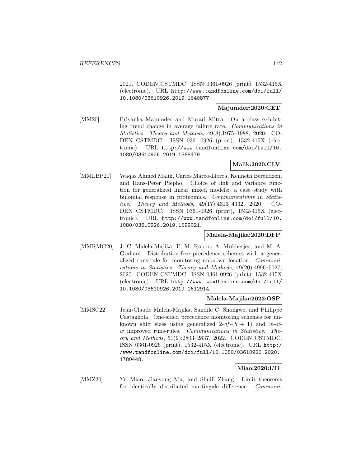2021. CODEN CSTMDC. ISSN 0361-0926 (print), 1532-415X (electronic). URL http://www.tandfonline.com/doi/full/ 10.1080/03610926.2019.1640877.

### **Majumder:2020:CET**

[MM20] Priyanka Majumder and Murari Mitra. On a class exhibiting trend change in average failure rate. Communications in Statistics: Theory and Methods, 49(8):1975–1988, 2020. CO-DEN CSTMDC. ISSN 0361-0926 (print), 1532-415X (electronic). URL http://www.tandfonline.com/doi/full/10. 1080/03610926.2019.1568479.

# **Malik:2020:CLV**

[MMLBP20] Waqas Ahmed Malik, Carles Marco-Llorca, Kenneth Berendzen, and Hans-Peter Piepho. Choice of link and variance function for generalized linear mixed models: a case study with binomial response in proteomics. Communications in Statistics: Theory and Methods, 49(17):4313–4332, 2020. CO-DEN CSTMDC. ISSN 0361-0926 (print), 1532-415X (electronic). URL http://www.tandfonline.com/doi/full/10. 1080/03610926.2019.1599021.

# **Malela-Majika:2020:DFP**

[MMRMG20] J. C. Malela-Majika, E. M. Rapoo, A. Mukherjee, and M. A. Graham. Distribution-free precedence schemes with a generalized runs-rule for monitoring unknown location. Communications in Statistics: Theory and Methods, 49(20):4996–5027, 2020. CODEN CSTMDC. ISSN 0361-0926 (print), 1532-415X (electronic). URL http://www.tandfonline.com/doi/full/ 10.1080/03610926.2019.1612914.

### **Malela-Majika:2022:OSP**

[MMSC22] Jean-Claude Malela-Majika, Sandile C. Shongwe, and Philippe Castagliola. One-sided precedence monitoring schemes for unknown shift sizes using generalized 2-of- $(h + 1)$  and w-ofw improved runs-rules. Communications in Statistics: Theory and Methods, 51(9):2803–2837, 2022. CODEN CSTMDC. ISSN 0361-0926 (print), 1532-415X (electronic). URL http:/ /www.tandfonline.com/doi/full/10.1080/03610926.2020. 1780448.

# **Miao:2020:LTI**

[MMZ20] Yu Miao, Jianyong Mu, and Shuili Zhang. Limit theorems for identically distributed martingale difference. Communi-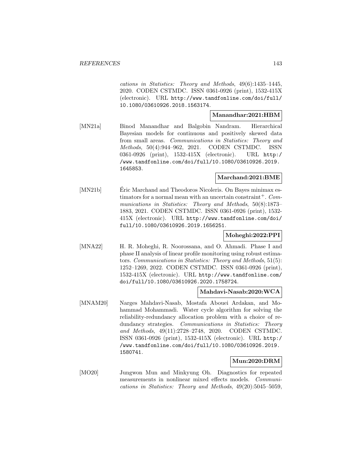cations in Statistics: Theory and Methods, 49(6):1435–1445, 2020. CODEN CSTMDC. ISSN 0361-0926 (print), 1532-415X (electronic). URL http://www.tandfonline.com/doi/full/ 10.1080/03610926.2018.1563174.

#### **Manandhar:2021:HBM**

[MN21a] Binod Manandhar and Balgobin Nandram. Hierarchical Bayesian models for continuous and positively skewed data from small areas. Communications in Statistics: Theory and Methods, 50(4):944–962, 2021. CODEN CSTMDC. ISSN 0361-0926 (print), 1532-415X (electronic). URL http:/ /www.tandfonline.com/doi/full/10.1080/03610926.2019. 1645853.

#### **Marchand:2021:BME**

[MN21b] Eric Marchand and Theodoros Nicoleris. On Bayes minimax estimators for a normal mean with an uncertain constraint<sup>+</sup>.  $Com$ munications in Statistics: Theory and Methods, 50(8):1873– 1883, 2021. CODEN CSTMDC. ISSN 0361-0926 (print), 1532- 415X (electronic). URL http://www.tandfonline.com/doi/ full/10.1080/03610926.2019.1656251.

## **Moheghi:2022:PPI**

[MNA22] H. R. Moheghi, R. Noorossana, and O. Ahmadi. Phase I and phase II analysis of linear profile monitoring using robust estimators. Communications in Statistics: Theory and Methods, 51(5): 1252–1269, 2022. CODEN CSTMDC. ISSN 0361-0926 (print), 1532-415X (electronic). URL http://www.tandfonline.com/ doi/full/10.1080/03610926.2020.1758724.

### **Mahdavi-Nasab:2020:WCA**

[MNAM20] Narges Mahdavi-Nasab, Mostafa Abouei Ardakan, and Mohammad Mohammadi. Water cycle algorithm for solving the reliability-redundancy allocation problem with a choice of redundancy strategies. Communications in Statistics: Theory and Methods, 49(11):2728–2748, 2020. CODEN CSTMDC. ISSN 0361-0926 (print), 1532-415X (electronic). URL http:/ /www.tandfonline.com/doi/full/10.1080/03610926.2019. 1580741.

### **Mun:2020:DRM**

[MO20] Jungwon Mun and Minkyung Oh. Diagnostics for repeated measurements in nonlinear mixed effects models. Communications in Statistics: Theory and Methods, 49(20):5045–5059,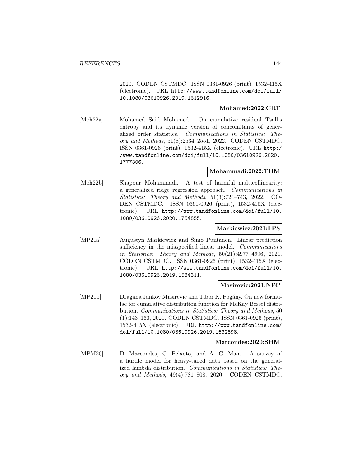2020. CODEN CSTMDC. ISSN 0361-0926 (print), 1532-415X (electronic). URL http://www.tandfonline.com/doi/full/ 10.1080/03610926.2019.1612916.

### **Mohamed:2022:CRT**

[Moh22a] Mohamed Said Mohamed. On cumulative residual Tsallis entropy and its dynamic version of concomitants of generalized order statistics. Communications in Statistics: Theory and Methods, 51(8):2534–2551, 2022. CODEN CSTMDC. ISSN 0361-0926 (print), 1532-415X (electronic). URL http:/ /www.tandfonline.com/doi/full/10.1080/03610926.2020. 1777306.

### **Mohammadi:2022:THM**

[Moh22b] Shapour Mohammadi. A test of harmful multicollinearity: a generalized ridge regression approach. Communications in Statistics: Theory and Methods, 51(3):724–743, 2022. CO-DEN CSTMDC. ISSN 0361-0926 (print), 1532-415X (electronic). URL http://www.tandfonline.com/doi/full/10. 1080/03610926.2020.1754855.

### **Markiewicz:2021:LPS**

[MP21a] Augustyn Markiewicz and Simo Puntanen. Linear prediction sufficiency in the misspecified linear model. Communications in Statistics: Theory and Methods, 50(21):4977–4996, 2021. CODEN CSTMDC. ISSN 0361-0926 (print), 1532-415X (electronic). URL http://www.tandfonline.com/doi/full/10. 1080/03610926.2019.1584311.

### **Masirevic:2021:NFC**

[MP21b] Dragana Jankov Masirević and Tibor K. Pogány. On new formulae for cumulative distribution function for McKay Bessel distribution. Communications in Statistics: Theory and Methods, 50 (1):143–160, 2021. CODEN CSTMDC. ISSN 0361-0926 (print), 1532-415X (electronic). URL http://www.tandfonline.com/ doi/full/10.1080/03610926.2019.1632898.

### **Marcondes:2020:SHM**

[MPM20] D. Marcondes, C. Peixoto, and A. C. Maia. A survey of a hurdle model for heavy-tailed data based on the generalized lambda distribution. Communications in Statistics: Theory and Methods, 49(4):781–808, 2020. CODEN CSTMDC.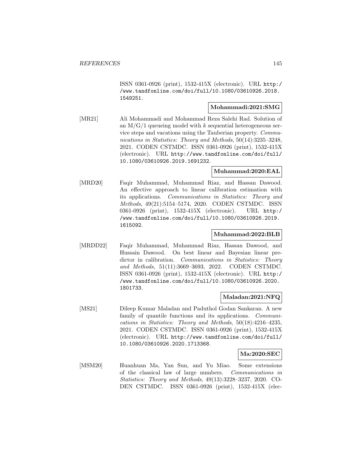ISSN 0361-0926 (print), 1532-415X (electronic). URL http:/ /www.tandfonline.com/doi/full/10.1080/03610926.2018. 1549251.

# **Mohammadi:2021:SMG**

[MR21] Ali Mohammadi and Mohammad Reza Salehi Rad. Solution of an  $M/G/1$  queueing model with k sequential heterogeneous service steps and vacations using the Tauberian property. Communications in Statistics: Theory and Methods, 50(14):3235–3248, 2021. CODEN CSTMDC. ISSN 0361-0926 (print), 1532-415X (electronic). URL http://www.tandfonline.com/doi/full/ 10.1080/03610926.2019.1691232.

#### **Muhammad:2020:EAL**

[MRD20] Faqir Muhammad, Muhammad Riaz, and Hassan Dawood. An effective approach to linear calibration estimation with its applications. Communications in Statistics: Theory and Methods, 49(21):5154–5174, 2020. CODEN CSTMDC. ISSN 0361-0926 (print), 1532-415X (electronic). URL http:/ /www.tandfonline.com/doi/full/10.1080/03610926.2019. 1615092.

# **Muhammad:2022:BLB**

[MRDD22] Faqir Muhammad, Muhammad Riaz, Hassan Dawood, and Hussain Dawood. On best linear and Bayesian linear predictor in calibration. Communications in Statistics: Theory and Methods, 51(11):3669–3693, 2022. CODEN CSTMDC. ISSN 0361-0926 (print), 1532-415X (electronic). URL http:/ /www.tandfonline.com/doi/full/10.1080/03610926.2020. 1801733.

### **Maladan:2021:NFQ**

[MS21] Dileep Kumar Maladan and Paduthol Godan Sankaran. A new family of quantile functions and its applications. *Communi*cations in Statistics: Theory and Methods, 50(18):4216–4235, 2021. CODEN CSTMDC. ISSN 0361-0926 (print), 1532-415X (electronic). URL http://www.tandfonline.com/doi/full/ 10.1080/03610926.2020.1713368.

#### **Ma:2020:SEC**

[MSM20] Huanhuan Ma, Yan Sun, and Yu Miao. Some extensions of the classical law of large numbers. Communications in Statistics: Theory and Methods, 49(13):3228–3237, 2020. CO-DEN CSTMDC. ISSN 0361-0926 (print), 1532-415X (elec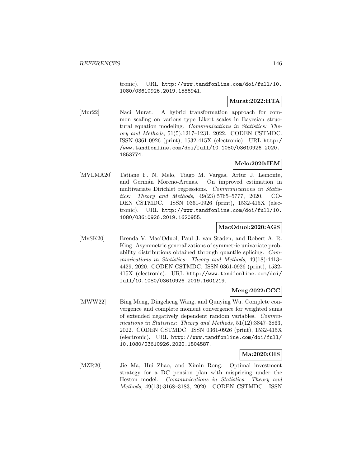tronic). URL http://www.tandfonline.com/doi/full/10. 1080/03610926.2019.1586941.

## **Murat:2022:HTA**

[Mur22] Naci Murat. A hybrid transformation approach for common scaling on various type Likert scales in Bayesian structural equation modeling. Communications in Statistics: Theory and Methods, 51(5):1217–1231, 2022. CODEN CSTMDC. ISSN 0361-0926 (print), 1532-415X (electronic). URL http:/ /www.tandfonline.com/doi/full/10.1080/03610926.2020. 1853774.

# **Melo:2020:IEM**

[MVLMA20] Tatiane F. N. Melo, Tiago M. Vargas, Artur J. Lemonte, and Germán Moreno-Arenas. On improved estimation in multivariate Dirichlet regressions. Communications in Statistics: Theory and Methods, 49(23):5765–5777, 2020. CO-DEN CSTMDC. ISSN 0361-0926 (print), 1532-415X (electronic). URL http://www.tandfonline.com/doi/full/10. 1080/03610926.2019.1620955.

# **MacOduol:2020:AGS**

[MvSK20] Brenda V. Mac'Oduol, Paul J. van Staden, and Robert A. R. King. Asymmetric generalizations of symmetric univariate probability distributions obtained through quantile splicing. Communications in Statistics: Theory and Methods, 49(18):4413– 4429, 2020. CODEN CSTMDC. ISSN 0361-0926 (print), 1532- 415X (electronic). URL http://www.tandfonline.com/doi/ full/10.1080/03610926.2019.1601219.

# **Meng:2022:CCC**

[MWW22] Bing Meng, Dingcheng Wang, and Qunying Wu. Complete convergence and complete moment convergence for weighted sums of extended negatively dependent random variables. Communications in Statistics: Theory and Methods, 51(12):3847–3863, 2022. CODEN CSTMDC. ISSN 0361-0926 (print), 1532-415X (electronic). URL http://www.tandfonline.com/doi/full/ 10.1080/03610926.2020.1804587.

### **Ma:2020:OIS**

[MZR20] Jie Ma, Hui Zhao, and Ximin Rong. Optimal investment strategy for a DC pension plan with mispricing under the Heston model. Communications in Statistics: Theory and Methods, 49(13):3168–3183, 2020. CODEN CSTMDC. ISSN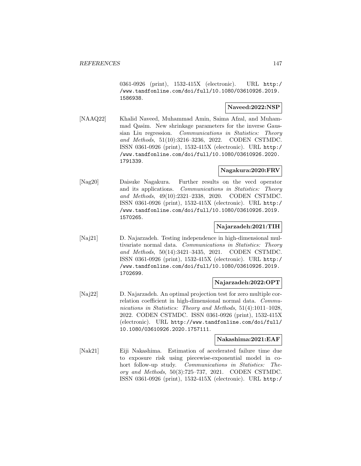0361-0926 (print), 1532-415X (electronic). URL http:/ /www.tandfonline.com/doi/full/10.1080/03610926.2019. 1586938.

## **Naveed:2022:NSP**

[NAAQ22] Khalid Naveed, Muhammad Amin, Saima Afzal, and Muhammad Qasim. New shrinkage parameters for the inverse Gaussian Liu regression. Communications in Statistics: Theory and Methods, 51(10):3216–3236, 2022. CODEN CSTMDC. ISSN 0361-0926 (print), 1532-415X (electronic). URL http:/ /www.tandfonline.com/doi/full/10.1080/03610926.2020. 1791339.

### **Nagakura:2020:FRV**

[Nag20] Daisuke Nagakura. Further results on the vecd operator and its applications. Communications in Statistics: Theory and Methods, 49(10):2321–2338, 2020. CODEN CSTMDC. ISSN 0361-0926 (print), 1532-415X (electronic). URL http:/ /www.tandfonline.com/doi/full/10.1080/03610926.2019. 1570265.

### **Najarzadeh:2021:TIH**

[Naj21] D. Najarzadeh. Testing independence in high-dimensional multivariate normal data. Communications in Statistics: Theory and Methods, 50(14):3421–3435, 2021. CODEN CSTMDC. ISSN 0361-0926 (print), 1532-415X (electronic). URL http:/ /www.tandfonline.com/doi/full/10.1080/03610926.2019. 1702699.

### **Najarzadeh:2022:OPT**

[Naj22] D. Najarzadeh. An optimal projection test for zero multiple correlation coefficient in high-dimensional normal data. Communications in Statistics: Theory and Methods, 51(4):1011–1028, 2022. CODEN CSTMDC. ISSN 0361-0926 (print), 1532-415X (electronic). URL http://www.tandfonline.com/doi/full/ 10.1080/03610926.2020.1757111.

### **Nakashima:2021:EAF**

[Nak21] Eiji Nakashima. Estimation of accelerated failure time due to exposure risk using piecewise-exponential model in cohort follow-up study. Communications in Statistics: Theory and Methods, 50(3):725–737, 2021. CODEN CSTMDC. ISSN 0361-0926 (print), 1532-415X (electronic). URL http:/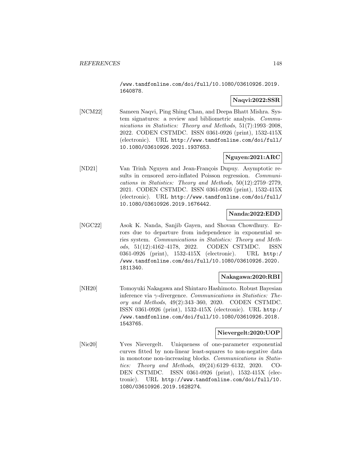/www.tandfonline.com/doi/full/10.1080/03610926.2019. 1640878.

# **Naqvi:2022:SSR**

[NCM22] Sameen Naqvi, Ping Shing Chan, and Deepa Bhatt Mishra. System signatures: a review and bibliometric analysis. Communications in Statistics: Theory and Methods, 51(7):1993–2008. 2022. CODEN CSTMDC. ISSN 0361-0926 (print), 1532-415X (electronic). URL http://www.tandfonline.com/doi/full/ 10.1080/03610926.2021.1937653.

# **Nguyen:2021:ARC**

[ND21] Van Trinh Nguyen and Jean-François Dupuy. Asymptotic results in censored zero-inflated Poisson regression. Communications in Statistics: Theory and Methods, 50(12):2759–2779, 2021. CODEN CSTMDC. ISSN 0361-0926 (print), 1532-415X (electronic). URL http://www.tandfonline.com/doi/full/ 10.1080/03610926.2019.1676442.

# **Nanda:2022:EDD**

[NGC22] Asok K. Nanda, Sanjib Gayen, and Shovan Chowdhury. Errors due to departure from independence in exponential series system. Communications in Statistics: Theory and Methods, 51(12):4162–4178, 2022. CODEN CSTMDC. ISSN 0361-0926 (print), 1532-415X (electronic). URL http:/ /www.tandfonline.com/doi/full/10.1080/03610926.2020. 1811340.

# **Nakagawa:2020:RBI**

[NH20] Tomoyuki Nakagawa and Shintaro Hashimoto. Robust Bayesian inference via  $\gamma$ -divergence. Communications in Statistics: Theory and Methods, 49(2):343–360, 2020. CODEN CSTMDC. ISSN 0361-0926 (print), 1532-415X (electronic). URL http:/ /www.tandfonline.com/doi/full/10.1080/03610926.2018. 1543765.

### **Nievergelt:2020:UOP**

[Nie20] Yves Nievergelt. Uniqueness of one-parameter exponential curves fitted by non-linear least-squares to non-negative data in monotone non-increasing blocks. Communications in Statistics: Theory and Methods, 49(24):6129–6132, 2020. CO-DEN CSTMDC. ISSN 0361-0926 (print), 1532-415X (electronic). URL http://www.tandfonline.com/doi/full/10. 1080/03610926.2019.1628274.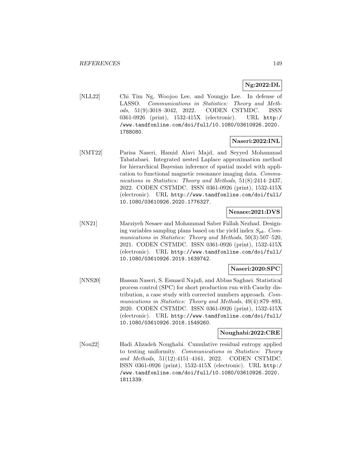# **Ng:2022:DL**

[NLL22] Chi Tim Ng, Woojoo Lee, and Youngjo Lee. In defense of LASSO. Communications in Statistics: Theory and Methods, 51(9):3018–3042, 2022. CODEN CSTMDC. ISSN 0361-0926 (print), 1532-415X (electronic). URL http:/ /www.tandfonline.com/doi/full/10.1080/03610926.2020. 1788080.

# **Naseri:2022:INL**

[NMT22] Parisa Naseri, Hamid Alavi Majd, and Seyyed Mohammad Tabatabaei. Integrated nested Laplace approximation method for hierarchical Bayesian inference of spatial model with application to functional magnetic resonance imaging data. Communications in Statistics: Theory and Methods, 51(8):2414–2437, 2022. CODEN CSTMDC. ISSN 0361-0926 (print), 1532-415X (electronic). URL http://www.tandfonline.com/doi/full/ 10.1080/03610926.2020.1776327.

# **Nesaee:2021:DVS**

[NN21] Marziyeh Nesaee and Mohammad Saber Fallah Nezhad. Designing variables sampling plans based on the yield index  $S_{pk}$ . Communications in Statistics: Theory and Methods, 50(3):507–520, 2021. CODEN CSTMDC. ISSN 0361-0926 (print), 1532-415X (electronic). URL http://www.tandfonline.com/doi/full/ 10.1080/03610926.2019.1639742.

### **Naseri:2020:SPC**

[NNS20] Hassan Naseri, S. Esmaeil Najafi, and Abbas Saghaei. Statistical process control (SPC) for short production run with Cauchy distribution, a case study with corrected numbers approach. Communications in Statistics: Theory and Methods, 49(4):879–893, 2020. CODEN CSTMDC. ISSN 0361-0926 (print), 1532-415X (electronic). URL http://www.tandfonline.com/doi/full/ 10.1080/03610926.2018.1549260.

### **Noughabi:2022:CRE**

[Nou22] Hadi Alizadeh Noughabi. Cumulative residual entropy applied to testing uniformity. Communications in Statistics: Theory and Methods, 51(12):4151–4161, 2022. CODEN CSTMDC. ISSN 0361-0926 (print), 1532-415X (electronic). URL http:/ /www.tandfonline.com/doi/full/10.1080/03610926.2020. 1811339.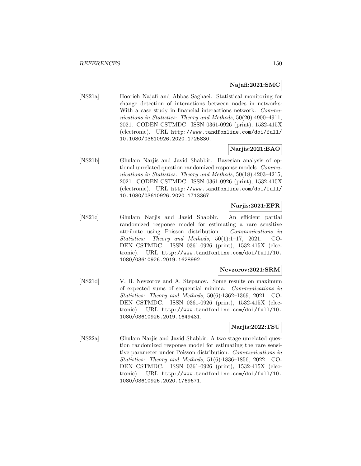### **Najafi:2021:SMC**

[NS21a] Hoorieh Najafi and Abbas Saghaei. Statistical monitoring for change detection of interactions between nodes in networks: With a case study in financial interactions network. *Commu*nications in Statistics: Theory and Methods, 50(20):4900–4911, 2021. CODEN CSTMDC. ISSN 0361-0926 (print), 1532-415X (electronic). URL http://www.tandfonline.com/doi/full/ 10.1080/03610926.2020.1725830.

### **Narjis:2021:BAO**

[NS21b] Ghulam Narjis and Javid Shabbir. Bayesian analysis of optional unrelated question randomized response models. Communications in Statistics: Theory and Methods, 50(18):4203–4215, 2021. CODEN CSTMDC. ISSN 0361-0926 (print), 1532-415X (electronic). URL http://www.tandfonline.com/doi/full/ 10.1080/03610926.2020.1713367.

## **Narjis:2021:EPR**

[NS21c] Ghulam Narjis and Javid Shabbir. An efficient partial randomized response model for estimating a rare sensitive attribute using Poisson distribution. Communications in Statistics: Theory and Methods, 50(1):1–17, 2021. CO-DEN CSTMDC. ISSN 0361-0926 (print), 1532-415X (electronic). URL http://www.tandfonline.com/doi/full/10. 1080/03610926.2019.1628992.

#### **Nevzorov:2021:SRM**

[NS21d] V. B. Nevzorov and A. Stepanov. Some results on maximum of expected sums of sequential minima. Communications in Statistics: Theory and Methods, 50(6):1362–1369, 2021. CO-DEN CSTMDC. ISSN 0361-0926 (print), 1532-415X (electronic). URL http://www.tandfonline.com/doi/full/10. 1080/03610926.2019.1649431.

### **Narjis:2022:TSU**

[NS22a] Ghulam Narjis and Javid Shabbir. A two-stage unrelated question randomized response model for estimating the rare sensitive parameter under Poisson distribution. Communications in Statistics: Theory and Methods, 51(6):1836–1856, 2022. CO-DEN CSTMDC. ISSN 0361-0926 (print), 1532-415X (electronic). URL http://www.tandfonline.com/doi/full/10. 1080/03610926.2020.1769671.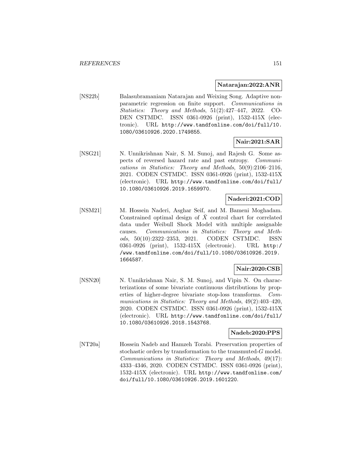#### **Natarajan:2022:ANR**

[NS22b] Balasubramaniam Natarajan and Weixing Song. Adaptive nonparametric regression on finite support. Communications in Statistics: Theory and Methods, 51(2):427–447, 2022. CO-DEN CSTMDC. ISSN 0361-0926 (print), 1532-415X (electronic). URL http://www.tandfonline.com/doi/full/10. 1080/03610926.2020.1749855.

### **Nair:2021:SAR**

[NSG21] N. Unnikrishnan Nair, S. M. Sunoj, and Rajesh G. Some aspects of reversed hazard rate and past entropy. Communications in Statistics: Theory and Methods, 50(9):2106–2116, 2021. CODEN CSTMDC. ISSN 0361-0926 (print), 1532-415X (electronic). URL http://www.tandfonline.com/doi/full/ 10.1080/03610926.2019.1659970.

## **Naderi:2021:COD**

[NSM21] M. Hossein Naderi, Asghar Seif, and M. Bameni Moghadam. Constrained optimal design of  $\bar{X}$  control chart for correlated data under Weibull Shock Model with multiple assignable causes. Communications in Statistics: Theory and Methods, 50(10):2322–2353, 2021. CODEN CSTMDC. ISSN 0361-0926 (print), 1532-415X (electronic). URL http:/ /www.tandfonline.com/doi/full/10.1080/03610926.2019. 1664587.

# **Nair:2020:CSB**

[NSN20] N. Unnikrishnan Nair, S. M. Sunoj, and Vipin N. On characterizations of some bivariate continuous distributions by properties of higher-degree bivariate stop-loss transforms. Communications in Statistics: Theory and Methods, 49(2):403–420, 2020. CODEN CSTMDC. ISSN 0361-0926 (print), 1532-415X (electronic). URL http://www.tandfonline.com/doi/full/ 10.1080/03610926.2018.1543768.

#### **Nadeb:2020:PPS**

[NT20a] Hossein Nadeb and Hamzeh Torabi. Preservation properties of stochastic orders by transformation to the transmuted-G model. Communications in Statistics: Theory and Methods, 49(17): 4333–4346, 2020. CODEN CSTMDC. ISSN 0361-0926 (print), 1532-415X (electronic). URL http://www.tandfonline.com/ doi/full/10.1080/03610926.2019.1601220.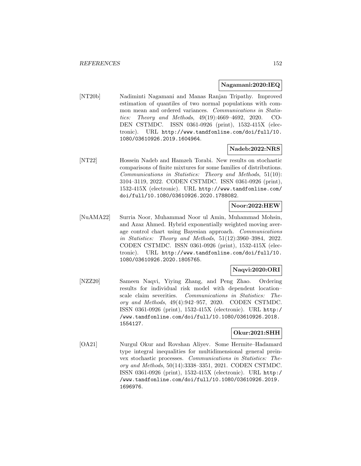#### **Nagamani:2020:IEQ**

[NT20b] Nadiminti Nagamani and Manas Ranjan Tripathy. Improved estimation of quantiles of two normal populations with common mean and ordered variances. Communications in Statistics: Theory and Methods, 49(19):4669–4692, 2020. CO-DEN CSTMDC. ISSN 0361-0926 (print), 1532-415X (electronic). URL http://www.tandfonline.com/doi/full/10. 1080/03610926.2019.1604964.

## **Nadeb:2022:NRS**

[NT22] Hossein Nadeb and Hamzeh Torabi. New results on stochastic comparisons of finite mixtures for some families of distributions. Communications in Statistics: Theory and Methods, 51(10): 3104–3119, 2022. CODEN CSTMDC. ISSN 0361-0926 (print), 1532-415X (electronic). URL http://www.tandfonline.com/ doi/full/10.1080/03610926.2020.1788082.

## **Noor:2022:HEW**

[NuAMA22] Surria Noor, Muhammad Noor ul Amin, Muhammad Mohsin, and Azaz Ahmed. Hybrid exponentially weighted moving average control chart using Bayesian approach. Communications in Statistics: Theory and Methods, 51(12):3960–3984, 2022. CODEN CSTMDC. ISSN 0361-0926 (print), 1532-415X (electronic). URL http://www.tandfonline.com/doi/full/10. 1080/03610926.2020.1805765.

#### **Naqvi:2020:ORI**

[NZZ20] Sameen Naqvi, Yiying Zhang, and Peng Zhao. Ordering results for individual risk model with dependent location– scale claim severities. Communications in Statistics: Theory and Methods, 49(4):942–957, 2020. CODEN CSTMDC. ISSN 0361-0926 (print), 1532-415X (electronic). URL http:/ /www.tandfonline.com/doi/full/10.1080/03610926.2018. 1554127.

# **Okur:2021:SHH**

[OA21] Nurgul Okur and Rovshan Aliyev. Some Hermite–Hadamard type integral inequalities for multidimensional general preinvex stochastic processes. Communications in Statistics: Theory and Methods, 50(14):3338–3351, 2021. CODEN CSTMDC. ISSN 0361-0926 (print), 1532-415X (electronic). URL http:/ /www.tandfonline.com/doi/full/10.1080/03610926.2019. 1696976.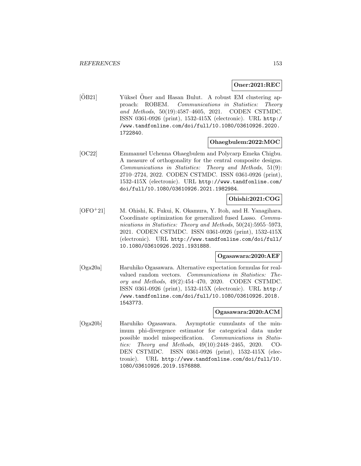### **Oner:2021:REC**

[OB21] Yüksel Öner and Hasan Bulut. A robust EM clustering approach: ROBEM. Communications in Statistics: Theory and Methods, 50(19):4587–4605, 2021. CODEN CSTMDC. ISSN 0361-0926 (print), 1532-415X (electronic). URL http:/ /www.tandfonline.com/doi/full/10.1080/03610926.2020. 1722840.

### **Ohaegbulem:2022:MOC**

[OC22] Emmanuel Uchenna Ohaegbulem and Polycarp Emeka Chigbu. A measure of orthogonality for the central composite designs. Communications in Statistics: Theory and Methods, 51(9): 2710–2724, 2022. CODEN CSTMDC. ISSN 0361-0926 (print), 1532-415X (electronic). URL http://www.tandfonline.com/ doi/full/10.1080/03610926.2021.1982984.

# **Ohishi:2021:COG**

[OFO<sup>+</sup>21] M. Ohishi, K. Fukui, K. Okamura, Y. Itoh, and H. Yanagihara. Coordinate optimization for generalized fused Lasso. Communications in Statistics: Theory and Methods, 50(24):5955–5973, 2021. CODEN CSTMDC. ISSN 0361-0926 (print), 1532-415X (electronic). URL http://www.tandfonline.com/doi/full/ 10.1080/03610926.2021.1931888.

#### **Ogasawara:2020:AEF**

[Oga20a] Haruhiko Ogasawara. Alternative expectation formulas for realvalued random vectors. Communications in Statistics: Theory and Methods, 49(2):454–470, 2020. CODEN CSTMDC. ISSN 0361-0926 (print), 1532-415X (electronic). URL http:/ /www.tandfonline.com/doi/full/10.1080/03610926.2018. 1543773.

# **Ogasawara:2020:ACM**

[Oga20b] Haruhiko Ogasawara. Asymptotic cumulants of the minimum phi-divergence estimator for categorical data under possible model misspecification. Communications in Statistics: Theory and Methods, 49(10):2448–2465, 2020. CO-DEN CSTMDC. ISSN 0361-0926 (print), 1532-415X (electronic). URL http://www.tandfonline.com/doi/full/10. 1080/03610926.2019.1576888.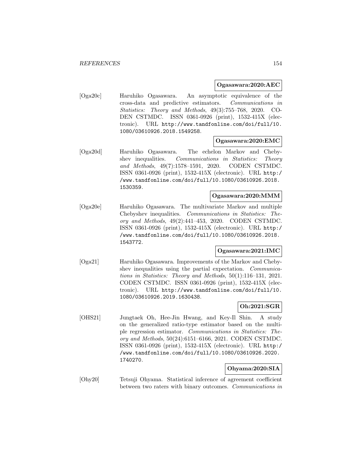### **Ogasawara:2020:AEC**

[Oga20c] Haruhiko Ogasawara. An asymptotic equivalence of the cross-data and predictive estimators. Communications in Statistics: Theory and Methods, 49(3):755–768, 2020. CO-DEN CSTMDC. ISSN 0361-0926 (print), 1532-415X (electronic). URL http://www.tandfonline.com/doi/full/10. 1080/03610926.2018.1549258.

## **Ogasawara:2020:EMC**

[Oga20d] Haruhiko Ogasawara. The echelon Markov and Chebyshev inequalities. Communications in Statistics: Theory and Methods, 49(7):1578–1591, 2020. CODEN CSTMDC. ISSN 0361-0926 (print), 1532-415X (electronic). URL http:/ /www.tandfonline.com/doi/full/10.1080/03610926.2018. 1530359.

### **Ogasawara:2020:MMM**

[Oga20e] Haruhiko Ogasawara. The multivariate Markov and multiple Chebyshev inequalities. Communications in Statistics: Theory and Methods, 49(2):441–453, 2020. CODEN CSTMDC. ISSN 0361-0926 (print), 1532-415X (electronic). URL http:/ /www.tandfonline.com/doi/full/10.1080/03610926.2018. 1543772.

#### **Ogasawara:2021:IMC**

[Oga21] Haruhiko Ogasawara. Improvements of the Markov and Chebyshev inequalities using the partial expectation. Communications in Statistics: Theory and Methods, 50(1):116–131, 2021. CODEN CSTMDC. ISSN 0361-0926 (print), 1532-415X (electronic). URL http://www.tandfonline.com/doi/full/10. 1080/03610926.2019.1630438.

# **Oh:2021:SGR**

[OHS21] Jungtaek Oh, Hee-Jin Hwang, and Key-Il Shin. A study on the generalized ratio-type estimator based on the multiple regression estimator. Communications in Statistics: Theory and Methods, 50(24):6151–6166, 2021. CODEN CSTMDC. ISSN 0361-0926 (print), 1532-415X (electronic). URL http:/ /www.tandfonline.com/doi/full/10.1080/03610926.2020. 1740270.

### **Ohyama:2020:SIA**

[Ohy20] Tetsuji Ohyama. Statistical inference of agreement coefficient between two raters with binary outcomes. Communications in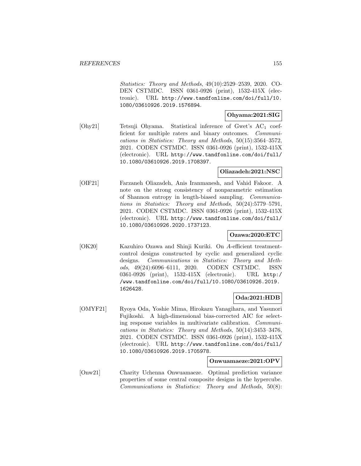Statistics: Theory and Methods, 49(10):2529–2539, 2020. CO-DEN CSTMDC. ISSN 0361-0926 (print), 1532-415X (electronic). URL http://www.tandfonline.com/doi/full/10. 1080/03610926.2019.1576894.

#### **Ohyama:2021:SIG**

[Ohy21] Tetsuji Ohyama. Statistical inference of Gwet's AC<sup>1</sup> coefficient for multiple raters and binary outcomes. Communications in Statistics: Theory and Methods, 50(15):3564–3572, 2021. CODEN CSTMDC. ISSN 0361-0926 (print), 1532-415X (electronic). URL http://www.tandfonline.com/doi/full/ 10.1080/03610926.2019.1708397.

### **Oliazadeh:2021:NSC**

[OIF21] Farzaneh Oliazadeh, Anis Iranmanesh, and Vahid Fakoor. A note on the strong consistency of nonparametric estimation of Shannon entropy in length-biased sampling. Communications in Statistics: Theory and Methods, 50(24):5779–5791, 2021. CODEN CSTMDC. ISSN 0361-0926 (print), 1532-415X (electronic). URL http://www.tandfonline.com/doi/full/ 10.1080/03610926.2020.1737123.

# **Ozawa:2020:ETC**

[OK20] Kazuhiro Ozawa and Shinji Kuriki. On A-efficient treatmentcontrol designs constructed by cyclic and generalized cyclic designs. Communications in Statistics: Theory and Methods, 49(24):6096–6111, 2020. CODEN CSTMDC. ISSN 0361-0926 (print), 1532-415X (electronic). URL http:/ /www.tandfonline.com/doi/full/10.1080/03610926.2019. 1626428.

### **Oda:2021:HDB**

[OMYF21] Ryoya Oda, Yoshie Mima, Hirokazu Yanagihara, and Yasunori Fujikoshi. A high-dimensional bias-corrected AIC for selecting response variables in multivariate calibration. Communications in Statistics: Theory and Methods, 50(14):3453–3476, 2021. CODEN CSTMDC. ISSN 0361-0926 (print), 1532-415X (electronic). URL http://www.tandfonline.com/doi/full/ 10.1080/03610926.2019.1705978.

### **Onwuamaeze:2021:OPV**

[Onw21] Charity Uchenna Onwuamaeze. Optimal prediction variance properties of some central composite designs in the hypercube. Communications in Statistics: Theory and Methods, 50(8):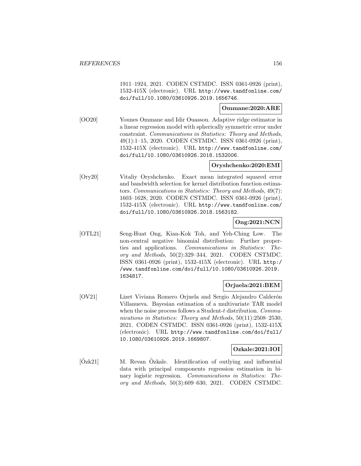1911–1924, 2021. CODEN CSTMDC. ISSN 0361-0926 (print), 1532-415X (electronic). URL http://www.tandfonline.com/ doi/full/10.1080/03610926.2019.1656746.

**Ommane:2020:ARE**

[OO20] Younes Ommane and Idir Ouassou. Adaptive ridge estimator in a linear regression model with spherically symmetric error under constraint. Communications in Statistics: Theory and Methods, 49(1):1–15, 2020. CODEN CSTMDC. ISSN 0361-0926 (print), 1532-415X (electronic). URL http://www.tandfonline.com/ doi/full/10.1080/03610926.2018.1532006.

# **Oryshchenko:2020:EMI**

[Ory20] Vitaliy Oryshchenko. Exact mean integrated squared error and bandwidth selection for kernel distribution function estimators. Communications in Statistics: Theory and Methods, 49(7): 1603–1628, 2020. CODEN CSTMDC. ISSN 0361-0926 (print), 1532-415X (electronic). URL http://www.tandfonline.com/ doi/full/10.1080/03610926.2018.1563182.

**Ong:2021:NCN**

[OTL21] Seng-Huat Ong, Kian-Kok Toh, and Yeh-Ching Low. The non-central negative binomial distribution: Further properties and applications. Communications in Statistics: Theory and Methods, 50(2):329–344, 2021. CODEN CSTMDC. ISSN 0361-0926 (print), 1532-415X (electronic). URL http:/ /www.tandfonline.com/doi/full/10.1080/03610926.2019. 1634817.

### **Orjuela:2021:BEM**

[OV21] Lizet Viviana Romero Orjuela and Sergio Alejandro Calderón Villanueva. Bayesian estimation of a multivariate TAR model when the noise process follows a Student-t distribution. Communications in Statistics: Theory and Methods, 50(11):2508-2530, 2021. CODEN CSTMDC. ISSN 0361-0926 (print), 1532-415X (electronic). URL http://www.tandfonline.com/doi/full/ 10.1080/03610926.2019.1669807.

### **Ozkale:2021:IOI**

[Ozk21] M. Revan Ozkale. Identification of outlying and influential data with principal components regression estimation in binary logistic regression. Communications in Statistics: Theory and Methods, 50(3):609–630, 2021. CODEN CSTMDC.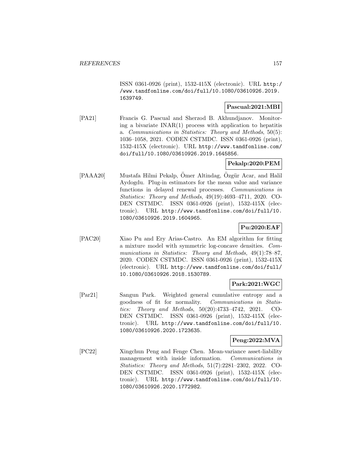ISSN 0361-0926 (print), 1532-415X (electronic). URL http:/ /www.tandfonline.com/doi/full/10.1080/03610926.2019. 1639749.

### **Pascual:2021:MBI**

[PA21] Francis G. Pascual and Sherzod B. Akhundjanov. Monitoring a bivariate  $INAR(1)$  process with application to hepatitis a. Communications in Statistics: Theory and Methods, 50(5): 1036–1058, 2021. CODEN CSTMDC. ISSN 0361-0926 (print), 1532-415X (electronic). URL http://www.tandfonline.com/ doi/full/10.1080/03610926.2019.1645856.

# **Pekalp:2020:PEM**

[PAAA20] Mustafa Hilmi Pekalp, Omer Altindag, Ozgür Acar, and Halil Aydogdu. Plug-in estimators for the mean value and variance functions in delayed renewal processes. Communications in Statistics: Theory and Methods, 49(19):4693–4711, 2020. CO-DEN CSTMDC. ISSN 0361-0926 (print), 1532-415X (electronic). URL http://www.tandfonline.com/doi/full/10. 1080/03610926.2019.1604965.

# **Pu:2020:EAF**

[PAC20] Xiao Pu and Ery Arias-Castro. An EM algorithm for fitting a mixture model with symmetric log-concave densities. Communications in Statistics: Theory and Methods, 49(1):78–87, 2020. CODEN CSTMDC. ISSN 0361-0926 (print), 1532-415X (electronic). URL http://www.tandfonline.com/doi/full/ 10.1080/03610926.2018.1530789.

# **Park:2021:WGC**

[Par21] Sangun Park. Weighted general cumulative entropy and a goodness of fit for normality. Communications in Statistics: Theory and Methods, 50(20):4733–4742, 2021. CO-DEN CSTMDC. ISSN 0361-0926 (print), 1532-415X (electronic). URL http://www.tandfonline.com/doi/full/10. 1080/03610926.2020.1723635.

# **Peng:2022:MVA**

[PC22] Xingchun Peng and Fenge Chen. Mean-variance asset-liability management with inside information. Communications in Statistics: Theory and Methods, 51(7):2281–2302, 2022. CO-DEN CSTMDC. ISSN 0361-0926 (print), 1532-415X (electronic). URL http://www.tandfonline.com/doi/full/10. 1080/03610926.2020.1772982.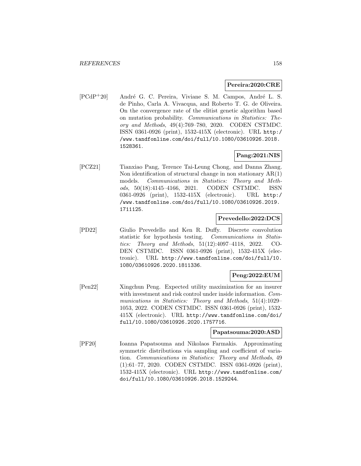#### **Pereira:2020:CRE**

[PCdP<sup>+</sup>20] André G. C. Pereira, Viviane S. M. Campos, André L. S. de Pinho, Carla A. Vivacqua, and Roberto T. G. de Oliveira. On the convergence rate of the elitist genetic algorithm based on mutation probability. Communications in Statistics: Theory and Methods, 49(4):769–780, 2020. CODEN CSTMDC. ISSN 0361-0926 (print), 1532-415X (electronic). URL http:/ /www.tandfonline.com/doi/full/10.1080/03610926.2018. 1528361.

# **Pang:2021:NIS**

[PCZ21] Tianxiao Pang, Terence Tai-Leung Chong, and Danna Zhang. Non identification of structural change in non stationary AR(1) models. Communications in Statistics: Theory and Methods, 50(18):4145–4166, 2021. CODEN CSTMDC. ISSN 0361-0926 (print), 1532-415X (electronic). URL http:/ /www.tandfonline.com/doi/full/10.1080/03610926.2019. 1711125.

## **Prevedello:2022:DCS**

[PD22] Giulio Prevedello and Ken R. Duffy. Discrete convolution statistic for hypothesis testing. Communications in Statistics: Theory and Methods, 51(12):4097–4118, 2022. CO-DEN CSTMDC. ISSN 0361-0926 (print), 1532-415X (electronic). URL http://www.tandfonline.com/doi/full/10. 1080/03610926.2020.1811336.

# **Peng:2022:EUM**

[Pen22] Xingchun Peng. Expected utility maximization for an insurer with investment and risk control under inside information. Communications in Statistics: Theory and Methods, 51(4):1029– 1053, 2022. CODEN CSTMDC. ISSN 0361-0926 (print), 1532- 415X (electronic). URL http://www.tandfonline.com/doi/ full/10.1080/03610926.2020.1757716.

### **Papatsouma:2020:ASD**

[PF20] Ioanna Papatsouma and Nikolaos Farmakis. Approximating symmetric distributions via sampling and coefficient of variation. Communications in Statistics: Theory and Methods, 49 (1):61–77, 2020. CODEN CSTMDC. ISSN 0361-0926 (print), 1532-415X (electronic). URL http://www.tandfonline.com/ doi/full/10.1080/03610926.2018.1529244.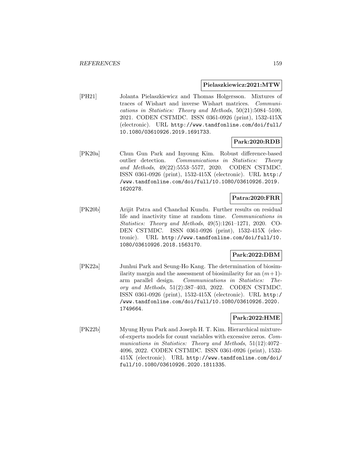#### **Pielaszkiewicz:2021:MTW**

[PH21] Jolanta Pielaszkiewicz and Thomas Holgersson. Mixtures of traces of Wishart and inverse Wishart matrices. Communications in Statistics: Theory and Methods, 50(21):5084–5100, 2021. CODEN CSTMDC. ISSN 0361-0926 (print), 1532-415X (electronic). URL http://www.tandfonline.com/doi/full/ 10.1080/03610926.2019.1691733.

### **Park:2020:RDB**

[PK20a] Chun Gun Park and Inyoung Kim. Robust difference-based outlier detection. Communications in Statistics: Theory and Methods, 49(22):5553–5577, 2020. CODEN CSTMDC. ISSN 0361-0926 (print), 1532-415X (electronic). URL http:/ /www.tandfonline.com/doi/full/10.1080/03610926.2019. 1620278.

### **Patra:2020:FRR**

[PK20b] Arijit Patra and Chanchal Kundu. Further results on residual life and inactivity time at random time. Communications in Statistics: Theory and Methods, 49(5):1261–1271, 2020. CO-DEN CSTMDC. ISSN 0361-0926 (print), 1532-415X (electronic). URL http://www.tandfonline.com/doi/full/10. 1080/03610926.2018.1563170.

### **Park:2022:DBM**

[PK22a] Junhui Park and Seung-Ho Kang. The determination of biosimilarity margin and the assessment of biosimilarity for an  $(m+1)$ arm parallel design. Communications in Statistics: Theory and Methods, 51(2):387–403, 2022. CODEN CSTMDC. ISSN 0361-0926 (print), 1532-415X (electronic). URL http:/ /www.tandfonline.com/doi/full/10.1080/03610926.2020. 1749664.

# **Park:2022:HME**

[PK22b] Myung Hyun Park and Joseph H. T. Kim. Hierarchical mixtureof-experts models for count variables with excessive zeros. Communications in Statistics: Theory and Methods, 51(12):4072– 4096, 2022. CODEN CSTMDC. ISSN 0361-0926 (print), 1532- 415X (electronic). URL http://www.tandfonline.com/doi/ full/10.1080/03610926.2020.1811335.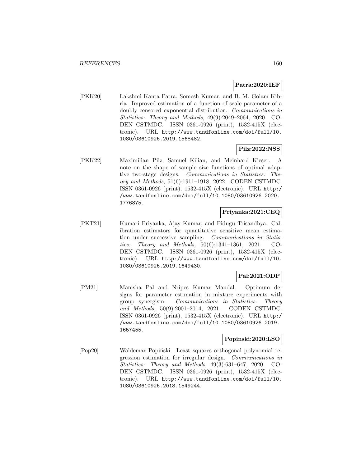## **Patra:2020:IEF**

[PKK20] Lakshmi Kanta Patra, Somesh Kumar, and B. M. Golam Kibria. Improved estimation of a function of scale parameter of a doubly censored exponential distribution. Communications in Statistics: Theory and Methods, 49(9):2049–2064, 2020. CO-DEN CSTMDC. ISSN 0361-0926 (print), 1532-415X (electronic). URL http://www.tandfonline.com/doi/full/10. 1080/03610926.2019.1568482.

## **Pilz:2022:NSS**

[PKK22] Maximilian Pilz, Samuel Kilian, and Meinhard Kieser. A note on the shape of sample size functions of optimal adaptive two-stage designs. Communications in Statistics: Theory and Methods, 51(6):1911–1918, 2022. CODEN CSTMDC. ISSN 0361-0926 (print), 1532-415X (electronic). URL http:/ /www.tandfonline.com/doi/full/10.1080/03610926.2020. 1776875.

## **Priyanka:2021:CEQ**

[PKT21] Kumari Priyanka, Ajay Kumar, and Pidugu Trisandhya. Calibration estimators for quantitative sensitive mean estimation under successive sampling. Communications in Statistics: Theory and Methods, 50(6):1341–1361, 2021. CO-DEN CSTMDC. ISSN 0361-0926 (print), 1532-415X (electronic). URL http://www.tandfonline.com/doi/full/10. 1080/03610926.2019.1649430.

# **Pal:2021:ODP**

[PM21] Manisha Pal and Nripes Kumar Mandal. Optimum designs for parameter estimation in mixture experiments with group synergism. Communications in Statistics: Theory and Methods, 50(9):2001–2014, 2021. CODEN CSTMDC. ISSN 0361-0926 (print), 1532-415X (electronic). URL http:/ /www.tandfonline.com/doi/full/10.1080/03610926.2019. 1657455.

# **Popinski:2020:LSO**

[Pop20] Waldemar Popiński. Least squares orthogonal polynomial regression estimation for irregular design. Communications in Statistics: Theory and Methods, 49(3):631–647, 2020. CO-DEN CSTMDC. ISSN 0361-0926 (print), 1532-415X (electronic). URL http://www.tandfonline.com/doi/full/10. 1080/03610926.2018.1549244.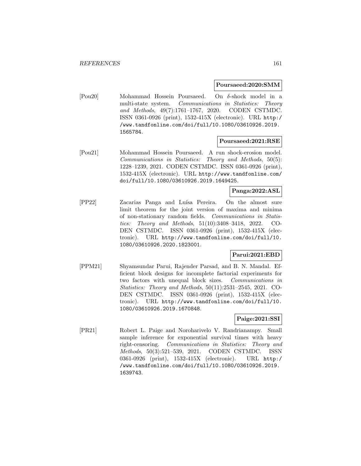#### **Poursaeed:2020:SMM**

[Pou20] Mohammad Hossein Poursaeed. On δ-shock model in a multi-state system. Communications in Statistics: Theory and Methods, 49(7):1761–1767, 2020. CODEN CSTMDC. ISSN 0361-0926 (print), 1532-415X (electronic). URL http:/ /www.tandfonline.com/doi/full/10.1080/03610926.2019. 1565784.

#### **Poursaeed:2021:RSE**

[Pou21] Mohammad Hossein Poursaeed. A run shock-erosion model. Communications in Statistics: Theory and Methods, 50(5): 1228–1239, 2021. CODEN CSTMDC. ISSN 0361-0926 (print), 1532-415X (electronic). URL http://www.tandfonline.com/ doi/full/10.1080/03610926.2019.1649425.

### **Panga:2022:ASL**

[PP22] Zacarias Panga and Luísa Pereira. On the almost sure limit theorem for the joint version of maxima and minima of non-stationary random fields. Communications in Statistics: Theory and Methods, 51(10):3408–3418, 2022. CO-DEN CSTMDC. ISSN 0361-0926 (print), 1532-415X (electronic). URL http://www.tandfonline.com/doi/full/10. 1080/03610926.2020.1823001.

### **Parui:2021:EBD**

[PPM21] Shyamsundar Parui, Rajender Parsad, and B. N. Mandal. Efficient block designs for incomplete factorial experiments for two factors with unequal block sizes. Communications in Statistics: Theory and Methods, 50(11):2531–2545, 2021. CO-DEN CSTMDC. ISSN 0361-0926 (print), 1532-415X (electronic). URL http://www.tandfonline.com/doi/full/10. 1080/03610926.2019.1670848.

# **Paige:2021:SSI**

[PR21] Robert L. Paige and Noroharivelo V. Randrianampy. Small sample inference for exponential survival times with heavy right-censoring. Communications in Statistics: Theory and Methods, 50(3):521–539, 2021. CODEN CSTMDC. ISSN 0361-0926 (print), 1532-415X (electronic). URL http:/ /www.tandfonline.com/doi/full/10.1080/03610926.2019. 1639743.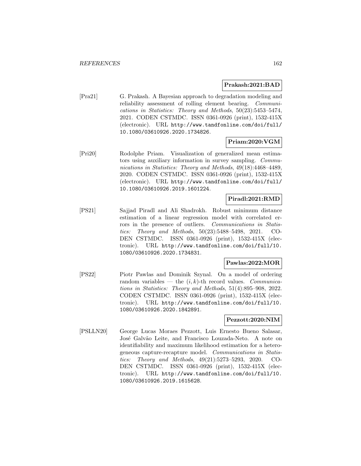### **Prakash:2021:BAD**

[Pra21] G. Prakash. A Bayesian approach to degradation modeling and reliability assessment of rolling element bearing. Communications in Statistics: Theory and Methods, 50(23):5453–5474, 2021. CODEN CSTMDC. ISSN 0361-0926 (print), 1532-415X (electronic). URL http://www.tandfonline.com/doi/full/ 10.1080/03610926.2020.1734826.

## **Priam:2020:VGM**

[Pri20] Rodolphe Priam. Visualization of generalized mean estimators using auxiliary information in survey sampling. Communications in Statistics: Theory and Methods, 49(18):4468–4489, 2020. CODEN CSTMDC. ISSN 0361-0926 (print), 1532-415X (electronic). URL http://www.tandfonline.com/doi/full/ 10.1080/03610926.2019.1601224.

### **Piradl:2021:RMD**

[PS21] Sajjad Piradl and Ali Shadrokh. Robust minimum distance estimation of a linear regression model with correlated errors in the presence of outliers. Communications in Statistics: Theory and Methods, 50(23):5488–5498, 2021. CO-DEN CSTMDC. ISSN 0361-0926 (print), 1532-415X (electronic). URL http://www.tandfonline.com/doi/full/10. 1080/03610926.2020.1734831.

# **Pawlas:2022:MOR**

[PS22] Piotr Pawlas and Dominik Szynal. On a model of ordering random variables — the  $(i, k)$ -th record values. *Communica*tions in Statistics: Theory and Methods, 51(4):895–908, 2022. CODEN CSTMDC. ISSN 0361-0926 (print), 1532-415X (electronic). URL http://www.tandfonline.com/doi/full/10. 1080/03610926.2020.1842891.

# **Pezzott:2020:NIM**

[PSLLN20] George Lucas Moraes Pezzott, Luis Ernesto Bueno Salasar, José Galvão Leite, and Francisco Louzada-Neto. A note on identifiability and maximum likelihood estimation for a heterogeneous capture-recapture model. Communications in Statistics: Theory and Methods, 49(21):5273–5293, 2020. CO-DEN CSTMDC. ISSN 0361-0926 (print), 1532-415X (electronic). URL http://www.tandfonline.com/doi/full/10. 1080/03610926.2019.1615628.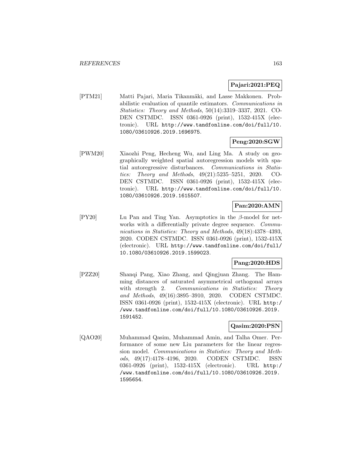# **Pajari:2021:PEQ**

[PTM21] Matti Pajari, Maria Tikanmäki, and Lasse Makkonen. Probabilistic evaluation of quantile estimators. Communications in Statistics: Theory and Methods, 50(14):3319–3337, 2021. CO-DEN CSTMDC. ISSN 0361-0926 (print), 1532-415X (electronic). URL http://www.tandfonline.com/doi/full/10. 1080/03610926.2019.1696975.

# **Peng:2020:SGW**

[PWM20] Xiaozhi Peng, Hecheng Wu, and Ling Ma. A study on geographically weighted spatial autoregression models with spatial autoregressive disturbances. Communications in Statistics: Theory and Methods, 49(21):5235–5251, 2020. CO-DEN CSTMDC. ISSN 0361-0926 (print), 1532-415X (electronic). URL http://www.tandfonline.com/doi/full/10. 1080/03610926.2019.1615507.

# **Pan:2020:AMN**

[PY20] Lu Pan and Ting Yan. Asymptotics in the β-model for networks with a differentially private degree sequence. *Commu*nications in Statistics: Theory and Methods, 49(18):4378–4393, 2020. CODEN CSTMDC. ISSN 0361-0926 (print), 1532-415X (electronic). URL http://www.tandfonline.com/doi/full/ 10.1080/03610926.2019.1599023.

# **Pang:2020:HDS**

[PZZ20] Shanqi Pang, Xiao Zhang, and Qingjuan Zhang. The Hamming distances of saturated asymmetrical orthogonal arrays with strength 2. Communications in Statistics: Theory and Methods, 49(16):3895–3910, 2020. CODEN CSTMDC. ISSN 0361-0926 (print), 1532-415X (electronic). URL http:/ /www.tandfonline.com/doi/full/10.1080/03610926.2019. 1591452.

## **Qasim:2020:PSN**

[QAO20] Muhammad Qasim, Muhammad Amin, and Talha Omer. Performance of some new Liu parameters for the linear regression model. Communications in Statistics: Theory and Methods, 49(17):4178–4196, 2020. CODEN CSTMDC. ISSN 0361-0926 (print), 1532-415X (electronic). URL http:/ /www.tandfonline.com/doi/full/10.1080/03610926.2019. 1595654.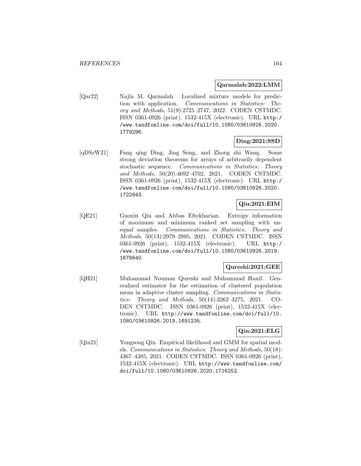### **Qarmalah:2022:LMM**

[Qar22] Najla M. Qarmalah. Localized mixture models for prediction with application. Communications in Statistics: Theory and Methods, 51(9):2725–2747, 2022. CODEN CSTMDC. ISSN 0361-0926 (print), 1532-415X (electronic). URL http:/ /www.tandfonline.com/doi/full/10.1080/03610926.2020. 1779296.

# **Ding:2021:SSD**

[qDSzW21] Fang qing Ding, Jing Song, and Zhong zhi Wang. Some strong deviation theorems for arrays of arbitrarily dependent stochastic sequence. Communications in Statistics: Theory and Methods, 50(20):4692–4702, 2021. CODEN CSTMDC. ISSN 0361-0926 (print), 1532-415X (electronic). URL http:/ /www.tandfonline.com/doi/full/10.1080/03610926.2020. 1722843.

# **Qiu:2021:EIM**

[QE21] Guoxin Qiu and Abbas Eftekharian. Extropy information of maximum and minimum ranked set sampling with unequal samples. Communications in Statistics: Theory and Methods, 50(13):2979–2995, 2021. CODEN CSTMDC. ISSN 0361-0926 (print), 1532-415X (electronic). URL http:/ /www.tandfonline.com/doi/full/10.1080/03610926.2019. 1678640.

### **Qureshi:2021:GEE**

[QH21] Muhammad Nouman Qureshi and Muhammad Hanif. Generalized estimator for the estimation of clustered population mean in adaptive cluster sampling. Communications in Statistics: Theory and Methods, 50(14):3262–3275, 2021. CO-DEN CSTMDC. ISSN 0361-0926 (print), 1532-415X (electronic). URL http://www.tandfonline.com/doi/full/10. 1080/03610926.2019.1691235.

# **Qin:2021:ELG**

[Qin21] Yongsong Qin. Empirical likelihood and GMM for spatial models. Communications in Statistics: Theory and Methods, 50(18): 4367–4385, 2021. CODEN CSTMDC. ISSN 0361-0926 (print), 1532-415X (electronic). URL http://www.tandfonline.com/ doi/full/10.1080/03610926.2020.1716252.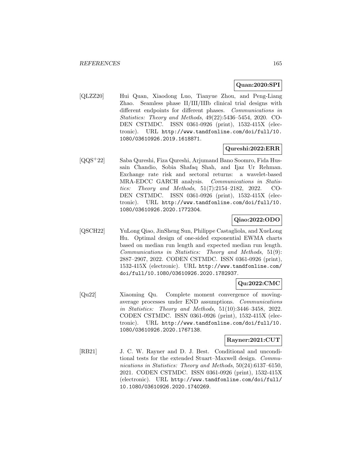# **Quan:2020:SPI**

[QLZZ20] Hui Quan, Xiaodong Luo, Tianyue Zhou, and Peng-Liang Zhao. Seamless phase II/III/IIIb clinical trial designs with different endpoints for different phases. Communications in Statistics: Theory and Methods, 49(22):5436–5454, 2020. CO-DEN CSTMDC. ISSN 0361-0926 (print), 1532-415X (electronic). URL http://www.tandfonline.com/doi/full/10. 1080/03610926.2019.1618871.

# **Qureshi:2022:ERR**

[QQS<sup>+</sup>22] Saba Qureshi, Fiza Qureshi, Arjumand Bano Soomro, Fida Hussain Chandio, Sobia Shafaq Shah, and Ijaz Ur Rehman. Exchange rate risk and sectoral returns: a wavelet-based MRA-EDCC GARCH analysis. Communications in Statistics: Theory and Methods, 51(7):2154–2182, 2022. CO-DEN CSTMDC. ISSN 0361-0926 (print), 1532-415X (electronic). URL http://www.tandfonline.com/doi/full/10. 1080/03610926.2020.1772304.

# **Qiao:2022:ODO**

[QSCH22] YuLong Qiao, JinSheng Sun, Philippe Castagliola, and XueLong Hu. Optimal design of one-sided exponential EWMA charts based on median run length and expected median run length. Communications in Statistics: Theory and Methods, 51(9): 2887–2907, 2022. CODEN CSTMDC. ISSN 0361-0926 (print), 1532-415X (electronic). URL http://www.tandfonline.com/ doi/full/10.1080/03610926.2020.1782937.

# **Qu:2022:CMC**

[Qu22] Xiaoming Qu. Complete moment convergence of movingaverage processes under END assumptions. Communications in Statistics: Theory and Methods, 51(10):3446–3458, 2022. CODEN CSTMDC. ISSN 0361-0926 (print), 1532-415X (electronic). URL http://www.tandfonline.com/doi/full/10. 1080/03610926.2020.1767138.

# **Rayner:2021:CUT**

[RB21] J. C. W. Rayner and D. J. Best. Conditional and unconditional tests for the extended Stuart–Maxwell design. Communications in Statistics: Theory and Methods, 50(24):6137–6150, 2021. CODEN CSTMDC. ISSN 0361-0926 (print), 1532-415X (electronic). URL http://www.tandfonline.com/doi/full/ 10.1080/03610926.2020.1740269.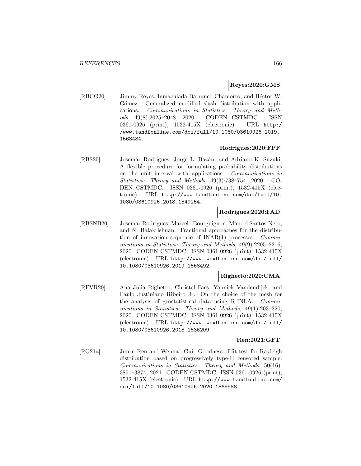### **Reyes:2020:GMS**

[RBCG20] Jimmy Reyes, Inmaculada Barranco-Chamorro, and Héctor W. Gómez. Generalized modified slash distribution with applications. Communications in Statistics: Theory and Methods, 49(8):2025–2048, 2020. CODEN CSTMDC. ISSN 0361-0926 (print), 1532-415X (electronic). URL http:/ /www.tandfonline.com/doi/full/10.1080/03610926.2019. 1568484.

### **Rodrigues:2020:FPF**

[RBS20] Josemar Rodrigues, Jorge L. Baz´an, and Adriano K. Suzuki. A flexible procedure for formulating probability distributions on the unit interval with applications. Communications in Statistics: Theory and Methods, 49(3):738–754, 2020. CO-DEN CSTMDC. ISSN 0361-0926 (print), 1532-415X (electronic). URL http://www.tandfonline.com/doi/full/10. 1080/03610926.2018.1549254.

#### **Rodrigues:2020:FAD**

[RBSNB20] Josemar Rodrigues, Marcelo Bourguignon, Manoel Santos-Neto, and N. Balakrishnan. Fractional approaches for the distribution of innovation sequence of INAR(1) processes. Communications in Statistics: Theory and Methods, 49(9):2205–2216, 2020. CODEN CSTMDC. ISSN 0361-0926 (print), 1532-415X (electronic). URL http://www.tandfonline.com/doi/full/ 10.1080/03610926.2019.1568492.

### **Righetto:2020:CMA**

[RFVR20] Ana Julia Righetto, Christel Faes, Yannick Vandendijck, and Paulo Justiniano Ribeiro Jr. On the choice of the mesh for the analysis of geostatistical data using R-INLA. Communications in Statistics: Theory and Methods, 49(1):203–220, 2020. CODEN CSTMDC. ISSN 0361-0926 (print), 1532-415X (electronic). URL http://www.tandfonline.com/doi/full/ 10.1080/03610926.2018.1536209.

## **Ren:2021:GFT**

[RG21a] Junru Ren and Wenhao Gui. Goodness-of-fit test for Rayleigh distribution based on progressively type-II censored sample. Communications in Statistics: Theory and Methods, 50(16): 3851–3874, 2021. CODEN CSTMDC. ISSN 0361-0926 (print), 1532-415X (electronic). URL http://www.tandfonline.com/ doi/full/10.1080/03610926.2020.1869988.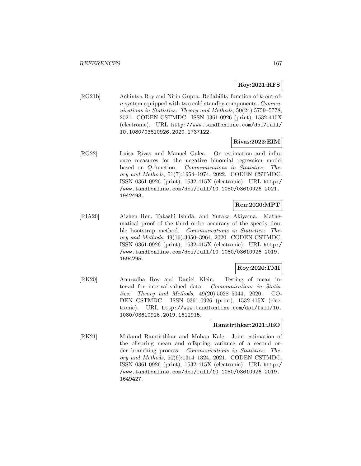# **Roy:2021:RFS**

[RG21b] Achintya Roy and Nitin Gupta. Reliability function of k-out-ofn system equipped with two cold standby components. Communications in Statistics: Theory and Methods, 50(24):5759–5778, 2021. CODEN CSTMDC. ISSN 0361-0926 (print), 1532-415X (electronic). URL http://www.tandfonline.com/doi/full/ 10.1080/03610926.2020.1737122.

## **Rivas:2022:EIM**

[RG22] Luisa Rivas and Manuel Galea. On estimation and influence measures for the negative binomial regression model based on Q-function. Communications in Statistics: Theory and Methods, 51(7):1954–1974, 2022. CODEN CSTMDC. ISSN 0361-0926 (print), 1532-415X (electronic). URL http:/ /www.tandfonline.com/doi/full/10.1080/03610926.2021. 1942493.

# **Ren:2020:MPT**

[RIA20] Aizhen Ren, Takashi Ishida, and Yutaka Akiyama. Mathematical proof of the third order accuracy of the speedy double bootstrap method. Communications in Statistics: Theory and Methods, 49(16):3950–3964, 2020. CODEN CSTMDC. ISSN 0361-0926 (print), 1532-415X (electronic). URL http:/ /www.tandfonline.com/doi/full/10.1080/03610926.2019. 1594295.

# **Roy:2020:TMI**

[RK20] Anuradha Roy and Daniel Klein. Testing of mean interval for interval-valued data. Communications in Statistics: Theory and Methods, 49(20):5028–5044, 2020. CO-DEN CSTMDC. ISSN 0361-0926 (print), 1532-415X (electronic). URL http://www.tandfonline.com/doi/full/10. 1080/03610926.2019.1612915.

# **Ramtirthkar:2021:JEO**

[RK21] Mukund Ramtirthkar and Mohan Kale. Joint estimation of the offspring mean and offspring variance of a second order branching process. Communications in Statistics: Theory and Methods, 50(6):1314–1324, 2021. CODEN CSTMDC. ISSN 0361-0926 (print), 1532-415X (electronic). URL http:/ /www.tandfonline.com/doi/full/10.1080/03610926.2019. 1649427.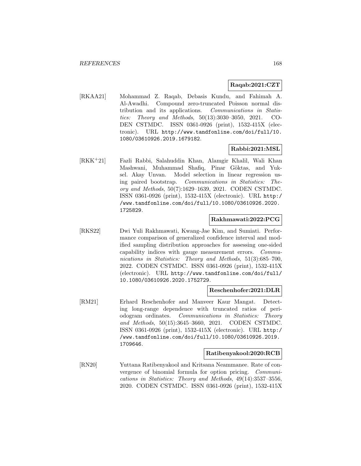#### **Raqab:2021:CZT**

[RKAA21] Mohammad Z. Raqab, Debasis Kundu, and Fahimah A. Al-Awadhi. Compound zero-truncated Poisson normal distribution and its applications. Communications in Statistics: Theory and Methods, 50(13):3030–3050, 2021. CO-DEN CSTMDC. ISSN 0361-0926 (print), 1532-415X (electronic). URL http://www.tandfonline.com/doi/full/10. 1080/03610926.2019.1679182.

### **Rabbi:2021:MSL**

[RKK<sup>+</sup>21] Fazli Rabbi, Salahuddin Khan, Alamgir Khalil, Wali Khan Mashwani, Muhammad Shafiq, Pinar Göktas, and Yuksel. Akay Unvan. Model selection in linear regression using paired bootstrap. Communications in Statistics: Theory and Methods, 50(7):1629–1639, 2021. CODEN CSTMDC. ISSN 0361-0926 (print), 1532-415X (electronic). URL http:/ /www.tandfonline.com/doi/full/10.1080/03610926.2020. 1725829.

#### **Rakhmawati:2022:PCG**

[RKS22] Dwi Yuli Rakhmawati, Kwang-Jae Kim, and Sumiati. Performance comparison of generalized confidence interval and modified sampling distribution approaches for assessing one-sided capability indices with gauge measurement errors. Communications in Statistics: Theory and Methods, 51(3):685–700, 2022. CODEN CSTMDC. ISSN 0361-0926 (print), 1532-415X (electronic). URL http://www.tandfonline.com/doi/full/ 10.1080/03610926.2020.1752729.

### **Reschenhofer:2021:DLR**

[RM21] Erhard Reschenhofer and Manveer Kaur Mangat. Detecting long-range dependence with truncated ratios of periodogram ordinates. Communications in Statistics: Theory and Methods, 50(15):3645–3660, 2021. CODEN CSTMDC. ISSN 0361-0926 (print), 1532-415X (electronic). URL http:/ /www.tandfonline.com/doi/full/10.1080/03610926.2019. 1709646.

#### **Ratibenyakool:2020:RCB**

[RN20] Yuttana Ratibenyakool and Kritsana Neammanee. Rate of convergence of binomial formula for option pricing. Communications in Statistics: Theory and Methods, 49(14):3537–3556, 2020. CODEN CSTMDC. ISSN 0361-0926 (print), 1532-415X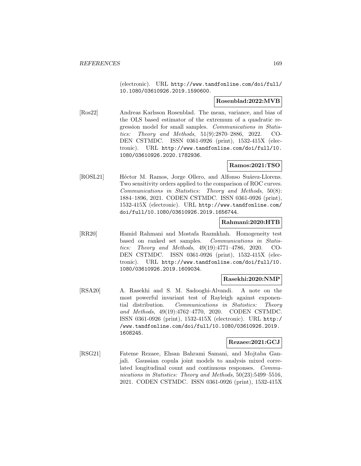(electronic). URL http://www.tandfonline.com/doi/full/ 10.1080/03610926.2019.1590600.

### **Rosenblad:2022:MVB**

[Ros22] Andreas Karlsson Rosenblad. The mean, variance, and bias of the OLS based estimator of the extremum of a quadratic regression model for small samples. Communications in Statistics: Theory and Methods, 51(9):2870–2886, 2022. CO-DEN CSTMDC. ISSN 0361-0926 (print), 1532-415X (electronic). URL http://www.tandfonline.com/doi/full/10. 1080/03610926.2020.1782936.

## **Ramos:2021:TSO**

[ROSL21] Héctor M. Ramos, Jorge Ollero, and Alfonso Suárez-Llorens. Two sensitivity orders applied to the comparison of ROC curves. Communications in Statistics: Theory and Methods, 50(8): 1884–1896, 2021. CODEN CSTMDC. ISSN 0361-0926 (print), 1532-415X (electronic). URL http://www.tandfonline.com/ doi/full/10.1080/03610926.2019.1656744.

### **Rahmani:2020:HTB**

[RR20] Hamid Rahmani and Mostafa Razmkhah. Homogeneity test based on ranked set samples. Communications in Statistics: Theory and Methods, 49(19):4771–4786, 2020. CO-DEN CSTMDC. ISSN 0361-0926 (print), 1532-415X (electronic). URL http://www.tandfonline.com/doi/full/10. 1080/03610926.2019.1609034.

### **Rasekhi:2020:NMP**

[RSA20] A. Rasekhi and S. M. Sadooghi-Alvandi. A note on the most powerful invariant test of Rayleigh against exponential distribution. Communications in Statistics: Theory and Methods, 49(19):4762–4770, 2020. CODEN CSTMDC. ISSN 0361-0926 (print), 1532-415X (electronic). URL http:/ /www.tandfonline.com/doi/full/10.1080/03610926.2019. 1608245.

### **Rezaee:2021:GCJ**

[RSG21] Fateme Rezaee, Ehsan Bahrami Samani, and Mojtaba Ganjali. Gaussian copula joint models to analysis mixed correlated longitudinal count and continuous responses. Communications in Statistics: Theory and Methods, 50(23):5499-5516, 2021. CODEN CSTMDC. ISSN 0361-0926 (print), 1532-415X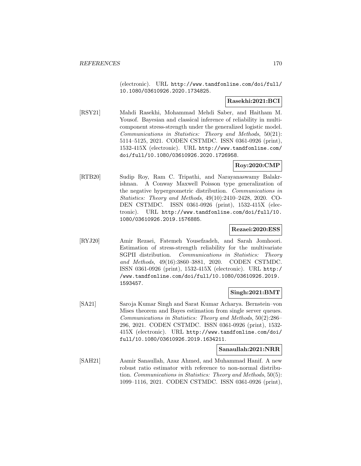(electronic). URL http://www.tandfonline.com/doi/full/ 10.1080/03610926.2020.1734825.

#### **Rasekhi:2021:BCI**

[RSY21] Mahdi Rasekhi, Mohammad Mehdi Saber, and Haitham M. Yousof. Bayesian and classical inference of reliability in multicomponent stress-strength under the generalized logistic model. Communications in Statistics: Theory and Methods, 50(21): 5114–5125, 2021. CODEN CSTMDC. ISSN 0361-0926 (print), 1532-415X (electronic). URL http://www.tandfonline.com/ doi/full/10.1080/03610926.2020.1726958.

# **Roy:2020:CMP**

[RTB20] Sudip Roy, Ram C. Tripathi, and Narayanaswamy Balakrishnan. A Conway Maxwell Poisson type generalization of the negative hypergeometric distribution. Communications in Statistics: Theory and Methods, 49(10):2410–2428, 2020. CO-DEN CSTMDC. ISSN 0361-0926 (print), 1532-415X (electronic). URL http://www.tandfonline.com/doi/full/10. 1080/03610926.2019.1576885.

#### **Rezaei:2020:ESS**

[RYJ20] Amir Rezaei, Fatemeh Yousefzadeh, and Sarah Jomhoori. Estimation of stress-strength reliability for the multivariate SGPII distribution. Communications in Statistics: Theory and Methods, 49(16):3860–3881, 2020. CODEN CSTMDC. ISSN 0361-0926 (print), 1532-415X (electronic). URL http:/ /www.tandfonline.com/doi/full/10.1080/03610926.2019. 1593457.

### **Singh:2021:BMT**

[SA21] Saroja Kumar Singh and Sarat Kumar Acharya. Bernstein–von Mises theorem and Bayes estimation from single server queues. Communications in Statistics: Theory and Methods, 50(2):286– 296, 2021. CODEN CSTMDC. ISSN 0361-0926 (print), 1532- 415X (electronic). URL http://www.tandfonline.com/doi/ full/10.1080/03610926.2019.1634211.

#### **Sanaullah:2021:NRR**

[SAH21] Aamir Sanaullah, Azaz Ahmed, and Muhammad Hanif. A new robust ratio estimator with reference to non-normal distribution. Communications in Statistics: Theory and Methods, 50(5): 1099–1116, 2021. CODEN CSTMDC. ISSN 0361-0926 (print),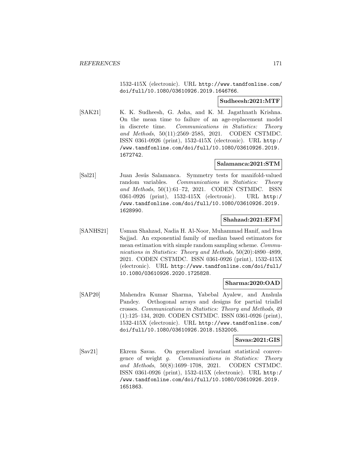1532-415X (electronic). URL http://www.tandfonline.com/ doi/full/10.1080/03610926.2019.1646766.

#### **Sudheesh:2021:MTF**

[SAK21] K. K. Sudheesh, G. Asha, and K. M. Jagathnath Krishna. On the mean time to failure of an age-replacement model in discrete time. Communications in Statistics: Theory and Methods, 50(11):2569–2585, 2021. CODEN CSTMDC. ISSN 0361-0926 (print), 1532-415X (electronic). URL http:/ /www.tandfonline.com/doi/full/10.1080/03610926.2019. 1672742.

### **Salamanca:2021:STM**

[Sal21] Juan Jesús Salamanca. Symmetry tests for manifold-valued random variables. Communications in Statistics: Theory and Methods, 50(1):61–72, 2021. CODEN CSTMDC. ISSN 0361-0926 (print), 1532-415X (electronic). URL http:/ /www.tandfonline.com/doi/full/10.1080/03610926.2019. 1628990.

## **Shahzad:2021:EFM**

[SANHS21] Usman Shahzad, Nadia H. Al-Noor, Muhammad Hanif, and Irsa Sajjad. An exponential family of median based estimators for mean estimation with simple random sampling scheme. Communications in Statistics: Theory and Methods, 50(20):4890–4899, 2021. CODEN CSTMDC. ISSN 0361-0926 (print), 1532-415X (electronic). URL http://www.tandfonline.com/doi/full/ 10.1080/03610926.2020.1725828.

### **Sharma:2020:OAD**

[SAP20] Mahendra Kumar Sharma, Yabebal Ayalew, and Anshula Pandey. Orthogonal arrays and designs for partial triallel crosses. Communications in Statistics: Theory and Methods, 49 (1):125–134, 2020. CODEN CSTMDC. ISSN 0361-0926 (print), 1532-415X (electronic). URL http://www.tandfonline.com/ doi/full/10.1080/03610926.2018.1532005.

### **Savas:2021:GIS**

[Sav21] Ekrem Savas. On generalized invariant statistical convergence of weight g. Communications in Statistics: Theory and Methods, 50(8):1699–1708, 2021. CODEN CSTMDC. ISSN 0361-0926 (print), 1532-415X (electronic). URL http:/ /www.tandfonline.com/doi/full/10.1080/03610926.2019. 1651863.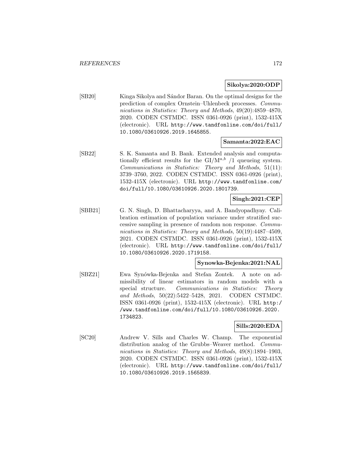#### **Sikolya:2020:ODP**

[SB20] Kinga Sikolya and Sándor Baran. On the optimal designs for the prediction of complex Ornstein–Uhlenbeck processes. Communications in Statistics: Theory and Methods, 49(20):4859–4870, 2020. CODEN CSTMDC. ISSN 0361-0926 (print), 1532-415X (electronic). URL http://www.tandfonline.com/doi/full/ 10.1080/03610926.2019.1645855.

#### **Samanta:2022:EAC**

[SB22] S. K. Samanta and B. Bank. Extended analysis and computationally efficient results for the  $GI/M^{a,b}$  /1 queueing system. Communications in Statistics: Theory and Methods, 51(11): 3739–3760, 2022. CODEN CSTMDC. ISSN 0361-0926 (print), 1532-415X (electronic). URL http://www.tandfonline.com/ doi/full/10.1080/03610926.2020.1801739.

## **Singh:2021:CEP**

[SBB21] G. N. Singh, D. Bhattacharyya, and A. Bandyopadhyay. Calibration estimation of population variance under stratified successive sampling in presence of random non response. Communications in Statistics: Theory and Methods, 50(19):4487–4509, 2021. CODEN CSTMDC. ISSN 0361-0926 (print), 1532-415X (electronic). URL http://www.tandfonline.com/doi/full/ 10.1080/03610926.2020.1719158.

# **Synowka-Bejenka:2021:NAL**

[SBZ21] Ewa Synówka-Bejenka and Stefan Zontek. A note on admissibility of linear estimators in random models with a special structure. Communications in Statistics: Theory and Methods, 50(22):5422–5428, 2021. CODEN CSTMDC. ISSN 0361-0926 (print), 1532-415X (electronic). URL http:/ /www.tandfonline.com/doi/full/10.1080/03610926.2020. 1734823.

### **Sills:2020:EDA**

[SC20] Andrew V. Sills and Charles W. Champ. The exponential distribution analog of the Grubbs–Weaver method. *Commu*nications in Statistics: Theory and Methods, 49(8):1894–1903, 2020. CODEN CSTMDC. ISSN 0361-0926 (print), 1532-415X (electronic). URL http://www.tandfonline.com/doi/full/ 10.1080/03610926.2019.1565839.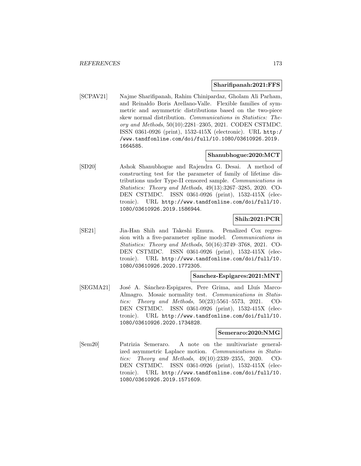#### **Sharifipanah:2021:FFS**

[SCPAV21] Najme Sharifipanah, Rahim Chinipardaz, Gholam Ali Parham, and Reinaldo Boris Arellano-Valle. Flexible families of symmetric and asymmetric distributions based on the two-piece skew normal distribution. Communications in Statistics: Theory and Methods, 50(10):2281–2305, 2021. CODEN CSTMDC. ISSN 0361-0926 (print), 1532-415X (electronic). URL http:/ /www.tandfonline.com/doi/full/10.1080/03610926.2019. 1664585.

# **Shanubhogue:2020:MCT**

[SD20] Ashok Shanubhogue and Rajendra G. Desai. A method of constructing test for the parameter of family of lifetime distributions under Type-II censored sample. Communications in Statistics: Theory and Methods, 49(13):3267–3285, 2020. CO-DEN CSTMDC. ISSN 0361-0926 (print), 1532-415X (electronic). URL http://www.tandfonline.com/doi/full/10. 1080/03610926.2019.1586944.

# **Shih:2021:PCR**

[SE21] Jia-Han Shih and Takeshi Emura. Penalized Cox regression with a five-parameter spline model. Communications in Statistics: Theory and Methods, 50(16):3749–3768, 2021. CO-DEN CSTMDC. ISSN 0361-0926 (print), 1532-415X (electronic). URL http://www.tandfonline.com/doi/full/10. 1080/03610926.2020.1772305.

### **Sanchez-Espigares:2021:MNT**

[SEGMA21] José A. Sánchez-Espigares, Pere Grima, and Lluís Marco-Almagro. Mosaic normality test. Communications in Statistics: Theory and Methods, 50(23):5561–5573, 2021. CO-DEN CSTMDC. ISSN 0361-0926 (print), 1532-415X (electronic). URL http://www.tandfonline.com/doi/full/10. 1080/03610926.2020.1734828.

#### **Semeraro:2020:NMG**

[Sem20] Patrizia Semeraro. A note on the multivariate generalized asymmetric Laplace motion. Communications in Statistics: Theory and Methods, 49(10):2339–2355, 2020. CO-DEN CSTMDC. ISSN 0361-0926 (print), 1532-415X (electronic). URL http://www.tandfonline.com/doi/full/10. 1080/03610926.2019.1571609.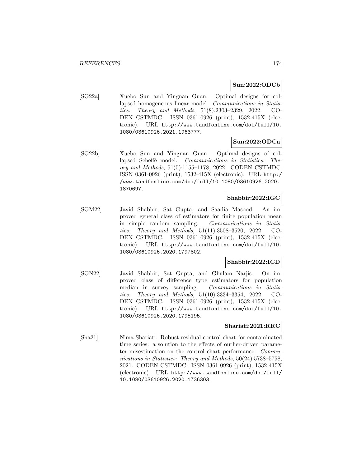### **Sun:2022:ODCb**

[SG22a] Xuebo Sun and Yingnan Guan. Optimal designs for collapsed homogeneous linear model. Communications in Statistics: Theory and Methods, 51(8):2303–2329, 2022. CO-DEN CSTMDC. ISSN 0361-0926 (print), 1532-415X (electronic). URL http://www.tandfonline.com/doi/full/10. 1080/03610926.2021.1963777.

## **Sun:2022:ODCa**

[SG22b] Xuebo Sun and Yingnan Guan. Optimal designs of collapsed Scheffé model. Communications in Statistics: Theory and Methods, 51(5):1155–1178, 2022. CODEN CSTMDC. ISSN 0361-0926 (print), 1532-415X (electronic). URL http:/ /www.tandfonline.com/doi/full/10.1080/03610926.2020. 1870697.

#### **Shabbir:2022:IGC**

[SGM22] Javid Shabbir, Sat Gupta, and Saadia Masood. An improved general class of estimators for finite population mean in simple random sampling. Communications in Statistics: Theory and Methods, 51(11):3508–3520, 2022. CO-DEN CSTMDC. ISSN 0361-0926 (print), 1532-415X (electronic). URL http://www.tandfonline.com/doi/full/10. 1080/03610926.2020.1797802.

### **Shabbir:2022:ICD**

[SGN22] Javid Shabbir, Sat Gupta, and Ghulam Narjis. On improved class of difference type estimators for population median in survey sampling. Communications in Statistics: Theory and Methods, 51(10):3334–3354, 2022. CO-DEN CSTMDC. ISSN 0361-0926 (print), 1532-415X (electronic). URL http://www.tandfonline.com/doi/full/10. 1080/03610926.2020.1795195.

### **Shariati:2021:RRC**

[Sha21] Nima Shariati. Robust residual control chart for contaminated time series: a solution to the effects of outlier-driven parameter misestimation on the control chart performance. Communications in Statistics: Theory and Methods, 50(24):5738–5758, 2021. CODEN CSTMDC. ISSN 0361-0926 (print), 1532-415X (electronic). URL http://www.tandfonline.com/doi/full/ 10.1080/03610926.2020.1736303.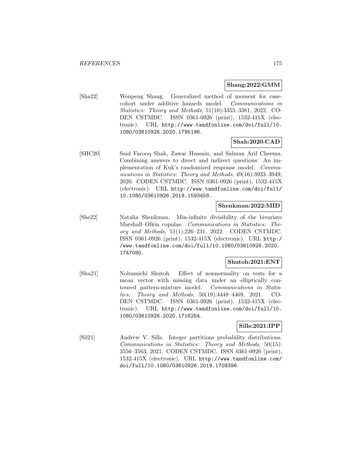### **Shang:2022:GMM**

[Sha22] Wenpeng Shang. Generalized method of moment for casecohort under additive hazards model. Communications in Statistics: Theory and Methods, 51(10):3355–3381, 2022. CO-DEN CSTMDC. ISSN 0361-0926 (print), 1532-415X (electronic). URL http://www.tandfonline.com/doi/full/10. 1080/03610926.2020.1795196.

## **Shah:2020:CAD**

[SHC20] Said Farooq Shah, Zawar Hussain, and Salman Arif Cheema. Combining answers to direct and indirect questions: An implementation of Kuk's randomized response model. Communications in Statistics: Theory and Methods, 49(16):3933–3949, 2020. CODEN CSTMDC. ISSN 0361-0926 (print), 1532-415X (electronic). URL http://www.tandfonline.com/doi/full/ 10.1080/03610926.2019.1593458.

### **Shenkman:2022:MID**

[She22] Natalia Shenkman. Min-infinite divisibility of the bivariate Marshall–Olkin copulas. Communications in Statistics: Theory and Methods, 51(1):226–231, 2022. CODEN CSTMDC. ISSN 0361-0926 (print), 1532-415X (electronic). URL http:/ /www.tandfonline.com/doi/full/10.1080/03610926.2020. 1747080.

# **Shutoh:2021:ENT**

[Shu21] Nobumichi Shutoh. Effect of nonnormality on tests for a mean vector with missing data under an elliptically contoured pattern-mixture model. Communications in Statistics: Theory and Methods, 50(19):4448–4469, 2021. CO-DEN CSTMDC. ISSN 0361-0926 (print), 1532-415X (electronic). URL http://www.tandfonline.com/doi/full/10. 1080/03610926.2020.1716254.

### **Sills:2021:IPP**

[Sil21] Andrew V. Sills. Integer partitions probability distributions. Communications in Statistics: Theory and Methods, 50(15): 3556–3563, 2021. CODEN CSTMDC. ISSN 0361-0926 (print), 1532-415X (electronic). URL http://www.tandfonline.com/ doi/full/10.1080/03610926.2019.1708396.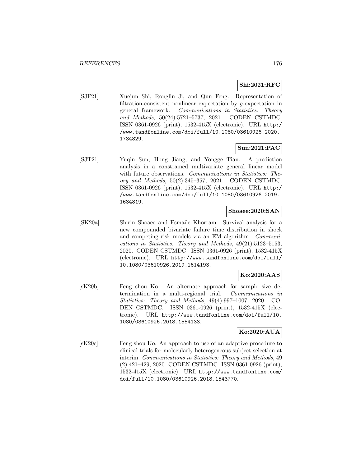# **Shi:2021:RFC**

[SJF21] Xuejun Shi, Ronglin Ji, and Qun Feng. Representation of filtration-consistent nonlinear expectation by g-expectation in general framework. Communications in Statistics: Theory and Methods, 50(24):5721–5737, 2021. CODEN CSTMDC. ISSN 0361-0926 (print), 1532-415X (electronic). URL http:/ /www.tandfonline.com/doi/full/10.1080/03610926.2020. 1734829.

## **Sun:2021:PAC**

[SJT21] Yuqin Sun, Hong Jiang, and Yongge Tian. A prediction analysis in a constrained multivariate general linear model with future observations. Communications in Statistics: Theory and Methods, 50(2):345–357, 2021. CODEN CSTMDC. ISSN 0361-0926 (print), 1532-415X (electronic). URL http:/ /www.tandfonline.com/doi/full/10.1080/03610926.2019. 1634819.

#### **Shoaee:2020:SAN**

[SK20a] Shirin Shoaee and Esmaile Khorram. Survival analysis for a new compounded bivariate failure time distribution in shock and competing risk models via an EM algorithm. Communications in Statistics: Theory and Methods, 49(21):5123–5153, 2020. CODEN CSTMDC. ISSN 0361-0926 (print), 1532-415X (electronic). URL http://www.tandfonline.com/doi/full/ 10.1080/03610926.2019.1614193.

# **Ko:2020:AAS**

[sK20b] Feng shou Ko. An alternate approach for sample size determination in a multi-regional trial. Communications in Statistics: Theory and Methods, 49(4):997–1007, 2020. CO-DEN CSTMDC. ISSN 0361-0926 (print), 1532-415X (electronic). URL http://www.tandfonline.com/doi/full/10. 1080/03610926.2018.1554133.

### **Ko:2020:AUA**

[sK20c] Feng shou Ko. An approach to use of an adaptive procedure to clinical trials for molecularly heterogeneous subject selection at interim. Communications in Statistics: Theory and Methods, 49 (2):421–429, 2020. CODEN CSTMDC. ISSN 0361-0926 (print), 1532-415X (electronic). URL http://www.tandfonline.com/ doi/full/10.1080/03610926.2018.1543770.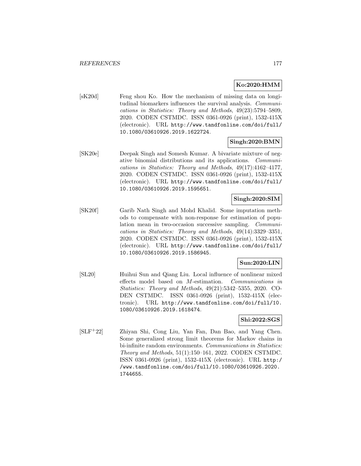# **Ko:2020:HMM**

[sK20d] Feng shou Ko. How the mechanism of missing data on longitudinal biomarkers influences the survival analysis. Communications in Statistics: Theory and Methods, 49(23):5794–5809, 2020. CODEN CSTMDC. ISSN 0361-0926 (print), 1532-415X (electronic). URL http://www.tandfonline.com/doi/full/ 10.1080/03610926.2019.1622724.

## **Singh:2020:BMN**

[SK20e] Deepak Singh and Somesh Kumar. A bivariate mixture of negative binomial distributions and its applications. Communications in Statistics: Theory and Methods, 49(17):4162–4177, 2020. CODEN CSTMDC. ISSN 0361-0926 (print), 1532-415X (electronic). URL http://www.tandfonline.com/doi/full/ 10.1080/03610926.2019.1595651.

## **Singh:2020:SIM**

[SK20f] Garib Nath Singh and Mohd Khalid. Some imputation methods to compensate with non-response for estimation of population mean in two-occasion successive sampling. Communications in Statistics: Theory and Methods, 49(14):3329–3351, 2020. CODEN CSTMDC. ISSN 0361-0926 (print), 1532-415X (electronic). URL http://www.tandfonline.com/doi/full/ 10.1080/03610926.2019.1586945.

# **Sun:2020:LIN**

[SL20] Huihui Sun and Qiang Liu. Local influence of nonlinear mixed effects model based on M-estimation. Communications in Statistics: Theory and Methods, 49(21):5342–5355, 2020. CO-DEN CSTMDC. ISSN 0361-0926 (print), 1532-415X (electronic). URL http://www.tandfonline.com/doi/full/10. 1080/03610926.2019.1618474.

# **Shi:2022:SGS**

[SLF<sup>+</sup>22] Zhiyan Shi, Cong Liu, Yan Fan, Dan Bao, and Yang Chen. Some generalized strong limit theorems for Markov chains in bi-infinite random environments. Communications in Statistics: Theory and Methods, 51(1):150–161, 2022. CODEN CSTMDC. ISSN 0361-0926 (print), 1532-415X (electronic). URL http:/ /www.tandfonline.com/doi/full/10.1080/03610926.2020. 1744655.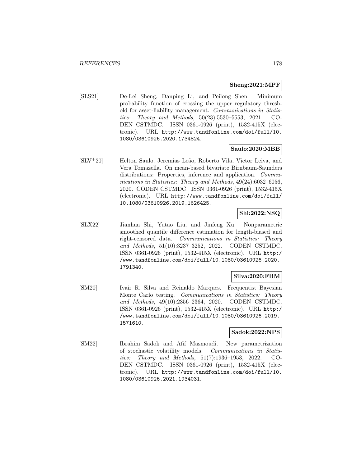#### **Sheng:2021:MPF**

[SLS21] De-Lei Sheng, Danping Li, and Peilong Shen. Minimum probability function of crossing the upper regulatory threshold for asset-liability management. Communications in Statistics: Theory and Methods, 50(23):5530–5553, 2021. CO-DEN CSTMDC. ISSN 0361-0926 (print), 1532-415X (electronic). URL http://www.tandfonline.com/doi/full/10. 1080/03610926.2020.1734824.

### **Saulo:2020:MBB**

[SLV<sup>+</sup>20] Helton Saulo, Jeremias Leão, Roberto Vila, Victor Leiva, and Vera Tomazella. On mean-based bivariate Birnbaum-Saunders distributions: Properties, inference and application. *Commu*nications in Statistics: Theory and Methods, 49(24):6032–6056, 2020. CODEN CSTMDC. ISSN 0361-0926 (print), 1532-415X (electronic). URL http://www.tandfonline.com/doi/full/ 10.1080/03610926.2019.1626425.

# **Shi:2022:NSQ**

[SLX22] Jianhua Shi, Yutao Liu, and Jinfeng Xu. Nonparametric smoothed quantile difference estimation for length-biased and right-censored data. Communications in Statistics: Theory and Methods, 51(10):3237–3252, 2022. CODEN CSTMDC. ISSN 0361-0926 (print), 1532-415X (electronic). URL http:/ /www.tandfonline.com/doi/full/10.1080/03610926.2020. 1791340.

### **Silva:2020:FBM**

[SM20] Ivair R. Silva and Reinaldo Marques. Frequentist–Bayesian Monte Carlo testing. Communications in Statistics: Theory and Methods, 49(10):2356–2364, 2020. CODEN CSTMDC. ISSN 0361-0926 (print), 1532-415X (electronic). URL http:/ /www.tandfonline.com/doi/full/10.1080/03610926.2019. 1571610.

### **Sadok:2022:NPS**

[SM22] Ibrahim Sadok and Afif Masmoudi. New parametrization of stochastic volatility models. Communications in Statistics: Theory and Methods, 51(7):1936–1953, 2022. CO-DEN CSTMDC. ISSN 0361-0926 (print), 1532-415X (electronic). URL http://www.tandfonline.com/doi/full/10. 1080/03610926.2021.1934031.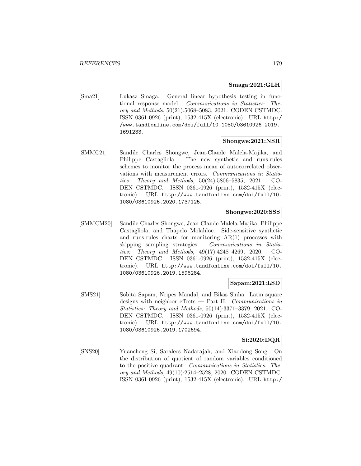### **Smaga:2021:GLH**

[Sma21] Lukasz Smaga. General linear hypothesis testing in functional response model. Communications in Statistics: Theory and Methods, 50(21):5068–5083, 2021. CODEN CSTMDC. ISSN 0361-0926 (print), 1532-415X (electronic). URL http:/ /www.tandfonline.com/doi/full/10.1080/03610926.2019. 1691233.

## **Shongwe:2021:NSR**

[SMMC21] Sandile Charles Shongwe, Jean-Claude Malela-Majika, and Philippe Castagliola. The new synthetic and runs-rules schemes to monitor the process mean of autocorrelated observations with measurement errors. Communications in Statistics: Theory and Methods, 50(24):5806–5835, 2021. CO-DEN CSTMDC. ISSN 0361-0926 (print), 1532-415X (electronic). URL http://www.tandfonline.com/doi/full/10. 1080/03610926.2020.1737125.

# **Shongwe:2020:SSS**

[SMMCM20] Sandile Charles Shongwe, Jean-Claude Malela-Majika, Philippe Castagliola, and Thapelo Molahloe. Side-sensitive synthetic and runs-rules charts for monitoring AR(1) processes with skipping sampling strategies. Communications in Statistics: Theory and Methods, 49(17):4248–4269, 2020. CO-DEN CSTMDC. ISSN 0361-0926 (print), 1532-415X (electronic). URL http://www.tandfonline.com/doi/full/10. 1080/03610926.2019.1596284.

# **Sapam:2021:LSD**

[SMS21] Sobita Sapam, Nripes Mandal, and Bikas Sinha. Latin square designs with neighbor effects — Part II. Communications in Statistics: Theory and Methods, 50(14):3371–3379, 2021. CO-DEN CSTMDC. ISSN 0361-0926 (print), 1532-415X (electronic). URL http://www.tandfonline.com/doi/full/10. 1080/03610926.2019.1702694.

# **Si:2020:DQR**

[SNS20] Yuancheng Si, Saralees Nadarajah, and Xiaodong Song. On the distribution of quotient of random variables conditioned to the positive quadrant. Communications in Statistics: Theory and Methods, 49(10):2514–2528, 2020. CODEN CSTMDC. ISSN 0361-0926 (print), 1532-415X (electronic). URL http:/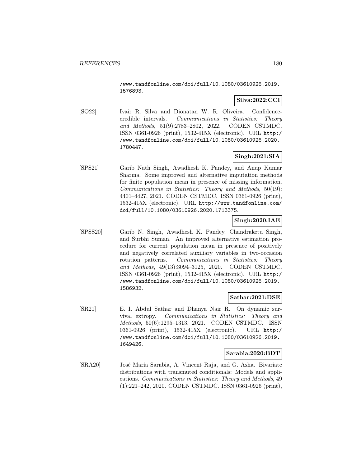/www.tandfonline.com/doi/full/10.1080/03610926.2019. 1576893.

### **Silva:2022:CCI**

[SO22] Ivair R. Silva and Dionatan W. R. Oliveira. Confidencecredible intervals. Communications in Statistics: Theory and Methods, 51(9):2783–2802, 2022. CODEN CSTMDC. ISSN 0361-0926 (print), 1532-415X (electronic). URL http:/ /www.tandfonline.com/doi/full/10.1080/03610926.2020. 1780447.

## **Singh:2021:SIA**

[SPS21] Garib Nath Singh, Awadhesh K. Pandey, and Anup Kumar Sharma. Some improved and alternative imputation methods for finite population mean in presence of missing information. Communications in Statistics: Theory and Methods, 50(19): 4401–4427, 2021. CODEN CSTMDC. ISSN 0361-0926 (print), 1532-415X (electronic). URL http://www.tandfonline.com/ doi/full/10.1080/03610926.2020.1713375.

## **Singh:2020:IAE**

[SPSS20] Garib N. Singh, Awadhesh K. Pandey, Chandraketu Singh, and Surbhi Suman. An improved alternative estimation procedure for current population mean in presence of positively and negatively correlated auxiliary variables in two-occasion rotation patterns. Communications in Statistics: Theory and Methods, 49(13):3094–3125, 2020. CODEN CSTMDC. ISSN 0361-0926 (print), 1532-415X (electronic). URL http:/ /www.tandfonline.com/doi/full/10.1080/03610926.2019. 1586932.

### **Sathar:2021:DSE**

[SR21] E. I. Abdul Sathar and Dhanya Nair R. On dynamic survival extropy. Communications in Statistics: Theory and Methods, 50(6):1295–1313, 2021. CODEN CSTMDC. ISSN 0361-0926 (print), 1532-415X (electronic). URL http:/ /www.tandfonline.com/doi/full/10.1080/03610926.2019. 1649426.

### **Sarabia:2020:BDT**

[SRA20] José María Sarabia, A. Vincent Raja, and G. Asha. Bivariate distributions with transmuted conditionals: Models and applications. Communications in Statistics: Theory and Methods, 49 (1):221–242, 2020. CODEN CSTMDC. ISSN 0361-0926 (print),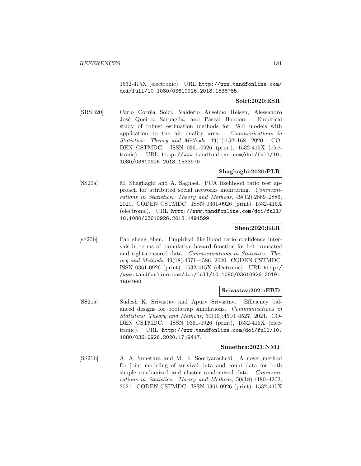1532-415X (electronic). URL http://www.tandfonline.com/ doi/full/10.1080/03610926.2018.1536785.

## **Solci:2020:ESR**

[SRSB20] Carlo Corrêa Solci, Valdério Anselmo Reisen, Alessandro José Queiroz Sarnaglia, and Pascal Bondon. Empirical study of robust estimation methods for PAR models with application to the air quality area. Communications in Statistics: Theory and Methods, 49(1):152–168, 2020. CO-DEN CSTMDC. ISSN 0361-0926 (print), 1532-415X (electronic). URL http://www.tandfonline.com/doi/full/10. 1080/03610926.2018.1533970.

### **Shaghaghi:2020:PLR**

[SS20a] M. Shaghaghi and A. Saghaei. PCA likelihood ratio test approach for attributed social networks monitoring. Communications in Statistics: Theory and Methods, 49(12):2869–2886, 2020. CODEN CSTMDC. ISSN 0361-0926 (print), 1532-415X (electronic). URL http://www.tandfonline.com/doi/full/ 10.1080/03610926.2018.1491599.

#### **Shen:2020:ELR**

[sS20b] Pao sheng Shen. Empirical likelihood ratio confidence intervals in terms of cumulative hazard function for left-truncated and right-censored data. Communications in Statistics: Theory and Methods, 49(18):4571–4586, 2020. CODEN CSTMDC. ISSN 0361-0926 (print), 1532-415X (electronic). URL http:/ /www.tandfonline.com/doi/full/10.1080/03610926.2019. 1604960.

### **Srivastav:2021:EBD**

[SS21a] Sudesh K. Srivastav and Apurv Srivastav. Efficiency balanced designs for bootstrap simulations. Communications in Statistics: Theory and Methods, 50(19):4510–4527, 2021. CO-DEN CSTMDC. ISSN 0361-0926 (print), 1532-415X (electronic). URL http://www.tandfonline.com/doi/full/10. 1080/03610926.2020.1719417.

#### **Sunethra:2021:NMJ**

[SS21b] A. A. Sunethra and M. R. Sooriyarachchi. A novel method for joint modeling of survival data and count data for both simple randomized and cluster randomized data. *Communi*cations in Statistics: Theory and Methods, 50(18):4180–4202, 2021. CODEN CSTMDC. ISSN 0361-0926 (print), 1532-415X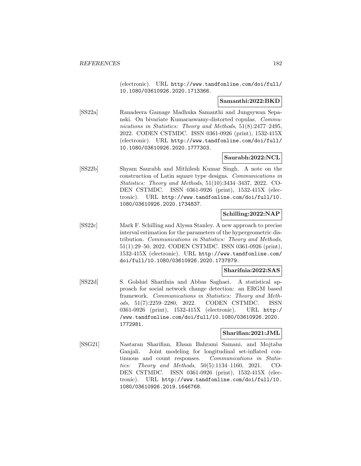(electronic). URL http://www.tandfonline.com/doi/full/ 10.1080/03610926.2020.1713366.

#### **Samanthi:2022:BKD**

[SS22a] Ranadeera Gamage Madhuka Samanthi and Jungsywan Sepanski. On bivariate Kumaraswamy-distorted copulas. Communications in Statistics: Theory and Methods, 51(8):2477-2495, 2022. CODEN CSTMDC. ISSN 0361-0926 (print), 1532-415X (electronic). URL http://www.tandfonline.com/doi/full/ 10.1080/03610926.2020.1777303.

# **Saurabh:2022:NCL**

[SS22b] Shyam Saurabh and Mithilesh Kumar Singh. A note on the construction of Latin square type designs. Communications in Statistics: Theory and Methods, 51(10):3434–3437, 2022. CO-DEN CSTMDC. ISSN 0361-0926 (print), 1532-415X (electronic). URL http://www.tandfonline.com/doi/full/10. 1080/03610926.2020.1734837.

# **Schilling:2022:NAP**

[SS22c] Mark F. Schilling and Alyssa Stanley. A new approach to precise interval estimation for the parameters of the hypergeometric distribution. Communications in Statistics: Theory and Methods, 51(1):29–50, 2022. CODEN CSTMDC. ISSN 0361-0926 (print), 1532-415X (electronic). URL http://www.tandfonline.com/ doi/full/10.1080/03610926.2020.1737879.

## **Sharifnia:2022:SAS**

[SS22d] S. Golshid Sharifnia and Abbas Saghaei. A statistical approach for social network change detection: an ERGM based framework. Communications in Statistics: Theory and Methods, 51(7):2259–2280, 2022. CODEN CSTMDC. ISSN 0361-0926 (print), 1532-415X (electronic). URL http:/ /www.tandfonline.com/doi/full/10.1080/03610926.2020. 1772981.

## **Sharifian:2021:JML**

[SSG21] Nastaran Sharifian, Ehsan Bahrami Samani, and Mojtaba Ganjali. Joint modeling for longitudinal set-inflated continuous and count responses. Communications in Statistics: Theory and Methods, 50(5):1134–1160, 2021. CO-DEN CSTMDC. ISSN 0361-0926 (print), 1532-415X (electronic). URL http://www.tandfonline.com/doi/full/10. 1080/03610926.2019.1646768.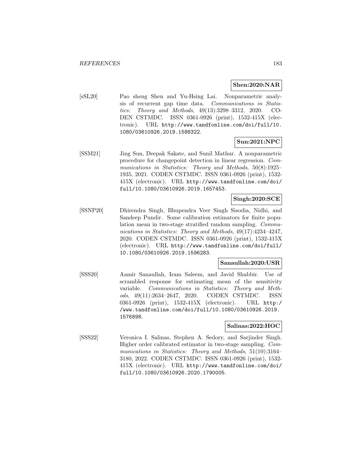### **Shen:2020:NAR**

[sSL20] Pao sheng Shen and Yu-Hsing Lai. Nonparametric analysis of recurrent gap time data. Communications in Statistics: Theory and Methods, 49(13):3298–3312, 2020. CO-DEN CSTMDC. ISSN 0361-0926 (print), 1532-415X (electronic). URL http://www.tandfonline.com/doi/full/10. 1080/03610926.2019.1588322.

## **Sun:2021:NPC**

[SSM21] Jing Sun, Deepak Sakate, and Sunil Mathur. A nonparametric procedure for changepoint detection in linear regression. Communications in Statistics: Theory and Methods, 50(8):1925– 1935, 2021. CODEN CSTMDC. ISSN 0361-0926 (print), 1532- 415X (electronic). URL http://www.tandfonline.com/doi/ full/10.1080/03610926.2019.1657453.

## **Singh:2020:SCE**

[SSNP20] Dhirendra Singh, Bhupendra Veer Singh Sisodia, Nidhi, and Sandeep Pundir. Some calibration estimators for finite population mean in two-stage stratified random sampling. Communications in Statistics: Theory and Methods, 49(17):4234–4247, 2020. CODEN CSTMDC. ISSN 0361-0926 (print), 1532-415X (electronic). URL http://www.tandfonline.com/doi/full/ 10.1080/03610926.2019.1596283.

### **Sanaullah:2020:USR**

[SSS20] Aamir Sanaullah, Iram Saleem, and Javid Shabbir. Use of scrambled response for estimating mean of the sensitivity variable. Communications in Statistics: Theory and Methods, 49(11):2634–2647, 2020. CODEN CSTMDC. ISSN 0361-0926 (print), 1532-415X (electronic). URL http:/ /www.tandfonline.com/doi/full/10.1080/03610926.2019. 1576898.

#### **Salinas:2022:HOC**

[SSS22] Veronica I. Salinas, Stephen A. Sedory, and Sarjinder Singh. Higher order calibrated estimator in two-stage sampling. Communications in Statistics: Theory and Methods, 51(10):3164– 3180, 2022. CODEN CSTMDC. ISSN 0361-0926 (print), 1532- 415X (electronic). URL http://www.tandfonline.com/doi/ full/10.1080/03610926.2020.1790005.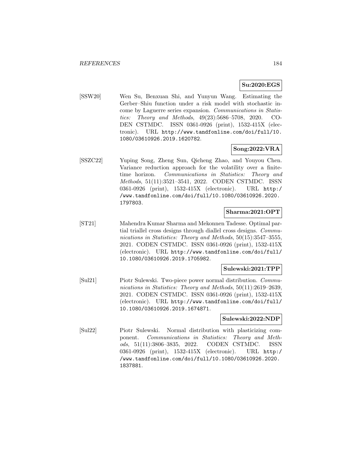### **Su:2020:EGS**

[SSW20] Wen Su, Benxuan Shi, and Yunyun Wang. Estimating the Gerber–Shiu function under a risk model with stochastic income by Laguerre series expansion. Communications in Statistics: Theory and Methods, 49(23):5686–5708, 2020. CO-DEN CSTMDC. ISSN 0361-0926 (print), 1532-415X (electronic). URL http://www.tandfonline.com/doi/full/10. 1080/03610926.2019.1620782.

### **Song:2022:VRA**

[SSZC22] Yuping Song, Zheng Sun, Qicheng Zhao, and Youyou Chen. Variance reduction approach for the volatility over a finitetime horizon. Communications in Statistics: Theory and Methods, 51(11):3521–3541, 2022. CODEN CSTMDC. ISSN 0361-0926 (print), 1532-415X (electronic). URL http:/ /www.tandfonline.com/doi/full/10.1080/03610926.2020. 1797803.

### **Sharma:2021:OPT**

[ST21] Mahendra Kumar Sharma and Mekonnen Tadesse. Optimal partial triallel cross designs through diallel cross designs. Communications in Statistics: Theory and Methods, 50(15):3547-3555, 2021. CODEN CSTMDC. ISSN 0361-0926 (print), 1532-415X (electronic). URL http://www.tandfonline.com/doi/full/ 10.1080/03610926.2019.1705982.

#### **Sulewski:2021:TPP**

[Sul21] Piotr Sulewski. Two-piece power normal distribution. Communications in Statistics: Theory and Methods, 50(11):2619–2639, 2021. CODEN CSTMDC. ISSN 0361-0926 (print), 1532-415X (electronic). URL http://www.tandfonline.com/doi/full/ 10.1080/03610926.2019.1674871.

#### **Sulewski:2022:NDP**

[Sul22] Piotr Sulewski. Normal distribution with plasticizing component. Communications in Statistics: Theory and Methods, 51(11):3806–3835, 2022. CODEN CSTMDC. ISSN 0361-0926 (print), 1532-415X (electronic). URL http:/ /www.tandfonline.com/doi/full/10.1080/03610926.2020. 1837881.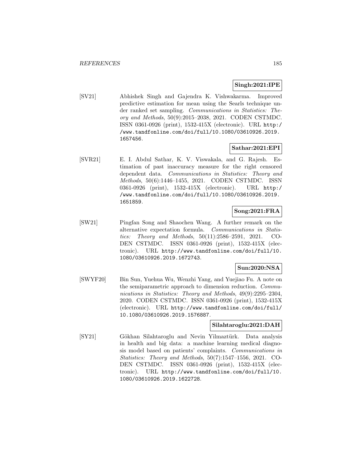#### **Singh:2021:IPE**

[SV21] Abhishek Singh and Gajendra K. Vishwakarma. Improved predictive estimation for mean using the Searls technique under ranked set sampling. Communications in Statistics: Theory and Methods, 50(9):2015–2038, 2021. CODEN CSTMDC. ISSN 0361-0926 (print), 1532-415X (electronic). URL http:/ /www.tandfonline.com/doi/full/10.1080/03610926.2019. 1657456.

### **Sathar:2021:EPI**

[SVR21] E. I. Abdul Sathar, K. V. Viswakala, and G. Rajesh. Estimation of past inaccuracy measure for the right censored dependent data. Communications in Statistics: Theory and Methods, 50(6):1446–1455, 2021. CODEN CSTMDC. ISSN 0361-0926 (print), 1532-415X (electronic). URL http:/ /www.tandfonline.com/doi/full/10.1080/03610926.2019. 1651859.

### **Song:2021:FRA**

[SW21] Pingfan Song and Shaochen Wang. A further remark on the alternative expectation formula. Communications in Statistics: Theory and Methods, 50(11):2586–2591, 2021. CO-DEN CSTMDC. ISSN 0361-0926 (print), 1532-415X (electronic). URL http://www.tandfonline.com/doi/full/10. 1080/03610926.2019.1672743.

## **Sun:2020:NSA**

[SWYF20] Bin Sun, Yuehua Wu, Wenzhi Yang, and Yuejiao Fu. A note on the semiparametric approach to dimension reduction. Communications in Statistics: Theory and Methods, 49(9):2295–2304, 2020. CODEN CSTMDC. ISSN 0361-0926 (print), 1532-415X (electronic). URL http://www.tandfonline.com/doi/full/ 10.1080/03610926.2019.1576887.

### **Silahtaroglu:2021:DAH**

[SY21] Gökhan Silahtaroglu and Nevin Yilmaztürk. Data analysis in health and big data: a machine learning medical diagnosis model based on patients' complaints. Communications in Statistics: Theory and Methods, 50(7):1547–1556, 2021. CO-DEN CSTMDC. ISSN 0361-0926 (print), 1532-415X (electronic). URL http://www.tandfonline.com/doi/full/10. 1080/03610926.2019.1622728.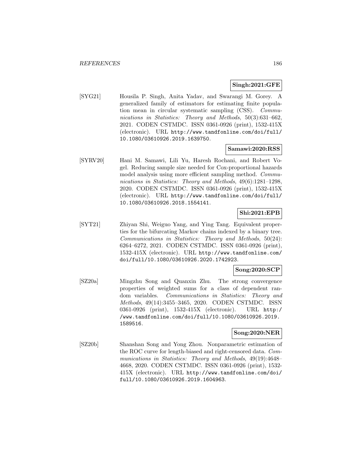## **Singh:2021:GFE**

[SYG21] Housila P. Singh, Anita Yadav, and Swarangi M. Gorey. A generalized family of estimators for estimating finite population mean in circular systematic sampling (CSS). Communications in Statistics: Theory and Methods, 50(3):631–662, 2021. CODEN CSTMDC. ISSN 0361-0926 (print), 1532-415X (electronic). URL http://www.tandfonline.com/doi/full/ 10.1080/03610926.2019.1639750.

### **Samawi:2020:RSS**

[SYRV20] Hani M. Samawi, Lili Yu, Haresh Rochani, and Robert Vogel. Reducing sample size needed for Cox-proportional hazards model analysis using more efficient sampling method. Communications in Statistics: Theory and Methods, 49(6):1281–1298, 2020. CODEN CSTMDC. ISSN 0361-0926 (print), 1532-415X (electronic). URL http://www.tandfonline.com/doi/full/ 10.1080/03610926.2018.1554141.

# **Shi:2021:EPB**

[SYT21] Zhiyan Shi, Weiguo Yang, and Ying Tang. Equivalent properties for the bifurcating Markov chains indexed by a binary tree. Communications in Statistics: Theory and Methods, 50(24): 6264–6272, 2021. CODEN CSTMDC. ISSN 0361-0926 (print), 1532-415X (electronic). URL http://www.tandfonline.com/ doi/full/10.1080/03610926.2020.1742923.

### **Song:2020:SCP**

[SZ20a] Mingzhu Song and Quanxin Zhu. The strong convergence properties of weighted sums for a class of dependent random variables. Communications in Statistics: Theory and Methods, 49(14):3455–3465, 2020. CODEN CSTMDC. ISSN 0361-0926 (print), 1532-415X (electronic). URL http:/ /www.tandfonline.com/doi/full/10.1080/03610926.2019. 1589516.

#### **Song:2020:NER**

[SZ20b] Shanshan Song and Yong Zhou. Nonparametric estimation of the ROC curve for length-biased and right-censored data. Communications in Statistics: Theory and Methods, 49(19):4648– 4668, 2020. CODEN CSTMDC. ISSN 0361-0926 (print), 1532- 415X (electronic). URL http://www.tandfonline.com/doi/ full/10.1080/03610926.2019.1604963.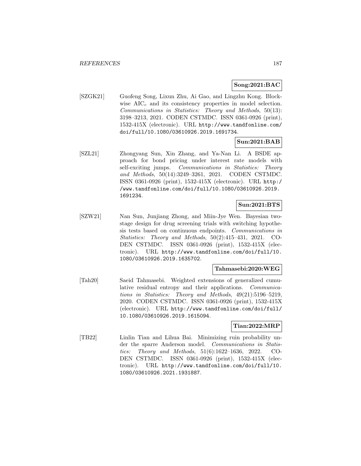### **Song:2021:BAC**

[SZGK21] Guofeng Song, Lixun Zhu, Ai Gao, and Lingzhu Kong. Blockwise  $AIC_c$  and its consistency properties in model selection. Communications in Statistics: Theory and Methods, 50(13): 3198–3213, 2021. CODEN CSTMDC. ISSN 0361-0926 (print), 1532-415X (electronic). URL http://www.tandfonline.com/ doi/full/10.1080/03610926.2019.1691734.

## **Sun:2021:BAB**

[SZL21] Zhongyang Sun, Xin Zhang, and Ya-Nan Li. A BSDE approach for bond pricing under interest rate models with self-exciting jumps. Communications in Statistics: Theory and Methods, 50(14):3249–3261, 2021. CODEN CSTMDC. ISSN 0361-0926 (print), 1532-415X (electronic). URL http:/ /www.tandfonline.com/doi/full/10.1080/03610926.2019. 1691234.

## **Sun:2021:BTS**

[SZW21] Nan Sun, Junjiang Zhong, and Miin-Jye Wen. Bayesian twostage design for drug screening trials with switching hypothesis tests based on continuous endpoints. Communications in Statistics: Theory and Methods, 50(2):415–431, 2021. CO-DEN CSTMDC. ISSN 0361-0926 (print), 1532-415X (electronic). URL http://www.tandfonline.com/doi/full/10. 1080/03610926.2019.1635702.

#### **Tahmasebi:2020:WEG**

[Tah20] Saeid Tahmasebi. Weighted extensions of generalized cumulative residual entropy and their applications. Communications in Statistics: Theory and Methods, 49(21):5196–5219, 2020. CODEN CSTMDC. ISSN 0361-0926 (print), 1532-415X (electronic). URL http://www.tandfonline.com/doi/full/ 10.1080/03610926.2019.1615094.

### **Tian:2022:MRP**

[TB22] Linlin Tian and Lihua Bai. Minimizing ruin probability under the sparre Anderson model. Communications in Statistics: Theory and Methods, 51(6):1622–1636, 2022. CO-DEN CSTMDC. ISSN 0361-0926 (print), 1532-415X (electronic). URL http://www.tandfonline.com/doi/full/10. 1080/03610926.2021.1931887.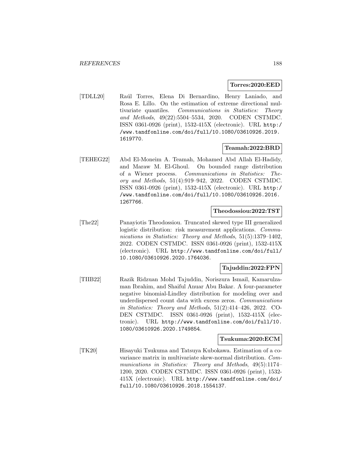#### **Torres:2020:EED**

[TDLL20] Ra´ul Torres, Elena Di Bernardino, Henry Laniado, and Rosa E. Lillo. On the estimation of extreme directional multivariate quantiles. Communications in Statistics: Theory and Methods, 49(22):5504–5534, 2020. CODEN CSTMDC. ISSN 0361-0926 (print), 1532-415X (electronic). URL http:/ /www.tandfonline.com/doi/full/10.1080/03610926.2019. 1619770.

### **Teamah:2022:BRD**

[TEHEG22] Abd El-Moneim A. Teamah, Mohamed Abd Allah El-Hadidy, and Maraw M. El-Ghoul. On bounded range distribution of a Wiener process. Communications in Statistics: Theory and Methods, 51(4):919–942, 2022. CODEN CSTMDC. ISSN 0361-0926 (print), 1532-415X (electronic). URL http:/ /www.tandfonline.com/doi/full/10.1080/03610926.2016. 1267766.

#### **Theodossiou:2022:TST**

[The22] Panayiotis Theodossiou. Truncated skewed type III generalized logistic distribution: risk measurement applications. *Commu*nications in Statistics: Theory and Methods, 51(5):1379–1402, 2022. CODEN CSTMDC. ISSN 0361-0926 (print), 1532-415X (electronic). URL http://www.tandfonline.com/doi/full/ 10.1080/03610926.2020.1764036.

#### **Tajuddin:2022:FPN**

[TIIB22] Razik Ridzuan Mohd Tajuddin, Noriszura Ismail, Kamarulzaman Ibrahim, and Shaiful Anuar Abu Bakar. A four-parameter negative binomial-Lindley distribution for modeling over and underdispersed count data with excess zeros. Communications in Statistics: Theory and Methods, 51(2):414–426, 2022. CO-DEN CSTMDC. ISSN 0361-0926 (print), 1532-415X (electronic). URL http://www.tandfonline.com/doi/full/10. 1080/03610926.2020.1749854.

### **Tsukuma:2020:ECM**

[TK20] Hisayuki Tsukuma and Tatsuya Kubokawa. Estimation of a covariance matrix in multivariate skew-normal distribution. Communications in Statistics: Theory and Methods, 49(5):1174– 1200, 2020. CODEN CSTMDC. ISSN 0361-0926 (print), 1532- 415X (electronic). URL http://www.tandfonline.com/doi/ full/10.1080/03610926.2018.1554137.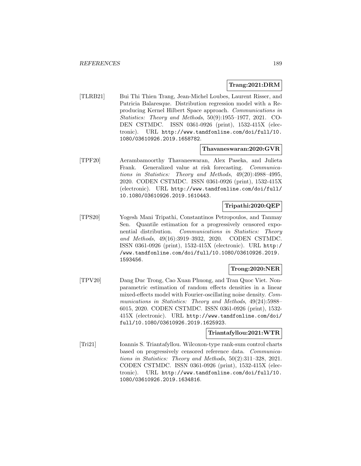#### **Trang:2021:DRM**

[TLRB21] Bui Thi Thien Trang, Jean-Michel Loubes, Laurent Risser, and Patricia Balaresque. Distribution regression model with a Reproducing Kernel Hilbert Space approach. Communications in Statistics: Theory and Methods, 50(9):1955–1977, 2021. CO-DEN CSTMDC. ISSN 0361-0926 (print), 1532-415X (electronic). URL http://www.tandfonline.com/doi/full/10. 1080/03610926.2019.1658782.

#### **Thavaneswaran:2020:GVR**

[TPF20] Aerambamoorthy Thavaneswaran, Alex Paseka, and Julieta Frank. Generalized value at risk forecasting. Communications in Statistics: Theory and Methods, 49(20):4988–4995, 2020. CODEN CSTMDC. ISSN 0361-0926 (print), 1532-415X (electronic). URL http://www.tandfonline.com/doi/full/ 10.1080/03610926.2019.1610443.

## **Tripathi:2020:QEP**

[TPS20] Yogesh Mani Tripathi, Constantinos Petropoulos, and Tanmay Sen. Quantile estimation for a progressively censored exponential distribution. Communications in Statistics: Theory and Methods, 49(16):3919–3932, 2020. CODEN CSTMDC. ISSN 0361-0926 (print), 1532-415X (electronic). URL http:/ /www.tandfonline.com/doi/full/10.1080/03610926.2019. 1593456.

### **Trong:2020:NER**

[TPV20] Dang Duc Trong, Cao Xuan Phuong, and Tran Quoc Viet. Nonparametric estimation of random effects densities in a linear mixed-effects model with Fourier-oscillating noise density. Communications in Statistics: Theory and Methods, 49(24):5988– 6015, 2020. CODEN CSTMDC. ISSN 0361-0926 (print), 1532- 415X (electronic). URL http://www.tandfonline.com/doi/ full/10.1080/03610926.2019.1625923.

#### **Triantafyllou:2021:WTR**

[Tri21] Ioannis S. Triantafyllou. Wilcoxon-type rank-sum control charts based on progressively censored reference data. Communications in Statistics: Theory and Methods, 50(2):311–328, 2021. CODEN CSTMDC. ISSN 0361-0926 (print), 1532-415X (electronic). URL http://www.tandfonline.com/doi/full/10. 1080/03610926.2019.1634816.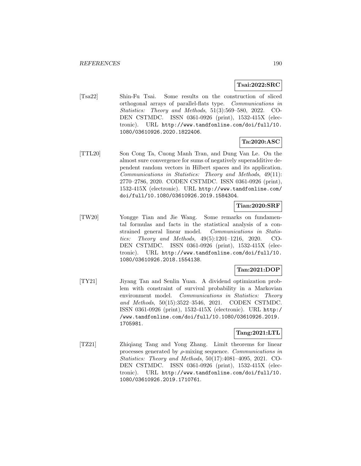## **Tsai:2022:SRC**

[Tsa22] Shin-Fu Tsai. Some results on the construction of sliced orthogonal arrays of parallel-flats type. Communications in Statistics: Theory and Methods, 51(3):569–580, 2022. CO-DEN CSTMDC. ISSN 0361-0926 (print), 1532-415X (electronic). URL http://www.tandfonline.com/doi/full/10. 1080/03610926.2020.1822406.

## **Ta:2020:ASC**

[TTL20] Son Cong Ta, Cuong Manh Tran, and Dung Van Le. On the almost sure convergence for sums of negatively superadditive dependent random vectors in Hilbert spaces and its application. Communications in Statistics: Theory and Methods, 49(11): 2770–2786, 2020. CODEN CSTMDC. ISSN 0361-0926 (print), 1532-415X (electronic). URL http://www.tandfonline.com/ doi/full/10.1080/03610926.2019.1584304.

## **Tian:2020:SRF**

[TW20] Yongge Tian and Jie Wang. Some remarks on fundamental formulas and facts in the statistical analysis of a constrained general linear model. Communications in Statistics: Theory and Methods, 49(5):1201–1216, 2020. CO-DEN CSTMDC. ISSN 0361-0926 (print), 1532-415X (electronic). URL http://www.tandfonline.com/doi/full/10. 1080/03610926.2018.1554138.

## **Tan:2021:DOP**

[TY21] Jiyang Tan and Senlin Yuan. A dividend optimization problem with constraint of survival probability in a Markovian environment model. Communications in Statistics: Theory and Methods, 50(15):3522–3546, 2021. CODEN CSTMDC. ISSN 0361-0926 (print), 1532-415X (electronic). URL http:/ /www.tandfonline.com/doi/full/10.1080/03610926.2019. 1705981.

### **Tang:2021:LTL**

[TZ21] Zhiqiang Tang and Yong Zhang. Limit theorems for linear processes generated by  $\rho$ -mixing sequence. *Communications in* Statistics: Theory and Methods, 50(17):4081–4095, 2021. CO-DEN CSTMDC. ISSN 0361-0926 (print), 1532-415X (electronic). URL http://www.tandfonline.com/doi/full/10. 1080/03610926.2019.1710761.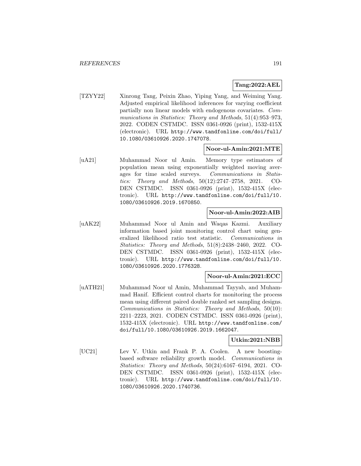### **Tang:2022:AEL**

[TZYY22] Xinrong Tang, Peixin Zhao, Yiping Yang, and Weiming Yang. Adjusted empirical likelihood inferences for varying coefficient partially non linear models with endogenous covariates. Communications in Statistics: Theory and Methods, 51(4):953–973, 2022. CODEN CSTMDC. ISSN 0361-0926 (print), 1532-415X (electronic). URL http://www.tandfonline.com/doi/full/ 10.1080/03610926.2020.1747078.

### **Noor-ul-Amin:2021:MTE**

[uA21] Muhammad Noor ul Amin. Memory type estimators of population mean using exponentially weighted moving averages for time scaled surveys. Communications in Statistics: Theory and Methods, 50(12):2747–2758, 2021. CO-DEN CSTMDC. ISSN 0361-0926 (print), 1532-415X (electronic). URL http://www.tandfonline.com/doi/full/10. 1080/03610926.2019.1670850.

### **Noor-ul-Amin:2022:AIB**

[uAK22] Muhammad Noor ul Amin and Waqas Kazmi. Auxiliary information based joint monitoring control chart using generalized likelihood ratio test statistic. Communications in Statistics: Theory and Methods, 51(8):2438–2460, 2022. CO-DEN CSTMDC. ISSN 0361-0926 (print), 1532-415X (electronic). URL http://www.tandfonline.com/doi/full/10. 1080/03610926.2020.1776328.

### **Noor-ul-Amin:2021:ECC**

[uATH21] Muhammad Noor ul Amin, Muhammad Tayyab, and Muhammad Hanif. Efficient control charts for monitoring the process mean using different paired double ranked set sampling designs. Communications in Statistics: Theory and Methods, 50(10): 2211–2223, 2021. CODEN CSTMDC. ISSN 0361-0926 (print), 1532-415X (electronic). URL http://www.tandfonline.com/ doi/full/10.1080/03610926.2019.1662047.

#### **Utkin:2021:NBB**

[UC21] Lev V. Utkin and Frank P. A. Coolen. A new boostingbased software reliability growth model. Communications in Statistics: Theory and Methods, 50(24):6167–6194, 2021. CO-DEN CSTMDC. ISSN 0361-0926 (print), 1532-415X (electronic). URL http://www.tandfonline.com/doi/full/10. 1080/03610926.2020.1740736.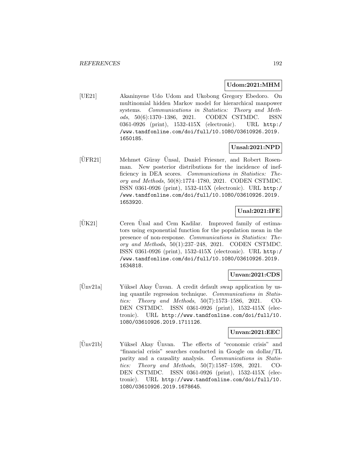### **Udom:2021:MHM**

[UE21] Akaninyene Udo Udom and Ukobong Gregory Ebedoro. On multinomial hidden Markov model for hierarchical manpower systems. Communications in Statistics: Theory and Methods, 50(6):1370–1386, 2021. CODEN CSTMDC. ISSN 0361-0926 (print), 1532-415X (electronic). URL http:/ /www.tandfonline.com/doi/full/10.1080/03610926.2019. 1650185.

## **Unsal:2021:NPD**

 $[\text{UFR21}]$  Mehmet Güray Unsal, Daniel Friesner, and Robert Rosenman. New posterior distributions for the incidence of inefficiency in DEA scores. Communications in Statistics: Theory and Methods, 50(8):1774–1780, 2021. CODEN CSTMDC. ISSN 0361-0926 (print), 1532-415X (electronic). URL http:/ /www.tandfonline.com/doi/full/10.1080/03610926.2019. 1653920.

## **Unal:2021:IFE**

 $|\text{UK21}|$  Ceren Unal and Cem Kadilar. Improved family of estimators using exponential function for the population mean in the presence of non-response. Communications in Statistics: Theory and Methods, 50(1):237–248, 2021. CODEN CSTMDC. ISSN 0361-0926 (print), 1532-415X (electronic). URL http:/ /www.tandfonline.com/doi/full/10.1080/03610926.2019. 1634818.

## **Unvan:2021:CDS**

 $|\text{Ünv21a}|$  Yüksel Akay Ünvan. A credit default swap application by using quantile regression technique. Communications in Statistics: Theory and Methods, 50(7):1573–1586, 2021. CO-DEN CSTMDC. ISSN 0361-0926 (print), 1532-415X (electronic). URL http://www.tandfonline.com/doi/full/10. 1080/03610926.2019.1711126.

### **Unvan:2021:EEC**

[Unv21b] Yüksel Akay Unvan. The effects of "economic crisis" and "financial crisis" searches conducted in Google on dollar/TL parity and a causality analysis. Communications in Statistics: Theory and Methods, 50(7):1587–1598, 2021. CO-DEN CSTMDC. ISSN 0361-0926 (print), 1532-415X (electronic). URL http://www.tandfonline.com/doi/full/10. 1080/03610926.2019.1678645.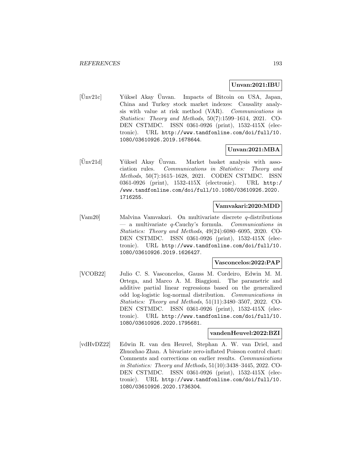### **Unvan:2021:IBU**

 $[\text{Ünv21c}]$  Yüksel Akay Ünvan. Impacts of Bitcoin on USA, Japan, China and Turkey stock market indexes: Causality analysis with value at risk method (VAR). Communications in Statistics: Theory and Methods, 50(7):1599–1614, 2021. CO-DEN CSTMDC. ISSN 0361-0926 (print), 1532-415X (electronic). URL http://www.tandfonline.com/doi/full/10. 1080/03610926.2019.1678644.

## **Unvan:2021:MBA**

[Unv21d] Yüksel Akay Unvan. Market basket analysis with association rules. Communications in Statistics: Theory and Methods, 50(7):1615–1628, 2021. CODEN CSTMDC. ISSN 0361-0926 (print), 1532-415X (electronic). URL http:/ /www.tandfonline.com/doi/full/10.1080/03610926.2020. 1716255.

## **Vamvakari:2020:MDD**

[Vam20] Malvina Vamvakari. On multivariate discrete q-distributions — a multivariate q-Cauchy's formula. Communications in Statistics: Theory and Methods, 49(24):6080–6095, 2020. CO-DEN CSTMDC. ISSN 0361-0926 (print), 1532-415X (electronic). URL http://www.tandfonline.com/doi/full/10. 1080/03610926.2019.1626427.

### **Vasconcelos:2022:PAP**

[VCOB22] Julio C. S. Vasconcelos, Gauss M. Cordeiro, Edwin M. M. Ortega, and Marco A. M. Biaggioni. The parametric and additive partial linear regressions based on the generalized odd log-logistic log-normal distribution. Communications in Statistics: Theory and Methods, 51(11):3480–3507, 2022. CO-DEN CSTMDC. ISSN 0361-0926 (print), 1532-415X (electronic). URL http://www.tandfonline.com/doi/full/10. 1080/03610926.2020.1795681.

#### **vandenHeuvel:2022:BZI**

[vdHvDZ22] Edwin R. van den Heuvel, Stephan A. W. van Driel, and Zhuozhao Zhan. A bivariate zero-inflated Poisson control chart: Comments and corrections on earlier results. Communications in Statistics: Theory and Methods, 51(10):3438–3445, 2022. CO-DEN CSTMDC. ISSN 0361-0926 (print), 1532-415X (electronic). URL http://www.tandfonline.com/doi/full/10. 1080/03610926.2020.1736304.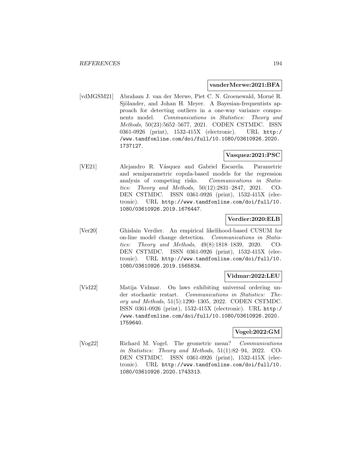#### **vanderMerwe:2021:BFA**

[vdMGSM21] Abraham J. van der Merwe, Piet C. N. Groenewald, Morn´e R. Sjölander, and Johan H. Meyer. A Bayesian-frequentists approach for detecting outliers in a one-way variance components model. Communications in Statistics: Theory and Methods, 50(23):5652–5677, 2021. CODEN CSTMDC. ISSN 0361-0926 (print), 1532-415X (electronic). URL http:/ /www.tandfonline.com/doi/full/10.1080/03610926.2020. 1737127.

## **Vasquez:2021:PSC**

[VE21] Alejandro R. Vásquez and Gabriel Escarela. Parametric and semiparametric copula-based models for the regression analysis of competing risks. Communications in Statistics: Theory and Methods, 50(12):2831–2847, 2021. CO-DEN CSTMDC. ISSN 0361-0926 (print), 1532-415X (electronic). URL http://www.tandfonline.com/doi/full/10. 1080/03610926.2019.1676447.

## **Verdier:2020:ELB**

[Ver20] Ghislain Verdier. An empirical likelihood-based CUSUM for on-line model change detection. Communications in Statistics: Theory and Methods, 49(8):1818–1839, 2020. CO-DEN CSTMDC. ISSN 0361-0926 (print), 1532-415X (electronic). URL http://www.tandfonline.com/doi/full/10. 1080/03610926.2019.1565834.

### **Vidmar:2022:LEU**

[Vid22] Matija Vidmar. On laws exhibiting universal ordering under stochastic restart. Communications in Statistics: Theory and Methods, 51(5):1290–1305, 2022. CODEN CSTMDC. ISSN 0361-0926 (print), 1532-415X (electronic). URL http:/ /www.tandfonline.com/doi/full/10.1080/03610926.2020. 1759640.

### **Vogel:2022:GM**

[Vog22] Richard M. Vogel. The geometric mean? Communications in Statistics: Theory and Methods, 51(1):82–94, 2022. CO-DEN CSTMDC. ISSN 0361-0926 (print), 1532-415X (electronic). URL http://www.tandfonline.com/doi/full/10. 1080/03610926.2020.1743313.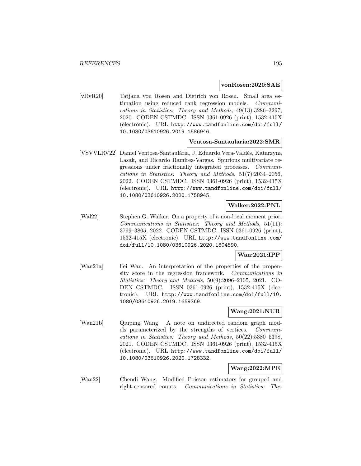#### **vonRosen:2020:SAE**

[vRvR20] Tatjana von Rosen and Dietrich von Rosen. Small area estimation using reduced rank regression models. Communications in Statistics: Theory and Methods, 49(13):3286–3297, 2020. CODEN CSTMDC. ISSN 0361-0926 (print), 1532-415X (electronic). URL http://www.tandfonline.com/doi/full/ 10.1080/03610926.2019.1586946.

#### **Ventosa-Santaularia:2022:SMR**

[VSVVLRV22] Daniel Ventosa-Santaul`aria, J. Eduardo Vera-Vald´es, Katarzyna Lasak, and Ricardo Ramírez-Vargas. Spurious multivariate regressions under fractionally integrated processes. Communications in Statistics: Theory and Methods, 51(7):2034–2056, 2022. CODEN CSTMDC. ISSN 0361-0926 (print), 1532-415X (electronic). URL http://www.tandfonline.com/doi/full/ 10.1080/03610926.2020.1758945.

## **Walker:2022:PNL**

[Wal22] Stephen G. Walker. On a property of a non-local moment prior. Communications in Statistics: Theory and Methods, 51(11): 3799–3805, 2022. CODEN CSTMDC. ISSN 0361-0926 (print), 1532-415X (electronic). URL http://www.tandfonline.com/ doi/full/10.1080/03610926.2020.1804590.

## **Wan:2021:IPP**

[Wan21a] Fei Wan. An interpretation of the properties of the propensity score in the regression framework. Communications in Statistics: Theory and Methods, 50(9):2096–2105, 2021. CO-DEN CSTMDC. ISSN 0361-0926 (print), 1532-415X (electronic). URL http://www.tandfonline.com/doi/full/10. 1080/03610926.2019.1659369.

# **Wang:2021:NUR**

[Wan21b] Qiuping Wang. A note on undirected random graph models parameterized by the strengths of vertices. Communications in Statistics: Theory and Methods, 50(22):5380–5398, 2021. CODEN CSTMDC. ISSN 0361-0926 (print), 1532-415X (electronic). URL http://www.tandfonline.com/doi/full/ 10.1080/03610926.2020.1728332.

## **Wang:2022:MPE**

[Wan22] Chendi Wang. Modified Poisson estimators for grouped and right-censored counts. Communications in Statistics: The-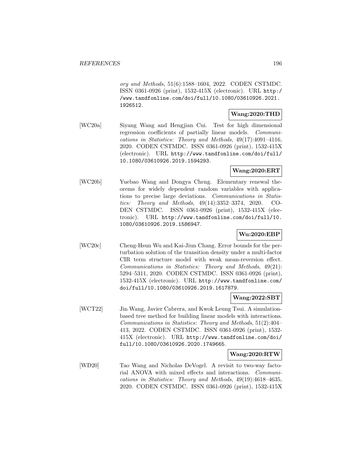ory and Methods, 51(6):1588–1604, 2022. CODEN CSTMDC. ISSN 0361-0926 (print), 1532-415X (electronic). URL http:/ /www.tandfonline.com/doi/full/10.1080/03610926.2021. 1926512.

### **Wang:2020:THD**

[WC20a] Siyang Wang and Hengjian Cui. Test for high dimensional regression coefficients of partially linear models. Communications in Statistics: Theory and Methods, 49(17):4091–4116, 2020. CODEN CSTMDC. ISSN 0361-0926 (print), 1532-415X (electronic). URL http://www.tandfonline.com/doi/full/ 10.1080/03610926.2019.1594293.

## **Wang:2020:ERT**

[WC20b] Yuebao Wang and Dongya Cheng. Elementary renewal theorems for widely dependent random variables with applications to precise large deviations. Communications in Statistics: Theory and Methods, 49(14):3352–3374, 2020. CO-DEN CSTMDC. ISSN 0361-0926 (print), 1532-415X (electronic). URL http://www.tandfonline.com/doi/full/10. 1080/03610926.2019.1586947.

# **Wu:2020:EBP**

[WC20c] Cheng-Hsun Wu and Kai-Jiun Chang. Error bounds for the perturbation solution of the transition density under a multi-factor CIR term structure model with weak mean-reversion effect. Communications in Statistics: Theory and Methods, 49(21): 5294–5311, 2020. CODEN CSTMDC. ISSN 0361-0926 (print), 1532-415X (electronic). URL http://www.tandfonline.com/ doi/full/10.1080/03610926.2019.1617879.

### **Wang:2022:SBT**

[WCT22] Jin Wang, Javier Cabrera, and Kwok Leung Tsui. A simulationbased tree method for building linear models with interactions. Communications in Statistics: Theory and Methods, 51(2):404– 413, 2022. CODEN CSTMDC. ISSN 0361-0926 (print), 1532- 415X (electronic). URL http://www.tandfonline.com/doi/ full/10.1080/03610926.2020.1749665.

### **Wang:2020:RTW**

[WD20] Tao Wang and Nicholas DeVogel. A revisit to two-way factorial ANOVA with mixed effects and interactions. Communications in Statistics: Theory and Methods, 49(19):4618–4635, 2020. CODEN CSTMDC. ISSN 0361-0926 (print), 1532-415X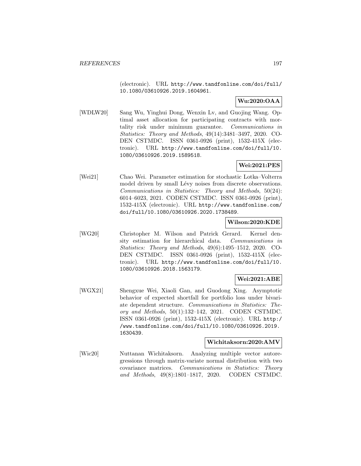(electronic). URL http://www.tandfonline.com/doi/full/ 10.1080/03610926.2019.1604961.

# **Wu:2020:OAA**

[WDLW20] Sang Wu, Yinghui Dong, Wenxin Lv, and Guojing Wang. Optimal asset allocation for participating contracts with mortality risk under minimum guarantee. Communications in Statistics: Theory and Methods, 49(14):3481–3497, 2020. CO-DEN CSTMDC. ISSN 0361-0926 (print), 1532-415X (electronic). URL http://www.tandfonline.com/doi/full/10. 1080/03610926.2019.1589518.

# **Wei:2021:PES**

[Wei21] Chao Wei. Parameter estimation for stochastic Lotka–Volterra model driven by small Lévy noises from discrete observations. Communications in Statistics: Theory and Methods, 50(24): 6014–6023, 2021. CODEN CSTMDC. ISSN 0361-0926 (print), 1532-415X (electronic). URL http://www.tandfonline.com/ doi/full/10.1080/03610926.2020.1738489.

### **Wilson:2020:KDE**

[WG20] Christopher M. Wilson and Patrick Gerard. Kernel density estimation for hierarchical data. Communications in Statistics: Theory and Methods, 49(6):1495–1512, 2020. CO-DEN CSTMDC. ISSN 0361-0926 (print), 1532-415X (electronic). URL http://www.tandfonline.com/doi/full/10. 1080/03610926.2018.1563179.

## **Wei:2021:ABE**

[WGX21] Shengxue Wei, Xiaoli Gan, and Guodong Xing. Asymptotic behavior of expected shortfall for portfolio loss under bivariate dependent structure. Communications in Statistics: Theory and Methods, 50(1):132–142, 2021. CODEN CSTMDC. ISSN 0361-0926 (print), 1532-415X (electronic). URL http:/ /www.tandfonline.com/doi/full/10.1080/03610926.2019. 1630439.

### **Wichitaksorn:2020:AMV**

[Wic20] Nuttanan Wichitaksorn. Analyzing multiple vector autoregressions through matrix-variate normal distribution with two covariance matrices. Communications in Statistics: Theory and Methods, 49(8):1801–1817, 2020. CODEN CSTMDC.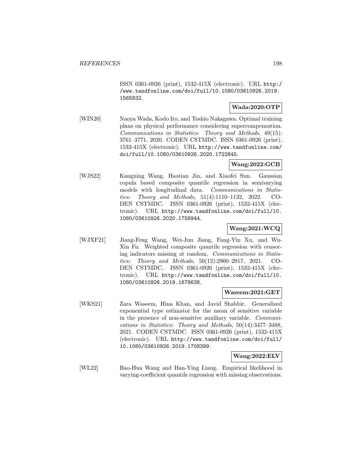ISSN 0361-0926 (print), 1532-415X (electronic). URL http:/ /www.tandfonline.com/doi/full/10.1080/03610926.2019. 1565832.

## **Wada:2020:OTP**

[WIN20] Naoya Wada, Kodo Ito, and Toshio Nakagawa. Optimal training plans on physical performance considering supercompensation. Communications in Statistics: Theory and Methods, 49(15): 3761–3771, 2020. CODEN CSTMDC. ISSN 0361-0926 (print), 1532-415X (electronic). URL http://www.tandfonline.com/ doi/full/10.1080/03610926.2020.1722845.

# **Wang:2022:GCB**

[WJS22] Kangning Wang, Haotian Jin, and Xiaofei Sun. Gaussian copula based composite quantile regression in semivarying models with longitudinal data. Communications in Statistics: Theory and Methods, 51(4):1110–1132, 2022. CO-DEN CSTMDC. ISSN 0361-0926 (print), 1532-415X (electronic). URL http://www.tandfonline.com/doi/full/10. 1080/03610926.2020.1758944.

# **Wang:2021:WCQ**

[WJXF21] Jiang-Feng Wang, Wei-Jun Jiang, Fang-Yin Xu, and Wu-Xin Fu. Weighted composite quantile regression with censoring indicators missing at random. Communications in Statistics: Theory and Methods, 50(12):2900–2917, 2021. CO-DEN CSTMDC. ISSN 0361-0926 (print), 1532-415X (electronic). URL http://www.tandfonline.com/doi/full/10. 1080/03610926.2019.1678638.

## **Waseem:2021:GET**

[WKS21] Zara Waseem, Hina Khan, and Javid Shabbir. Generalized exponential type estimator for the mean of sensitive variable in the presence of non-sensitive auxiliary variable. Communications in Statistics: Theory and Methods, 50(14):3477–3488, 2021. CODEN CSTMDC. ISSN 0361-0926 (print), 1532-415X (electronic). URL http://www.tandfonline.com/doi/full/ 10.1080/03610926.2019.1708399.

### **Wang:2022:ELV**

[WL22] Bao-Hua Wang and Han-Ying Liang. Empirical likelihood in varying-coefficient quantile regression with missing observations.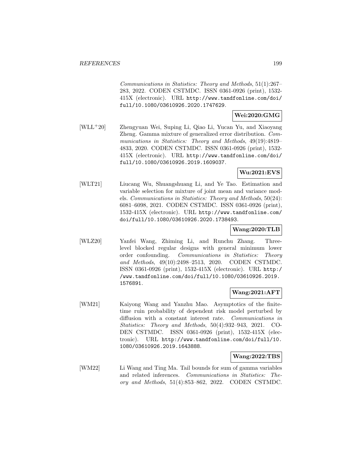Communications in Statistics: Theory and Methods, 51(1):267– 283, 2022. CODEN CSTMDC. ISSN 0361-0926 (print), 1532- 415X (electronic). URL http://www.tandfonline.com/doi/ full/10.1080/03610926.2020.1747629.

### **Wei:2020:GMG**

[WLL<sup>+</sup>20] Zhengyuan Wei, Suping Li, Qiao Li, Yucan Yu, and Xiaoyang Zheng. Gamma mixture of generalized error distribution. Communications in Statistics: Theory and Methods, 49(19):4819– 4833, 2020. CODEN CSTMDC. ISSN 0361-0926 (print), 1532- 415X (electronic). URL http://www.tandfonline.com/doi/ full/10.1080/03610926.2019.1609037.

## **Wu:2021:EVS**

[WLT21] Liucang Wu, Shuangshuang Li, and Ye Tao. Estimation and variable selection for mixture of joint mean and variance models. Communications in Statistics: Theory and Methods, 50(24): 6081–6098, 2021. CODEN CSTMDC. ISSN 0361-0926 (print), 1532-415X (electronic). URL http://www.tandfonline.com/ doi/full/10.1080/03610926.2020.1738493.

## **Wang:2020:TLB**

[WLZ20] Yanfei Wang, Zhiming Li, and Runchu Zhang. Threelevel blocked regular designs with general minimum lower order confounding. Communications in Statistics: Theory and Methods, 49(10):2498–2513, 2020. CODEN CSTMDC. ISSN 0361-0926 (print), 1532-415X (electronic). URL http:/ /www.tandfonline.com/doi/full/10.1080/03610926.2019. 1576891.

## **Wang:2021:AFT**

[WM21] Kaiyong Wang and Yanzhu Mao. Asymptotics of the finitetime ruin probability of dependent risk model perturbed by diffusion with a constant interest rate. Communications in Statistics: Theory and Methods, 50(4):932–943, 2021. CO-DEN CSTMDC. ISSN 0361-0926 (print), 1532-415X (electronic). URL http://www.tandfonline.com/doi/full/10. 1080/03610926.2019.1643888.

### **Wang:2022:TBS**

[WM22] Li Wang and Ting Ma. Tail bounds for sum of gamma variables and related inferences. Communications in Statistics: Theory and Methods, 51(4):853–862, 2022. CODEN CSTMDC.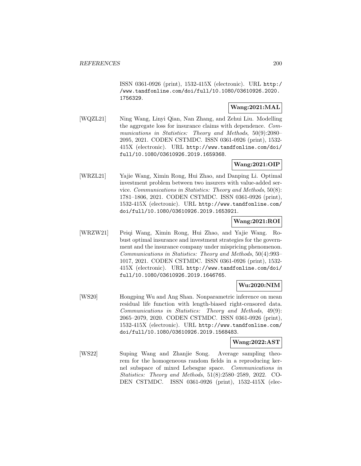ISSN 0361-0926 (print), 1532-415X (electronic). URL http:/ /www.tandfonline.com/doi/full/10.1080/03610926.2020. 1756329.

## **Wang:2021:MAL**

[WQZL21] Ning Wang, Linyi Qian, Nan Zhang, and Zehui Liu. Modelling the aggregate loss for insurance claims with dependence. Communications in Statistics: Theory and Methods, 50(9):2080– 2095, 2021. CODEN CSTMDC. ISSN 0361-0926 (print), 1532- 415X (electronic). URL http://www.tandfonline.com/doi/ full/10.1080/03610926.2019.1659368.

## **Wang:2021:OIP**

[WRZL21] Yajie Wang, Ximin Rong, Hui Zhao, and Danping Li. Optimal investment problem between two insurers with value-added service. Communications in Statistics: Theory and Methods, 50(8): 1781–1806, 2021. CODEN CSTMDC. ISSN 0361-0926 (print), 1532-415X (electronic). URL http://www.tandfonline.com/ doi/full/10.1080/03610926.2019.1653921.

## **Wang:2021:ROI**

[WRZW21] Peiqi Wang, Ximin Rong, Hui Zhao, and Yajie Wang. Robust optimal insurance and investment strategies for the government and the insurance company under mispricing phenomenon. Communications in Statistics: Theory and Methods, 50(4):993– 1017, 2021. CODEN CSTMDC. ISSN 0361-0926 (print), 1532- 415X (electronic). URL http://www.tandfonline.com/doi/ full/10.1080/03610926.2019.1646765.

## **Wu:2020:NIM**

[WS20] Hongping Wu and Ang Shan. Nonparametric inference on mean residual life function with length-biased right-censored data. Communications in Statistics: Theory and Methods, 49(9): 2065–2079, 2020. CODEN CSTMDC. ISSN 0361-0926 (print), 1532-415X (electronic). URL http://www.tandfonline.com/ doi/full/10.1080/03610926.2019.1568483.

### **Wang:2022:AST**

[WS22] Suping Wang and Zhanjie Song. Average sampling theorem for the homogeneous random fields in a reproducing kernel subspace of mixed Lebesgue space. Communications in Statistics: Theory and Methods, 51(8):2580–2589, 2022. CO-DEN CSTMDC. ISSN 0361-0926 (print), 1532-415X (elec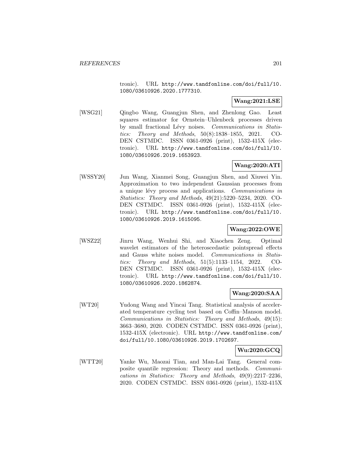tronic). URL http://www.tandfonline.com/doi/full/10. 1080/03610926.2020.1777310.

## **Wang:2021:LSE**

[WSG21] Qingbo Wang, Guangjun Shen, and Zhenlong Gao. Least squares estimator for Ornstein–Uhlenbeck processes driven by small fractional Lévy noises. Communications in Statistics: Theory and Methods, 50(8):1838–1855, 2021. CO-DEN CSTMDC. ISSN 0361-0926 (print), 1532-415X (electronic). URL http://www.tandfonline.com/doi/full/10. 1080/03610926.2019.1653923.

## **Wang:2020:ATI**

[WSSY20] Jun Wang, Xianmei Song, Guangjun Shen, and Xiuwei Yin. Approximation to two independent Gaussian processes from a unique lévy process and applications. Communications in Statistics: Theory and Methods, 49(21):5220–5234, 2020. CO-DEN CSTMDC. ISSN 0361-0926 (print), 1532-415X (electronic). URL http://www.tandfonline.com/doi/full/10. 1080/03610926.2019.1615095.

### **Wang:2022:OWE**

[WSZ22] Jinru Wang, Wenhui Shi, and Xiaochen Zeng. Optimal wavelet estimators of the heteroscedastic pointspread effects and Gauss white noises model. Communications in Statistics: Theory and Methods, 51(5):1133–1154, 2022. CO-DEN CSTMDC. ISSN 0361-0926 (print), 1532-415X (electronic). URL http://www.tandfonline.com/doi/full/10. 1080/03610926.2020.1862874.

# **Wang:2020:SAA**

[WT20] Yudong Wang and Yincai Tang. Statistical analysis of accelerated temperature cycling test based on Coffin–Manson model. Communications in Statistics: Theory and Methods, 49(15): 3663–3680, 2020. CODEN CSTMDC. ISSN 0361-0926 (print), 1532-415X (electronic). URL http://www.tandfonline.com/ doi/full/10.1080/03610926.2019.1702697.

# **Wu:2020:GCQ**

[WTT20] Yanke Wu, Maozai Tian, and Man-Lai Tang. General composite quantile regression: Theory and methods. Communications in Statistics: Theory and Methods, 49(9):2217–2236, 2020. CODEN CSTMDC. ISSN 0361-0926 (print), 1532-415X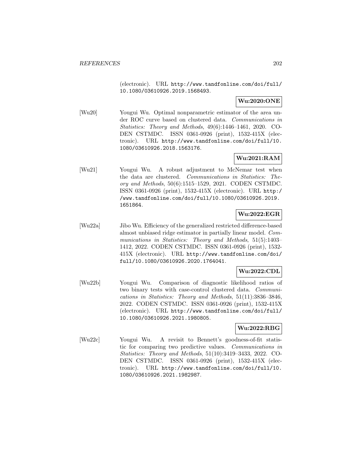(electronic). URL http://www.tandfonline.com/doi/full/ 10.1080/03610926.2019.1568493.

# **Wu:2020:ONE**

[Wu20] Yougui Wu. Optimal nonparametric estimator of the area under ROC curve based on clustered data. Communications in Statistics: Theory and Methods, 49(6):1446–1461, 2020. CO-DEN CSTMDC. ISSN 0361-0926 (print), 1532-415X (electronic). URL http://www.tandfonline.com/doi/full/10. 1080/03610926.2018.1563176.

# **Wu:2021:RAM**

[Wu21] Yougui Wu. A robust adjustment to McNemar test when the data are clustered. Communications in Statistics: Theory and Methods, 50(6):1515–1529, 2021. CODEN CSTMDC. ISSN 0361-0926 (print), 1532-415X (electronic). URL http:/ /www.tandfonline.com/doi/full/10.1080/03610926.2019. 1651864.

# **Wu:2022:EGR**

[Wu22a] Jibo Wu. Efficiency of the generalized restricted difference-based almost unbiased ridge estimator in partially linear model. Communications in Statistics: Theory and Methods, 51(5):1403– 1412, 2022. CODEN CSTMDC. ISSN 0361-0926 (print), 1532- 415X (electronic). URL http://www.tandfonline.com/doi/ full/10.1080/03610926.2020.1764041.

## **Wu:2022:CDL**

[Wu22b] Yougui Wu. Comparison of diagnostic likelihood ratios of two binary tests with case-control clustered data. Communications in Statistics: Theory and Methods, 51(11):3836–3846, 2022. CODEN CSTMDC. ISSN 0361-0926 (print), 1532-415X (electronic). URL http://www.tandfonline.com/doi/full/ 10.1080/03610926.2021.1980805.

## **Wu:2022:RBG**

[Wu22c] Yougui Wu. A revisit to Bennett's goodness-of-fit statistic for comparing two predictive values. Communications in Statistics: Theory and Methods, 51(10):3419–3433, 2022. CO-DEN CSTMDC. ISSN 0361-0926 (print), 1532-415X (electronic). URL http://www.tandfonline.com/doi/full/10. 1080/03610926.2021.1982987.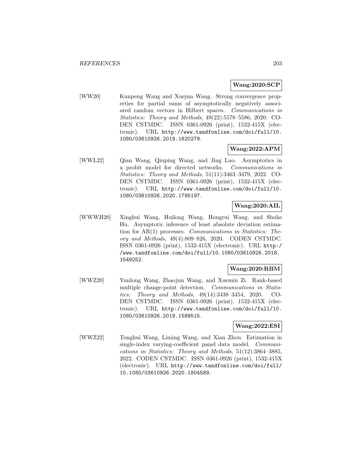### **Wang:2020:SCP**

[WW20] Kunpeng Wang and Xuejun Wang. Strong convergence properties for partial sums of asymptotically negatively associated random vectors in Hilbert spaces. Communications in Statistics: Theory and Methods, 49(22):5578–5586, 2020. CO-DEN CSTMDC. ISSN 0361-0926 (print), 1532-415X (electronic). URL http://www.tandfonline.com/doi/full/10. 1080/03610926.2019.1620279.

### **Wang:2022:APM**

[WWL22] Qian Wang, Qiuping Wang, and Jing Luo. Asymptotics in a probit model for directed networks. Communications in Statistics: Theory and Methods, 51(11):3463–3479, 2022. CO-DEN CSTMDC. ISSN 0361-0926 (print), 1532-415X (electronic). URL http://www.tandfonline.com/doi/full/10. 1080/03610926.2020.1795197.

## **Wang:2020:AIL**

[WWWH20] Xinghui Wang, Huilong Wang, Hongrui Wang, and Shuhe Hu. Asymptotic inference of least absolute deviation estimation for AR(1) processes. Communications in Statistics: Theory and Methods, 49(4):809–826, 2020. CODEN CSTMDC. ISSN 0361-0926 (print), 1532-415X (electronic). URL http:/ /www.tandfonline.com/doi/full/10.1080/03610926.2018. 1549252.

### **Wang:2020:RBM**

[WWZ20] Yunlong Wang, Zhaojun Wang, and Xuemin Zi. Rank-based multiple change-point detection. Communications in Statistics: Theory and Methods, 49(14):3438–3454, 2020. CO-DEN CSTMDC. ISSN 0361-0926 (print), 1532-415X (electronic). URL http://www.tandfonline.com/doi/full/10. 1080/03610926.2019.1589515.

### **Wang:2022:ESI**

[WWZ22] Tonghui Wang, Liming Wang, and Xian Zhou. Estimation in single-index varying-coefficient panel data model. Communications in Statistics: Theory and Methods, 51(12):3864–3885, 2022. CODEN CSTMDC. ISSN 0361-0926 (print), 1532-415X (electronic). URL http://www.tandfonline.com/doi/full/ 10.1080/03610926.2020.1804589.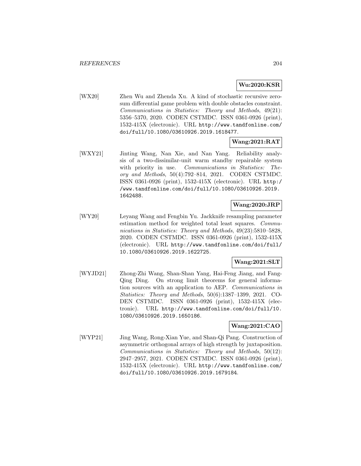# **Wu:2020:KSR**

[WX20] Zhen Wu and Zhenda Xu. A kind of stochastic recursive zerosum differential game problem with double obstacles constraint. Communications in Statistics: Theory and Methods, 49(21): 5356–5370, 2020. CODEN CSTMDC. ISSN 0361-0926 (print), 1532-415X (electronic). URL http://www.tandfonline.com/ doi/full/10.1080/03610926.2019.1618477.

## **Wang:2021:RAT**

[WXY21] Jinting Wang, Nan Xie, and Nan Yang. Reliability analysis of a two-dissimilar-unit warm standby repairable system with priority in use. Communications in Statistics: Theory and Methods, 50(4):792–814, 2021. CODEN CSTMDC. ISSN 0361-0926 (print), 1532-415X (electronic). URL http:/ /www.tandfonline.com/doi/full/10.1080/03610926.2019. 1642488.

## **Wang:2020:JRP**

[WY20] Leyang Wang and Fengbin Yu. Jackknife resampling parameter estimation method for weighted total least squares. Communications in Statistics: Theory and Methods, 49(23):5810–5828, 2020. CODEN CSTMDC. ISSN 0361-0926 (print), 1532-415X (electronic). URL http://www.tandfonline.com/doi/full/ 10.1080/03610926.2019.1622725.

## **Wang:2021:SLT**

[WYJD21] Zhong-Zhi Wang, Shan-Shan Yang, Hai-Feng Jiang, and Fang-Qing Ding. On strong limit theorems for general information sources with an application to AEP. Communications in Statistics: Theory and Methods, 50(6):1387–1399, 2021. CO-DEN CSTMDC. ISSN 0361-0926 (print), 1532-415X (electronic). URL http://www.tandfonline.com/doi/full/10. 1080/03610926.2019.1650186.

## **Wang:2021:CAO**

[WYP21] Jing Wang, Rong-Xian Yue, and Shan-Qi Pang. Construction of asymmetric orthogonal arrays of high strength by juxtaposition. Communications in Statistics: Theory and Methods, 50(12): 2947–2957, 2021. CODEN CSTMDC. ISSN 0361-0926 (print), 1532-415X (electronic). URL http://www.tandfonline.com/ doi/full/10.1080/03610926.2019.1679184.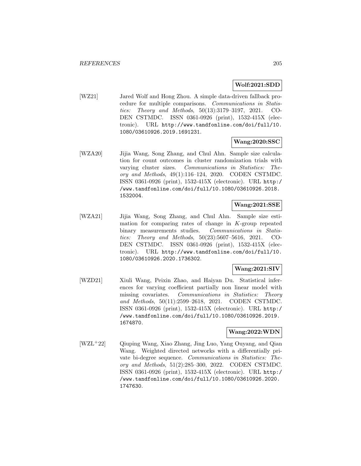## **Wolf:2021:SDD**

[WZ21] Jared Wolf and Hong Zhou. A simple data-driven fallback procedure for multiple comparisons. Communications in Statistics: Theory and Methods, 50(13):3179–3197, 2021. CO-DEN CSTMDC. ISSN 0361-0926 (print), 1532-415X (electronic). URL http://www.tandfonline.com/doi/full/10. 1080/03610926.2019.1691231.

## **Wang:2020:SSC**

[WZA20] Jijia Wang, Song Zhang, and Chul Ahn. Sample size calculation for count outcomes in cluster randomization trials with varying cluster sizes. Communications in Statistics: Theory and Methods, 49(1):116–124, 2020. CODEN CSTMDC. ISSN 0361-0926 (print), 1532-415X (electronic). URL http:/ /www.tandfonline.com/doi/full/10.1080/03610926.2018. 1532004.

## **Wang:2021:SSE**

[WZA21] Jijia Wang, Song Zhang, and Chul Ahn. Sample size estimation for comparing rates of change in K-group repeated binary measurements studies. Communications in Statistics: Theory and Methods, 50(23):5607–5616, 2021. CO-DEN CSTMDC. ISSN 0361-0926 (print), 1532-415X (electronic). URL http://www.tandfonline.com/doi/full/10. 1080/03610926.2020.1736302.

### **Wang:2021:SIV**

[WZD21] Xiuli Wang, Peixin Zhao, and Haiyan Du. Statistical inferences for varying coefficient partially non linear model with missing covariates. Communications in Statistics: Theory and Methods, 50(11):2599–2618, 2021. CODEN CSTMDC. ISSN 0361-0926 (print), 1532-415X (electronic). URL http:/ /www.tandfonline.com/doi/full/10.1080/03610926.2019. 1674870.

### **Wang:2022:WDN**

[WZL<sup>+</sup>22] Qiuping Wang, Xiao Zhang, Jing Luo, Yang Ouyang, and Qian Wang. Weighted directed networks with a differentially private bi-degree sequence. Communications in Statistics: Theory and Methods, 51(2):285–300, 2022. CODEN CSTMDC. ISSN 0361-0926 (print), 1532-415X (electronic). URL http:/ /www.tandfonline.com/doi/full/10.1080/03610926.2020. 1747630.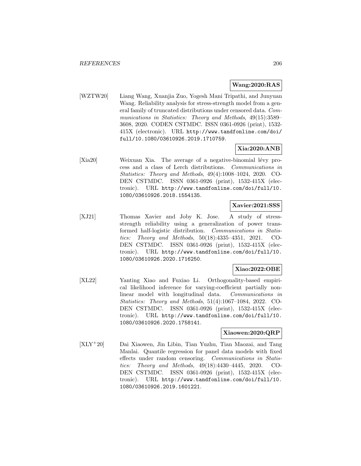## **Wang:2020:RAS**

[WZTW20] Liang Wang, Xuanjia Zuo, Yogesh Mani Tripathi, and Junyuan Wang. Reliability analysis for stress-strength model from a general family of truncated distributions under censored data. Communications in Statistics: Theory and Methods, 49(15):3589– 3608, 2020. CODEN CSTMDC. ISSN 0361-0926 (print), 1532- 415X (electronic). URL http://www.tandfonline.com/doi/ full/10.1080/03610926.2019.1710759.

## **Xia:2020:ANB**

[Xia20] Weixuan Xia. The average of a negative-binomial lévy process and a class of Lerch distributions. Communications in Statistics: Theory and Methods, 49(4):1008–1024, 2020. CO-DEN CSTMDC. ISSN 0361-0926 (print), 1532-415X (electronic). URL http://www.tandfonline.com/doi/full/10. 1080/03610926.2018.1554135.

## **Xavier:2021:SSS**

[XJ21] Thomas Xavier and Joby K. Jose. A study of stressstrength reliability using a generalization of power transformed half-logistic distribution. Communications in Statistics: Theory and Methods, 50(18):4335–4351, 2021. CO-DEN CSTMDC. ISSN 0361-0926 (print), 1532-415X (electronic). URL http://www.tandfonline.com/doi/full/10. 1080/03610926.2020.1716250.

## **Xiao:2022:OBE**

[XL22] Yanting Xiao and Fuxiao Li. Orthogonality-based empirical likelihood inference for varying-coefficient partially nonlinear model with longitudinal data. Communications in Statistics: Theory and Methods, 51(4):1067–1084, 2022. CO-DEN CSTMDC. ISSN 0361-0926 (print), 1532-415X (electronic). URL http://www.tandfonline.com/doi/full/10. 1080/03610926.2020.1758141.

### **Xiaowen:2020:QRP**

[XLY<sup>+</sup>20] Dai Xiaowen, Jin Libin, Tian Yuzhu, Tian Maozai, and Tang Manlai. Quantile regression for panel data models with fixed effects under random censoring. Communications in Statistics: Theory and Methods, 49(18):4430–4445, 2020. CO-DEN CSTMDC. ISSN 0361-0926 (print), 1532-415X (electronic). URL http://www.tandfonline.com/doi/full/10. 1080/03610926.2019.1601221.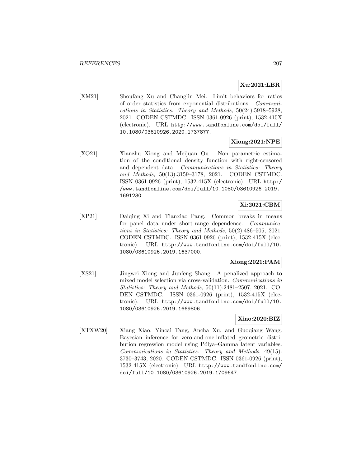# **Xu:2021:LBR**

[XM21] Shoufang Xu and Changlin Mei. Limit behaviors for ratios of order statistics from exponential distributions. Communications in Statistics: Theory and Methods, 50(24):5918–5928, 2021. CODEN CSTMDC. ISSN 0361-0926 (print), 1532-415X (electronic). URL http://www.tandfonline.com/doi/full/ 10.1080/03610926.2020.1737877.

## **Xiong:2021:NPE**

[XO21] Xianzhu Xiong and Meijuan Ou. Non parametric estimation of the conditional density function with right-censored and dependent data. Communications in Statistics: Theory and Methods, 50(13):3159–3178, 2021. CODEN CSTMDC. ISSN 0361-0926 (print), 1532-415X (electronic). URL http:/ /www.tandfonline.com/doi/full/10.1080/03610926.2019. 1691230.

# **Xi:2021:CBM**

[XP21] Daiqing Xi and Tianxiao Pang. Common breaks in means for panel data under short-range dependence. Communications in Statistics: Theory and Methods, 50(2):486–505, 2021. CODEN CSTMDC. ISSN 0361-0926 (print), 1532-415X (electronic). URL http://www.tandfonline.com/doi/full/10. 1080/03610926.2019.1637000.

## **Xiong:2021:PAM**

[XS21] Jingwei Xiong and Junfeng Shang. A penalized approach to mixed model selection via cross-validation. Communications in Statistics: Theory and Methods, 50(11):2481–2507, 2021. CO-DEN CSTMDC. ISSN 0361-0926 (print), 1532-415X (electronic). URL http://www.tandfonline.com/doi/full/10. 1080/03610926.2019.1669806.

## **Xiao:2020:BIZ**

[XTXW20] Xiang Xiao, Yincai Tang, Ancha Xu, and Guoqiang Wang. Bayesian inference for zero-and-one-inflated geometric distribution regression model using Pólya–Gamma latent variables. Communications in Statistics: Theory and Methods, 49(15): 3730–3743, 2020. CODEN CSTMDC. ISSN 0361-0926 (print), 1532-415X (electronic). URL http://www.tandfonline.com/ doi/full/10.1080/03610926.2019.1709647.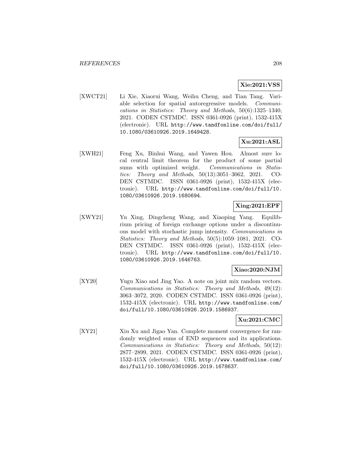# **Xie:2021:VSS**

[XWCT21] Li Xie, Xiaorui Wang, Weihu Cheng, and Tian Tang. Variable selection for spatial autoregressive models. Communications in Statistics: Theory and Methods, 50(6):1325–1340, 2021. CODEN CSTMDC. ISSN 0361-0926 (print), 1532-415X (electronic). URL http://www.tandfonline.com/doi/full/ 10.1080/03610926.2019.1649428.

## **Xu:2021:ASL**

[XWH21] Feng Xu, Binhui Wang, and Yawen Hou. Almost sure local central limit theorem for the product of some partial sums with optimized weight. Communications in Statistics: Theory and Methods, 50(13):3051–3062, 2021. CO-DEN CSTMDC. ISSN 0361-0926 (print), 1532-415X (electronic). URL http://www.tandfonline.com/doi/full/10. 1080/03610926.2019.1680694.

## **Xing:2021:EPF**

[XWY21] Yu Xing, Dingcheng Wang, and Xiaoping Yang. Equilibrium pricing of foreign exchange options under a discontinuous model with stochastic jump intensity. Communications in Statistics: Theory and Methods, 50(5):1059–1081, 2021. CO-DEN CSTMDC. ISSN 0361-0926 (print), 1532-415X (electronic). URL http://www.tandfonline.com/doi/full/10. 1080/03610926.2019.1646763.

### **Xiao:2020:NJM**

[XY20] Yugu Xiao and Jing Yao. A note on joint mix random vectors. Communications in Statistics: Theory and Methods, 49(12): 3063–3072, 2020. CODEN CSTMDC. ISSN 0361-0926 (print), 1532-415X (electronic). URL http://www.tandfonline.com/ doi/full/10.1080/03610926.2019.1586937.

# **Xu:2021:CMC**

[XY21] Xiu Xu and Jigao Yan. Complete moment convergence for randomly weighted sums of END sequences and its applications. Communications in Statistics: Theory and Methods, 50(12): 2877–2899, 2021. CODEN CSTMDC. ISSN 0361-0926 (print), 1532-415X (electronic). URL http://www.tandfonline.com/ doi/full/10.1080/03610926.2019.1678637.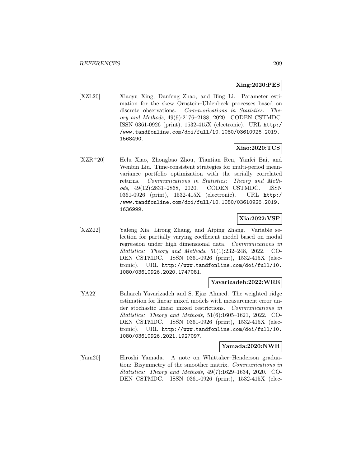## **Xing:2020:PES**

[XZL20] Xiaoyu Xing, Danfeng Zhao, and Bing Li. Parameter estimation for the skew Ornstein–Uhlenbeck processes based on discrete observations. Communications in Statistics: Theory and Methods, 49(9):2176–2188, 2020. CODEN CSTMDC. ISSN 0361-0926 (print), 1532-415X (electronic). URL http:/ /www.tandfonline.com/doi/full/10.1080/03610926.2019. 1568490.

## **Xiao:2020:TCS**

[XZR<sup>+</sup>20] Helu Xiao, Zhongbao Zhou, Tiantian Ren, Yanfei Bai, and Wenbin Liu. Time-consistent strategies for multi-period meanvariance portfolio optimization with the serially correlated returns. Communications in Statistics: Theory and Methods, 49(12):2831–2868, 2020. CODEN CSTMDC. ISSN 0361-0926 (print), 1532-415X (electronic). URL http:/ /www.tandfonline.com/doi/full/10.1080/03610926.2019. 1636999.

# **Xia:2022:VSP**

[XZZ22] Yafeng Xia, Lirong Zhang, and Aiping Zhang. Variable selection for partially varying coefficient model based on modal regression under high dimensional data. Communications in Statistics: Theory and Methods, 51(1):232–248, 2022. CO-DEN CSTMDC. ISSN 0361-0926 (print), 1532-415X (electronic). URL http://www.tandfonline.com/doi/full/10. 1080/03610926.2020.1747081.

### **Yavarizadeh:2022:WRE**

[YA22] Bahareh Yavarizadeh and S. Ejaz Ahmed. The weighted ridge estimation for linear mixed models with measurement error under stochastic linear mixed restrictions. Communications in Statistics: Theory and Methods, 51(6):1605–1621, 2022. CO-DEN CSTMDC. ISSN 0361-0926 (print), 1532-415X (electronic). URL http://www.tandfonline.com/doi/full/10. 1080/03610926.2021.1927097.

### **Yamada:2020:NWH**

[Yam20] Hiroshi Yamada. A note on Whittaker–Henderson graduation: Bisymmetry of the smoother matrix. Communications in Statistics: Theory and Methods, 49(7):1629–1634, 2020. CO-DEN CSTMDC. ISSN 0361-0926 (print), 1532-415X (elec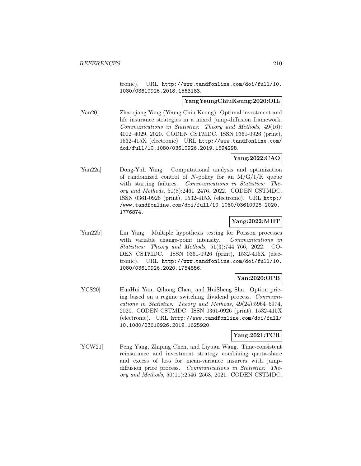tronic). URL http://www.tandfonline.com/doi/full/10. 1080/03610926.2018.1563183.

## **YangYeungChiuKeung:2020:OIL**

[Yan20] Zhaoqiang Yang (Yeung Chiu Keung). Optimal investment and life insurance strategies in a mixed jump-diffusion framework. Communications in Statistics: Theory and Methods, 49(16): 4002–4029, 2020. CODEN CSTMDC. ISSN 0361-0926 (print), 1532-415X (electronic). URL http://www.tandfonline.com/ doi/full/10.1080/03610926.2019.1594298.

# **Yang:2022:CAO**

[Yan22a] Dong-Yuh Yang. Computational analysis and optimization of randomized control of N-policy for an  $M/G/1/K$  queue with starting failures. Communications in Statistics: Theory and Methods, 51(8):2461–2476, 2022. CODEN CSTMDC. ISSN 0361-0926 (print), 1532-415X (electronic). URL http:/ /www.tandfonline.com/doi/full/10.1080/03610926.2020. 1776874.

### **Yang:2022:MHT**

[Yan22b] Lin Yang. Multiple hypothesis testing for Poisson processes with variable change-point intensity. Communications in Statistics: Theory and Methods, 51(3):744–766, 2022. CO-DEN CSTMDC. ISSN 0361-0926 (print), 1532-415X (electronic). URL http://www.tandfonline.com/doi/full/10. 1080/03610926.2020.1754856.

# **Yan:2020:OPB**

[YCS20] HuaHui Yan, Qihong Chen, and HuiSheng Shu. Option pricing based on a regime switching dividend process. Communications in Statistics: Theory and Methods, 49(24):5964–5974, 2020. CODEN CSTMDC. ISSN 0361-0926 (print), 1532-415X (electronic). URL http://www.tandfonline.com/doi/full/ 10.1080/03610926.2019.1625920.

### **Yang:2021:TCR**

[YCW21] Peng Yang, Zhiping Chen, and Liyuan Wang. Time-consistent reinsurance and investment strategy combining quota-share and excess of loss for mean-variance insurers with jumpdiffusion price process. Communications in Statistics: Theory and Methods, 50(11):2546–2568, 2021. CODEN CSTMDC.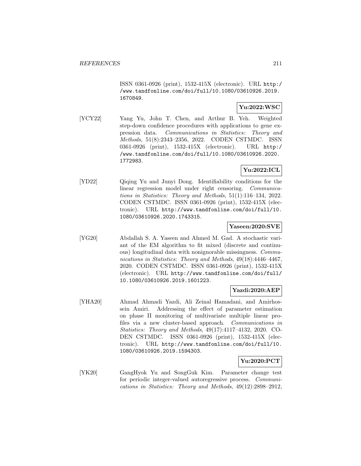ISSN 0361-0926 (print), 1532-415X (electronic). URL http:/ /www.tandfonline.com/doi/full/10.1080/03610926.2019. 1670849.

# **Yu:2022:WSC**

[YCY22] Yang Yu, John T. Chen, and Arthur B. Yeh. Weighted step-down confidence procedures with applications to gene expression data. Communications in Statistics: Theory and Methods, 51(8):2343–2356, 2022. CODEN CSTMDC. ISSN 0361-0926 (print), 1532-415X (electronic). URL http:/ /www.tandfonline.com/doi/full/10.1080/03610926.2020. 1772983.

# **Yu:2022:ICL**

[YD22] Qiqing Yu and Junyi Dong. Identifiability conditions for the linear regression model under right censoring. Communications in Statistics: Theory and Methods, 51(1):116–134, 2022. CODEN CSTMDC. ISSN 0361-0926 (print), 1532-415X (electronic). URL http://www.tandfonline.com/doi/full/10. 1080/03610926.2020.1743315.

## **Yaseen:2020:SVE**

[YG20] Abdallah S. A. Yaseen and Ahmed M. Gad. A stochastic variant of the EM algorithm to fit mixed (discrete and continuous) longitudinal data with nonignorable missingness. Communications in Statistics: Theory and Methods, 49(18):4446-4467, 2020. CODEN CSTMDC. ISSN 0361-0926 (print), 1532-415X (electronic). URL http://www.tandfonline.com/doi/full/ 10.1080/03610926.2019.1601223.

## **Yazdi:2020:AEP**

[YHA20] Ahmad Ahmadi Yazdi, Ali Zeinal Hamadani, and Amirhossein Amiri. Addressing the effect of parameter estimation on phase II monitoring of multivariate multiple linear profiles via a new cluster-based approach. Communications in Statistics: Theory and Methods, 49(17):4117–4132, 2020. CO-DEN CSTMDC. ISSN 0361-0926 (print), 1532-415X (electronic). URL http://www.tandfonline.com/doi/full/10. 1080/03610926.2019.1594303.

### **Yu:2020:PCT**

[YK20] GangHyok Yu and SongGuk Kim. Parameter change test for periodic integer-valued autoregressive process. Communications in Statistics: Theory and Methods, 49(12):2898–2912,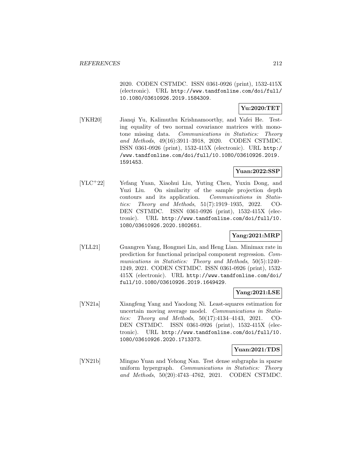2020. CODEN CSTMDC. ISSN 0361-0926 (print), 1532-415X (electronic). URL http://www.tandfonline.com/doi/full/ 10.1080/03610926.2019.1584309.

# **Yu:2020:TET**

[YKH20] Jianqi Yu, Kalimuthu Krishnamoorthy, and Yafei He. Testing equality of two normal covariance matrices with monotone missing data. Communications in Statistics: Theory and Methods, 49(16):3911–3918, 2020. CODEN CSTMDC. ISSN 0361-0926 (print), 1532-415X (electronic). URL http:/ /www.tandfonline.com/doi/full/10.1080/03610926.2019. 1591453.

# **Yuan:2022:SSP**

[YLC<sup>+</sup>22] Yefang Yuan, Xiaohui Liu, Yuting Chen, Yuxin Dong, and Yuzi Liu. On similarity of the sample projection depth contours and its application. Communications in Statistics: Theory and Methods, 51(7):1919–1935, 2022. CO-DEN CSTMDC. ISSN 0361-0926 (print), 1532-415X (electronic). URL http://www.tandfonline.com/doi/full/10. 1080/03610926.2020.1802651.

## **Yang:2021:MRP**

[YLL21] Guangren Yang, Hongmei Lin, and Heng Lian. Minimax rate in prediction for functional principal component regression. Communications in Statistics: Theory and Methods, 50(5):1240– 1249, 2021. CODEN CSTMDC. ISSN 0361-0926 (print), 1532- 415X (electronic). URL http://www.tandfonline.com/doi/ full/10.1080/03610926.2019.1649429.

## **Yang:2021:LSE**

[YN21a] Xiangfeng Yang and Yaodong Ni. Least-squares estimation for uncertain moving average model. Communications in Statistics: Theory and Methods, 50(17):4134–4143, 2021. CO-DEN CSTMDC. ISSN 0361-0926 (print), 1532-415X (electronic). URL http://www.tandfonline.com/doi/full/10. 1080/03610926.2020.1713373.

## **Yuan:2021:TDS**

[YN21b] Mingao Yuan and Yehong Nan. Test dense subgraphs in sparse uniform hypergraph. Communications in Statistics: Theory and Methods, 50(20):4743–4762, 2021. CODEN CSTMDC.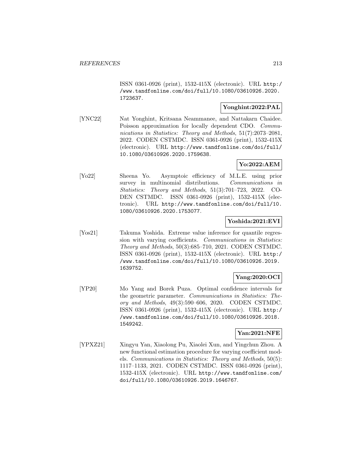ISSN 0361-0926 (print), 1532-415X (electronic). URL http:/ /www.tandfonline.com/doi/full/10.1080/03610926.2020. 1723637.

## **Yonghint:2022:PAL**

[YNC22] Nat Yonghint, Kritsana Neammanee, and Nattakarn Chaidee. Poisson approximation for locally dependent CDO. Communications in Statistics: Theory and Methods, 51(7):2073–2081, 2022. CODEN CSTMDC. ISSN 0361-0926 (print), 1532-415X (electronic). URL http://www.tandfonline.com/doi/full/ 10.1080/03610926.2020.1759638.

# **Yo:2022:AEM**

[Yo22] Sheena Yo. Asymptoic efficiency of M.L.E. using prior survey in multinomial distributions. Communications in Statistics: Theory and Methods, 51(3):701–723, 2022. CO-DEN CSTMDC. ISSN 0361-0926 (print), 1532-415X (electronic). URL http://www.tandfonline.com/doi/full/10. 1080/03610926.2020.1753077.

### **Yoshida:2021:EVI**

[Yos21] Takuma Yoshida. Extreme value inference for quantile regression with varying coefficients. Communications in Statistics: Theory and Methods, 50(3):685–710, 2021. CODEN CSTMDC. ISSN 0361-0926 (print), 1532-415X (electronic). URL http:/ /www.tandfonline.com/doi/full/10.1080/03610926.2019. 1639752.

## **Yang:2020:OCI**

[YP20] Mo Yang and Borek Puza. Optimal confidence intervals for the geometric parameter. Communications in Statistics: Theory and Methods, 49(3):590–606, 2020. CODEN CSTMDC. ISSN 0361-0926 (print), 1532-415X (electronic). URL http:/ /www.tandfonline.com/doi/full/10.1080/03610926.2018. 1549242.

### **Yan:2021:NFE**

[YPXZ21] Xingyu Yan, Xiaolong Pu, Xiaolei Xun, and Yingchun Zhou. A new functional estimation procedure for varying coefficient models. Communications in Statistics: Theory and Methods, 50(5): 1117–1133, 2021. CODEN CSTMDC. ISSN 0361-0926 (print), 1532-415X (electronic). URL http://www.tandfonline.com/ doi/full/10.1080/03610926.2019.1646767.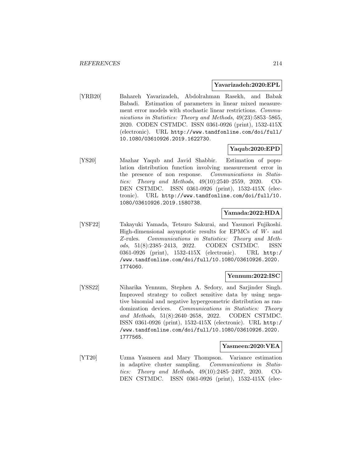#### **Yavarizadeh:2020:EPL**

[YRB20] Bahareh Yavarizadeh, Abdolrahman Rasekh, and Babak Babadi. Estimation of parameters in linear mixed measurement error models with stochastic linear restrictions. Communications in Statistics: Theory and Methods, 49(23):5853-5865, 2020. CODEN CSTMDC. ISSN 0361-0926 (print), 1532-415X (electronic). URL http://www.tandfonline.com/doi/full/ 10.1080/03610926.2019.1622730.

### **Yaqub:2020:EPD**

[YS20] Mazhar Yaqub and Javid Shabbir. Estimation of population distribution function involving measurement error in the presence of non response. Communications in Statistics: Theory and Methods, 49(10):2540–2559, 2020. CO-DEN CSTMDC. ISSN 0361-0926 (print), 1532-415X (electronic). URL http://www.tandfonline.com/doi/full/10. 1080/03610926.2019.1580738.

## **Yamada:2022:HDA**

[YSF22] Takayuki Yamada, Tetsuro Sakurai, and Yasunori Fujikoshi. High-dimensional asymptotic results for EPMCs of W- and Z-rules. Communications in Statistics: Theory and Methods, 51(8):2385–2413, 2022. CODEN CSTMDC. ISSN 0361-0926 (print), 1532-415X (electronic). URL http:/ /www.tandfonline.com/doi/full/10.1080/03610926.2020. 1774060.

### **Yennum:2022:ISC**

[YSS22] Niharika Yennum, Stephen A. Sedory, and Sarjinder Singh. Improved strategy to collect sensitive data by using negative binomial and negative hypergeometric distribution as randomization devices. Communications in Statistics: Theory and Methods, 51(8):2640–2658, 2022. CODEN CSTMDC. ISSN 0361-0926 (print), 1532-415X (electronic). URL http:/ /www.tandfonline.com/doi/full/10.1080/03610926.2020. 1777565.

#### **Yasmeen:2020:VEA**

[YT20] Uzma Yasmeen and Mary Thompson. Variance estimation in adaptive cluster sampling. Communications in Statistics: Theory and Methods, 49(10):2485–2497, 2020. CO-DEN CSTMDC. ISSN 0361-0926 (print), 1532-415X (elec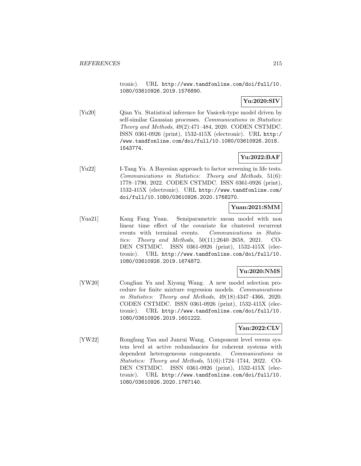tronic). URL http://www.tandfonline.com/doi/full/10. 1080/03610926.2019.1576890.

# **Yu:2020:SIV**

[Yu20] Qian Yu. Statistical inference for Vasicek-type model driven by self-similar Gaussian processes. Communications in Statistics: Theory and Methods, 49(2):471–484, 2020. CODEN CSTMDC. ISSN 0361-0926 (print), 1532-415X (electronic). URL http:/ /www.tandfonline.com/doi/full/10.1080/03610926.2018. 1543774.

# **Yu:2022:BAF**

[Yu22] I-Tang Yu. A Bayesian approach to factor screening in life tests. Communications in Statistics: Theory and Methods, 51(6): 1778–1790, 2022. CODEN CSTMDC. ISSN 0361-0926 (print), 1532-415X (electronic). URL http://www.tandfonline.com/ doi/full/10.1080/03610926.2020.1768270.

### **Yuan:2021:SMM**

[Yua21] Kang Fang Yuan. Semiparametric mean model with non linear time effect of the covariate for clustered recurrent events with terminal events. Communications in Statistics: Theory and Methods, 50(11):2640–2658, 2021. CO-DEN CSTMDC. ISSN 0361-0926 (print), 1532-415X (electronic). URL http://www.tandfonline.com/doi/full/10. 1080/03610926.2019.1674872.

# **Yu:2020:NMS**

[YW20] Conglian Yu and Xiyang Wang. A new model selection procedure for finite mixture regression models. Communications in Statistics: Theory and Methods, 49(18):4347–4366, 2020. CODEN CSTMDC. ISSN 0361-0926 (print), 1532-415X (electronic). URL http://www.tandfonline.com/doi/full/10. 1080/03610926.2019.1601222.

## **Yan:2022:CLV**

[YW22] Rongfang Yan and Junrui Wang. Component level versus system level at active redundancies for coherent systems with dependent heterogeneous components. Communications in Statistics: Theory and Methods, 51(6):1724–1744, 2022. CO-DEN CSTMDC. ISSN 0361-0926 (print), 1532-415X (electronic). URL http://www.tandfonline.com/doi/full/10. 1080/03610926.2020.1767140.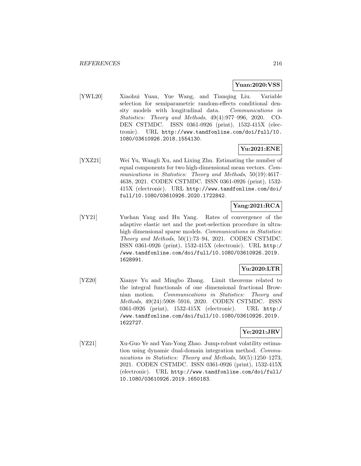#### **Yuan:2020:VSS**

[YWL20] Xiaohui Yuan, Yue Wang, and Tianqing Liu. Variable selection for semiparametric random-effects conditional density models with longitudinal data. Communications in Statistics: Theory and Methods, 49(4):977–996, 2020. CO-DEN CSTMDC. ISSN 0361-0926 (print), 1532-415X (electronic). URL http://www.tandfonline.com/doi/full/10. 1080/03610926.2018.1554130.

## **Yu:2021:ENE**

[YXZ21] Wei Yu, Wangli Xu, and Lixing Zhu. Estimating the number of equal components for two high-dimensional mean vectors. Communications in Statistics: Theory and Methods, 50(19):4617– 4638, 2021. CODEN CSTMDC. ISSN 0361-0926 (print), 1532- 415X (electronic). URL http://www.tandfonline.com/doi/ full/10.1080/03610926.2020.1722842.

# **Yang:2021:RCA**

[YY21] Yuehan Yang and Hu Yang. Rates of convergence of the adaptive elastic net and the post-selection procedure in ultrahigh dimensional sparse models. *Communications in Statistics:* Theory and Methods, 50(1):73–94, 2021. CODEN CSTMDC. ISSN 0361-0926 (print), 1532-415X (electronic). URL http:/ /www.tandfonline.com/doi/full/10.1080/03610926.2019. 1628991.

# **Yu:2020:LTR**

[YZ20] Xianye Yu and Mingbo Zhang. Limit theorems related to the integral functionals of one dimensional fractional Brownian motion. Communications in Statistics: Theory and Methods, 49(24):5908–5916, 2020. CODEN CSTMDC. ISSN 0361-0926 (print), 1532-415X (electronic). URL http:/ /www.tandfonline.com/doi/full/10.1080/03610926.2019. 1622727.

## **Ye:2021:JRV**

[YZ21] Xu-Guo Ye and Yan-Yong Zhao. Jump-robust volatility estimation using dynamic dual-domain integration method. Communications in Statistics: Theory and Methods, 50(5):1250–1273, 2021. CODEN CSTMDC. ISSN 0361-0926 (print), 1532-415X (electronic). URL http://www.tandfonline.com/doi/full/ 10.1080/03610926.2019.1650183.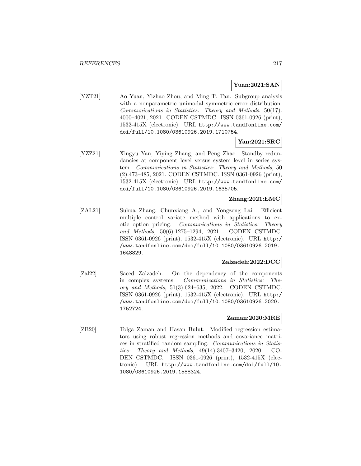#### **Yuan:2021:SAN**

[YZT21] Ao Yuan, Yizhao Zhou, and Ming T. Tan. Subgroup analysis with a nonparametric unimodal symmetric error distribution. Communications in Statistics: Theory and Methods, 50(17): 4000–4021, 2021. CODEN CSTMDC. ISSN 0361-0926 (print), 1532-415X (electronic). URL http://www.tandfonline.com/ doi/full/10.1080/03610926.2019.1710754.

### **Yan:2021:SRC**

[YZZ21] Xingyu Yan, Yiying Zhang, and Peng Zhao. Standby redundancies at component level versus system level in series system. Communications in Statistics: Theory and Methods, 50 (2):473–485, 2021. CODEN CSTMDC. ISSN 0361-0926 (print), 1532-415X (electronic). URL http://www.tandfonline.com/ doi/full/10.1080/03610926.2019.1635705.

### **Zhang:2021:EMC**

[ZAL21] Suhua Zhang, Chunxiang A., and Yongzeng Lai. Efficient multiple control variate method with applications to exotic option pricing. Communications in Statistics: Theory and Methods, 50(6):1275–1294, 2021. CODEN CSTMDC. ISSN 0361-0926 (print), 1532-415X (electronic). URL http:/ /www.tandfonline.com/doi/full/10.1080/03610926.2019. 1648829.

#### **Zalzadeh:2022:DCC**

[Zal22] Saeed Zalzadeh. On the dependency of the components in complex systems. Communications in Statistics: Theory and Methods, 51(3):624–635, 2022. CODEN CSTMDC. ISSN 0361-0926 (print), 1532-415X (electronic). URL http:/ /www.tandfonline.com/doi/full/10.1080/03610926.2020. 1752724.

#### **Zaman:2020:MRE**

[ZB20] Tolga Zaman and Hasan Bulut. Modified regression estimators using robust regression methods and covariance matrices in stratified random sampling. Communications in Statistics: Theory and Methods, 49(14):3407–3420, 2020. CO-DEN CSTMDC. ISSN 0361-0926 (print), 1532-415X (electronic). URL http://www.tandfonline.com/doi/full/10. 1080/03610926.2019.1588324.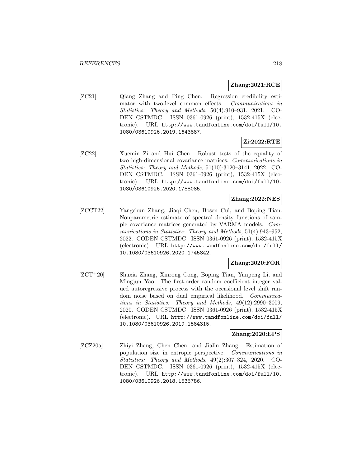### **Zhang:2021:RCE**

[ZC21] Qiang Zhang and Ping Chen. Regression credibility estimator with two-level common effects. Communications in Statistics: Theory and Methods, 50(4):910–931, 2021. CO-DEN CSTMDC. ISSN 0361-0926 (print), 1532-415X (electronic). URL http://www.tandfonline.com/doi/full/10. 1080/03610926.2019.1643887.

# **Zi:2022:RTE**

[ZC22] Xuemin Zi and Hui Chen. Robust tests of the equality of two high-dimensional covariance matrices. Communications in Statistics: Theory and Methods, 51(10):3120–3141, 2022. CO-DEN CSTMDC. ISSN 0361-0926 (print), 1532-415X (electronic). URL http://www.tandfonline.com/doi/full/10. 1080/03610926.2020.1788085.

### **Zhang:2022:NES**

[ZCCT22] Yangchun Zhang, Jiaqi Chen, Bosen Cui, and Boping Tian. Nonparametric estimate of spectral density functions of sample covariance matrices generated by VARMA models. Communications in Statistics: Theory and Methods, 51(4):943–952, 2022. CODEN CSTMDC. ISSN 0361-0926 (print), 1532-415X (electronic). URL http://www.tandfonline.com/doi/full/ 10.1080/03610926.2020.1745842.

### **Zhang:2020:FOR**

[ZCT<sup>+</sup>20] Shuxia Zhang, Xinrong Cong, Boping Tian, Yanpeng Li, and Mingjun Yao. The first-order random coefficient integer valued autoregressive process with the occasional level shift random noise based on dual empirical likelihood. Communications in Statistics: Theory and Methods, 49(12):2990–3009, 2020. CODEN CSTMDC. ISSN 0361-0926 (print), 1532-415X (electronic). URL http://www.tandfonline.com/doi/full/ 10.1080/03610926.2019.1584315.

#### **Zhang:2020:EPS**

[ZCZ20a] Zhiyi Zhang, Chen Chen, and Jialin Zhang. Estimation of population size in entropic perspective. Communications in Statistics: Theory and Methods, 49(2):307–324, 2020. CO-DEN CSTMDC. ISSN 0361-0926 (print), 1532-415X (electronic). URL http://www.tandfonline.com/doi/full/10. 1080/03610926.2018.1536786.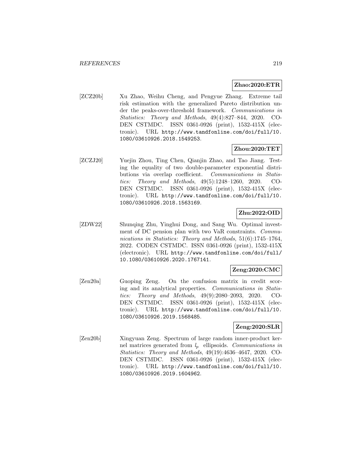#### **Zhao:2020:ETR**

[ZCZ20b] Xu Zhao, Weihu Cheng, and Pengyue Zhang. Extreme tail risk estimation with the generalized Pareto distribution under the peaks-over-threshold framework. Communications in Statistics: Theory and Methods, 49(4):827–844, 2020. CO-DEN CSTMDC. ISSN 0361-0926 (print), 1532-415X (electronic). URL http://www.tandfonline.com/doi/full/10. 1080/03610926.2018.1549253.

#### **Zhou:2020:TET**

[ZCZJ20] Yuejin Zhou, Ting Chen, Qianjin Zhao, and Tao Jiang. Testing the equality of two double-parameter exponential distributions via overlap coefficient. Communications in Statistics: Theory and Methods, 49(5):1248–1260, 2020. CO-DEN CSTMDC. ISSN 0361-0926 (print), 1532-415X (electronic). URL http://www.tandfonline.com/doi/full/10. 1080/03610926.2018.1563169.

# **Zhu:2022:OID**

[ZDW22] Shunqing Zhu, Yinghui Dong, and Sang Wu. Optimal investment of DC pension plan with two VaR constraints. Communications in Statistics: Theory and Methods, 51(6):1745–1764, 2022. CODEN CSTMDC. ISSN 0361-0926 (print), 1532-415X (electronic). URL http://www.tandfonline.com/doi/full/ 10.1080/03610926.2020.1767141.

#### **Zeng:2020:CMC**

[Zen20a] Guoping Zeng. On the confusion matrix in credit scoring and its analytical properties. Communications in Statistics: Theory and Methods, 49(9):2080–2093, 2020. CO-DEN CSTMDC. ISSN 0361-0926 (print), 1532-415X (electronic). URL http://www.tandfonline.com/doi/full/10. 1080/03610926.2019.1568485.

## **Zeng:2020:SLR**

[Zen20b] Xingyuan Zeng. Spectrum of large random inner-product kernel matrices generated from  $l_p$  ellipsoids. Communications in Statistics: Theory and Methods, 49(19):4636–4647, 2020. CO-DEN CSTMDC. ISSN 0361-0926 (print), 1532-415X (electronic). URL http://www.tandfonline.com/doi/full/10. 1080/03610926.2019.1604962.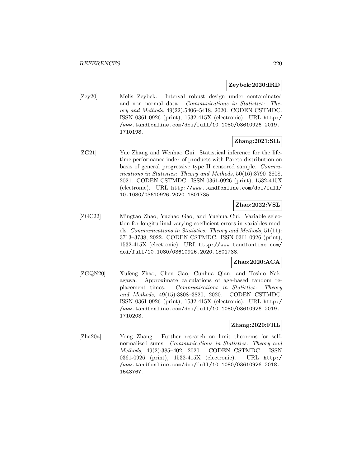#### **Zeybek:2020:IRD**

[Zey20] Melis Zeybek. Interval robust design under contaminated and non normal data. Communications in Statistics: Theory and Methods, 49(22):5406–5418, 2020. CODEN CSTMDC. ISSN 0361-0926 (print), 1532-415X (electronic). URL http:/ /www.tandfonline.com/doi/full/10.1080/03610926.2019. 1710198.

# **Zhang:2021:SIL**

[ZG21] Yue Zhang and Wenhao Gui. Statistical inference for the lifetime performance index of products with Pareto distribution on basis of general progressive type II censored sample. Communications in Statistics: Theory and Methods, 50(16):3790–3808, 2021. CODEN CSTMDC. ISSN 0361-0926 (print), 1532-415X (electronic). URL http://www.tandfonline.com/doi/full/ 10.1080/03610926.2020.1801735.

### **Zhao:2022:VSL**

[ZGC22] Mingtao Zhao, Yuzhao Gao, and Yuehua Cui. Variable selection for longitudinal varying coefficient errors-in-variables models. Communications in Statistics: Theory and Methods, 51(11): 3713–3738, 2022. CODEN CSTMDC. ISSN 0361-0926 (print), 1532-415X (electronic). URL http://www.tandfonline.com/ doi/full/10.1080/03610926.2020.1801738.

### **Zhao:2020:ACA**

[ZGQN20] Xufeng Zhao, Chen Gao, Cunhua Qian, and Toshio Nakagawa. Approximate calculations of age-based random replacement times. Communications in Statistics: Theory and Methods, 49(15):3808–3820, 2020. CODEN CSTMDC. ISSN 0361-0926 (print), 1532-415X (electronic). URL http:/ /www.tandfonline.com/doi/full/10.1080/03610926.2019. 1710203.

#### **Zhang:2020:FRL**

[Zha20a] Yong Zhang. Further research on limit theorems for selfnormalized sums. Communications in Statistics: Theory and Methods, 49(2):385–402, 2020. CODEN CSTMDC. ISSN 0361-0926 (print), 1532-415X (electronic). URL http:/ /www.tandfonline.com/doi/full/10.1080/03610926.2018. 1543767.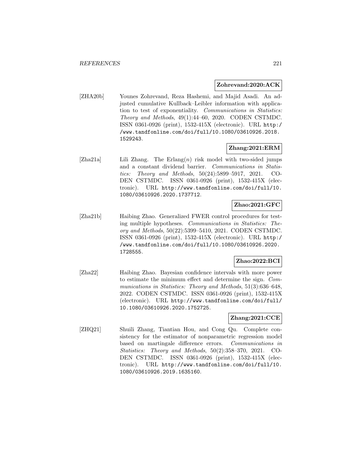#### **Zohrevand:2020:ACK**

[ZHA20b] Younes Zohrevand, Reza Hashemi, and Majid Asadi. An adjusted cumulative Kullback–Leibler information with application to test of exponentiality. Communications in Statistics: Theory and Methods, 49(1):44–60, 2020. CODEN CSTMDC. ISSN 0361-0926 (print), 1532-415X (electronic). URL http:/ /www.tandfonline.com/doi/full/10.1080/03610926.2018. 1529243.

#### **Zhang:2021:ERM**

[Zha21a] Lili Zhang. The Erlang $(n)$  risk model with two-sided jumps and a constant dividend barrier. Communications in Statistics: Theory and Methods, 50(24):5899–5917, 2021. CO-DEN CSTMDC. ISSN 0361-0926 (print), 1532-415X (electronic). URL http://www.tandfonline.com/doi/full/10. 1080/03610926.2020.1737712.

### **Zhao:2021:GFC**

[Zha21b] Haibing Zhao. Generalized FWER control procedures for testing multiple hypotheses. Communications in Statistics: Theory and Methods, 50(22):5399–5410, 2021. CODEN CSTMDC. ISSN 0361-0926 (print), 1532-415X (electronic). URL http:/ /www.tandfonline.com/doi/full/10.1080/03610926.2020. 1728555.

#### **Zhao:2022:BCI**

[Zha22] Haibing Zhao. Bayesian confidence intervals with more power to estimate the minimum effect and determine the sign. Communications in Statistics: Theory and Methods, 51(3):636–648, 2022. CODEN CSTMDC. ISSN 0361-0926 (print), 1532-415X (electronic). URL http://www.tandfonline.com/doi/full/ 10.1080/03610926.2020.1752725.

#### **Zhang:2021:CCE**

[ZHQ21] Shuili Zhang, Tiantian Hou, and Cong Qu. Complete consistency for the estimator of nonparametric regression model based on martingale difference errors. Communications in Statistics: Theory and Methods, 50(2):358–370, 2021. CO-DEN CSTMDC. ISSN 0361-0926 (print), 1532-415X (electronic). URL http://www.tandfonline.com/doi/full/10. 1080/03610926.2019.1635160.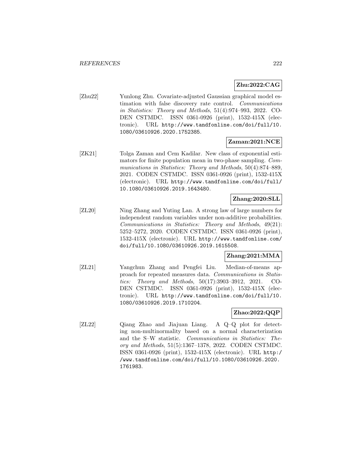# **Zhu:2022:CAG**

[Zhu22] Yunlong Zhu. Covariate-adjusted Gaussian graphical model estimation with false discovery rate control. Communications in Statistics: Theory and Methods, 51(4):974–993, 2022. CO-DEN CSTMDC. ISSN 0361-0926 (print), 1532-415X (electronic). URL http://www.tandfonline.com/doi/full/10. 1080/03610926.2020.1752385.

### **Zaman:2021:NCE**

[ZK21] Tolga Zaman and Cem Kadilar. New class of exponential estimators for finite population mean in two-phase sampling. Communications in Statistics: Theory and Methods, 50(4):874–889, 2021. CODEN CSTMDC. ISSN 0361-0926 (print), 1532-415X (electronic). URL http://www.tandfonline.com/doi/full/ 10.1080/03610926.2019.1643480.

### **Zhang:2020:SLL**

[ZL20] Ning Zhang and Yuting Lan. A strong law of large numbers for independent random variables under non-additive probabilities. Communications in Statistics: Theory and Methods, 49(21): 5252–5272, 2020. CODEN CSTMDC. ISSN 0361-0926 (print), 1532-415X (electronic). URL http://www.tandfonline.com/ doi/full/10.1080/03610926.2019.1615508.

#### **Zhang:2021:MMA**

[ZL21] Yangchun Zhang and Pengfei Liu. Median-of-means approach for repeated measures data. Communications in Statistics: Theory and Methods, 50(17):3903–3912, 2021. CO-DEN CSTMDC. ISSN 0361-0926 (print), 1532-415X (electronic). URL http://www.tandfonline.com/doi/full/10. 1080/03610926.2019.1710204.

# **Zhao:2022:QQP**

[ZL22] Qiang Zhao and Jiajuan Liang. A Q–Q plot for detecting non-multinormality based on a normal characterization and the S–W statistic. Communications in Statistics: Theory and Methods, 51(5):1367–1378, 2022. CODEN CSTMDC. ISSN 0361-0926 (print), 1532-415X (electronic). URL http:/ /www.tandfonline.com/doi/full/10.1080/03610926.2020. 1761983.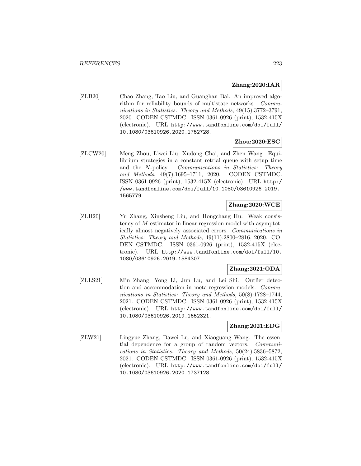### **Zhang:2020:IAR**

[ZLB20] Chao Zhang, Tao Liu, and Guanghan Bai. An improved algorithm for reliability bounds of multistate networks. Communications in Statistics: Theory and Methods, 49(15):3772–3791, 2020. CODEN CSTMDC. ISSN 0361-0926 (print), 1532-415X (electronic). URL http://www.tandfonline.com/doi/full/ 10.1080/03610926.2020.1752728.

#### **Zhou:2020:ESC**

[ZLCW20] Meng Zhou, Liwei Liu, Xudong Chai, and Zhen Wang. Equilibrium strategies in a constant retrial queue with setup time and the N-policy. Communications in Statistics: Theory and Methods, 49(7):1695–1711, 2020. CODEN CSTMDC. ISSN 0361-0926 (print), 1532-415X (electronic). URL http:/ /www.tandfonline.com/doi/full/10.1080/03610926.2019. 1565779.

### **Zhang:2020:WCE**

[ZLH20] Yu Zhang, Xinsheng Liu, and Hongchang Hu. Weak consistency of M-estimator in linear regression model with asymptotically almost negatively associated errors. Communications in Statistics: Theory and Methods, 49(11):2800–2816, 2020. CO-DEN CSTMDC. ISSN 0361-0926 (print), 1532-415X (electronic). URL http://www.tandfonline.com/doi/full/10. 1080/03610926.2019.1584307.

#### **Zhang:2021:ODA**

[ZLLS21] Min Zhang, Yong Li, Jun Lu, and Lei Shi. Outlier detection and accommodation in meta-regression models. Communications in Statistics: Theory and Methods, 50(8):1728–1744, 2021. CODEN CSTMDC. ISSN 0361-0926 (print), 1532-415X (electronic). URL http://www.tandfonline.com/doi/full/ 10.1080/03610926.2019.1652321.

#### **Zhang:2021:EDG**

[ZLW21] Lingyue Zhang, Dawei Lu, and Xiaoguang Wang. The essential dependence for a group of random vectors. Communications in Statistics: Theory and Methods, 50(24):5836–5872, 2021. CODEN CSTMDC. ISSN 0361-0926 (print), 1532-415X (electronic). URL http://www.tandfonline.com/doi/full/ 10.1080/03610926.2020.1737128.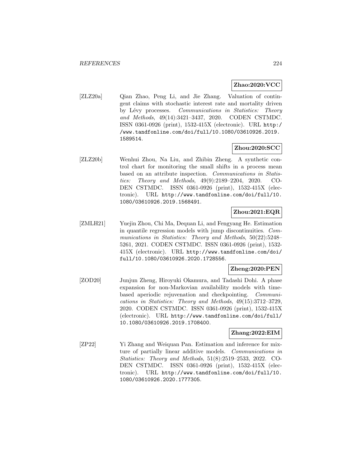#### **Zhao:2020:VCC**

[ZLZ20a] Qian Zhao, Peng Li, and Jie Zhang. Valuation of contingent claims with stochastic interest rate and mortality driven by Lévy processes. Communications in Statistics: Theory and Methods, 49(14):3421–3437, 2020. CODEN CSTMDC. ISSN 0361-0926 (print), 1532-415X (electronic). URL http:/ /www.tandfonline.com/doi/full/10.1080/03610926.2019. 1589514.

#### **Zhou:2020:SCC**

[ZLZ20b] Wenhui Zhou, Na Liu, and Zhibin Zheng. A synthetic control chart for monitoring the small shifts in a process mean based on an attribute inspection. Communications in Statistics: Theory and Methods, 49(9):2189–2204, 2020. CO-DEN CSTMDC. ISSN 0361-0926 (print), 1532-415X (electronic). URL http://www.tandfonline.com/doi/full/10. 1080/03610926.2019.1568491.

### **Zhou:2021:EQR**

[ZMLH21] Yuejin Zhou, Chi Ma, Dequan Li, and Fengyang He. Estimation in quantile regression models with jump discontinuities. Communications in Statistics: Theory and Methods, 50(22):5248– 5261, 2021. CODEN CSTMDC. ISSN 0361-0926 (print), 1532- 415X (electronic). URL http://www.tandfonline.com/doi/ full/10.1080/03610926.2020.1728556.

#### **Zheng:2020:PEN**

[ZOD20] Junjun Zheng, Hiroyuki Okamura, and Tadashi Dohi. A phase expansion for non-Markovian availability models with timebased aperiodic rejuvenation and checkpointing. Communications in Statistics: Theory and Methods, 49(15):3712–3729, 2020. CODEN CSTMDC. ISSN 0361-0926 (print), 1532-415X (electronic). URL http://www.tandfonline.com/doi/full/ 10.1080/03610926.2019.1708400.

#### **Zhang:2022:EIM**

[ZP22] Yi Zhang and Weiquan Pan. Estimation and inference for mixture of partially linear additive models. Communications in Statistics: Theory and Methods, 51(8):2519–2533, 2022. CO-DEN CSTMDC. ISSN 0361-0926 (print), 1532-415X (electronic). URL http://www.tandfonline.com/doi/full/10. 1080/03610926.2020.1777305.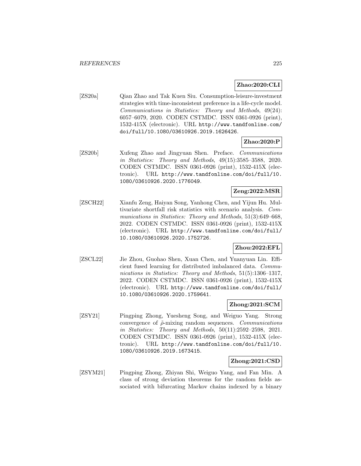### **Zhao:2020:CLI**

[ZS20a] Qian Zhao and Tak Kuen Siu. Consumption-leisure-investment strategies with time-inconsistent preference in a life-cycle model. Communications in Statistics: Theory and Methods, 49(24): 6057–6079, 2020. CODEN CSTMDC. ISSN 0361-0926 (print), 1532-415X (electronic). URL http://www.tandfonline.com/ doi/full/10.1080/03610926.2019.1626426.

### **Zhao:2020:P**

[ZS20b] Xufeng Zhao and Jingyuan Shen. Preface. Communications in Statistics: Theory and Methods, 49(15):3585–3588, 2020. CODEN CSTMDC. ISSN 0361-0926 (print), 1532-415X (electronic). URL http://www.tandfonline.com/doi/full/10. 1080/03610926.2020.1776049.

### **Zeng:2022:MSR**

[ZSCH22] Xianfu Zeng, Haiyan Song, Yanhong Chen, and Yijun Hu. Multivariate shortfall risk statistics with scenario analysis. Communications in Statistics: Theory and Methods, 51(3):649–668, 2022. CODEN CSTMDC. ISSN 0361-0926 (print), 1532-415X (electronic). URL http://www.tandfonline.com/doi/full/ 10.1080/03610926.2020.1752726.

### **Zhou:2022:EFL**

[ZSCL22] Jie Zhou, Guohao Shen, Xuan Chen, and Yuanyuan Lin. Efficient fused learning for distributed imbalanced data. Communications in Statistics: Theory and Methods, 51(5):1306-1317, 2022. CODEN CSTMDC. ISSN 0361-0926 (print), 1532-415X (electronic). URL http://www.tandfonline.com/doi/full/ 10.1080/03610926.2020.1759641.

#### **Zhong:2021:SCM**

[ZSY21] Pingping Zhong, Yuesheng Song, and Weiguo Yang. Strong convergence of  $\tilde{\rho}$ -mixing random sequences. *Communications* in Statistics: Theory and Methods, 50(11):2592–2598, 2021. CODEN CSTMDC. ISSN 0361-0926 (print), 1532-415X (electronic). URL http://www.tandfonline.com/doi/full/10. 1080/03610926.2019.1673415.

#### **Zhong:2021:CSD**

[ZSYM21] Pingping Zhong, Zhiyan Shi, Weiguo Yang, and Fan Min. A class of strong deviation theorems for the random fields associated with bifurcating Markov chains indexed by a binary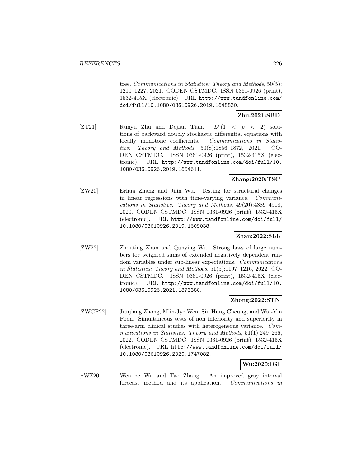tree. Communications in Statistics: Theory and Methods, 50(5): 1210–1227, 2021. CODEN CSTMDC. ISSN 0361-0926 (print), 1532-415X (electronic). URL http://www.tandfonline.com/ doi/full/10.1080/03610926.2019.1648830.

### **Zhu:2021:SBD**

[ZT21] Runyu Zhu and Dejian Tian.  $L^p(1 \lt p \lt 2)$  solutions of backward doubly stochastic differential equations with locally monotone coefficients. Communications in Statistics: Theory and Methods, 50(8):1856–1872, 2021. CO-DEN CSTMDC. ISSN 0361-0926 (print), 1532-415X (electronic). URL http://www.tandfonline.com/doi/full/10. 1080/03610926.2019.1654611.

### **Zhang:2020:TSC**

[ZW20] Erhua Zhang and Jilin Wu. Testing for structural changes in linear regressions with time-varying variance. Communications in Statistics: Theory and Methods, 49(20):4889–4918, 2020. CODEN CSTMDC. ISSN 0361-0926 (print), 1532-415X (electronic). URL http://www.tandfonline.com/doi/full/ 10.1080/03610926.2019.1609038.

#### **Zhan:2022:SLL**

[ZW22] Zhouting Zhan and Qunying Wu. Strong laws of large numbers for weighted sums of extended negatively dependent random variables under sub-linear expectations. Communications in Statistics: Theory and Methods, 51(5):1197–1216, 2022. CO-DEN CSTMDC. ISSN 0361-0926 (print), 1532-415X (electronic). URL http://www.tandfonline.com/doi/full/10. 1080/03610926.2021.1873380.

# **Zhong:2022:STN**

[ZWCP22] Junjiang Zhong, Miin-Jye Wen, Siu Hung Cheung, and Wai-Yin Poon. Simultaneous tests of non inferiority and superiority in three-arm clinical studies with heterogeneous variance. Communications in Statistics: Theory and Methods, 51(1):249–266, 2022. CODEN CSTMDC. ISSN 0361-0926 (print), 1532-415X (electronic). URL http://www.tandfonline.com/doi/full/ 10.1080/03610926.2020.1747082.

#### **Wu:2020:IGI**

[zWZ20] Wen ze Wu and Tao Zhang. An improved gray interval forecast method and its application. Communications in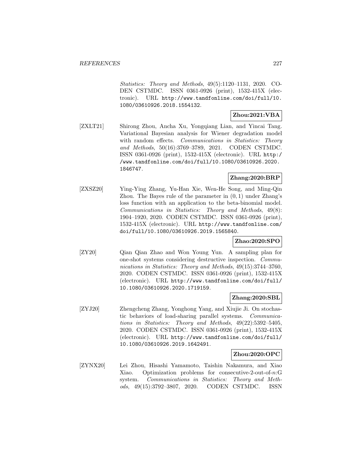Statistics: Theory and Methods, 49(5):1120–1131, 2020. CO-DEN CSTMDC. ISSN 0361-0926 (print), 1532-415X (electronic). URL http://www.tandfonline.com/doi/full/10. 1080/03610926.2018.1554132.

### **Zhou:2021:VBA**

[ZXLT21] Shirong Zhou, Ancha Xu, Yongqiang Lian, and Yincai Tang. Variational Bayesian analysis for Wiener degradation model with random effects. *Communications in Statistics: Theory* and Methods, 50(16):3769–3789, 2021. CODEN CSTMDC. ISSN 0361-0926 (print), 1532-415X (electronic). URL http:/ /www.tandfonline.com/doi/full/10.1080/03610926.2020. 1846747.

### **Zhang:2020:BRP**

[ZXSZ20] Ying-Ying Zhang, Yu-Han Xie, Wen-He Song, and Ming-Qin Zhou. The Bayes rule of the parameter in  $(0, 1)$  under Zhang's loss function with an application to the beta-binomial model. Communications in Statistics: Theory and Methods, 49(8): 1904–1920, 2020. CODEN CSTMDC. ISSN 0361-0926 (print), 1532-415X (electronic). URL http://www.tandfonline.com/ doi/full/10.1080/03610926.2019.1565840.

### **Zhao:2020:SPO**

[ZY20] Qian Qian Zhao and Won Young Yun. A sampling plan for one-shot systems considering destructive inspection. Communications in Statistics: Theory and Methods, 49(15):3744–3760, 2020. CODEN CSTMDC. ISSN 0361-0926 (print), 1532-415X (electronic). URL http://www.tandfonline.com/doi/full/ 10.1080/03610926.2020.1719159.

#### **Zhang:2020:SBL**

[ZYJ20] Zhengcheng Zhang, Yonghong Yang, and Xiujie Ji. On stochastic behaviors of load-sharing parallel systems. Communications in Statistics: Theory and Methods, 49(22):5392–5405, 2020. CODEN CSTMDC. ISSN 0361-0926 (print), 1532-415X (electronic). URL http://www.tandfonline.com/doi/full/ 10.1080/03610926.2019.1642491.

### **Zhou:2020:OPC**

[ZYNX20] Lei Zhou, Hisashi Yamamoto, Taishin Nakamura, and Xiao Xiao. Optimization problems for consecutive-2-out-of-n:G system. Communications in Statistics: Theory and Methods, 49(15):3792–3807, 2020. CODEN CSTMDC. ISSN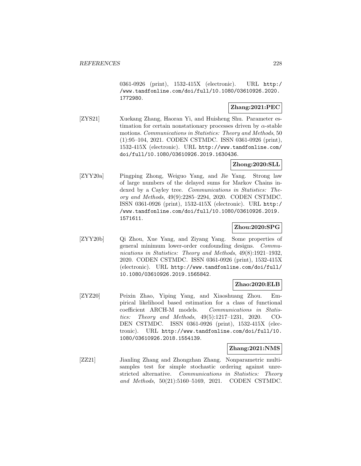0361-0926 (print), 1532-415X (electronic). URL http:/ /www.tandfonline.com/doi/full/10.1080/03610926.2020. 1772980.

## **Zhang:2021:PEC**

[ZYS21] Xuekang Zhang, Haoran Yi, and Huisheng Shu. Parameter estimation for certain nonstationary processes driven by  $\alpha$ -stable motions. Communications in Statistics: Theory and Methods, 50 (1):95–104, 2021. CODEN CSTMDC. ISSN 0361-0926 (print), 1532-415X (electronic). URL http://www.tandfonline.com/ doi/full/10.1080/03610926.2019.1630436.

## **Zhong:2020:SLL**

[ZYY20a] Pingping Zhong, Weiguo Yang, and Jie Yang. Strong law of large numbers of the delayed sums for Markov Chains indexed by a Cayley tree. Communications in Statistics: Theory and Methods, 49(9):2285–2294, 2020. CODEN CSTMDC. ISSN 0361-0926 (print), 1532-415X (electronic). URL http:/ /www.tandfonline.com/doi/full/10.1080/03610926.2019. 1571611.

### **Zhou:2020:SPG**

[ZYY20b] Qi Zhou, Xue Yang, and Ziyang Yang. Some properties of general minimum lower-order confounding designs. Communications in Statistics: Theory and Methods, 49(8):1921–1932, 2020. CODEN CSTMDC. ISSN 0361-0926 (print), 1532-415X (electronic). URL http://www.tandfonline.com/doi/full/ 10.1080/03610926.2019.1565842.

#### **Zhao:2020:ELB**

[ZYZ20] Peixin Zhao, Yiping Yang, and Xiaoshuang Zhou. Empirical likelihood based estimation for a class of functional coefficient ARCH-M models. Communications in Statistics: Theory and Methods, 49(5):1217–1231, 2020. CO-DEN CSTMDC. ISSN 0361-0926 (print), 1532-415X (electronic). URL http://www.tandfonline.com/doi/full/10. 1080/03610926.2018.1554139.

#### **Zhang:2021:NMS**

[ZZ21] Jianling Zhang and Zhongzhan Zhang. Nonparametric multisamples test for simple stochastic ordering against unrestricted alternative. Communications in Statistics: Theory and Methods, 50(21):5160–5169, 2021. CODEN CSTMDC.